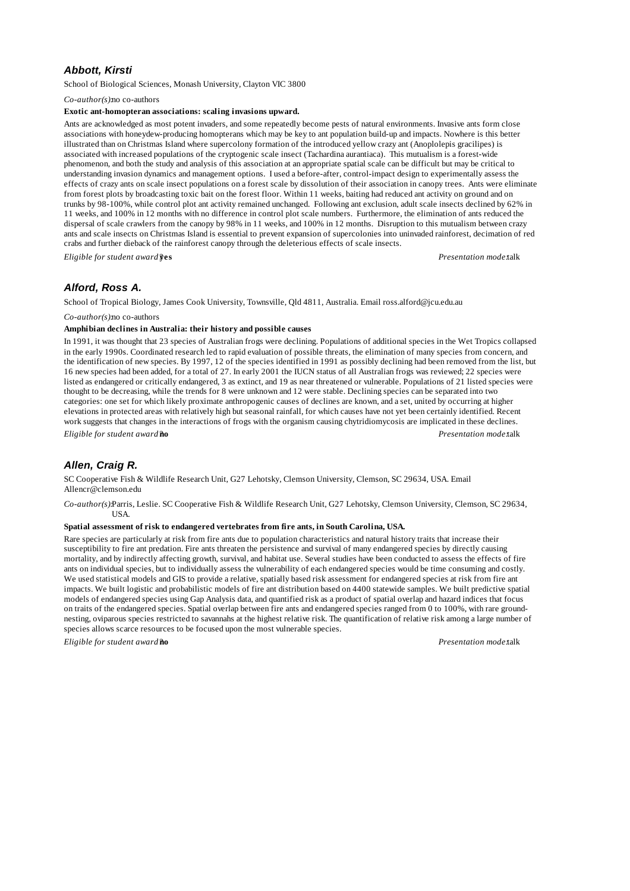# *Abbott, Kirsti*

School of Biological Sciences, Monash University, Clayton VIC 3800

*Co-author(s):*no co-authors

### **Exotic ant-homopteran associations: scaling invasions upward.**

Ants are acknowledged as most potent invaders, and some repeatedly become pests of natural environments. Invasive ants form close associations with honeydew-producing homopterans which may be key to ant population build-up and impacts. Nowhere is this better illustrated than on Christmas Island where supercolony formation of the introduced yellow crazy ant (Anoplolepis gracilipes) is associated with increased populations of the cryptogenic scale insect (Tachardina aurantiaca). This mutualism is a forest-wide phenomenon, and both the study and analysis of this association at an appropriate spatial scale can be difficult but may be critical to understanding invasion dynamics and management options. I used a before-after, control-impact design to experimentally assess the effects of crazy ants on scale insect populations on a forest scale by dissolution of their association in canopy trees. Ants were eliminate from forest plots by broadcasting toxic bait on the forest floor. Within 11 weeks, baiting had reduced ant activity on ground and on trunks by 98-100%, while control plot ant activity remained unchanged. Following ant exclusion, adult scale insects declined by 62% in 11 weeks, and 100% in 12 months with no difference in control plot scale numbers. Furthermore, the elimination of ants reduced the dispersal of scale crawlers from the canopy by 98% in 11 weeks, and 100% in 12 months. Disruption to this mutualism between crazy ants and scale insects on Christmas Island is essential to prevent expansion of supercolonies into uninvaded rainforest, decimation of red crabs and further dieback of the rainforest canopy through the deleterious effects of scale insects.

*Eligible for student award?***yes** *Presentation mode:*talk

# *Alford, Ross A.*

School of Tropical Biology, James Cook University, Townsville, Qld 4811, Australia. Email ross.alford@jcu.edu.au

*Co-author(s):*no co-authors

### **Amphibian declines in Australia: their history and possible causes**

In 1991, it was thought that 23 species of Australian frogs were declining. Populations of additional species in the Wet Tropics collapsed in the early 1990s. Coordinated research led to rapid evaluation of possible threats, the elimination of many species from concern, and the identification of new species. By 1997, 12 of the species identified in 1991 as possibly declining had been removed from the list, but 16 new species had been added, for a total of 27. In early 2001 the IUCN status of all Australian frogs was reviewed; 22 species were listed as endangered or critically endangered, 3 as extinct, and 19 as near threatened or vulnerable. Populations of 21 listed species were thought to be decreasing, while the trends for 8 were unknown and 12 were stable. Declining species can be separated into two categories: one set for which likely proximate anthropogenic causes of declines are known, and a set, united by occurring at higher elevations in protected areas with relatively high but seasonal rainfall, for which causes have not yet been certainly identified. Recent work suggests that changes in the interactions of frogs with the organism causing chytridiomycosis are implicated in these declines. *Eligible for student award?***no** *Presentation mode:*talk

# *Allen, Craig R.*

SC Cooperative Fish & Wildlife Research Unit, G27 Lehotsky, Clemson University, Clemson, SC 29634, USA. Email Allencr@clemson.edu

*Co-author(s):*Parris, Leslie. SC Cooperative Fish & Wildlife Research Unit, G27 Lehotsky, Clemson University, Clemson, SC 29634, USA.

#### **Spatial assessment of risk to endangered vertebrates from fire ants, in South Carolina, USA.**

Rare species are particularly at risk from fire ants due to population characteristics and natural history traits that increase their susceptibility to fire ant predation. Fire ants threaten the persistence and survival of many endangered species by directly causing mortality, and by indirectly affecting growth, survival, and habitat use. Several studies have been conducted to assess the effects of fire ants on individual species, but to individually assess the vulnerability of each endangered species would be time consuming and costly. We used statistical models and GIS to provide a relative, spatially based risk assessment for endangered species at risk from fire ant impacts. We built logistic and probabilistic models of fire ant distribution based on 4400 statewide samples. We built predictive spatial models of endangered species using Gap Analysis data, and quantified risk as a product of spatial overlap and hazard indices that focus on traits of the endangered species. Spatial overlap between fire ants and endangered species ranged from 0 to 100%, with rare groundnesting, oviparous species restricted to savannahs at the highest relative risk. The quantification of relative risk among a large number of species allows scarce resources to be focused upon the most vulnerable species.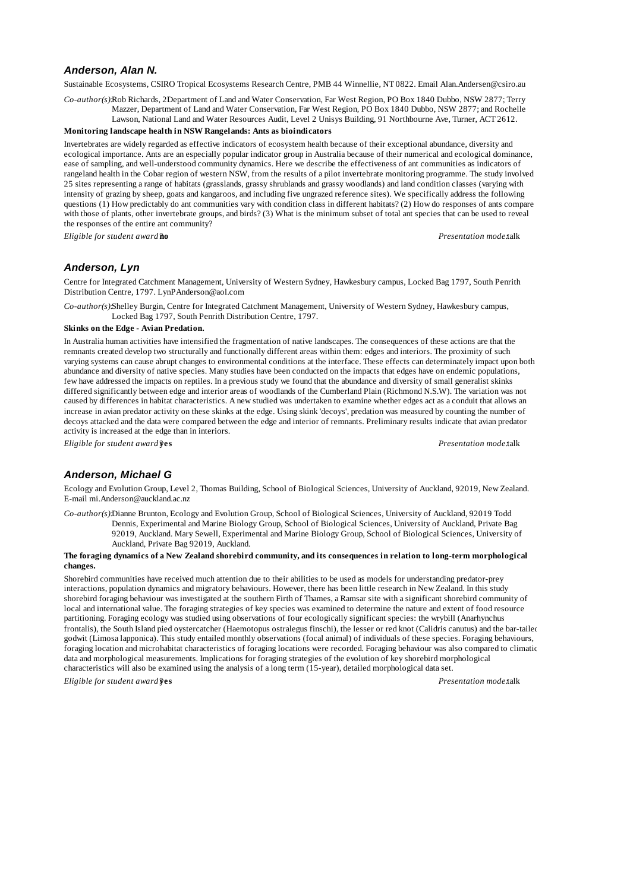# *Anderson, Alan N.*

Sustainable Ecosystems, CSIRO Tropical Ecosystems Research Centre, PMB 44 Winnellie, NT 0822. Email Alan.Andersen@csiro.au

*Co-author(s):*Rob Richards, 2Department of Land and Water Conservation, Far West Region, PO Box 1840 Dubbo, NSW 2877; Terry Mazzer, Department of Land and Water Conservation, Far West Region, PO Box 1840 Dubbo, NSW 2877; and Rochelle

Lawson, National Land and Water Resources Audit, Level 2 Unisys Building, 91 Northbourne Ave, Turner, ACT 2612.

# **Monitoring landscape health in NSW Rangelands: Ants as bioindicators**

Invertebrates are widely regarded as effective indicators of ecosystem health because of their exceptional abundance, diversity and ecological importance. Ants are an especially popular indicator group in Australia because of their numerical and ecological dominance, ease of sampling, and well-understood community dynamics. Here we describe the effectiveness of ant communities as indicators of rangeland health in the Cobar region of western NSW, from the results of a pilot invertebrate monitoring programme. The study involved 25 sites representing a range of habitats (grasslands, grassy shrublands and grassy woodlands) and land condition classes (varying with intensity of grazing by sheep, goats and kangaroos, and including five ungrazed reference sites). We specifically address the following questions (1) How predictably do ant communities vary with condition class in different habitats? (2) How do responses of ants compare with those of plants, other invertebrate groups, and birds? (3) What is the minimum subset of total ant species that can be used to reveal the responses of the entire ant community?

*Eligible for student award?***no** *Presentation mode:*talk

# *Anderson, Lyn*

Centre for Integrated Catchment Management, University of Western Sydney, Hawkesbury campus, Locked Bag 1797, South Penrith Distribution Centre, 1797. LynPAnderson@aol.com

*Co-author(s):*Shelley Burgin, Centre for Integrated Catchment Management, University of Western Sydney, Hawkesbury campus, Locked Bag 1797, South Penrith Distribution Centre, 1797.

### **Skinks on the Edge - Avian Predation.**

In Australia human activities have intensified the fragmentation of native landscapes. The consequences of these actions are that the remnants created develop two structurally and functionally different areas within them: edges and interiors. The proximity of such varying systems can cause abrupt changes to environmental conditions at the interface. These effects can determinately impact upon both abundance and diversity of native species. Many studies have been conducted on the impacts that edges have on endemic populations, few have addressed the impacts on reptiles. In a previous study we found that the abundance and diversity of small generalist skinks differed significantly between edge and interior areas of woodlands of the Cumberland Plain (Richmond N.S.W). The variation was not caused by differences in habitat characteristics. A new studied was undertaken to examine whether edges act as a conduit that allows an increase in avian predator activity on these skinks at the edge. Using skink 'decoys', predation was measured by counting the number of decoys attacked and the data were compared between the edge and interior of remnants. Preliminary results indicate that avian predator activity is increased at the edge than in interiors.

*Eligible for student award?***yes** *Presentation mode:*talk

# *Anderson, Michael G*

Ecology and Evolution Group, Level 2, Thomas Building, School of Biological Sciences, University of Auckland, 92019, New Zealand. E-mail mi.Anderson@auckland.ac.nz

*Co-author(s):*Dianne Brunton, Ecology and Evolution Group, School of Biological Sciences, University of Auckland, 92019 Todd Dennis, Experimental and Marine Biology Group, School of Biological Sciences, University of Auckland, Private Bag 92019, Auckland. Mary Sewell, Experimental and Marine Biology Group, School of Biological Sciences, University of Auckland, Private Bag 92019, Auckland.

#### **The foraging dynamics of a New Zealand shorebird community, and its consequences in relation to long-term morphological changes.**

Shorebird communities have received much attention due to their abilities to be used as models for understanding predator-prey interactions, population dynamics and migratory behaviours. However, there has been little research in New Zealand. In this study shorebird foraging behaviour was investigated at the southern Firth of Thames, a Ramsar site with a significant shorebird community of local and international value. The foraging strategies of key species was examined to determine the nature and extent of food resource partitioning. Foraging ecology was studied using observations of four ecologically significant species: the wrybill (Anarhynchus frontalis), the South Island pied oystercatcher (Haemotopus ostralegus finschi), the lesser or red knot (Calidris canutus) and the bar-tailed godwit (Limosa lapponica). This study entailed monthly observations (focal animal) of individuals of these species. Foraging behaviours, foraging location and microhabitat characteristics of foraging locations were recorded. Foraging behaviour was also compared to climatic data and morphological measurements. Implications for foraging strategies of the evolution of key shorebird morphological characteristics will also be examined using the analysis of a long term (15-year), detailed morphological data set. *Eligible for student award?***yes** *Presentation mode:*talk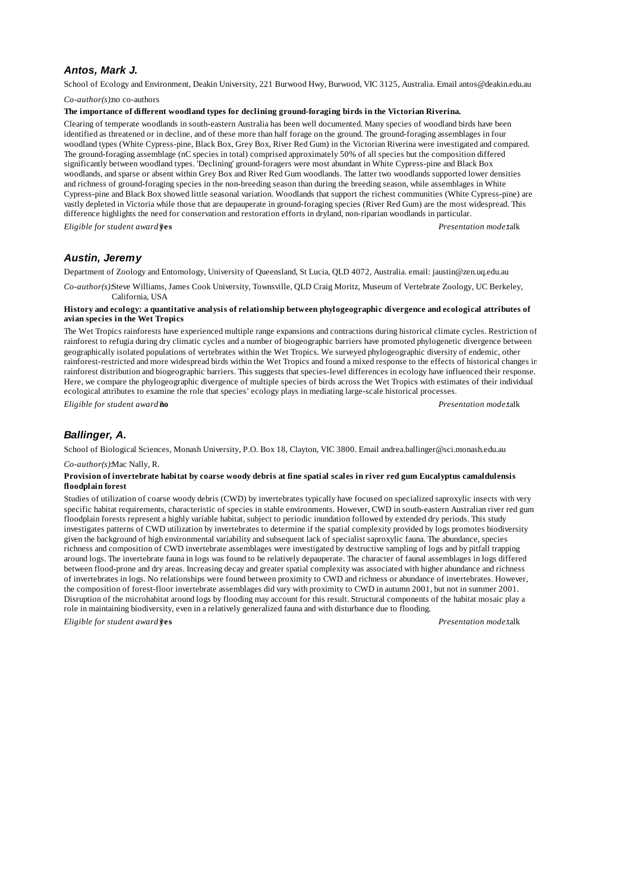# *Antos, Mark J.*

School of Ecology and Environment, Deakin University, 221 Burwood Hwy, Burwood, VIC 3125, Australia. Email antos@deakin.edu.au

*Co-author(s):*no co-authors

#### **The importance of different woodland types for declining ground-foraging birds in the Victorian Riverina.**

Clearing of temperate woodlands in south-eastern Australia has been well documented. Many species of woodland birds have been identified as threatened or in decline, and of these more than half forage on the ground. The ground-foraging assemblages in four woodland types (White Cypress-pine, Black Box, Grey Box, River Red Gum) in the Victorian Riverina were investigated and compared. The ground-foraging assemblage (nC species in total) comprised approximately 50% of all species but the composition differed significantly between woodland types. 'Declining' ground-foragers were most abundant in White Cypress-pine and Black Box woodlands, and sparse or absent within Grey Box and River Red Gum woodlands. The latter two woodlands supported lower densities and richness of ground-foraging species in the non-breeding season than during the breeding season, while assemblages in White Cypress-pine and Black Box showed little seasonal variation. Woodlands that support the richest communities (White Cypress-pine) are vastly depleted in Victoria while those that are depauperate in ground-foraging species (River Red Gum) are the most widespread. This difference highlights the need for conservation and restoration efforts in dryland, non-riparian woodlands in particular. *Eligible for student award?***yes** *Presentation mode:*talk

# *Austin, Jeremy*

Department of Zoology and Entomology, University of Queensland, St Lucia, QLD 4072, Australia. email: jaustin@zen.uq.edu.au

*Co-author(s):*Steve Williams, James Cook University, Townsville, QLD Craig Moritz, Museum of Vertebrate Zoology, UC Berkeley, California, USA

### **History and ecology: a quantitative analysis of relationship between phylogeographic divergence and ecological attributes of avian species in the Wet Tropics**

The Wet Tropics rainforests have experienced multiple range expansions and contractions during historical climate cycles. Restriction of rainforest to refugia during dry climatic cycles and a number of biogeographic barriers have promoted phylogenetic divergence between geographically isolated populations of vertebrates within the Wet Tropics. We surveyed phylogeographic diversity of endemic, other rainforest-restricted and more widespread birds within the Wet Tropics and found a mixed response to the effects of historical changes in rainforest distribution and biogeographic barriers. This suggests that species-level differences in ecology have influenced their response. Here, we compare the phylogeographic divergence of multiple species of birds across the Wet Tropics with estimates of their individual ecological attributes to examine the role that species' ecology plays in mediating large-scale historical processes.

*Eligible for student award?***no** *Presentation mode:*talk

# *Ballinger, A.*

School of Biological Sciences, Monash University, P.O. Box 18, Clayton, VIC 3800. Email andrea.ballinger@sci.monash.edu.au

*Co-author(s):*Mac Nally, R.

### **Provision of invertebrate habitat by coarse woody debris at fine spatial scales in river red gum Eucalyptus camaldulensis floodplain forest**

Studies of utilization of coarse woody debris (CWD) by invertebrates typically have focused on specialized saproxylic insects with very specific habitat requirements, characteristic of species in stable environments. However, CWD in south-eastern Australian river red gum floodplain forests represent a highly variable habitat, subject to periodic inundation followed by extended dry periods. This study investigates patterns of CWD utilization by invertebrates to determine if the spatial complexity provided by logs promotes biodiversity given the background of high environmental variability and subsequent lack of specialist saproxylic fauna. The abundance, species richness and composition of CWD invertebrate assemblages were investigated by destructive sampling of logs and by pitfall trapping around logs. The invertebrate fauna in logs was found to be relatively depauperate. The character of faunal assemblages in logs differed between flood-prone and dry areas. Increasing decay and greater spatial complexity was associated with higher abundance and richness of invertebrates in logs. No relationships were found between proximity to CWD and richness or abundance of invertebrates. However, the composition of forest-floor invertebrate assemblages did vary with proximity to CWD in autumn 2001, but not in summer 2001. Disruption of the microhabitat around logs by flooding may account for this result. Structural components of the habitat mosaic play a role in maintaining biodiversity, even in a relatively generalized fauna and with disturbance due to flooding. *Eligible for student award?***yes** *Presentation mode:*talk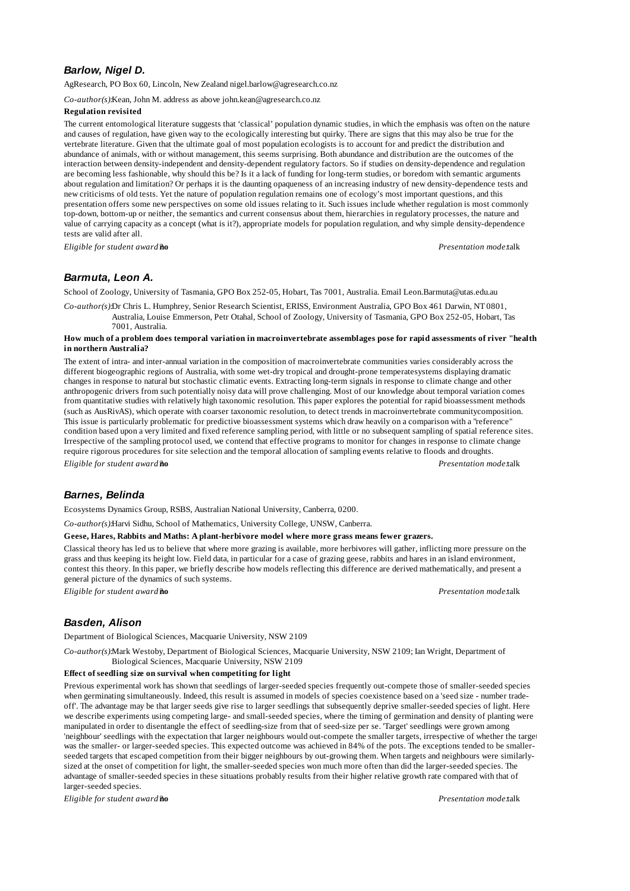# *Barlow, Nigel D.*

AgResearch, PO Box 60, Lincoln, New Zealand nigel.barlow@agresearch.co.nz

*Co-author(s):*Kean, John M. address as above john.kean@agresearch.co.nz

#### **Regulation revisited**

The current entomological literature suggests that 'classical' population dynamic studies, in which the emphasis was often on the nature and causes of regulation, have given way to the ecologically interesting but quirky. There are signs that this may also be true for the vertebrate literature. Given that the ultimate goal of most population ecologists is to account for and predict the distribution and abundance of animals, with or without management, this seems surprising. Both abundance and distribution are the outcomes of the interaction between density-independent and density-dependent regulatory factors. So if studies on density-dependence and regulation are becoming less fashionable, why should this be? Is it a lack of funding for long-term studies, or boredom with semantic arguments about regulation and limitation? Or perhaps it is the daunting opaqueness of an increasing industry of new density-dependence tests and new criticisms of old tests. Yet the nature of population regulation remains one of ecology's most important questions, and this presentation offers some new perspectives on some old issues relating to it. Such issues include whether regulation is most commonly top-down, bottom-up or neither, the semantics and current consensus about them, hierarchies in regulatory processes, the nature and value of carrying capacity as a concept (what is it?), appropriate models for population regulation, and why simple density-dependence tests are valid after all.

*Eligible for student award?***no** *Presentation mode:*talk

### *Barmuta, Leon A.*

School of Zoology, University of Tasmania, GPO Box 252-05, Hobart, Tas 7001, Australia. Email Leon.Barmuta@utas.edu.au

*Co-author(s):*Dr Chris L. Humphrey, Senior Research Scientist, ERISS, Environment Australia, GPO Box 461 Darwin, NT 0801, Australia, Louise Emmerson, Petr Otahal, School of Zoology, University of Tasmania, GPO Box 252-05, Hobart, Tas 7001, Australia.

### **How much of a problem does temporal variation in macroinvertebrate assemblages pose for rapid assessments of river "health" in northern Australia?**

The extent of intra- and inter-annual variation in the composition of macroinvertebrate communities varies considerably across the different biogeographic regions of Australia, with some wet-dry tropical and drought-prone temperatesystems displaying dramatic changes in response to natural but stochastic climatic events. Extracting long-term signals in response to climate change and other anthropogenic drivers from such potentially noisy data will prove challenging. Most of our knowledge about temporal variation comes from quantitative studies with relatively high taxonomic resolution. This paper explores the potential for rapid bioassessment methods (such as AusRivAS), which operate with coarser taxonomic resolution, to detect trends in macroinvertebrate communitycomposition. This issue is particularly problematic for predictive bioassessment systems which draw heavily on a comparison with a "reference" condition based upon a very limited and fixed reference sampling period, with little or no subsequent sampling of spatial reference sites. Irrespective of the sampling protocol used, we contend that effective programs to monitor for changes in response to climate change require rigorous procedures for site selection and the temporal allocation of sampling events relative to floods and droughts. *Eligible for student award?***no** *Presentation mode:*talk

# *Barnes, Belinda*

Ecosystems Dynamics Group, RSBS, Australian National University, Canberra, 0200.

*Co-author(s):*Harvi Sidhu, School of Mathematics, University College, UNSW, Canberra.

**Geese, Hares, Rabbits and Maths: A plant-herbivore model where more grass means fewer grazers.**

Classical theory has led us to believe that where more grazing is available, more herbivores will gather, inflicting more pressure on the grass and thus keeping its height low. Field data, in particular for a case of grazing geese, rabbits and hares in an island environment, contest this theory. In this paper, we briefly describe how models reflecting this difference are derived mathematically, and present a general picture of the dynamics of such systems.

*Eligible for student award?***no** *Presentation mode:*talk

# *Basden, Alison*

Department of Biological Sciences, Macquarie University, NSW 2109

*Co-author(s):*Mark Westoby, Department of Biological Sciences, Macquarie University, NSW 2109; Ian Wright, Department of Biological Sciences, Macquarie University, NSW 2109

#### **Effect of seedling size on survival when competiting for light**

Previous experimental work has shown that seedlings of larger-seeded species frequently out-compete those of smaller-seeded species when germinating simultaneously. Indeed, this result is assumed in models of species coexistence based on a 'seed size - number tradeoff'. The advantage may be that larger seeds give rise to larger seedlings that subsequently deprive smaller-seeded species of light. Here we describe experiments using competing large- and small-seeded species, where the timing of germination and density of planting were manipulated in order to disentangle the effect of seedling-size from that of seed-size per se. 'Target' seedlings were grown among 'neighbour' seedlings with the expectation that larger neighbours would out-compete the smaller targets, irrespective of whether the target was the smaller- or larger-seeded species. This expected outcome was achieved in 84% of the pots. The exceptions tended to be smallerseeded targets that escaped competition from their bigger neighbours by out-growing them. When targets and neighbours were similarlysized at the onset of competition for light, the smaller-seeded species won much more often than did the larger-seeded species. The advantage of smaller-seeded species in these situations probably results from their higher relative growth rate compared with that of larger-seeded species.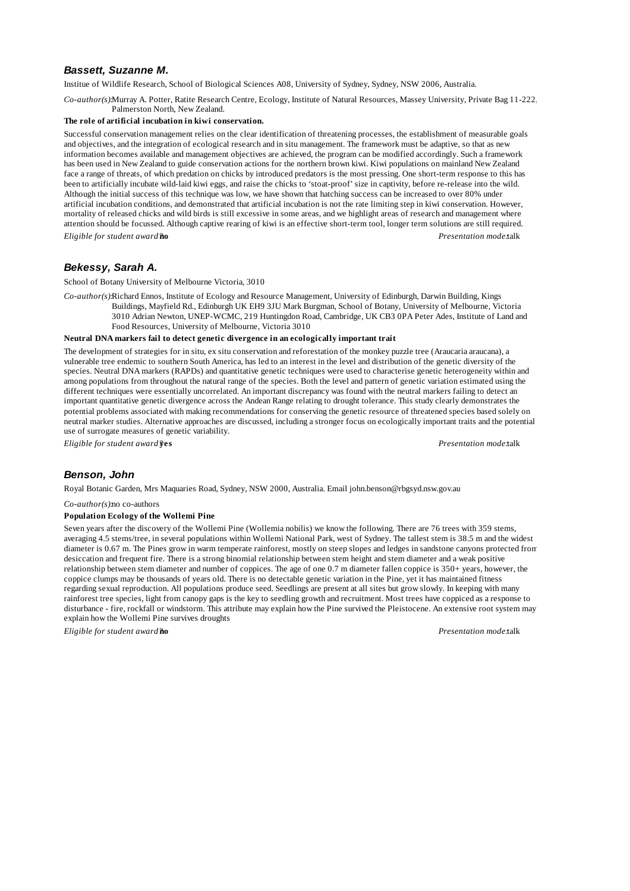# *Bassett, Suzanne M.*

Institue of Wildlife Research, School of Biological Sciences A08, University of Sydney, Sydney, NSW 2006, Australia.

*Co-author(s):*Murray A. Potter, Ratite Research Centre, Ecology, Institute of Natural Resources, Massey University, Private Bag 11-222, Palmerston North, New Zealand.

#### **The role of artificial incubation in kiwi conservation.**

Successful conservation management relies on the clear identification of threatening processes, the establishment of measurable goals and objectives, and the integration of ecological research and in situ management. The framework must be adaptive, so that as new information becomes available and management objectives are achieved, the program can be modified accordingly. Such a framework has been used in New Zealand to guide conservation actions for the northern brown kiwi. Kiwi populations on mainland New Zealand face a range of threats, of which predation on chicks by introduced predators is the most pressing. One short-term response to this has been to artificially incubate wild-laid kiwi eggs, and raise the chicks to 'stoat-proof' size in captivity, before re-release into the wild. Although the initial success of this technique was low, we have shown that hatching success can be increased to over 80% under artificial incubation conditions, and demonstrated that artificial incubation is not the rate limiting step in kiwi conservation. However, mortality of released chicks and wild birds is still excessive in some areas, and we highlight areas of research and management where attention should be focussed. Although captive rearing of kiwi is an effective short-term tool, longer term solutions are still required. *Eligible for student award?***no** *Presentation mode:*talk

### *Bekessy, Sarah A.*

School of Botany University of Melbourne Victoria, 3010

*Co-author(s):*Richard Ennos, Institute of Ecology and Resource Management, University of Edinburgh, Darwin Building, Kings

Buildings, Mayfield Rd., Edinburgh UK EH9 3JU Mark Burgman, School of Botany, University of Melbourne, Victoria 3010 Adrian Newton, UNEP-WCMC, 219 Huntingdon Road, Cambridge, UK CB3 0PA Peter Ades, Institute of Land and Food Resources, University of Melbourne, Victoria 3010

#### **Neutral DNA markers fail to detect genetic divergence in an ecologically important trait**

The development of strategies for in situ, ex situ conservation and reforestation of the monkey puzzle tree (Araucaria araucana), a vulnerable tree endemic to southern South America, has led to an interest in the level and distribution of the genetic diversity of the species. Neutral DNA markers (RAPDs) and quantitative genetic techniques were used to characterise genetic heterogeneity within and among populations from throughout the natural range of the species. Both the level and pattern of genetic variation estimated using the different techniques were essentially uncorrelated. An important discrepancy was found with the neutral markers failing to detect an important quantitative genetic divergence across the Andean Range relating to drought tolerance. This study clearly demonstrates the potential problems associated with making recommendations for conserving the genetic resource of threatened species based solely on neutral marker studies. Alternative approaches are discussed, including a stronger focus on ecologically important traits and the potential use of surrogate measures of genetic variability.

*Eligible for student award?***yes** *Presentation mode:*talk

### *Benson, John*

Royal Botanic Garden, Mrs Maquaries Road, Sydney, NSW 2000, Australia. Email john.benson@rbgsyd.nsw.gov.au

*Co-author(s):*no co-authors

### **Population Ecology of the Wollemi Pine**

Seven years after the discovery of the Wollemi Pine (Wollemia nobilis) we know the following. There are 76 trees with 359 stems, averaging 4.5 stems/tree, in several populations within Wollemi National Park, west of Sydney. The tallest stem is 38.5 m and the widest diameter is 0.67 m. The Pines grow in warm temperate rainforest, mostly on steep slopes and ledges in sandstone canyons protected from desiccation and frequent fire. There is a strong binomial relationship between stem height and stem diameter and a weak positive relationship between stem diameter and number of coppices. The age of one 0.7 m diameter fallen coppice is 350+ years, however, the coppice clumps may be thousands of years old. There is no detectable genetic variation in the Pine, yet it has maintained fitness regarding sexual reproduction. All populations produce seed. Seedlings are present at all sites but grow slowly. In keeping with many rainforest tree species, light from canopy gaps is the key to seedling growth and recruitment. Most trees have coppiced as a response to disturbance - fire, rockfall or windstorm. This attribute may explain how the Pine survived the Pleistocene. An extensive root system may explain how the Wollemi Pine survives droughts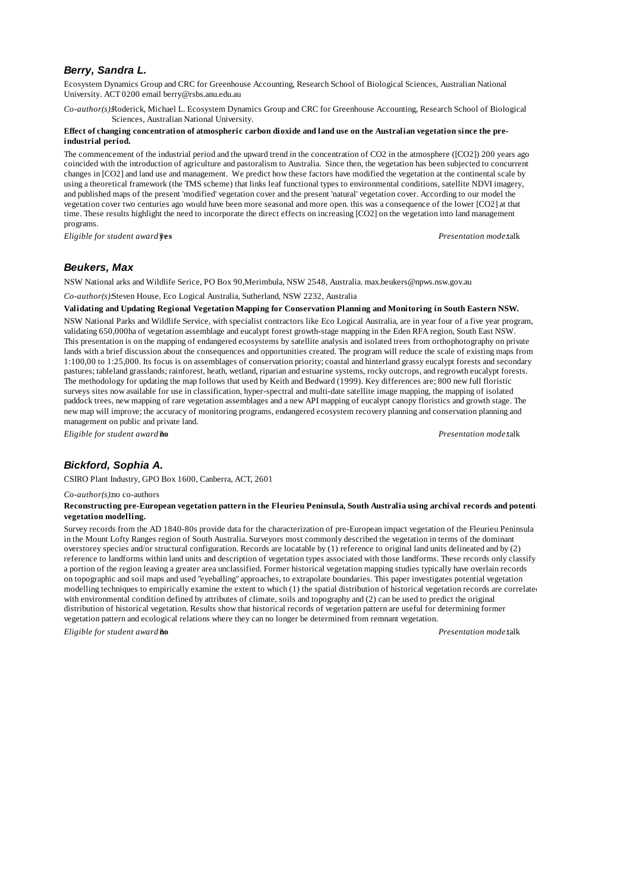### *Berry, Sandra L.*

Ecosystem Dynamics Group and CRC for Greenhouse Accounting, Research School of Biological Sciences, Australian National University. ACT 0200 email berry@rsbs.anu.edu.au

*Co-author(s):*Roderick, Michael L. Ecosystem Dynamics Group and CRC for Greenhouse Accounting, Research School of Biological Sciences, Australian National University.

### **Effect of changing concentration of atmospheric carbon dioxide and land use on the Australian vegetation since the preindustrial period.**

The commencement of the industrial period and the upward trend in the concentration of CO2 in the atmosphere ([CO2]) 200 years ago coincided with the introduction of agriculture and pastoralism to Australia. Since then, the vegetation has been subjected to concurrent changes in [CO2] and land use and management. We predict how these factors have modified the vegetation at the continental scale by using a theoretical framework (the TMS scheme) that links leaf functional types to environmental conditions, satellite NDVI imagery, and published maps of the present 'modified' vegetation cover and the present 'natural' vegetation cover. According to our model the vegetation cover two centuries ago would have been more seasonal and more open. this was a consequence of the lower [CO2] at that time. These results highlight the need to incorporate the direct effects on increasing [CO2] on the vegetation into land management programs.

*Eligible for student award?***yes** *Presentation mode:*talk

# *Beukers, Max*

NSW National arks and Wildlife Serice, PO Box 90,Merimbula, NSW 2548, Australia. max.beukers@npws.nsw.gov.au

*Co-author(s):*Steven House, Eco Logical Australia, Sutherland, NSW 2232, Australia

#### **Validating and Updating Regional Vegetation Mapping for Conservation Planning and Monitoring in South Eastern NSW.**

NSW National Parks and Wildlife Service, with specialist contractors like Eco Logical Australia, are in year four of a five year program, validating 650,000ha of vegetation assemblage and eucalypt forest growth-stage mapping in the Eden RFA region, South East NSW. This presentation is on the mapping of endangered ecosystems by satellite analysis and isolated trees from orthophotography on private lands with a brief discussion about the consequences and opportunities created. The program will reduce the scale of existing maps from 1:100,00 to 1:25,000. Its focus is on assemblages of conservation priority; coastal and hinterland grassy eucalypt forests and secondary pastures; tableland grasslands; rainforest, heath, wetland, riparian and estuarine systems, rocky outcrops, and regrowth eucalypt forests. The methodology for updating the map follows that used by Keith and Bedward (1999). Key differences are; 800 new full floristic surveys sites now available for use in classification, hyper-spectral and multi-date satellite image mapping, the mapping of isolated paddock trees, new mapping of rare vegetation assemblages and a new API mapping of eucalypt canopy floristics and growth stage. The new map will improve; the accuracy of monitoring programs, endangered ecosystem recovery planning and conservation planning and management on public and private land.

*Eligible for student award?***no** *Presentation mode:*talk

# *Bickford, Sophia A.*

CSIRO Plant Industry, GPO Box 1600, Canberra, ACT, 2601

#### *Co-author(s):*no co-authors

### Reconstructing pre-European vegetation pattern in the Fleurieu Peninsula, South Australia using archival records and potenti **vegetation modelling.**

Survey records from the AD 1840-80s provide data for the characterization of pre-European impact vegetation of the Fleurieu Peninsula in the Mount Lofty Ranges region of South Australia. Surveyors most commonly described the vegetation in terms of the dominant overstorey species and/or structural configuration. Records are locatable by (1) reference to original land units delineated and by (2) reference to landforms within land units and description of vegetation types associated with those landforms. These records only classify a portion of the region leaving a greater area unclassified. Former historical vegetation mapping studies typically have overlain records on topographic and soil maps and used "eyeballing" approaches, to extrapolate boundaries. This paper investigates potential vegetation modelling techniques to empirically examine the extent to which  $(1)$  the spatial distribution of historical vegetation records are correlated with environmental condition defined by attributes of climate, soils and topography and (2) can be used to predict the original distribution of historical vegetation. Results show that historical records of vegetation pattern are useful for determining former vegetation pattern and ecological relations where they can no longer be determined from remnant vegetation.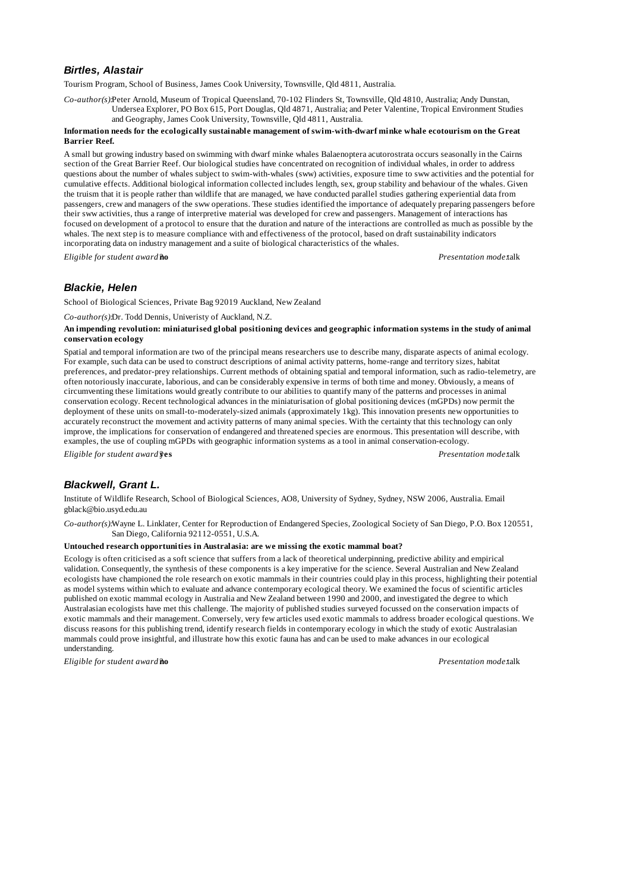# *Birtles, Alastair*

Tourism Program, School of Business, James Cook University, Townsville, Qld 4811, Australia.

*Co-author(s):*Peter Arnold, Museum of Tropical Queensland, 70-102 Flinders St, Townsville, Qld 4810, Australia; Andy Dunstan, Undersea Explorer, PO Box 615, Port Douglas, Qld 4871, Australia; and Peter Valentine, Tropical Environment Studies and Geography, James Cook University, Townsville, Qld 4811, Australia.

#### **Information needs for the ecologically sustainable management of swim-with-dwarf minke whale ecotourism on the Great Barrier Reef.**

A small but growing industry based on swimming with dwarf minke whales Balaenoptera acutorostrata occurs seasonally in the Cairns section of the Great Barrier Reef. Our biological studies have concentrated on recognition of individual whales, in order to address questions about the number of whales subject to swim-with-whales (sww) activities, exposure time to sww activities and the potential for cumulative effects. Additional biological information collected includes length, sex, group stability and behaviour of the whales. Given the truism that it is people rather than wildlife that are managed, we have conducted parallel studies gathering experiential data from passengers, crew and managers of the sww operations. These studies identified the importance of adequately preparing passengers before their sww activities, thus a range of interpretive material was developed for crew and passengers. Management of interactions has focused on development of a protocol to ensure that the duration and nature of the interactions are controlled as much as possible by the whales. The next step is to measure compliance with and effectiveness of the protocol, based on draft sustainability indicators incorporating data on industry management and a suite of biological characteristics of the whales.

*Eligible for student award?***no** *Presentation mode:*talk

# *Blackie, Helen*

School of Biological Sciences, Private Bag 92019 Auckland, New Zealand

*Co-author(s):*Dr. Todd Dennis, Univeristy of Auckland, N.Z.

#### **An impending revolution: miniaturised global positioning devices and geographic information systems in the study of animal conservation ecology**

Spatial and temporal information are two of the principal means researchers use to describe many, disparate aspects of animal ecology. For example, such data can be used to construct descriptions of animal activity patterns, home-range and territory sizes, habitat preferences, and predator-prey relationships. Current methods of obtaining spatial and temporal information, such as radio-telemetry, are often notoriously inaccurate, laborious, and can be considerably expensive in terms of both time and money. Obviously, a means of circumventing these limitations would greatly contribute to our abilities to quantify many of the patterns and processes in animal conservation ecology. Recent technological advances in the miniaturisation of global positioning devices (mGPDs) now permit the deployment of these units on small-to-moderately-sized animals (approximately 1kg). This innovation presents new opportunities to accurately reconstruct the movement and activity patterns of many animal species. With the certainty that this technology can only improve, the implications for conservation of endangered and threatened species are enormous. This presentation will describe, with examples, the use of coupling mGPDs with geographic information systems as a tool in animal conservation-ecology. *Eligible for student award?***yes** *Presentation mode:*talk

# *Blackwell, Grant L.*

Institute of Wildlife Research, School of Biological Sciences, AO8, University of Sydney, Sydney, NSW 2006, Australia. Email gblack@bio.usyd.edu.au

*Co-author(s):*Wayne L. Linklater, Center for Reproduction of Endangered Species, Zoological Society of San Diego, P.O. Box 120551, San Diego, California 92112-0551, U.S.A.

#### **Untouched research opportunities in Australasia: are we missing the exotic mammal boat?**

Ecology is often criticised as a soft science that suffers from a lack of theoretical underpinning, predictive ability and empirical validation. Consequently, the synthesis of these components is a key imperative for the science. Several Australian and New Zealand ecologists have championed the role research on exotic mammals in their countries could play in this process, highlighting their potential as model systems within which to evaluate and advance contemporary ecological theory. We examined the focus of scientific articles published on exotic mammal ecology in Australia and New Zealand between 1990 and 2000, and investigated the degree to which Australasian ecologists have met this challenge. The majority of published studies surveyed focussed on the conservation impacts of exotic mammals and their management. Conversely, very few articles used exotic mammals to address broader ecological questions. We discuss reasons for this publishing trend, identify research fields in contemporary ecology in which the study of exotic Australasian mammals could prove insightful, and illustrate how this exotic fauna has and can be used to make advances in our ecological understanding.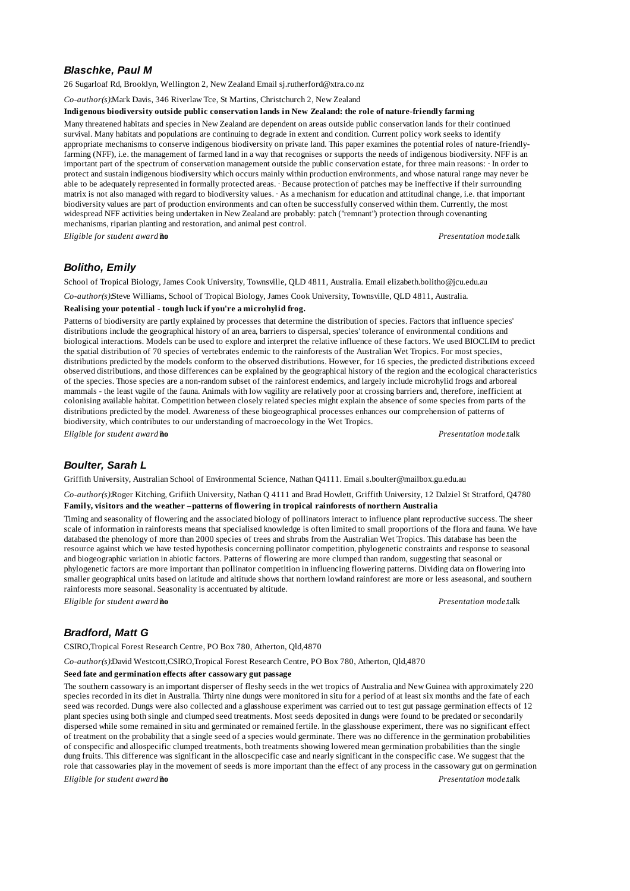# *Blaschke, Paul M*

26 Sugarloaf Rd, Brooklyn, Wellington 2, New Zealand Email sj.rutherford@xtra.co.nz

*Co-author(s):*Mark Davis, 346 Riverlaw Tce, St Martins, Christchurch 2, New Zealand

#### **Indigenous biodiversity outside public conservation lands in New Zealand: the role of nature-friendly farming**

Many threatened habitats and species in New Zealand are dependent on areas outside public conservation lands for their continued survival. Many habitats and populations are continuing to degrade in extent and condition. Current policy work seeks to identify appropriate mechanisms to conserve indigenous biodiversity on private land. This paper examines the potential roles of nature-friendlyfarming (NFF), i.e. the management of farmed land in a way that recognises or supports the needs of indigenous biodiversity. NFF is an important part of the spectrum of conservation management outside the public conservation estate, for three main reasons: · In order to protect and sustain indigenous biodiversity which occurs mainly within production environments, and whose natural range may never be able to be adequately represented in formally protected areas. · Because protection of patches may be ineffective if their surrounding matrix is not also managed with regard to biodiversity values. · As a mechanism for education and attitudinal change, i.e. that important biodiversity values are part of production environments and can often be successfully conserved within them. Currently, the most widespread NFF activities being undertaken in New Zealand are probably: patch ("remnant") protection through covenanting mechanisms, riparian planting and restoration, and animal pest control.

*Eligible for student award?***no** *Presentation mode:*talk

# *Bolitho, Emily*

School of Tropical Biology, James Cook University, Townsville, QLD 4811, Australia. Email elizabeth.bolitho@jcu.edu.au

*Co-author(s):*Steve Williams, School of Tropical Biology, James Cook University, Townsville, QLD 4811, Australia.

#### **Realising your potential - tough luck if you're a microhylid frog.**

Patterns of biodiversity are partly explained by processes that determine the distribution of species. Factors that influence species' distributions include the geographical history of an area, barriers to dispersal, species' tolerance of environmental conditions and biological interactions. Models can be used to explore and interpret the relative influence of these factors. We used BIOCLIM to predict the spatial distribution of 70 species of vertebrates endemic to the rainforests of the Australian Wet Tropics. For most species, distributions predicted by the models conform to the observed distributions. However, for 16 species, the predicted distributions exceed observed distributions, and those differences can be explained by the geographical history of the region and the ecological characteristics of the species. Those species are a non-random subset of the rainforest endemics, and largely include microhylid frogs and arboreal mammals - the least vagile of the fauna. Animals with low vagility are relatively poor at crossing barriers and, therefore, inefficient at colonising available habitat. Competition between closely related species might explain the absence of some species from parts of the distributions predicted by the model. Awareness of these biogeographical processes enhances our comprehension of patterns of biodiversity, which contributes to our understanding of macroecology in the Wet Tropics.

*Eligible for student award?***no** *Presentation mode:*talk

### *Boulter, Sarah L*

Griffith University, Australian School of Environmental Science, Nathan Q4111. Email s.boulter@mailbox.gu.edu.au

*Co-author(s):*Roger Kitching, Grifiith University, Nathan Q 4111 and Brad Howlett, Griffith University, 12 Dalziel St Stratford, Q4780 **Family, visitors and the weather –patterns of flowering in tropical rainforests of northern Australia**

Timing and seasonality of flowering and the associated biology of pollinators interact to influence plant reproductive success. The sheer scale of information in rainforests means that specialised knowledge is often limited to small proportions of the flora and fauna. We have databased the phenology of more than 2000 species of trees and shrubs from the Australian Wet Tropics. This database has been the resource against which we have tested hypothesis concerning pollinator competition, phylogenetic constraints and response to seasonal and biogeographic variation in abiotic factors. Patterns of flowering are more clumped than random, suggesting that seasonal or phylogenetic factors are more important than pollinator competition in influencing flowering patterns. Dividing data on flowering into smaller geographical units based on latitude and altitude shows that northern lowland rainforest are more or less aseasonal, and southern rainforests more seasonal. Seasonality is accentuated by altitude.

*Eligible for student award?***no** *Presentation mode:*talk

# *Bradford, Matt G*

CSIRO,Tropical Forest Research Centre, PO Box 780, Atherton, Qld,4870

*Co-author(s):*David Westcott,CSIRO,Tropical Forest Research Centre, PO Box 780, Atherton, Qld,4870

#### **Seed fate and germination effects after cassowary gut passage**

The southern cassowary is an important disperser of fleshy seeds in the wet tropics of Australia and New Guinea with approximately 220 species recorded in its diet in Australia. Thirty nine dungs were monitored in situ for a period of at least six months and the fate of each seed was recorded. Dungs were also collected and a glasshouse experiment was carried out to test gut passage germination effects of 12 plant species using both single and clumped seed treatments. Most seeds deposited in dungs were found to be predated or secondarily dispersed while some remained in situ and germinated or remained fertile. In the glasshouse experiment, there was no significant effect of treatment on the probability that a single seed of a species would germinate. There was no difference in the germination probabilities of conspecific and allospecific clumped treatments, both treatments showing lowered mean germination probabilities than the single dung fruits. This difference was significant in the alloscpecific case and nearly significant in the conspecific case. We suggest that the role that cassowaries play in the movement of seeds is more important than the effect of any process in the cassowary gut on germination. *Eligible for student award?***no** *Presentation mode:*talk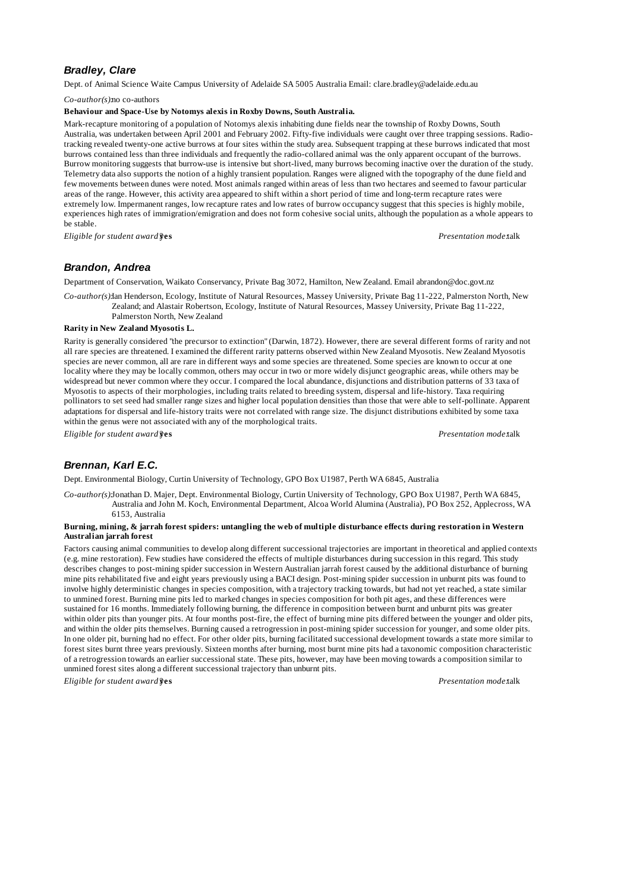# *Bradley, Clare*

Dept. of Animal Science Waite Campus University of Adelaide SA 5005 Australia Email: clare.bradley@adelaide.edu.au

*Co-author(s):*no co-authors

### **Behaviour and Space-Use by Notomys alexis in Roxby Downs, South Australia.**

Mark-recapture monitoring of a population of Notomys alexis inhabiting dune fields near the township of Roxby Downs, South Australia, was undertaken between April 2001 and February 2002. Fifty-five individuals were caught over three trapping sessions. Radiotracking revealed twenty-one active burrows at four sites within the study area. Subsequent trapping at these burrows indicated that most burrows contained less than three individuals and frequently the radio-collared animal was the only apparent occupant of the burrows. Burrow monitoring suggests that burrow-use is intensive but short-lived, many burrows becoming inactive over the duration of the study. Telemetry data also supports the notion of a highly transient population. Ranges were aligned with the topography of the dune field and few movements between dunes were noted. Most animals ranged within areas of less than two hectares and seemed to favour particular areas of the range. However, this activity area appeared to shift within a short period of time and long-term recapture rates were extremely low. Impermanent ranges, low recapture rates and low rates of burrow occupancy suggest that this species is highly mobile, experiences high rates of immigration/emigration and does not form cohesive social units, although the population as a whole appears to be stable.

*Eligible for student award?***yes** *Presentation mode:*talk

# *Brandon, Andrea*

Department of Conservation, Waikato Conservancy, Private Bag 3072, Hamilton, New Zealand. Email abrandon@doc.govt.nz

*Co-author(s):*Ian Henderson, Ecology, Institute of Natural Resources, Massey University, Private Bag 11-222, Palmerston North, New Zealand; and Alastair Robertson, Ecology, Institute of Natural Resources, Massey University, Private Bag 11-222,

Palmerston North, New Zealand

### **Rarity in New Zealand Myosotis L.**

Rarity is generally considered "the precursor to extinction" (Darwin, 1872). However, there are several different forms of rarity and not all rare species are threatened. I examined the different rarity patterns observed within New Zealand Myosotis. New Zealand Myosotis species are never common, all are rare in different ways and some species are threatened. Some species are known to occur at one locality where they may be locally common, others may occur in two or more widely disjunct geographic areas, while others may be widespread but never common where they occur. I compared the local abundance, disjunctions and distribution patterns of 33 taxa of Myosotis to aspects of their morphologies, including traits related to breeding system, dispersal and life-history. Taxa requiring pollinators to set seed had smaller range sizes and higher local population densities than those that were able to self-pollinate. Apparent adaptations for dispersal and life-history traits were not correlated with range size. The disjunct distributions exhibited by some taxa within the genus were not associated with any of the morphological traits.

*Eligible for student award?***yes** *Presentation mode:*talk

# *Brennan, Karl E.C.*

Dept. Environmental Biology, Curtin University of Technology, GPO Box U1987, Perth WA 6845, Australia

*Co-author(s):*Jonathan D. Majer, Dept. Environmental Biology, Curtin University of Technology, GPO Box U1987, Perth WA 6845, Australia and John M. Koch, Environmental Department, Alcoa World Alumina (Australia), PO Box 252, Applecross, WA 6153, Australia

### **Burning, mining, & jarrah forest spiders: untangling the web of multiple disturbance effects during restoration in Western Australian jarrah forest**

Factors causing animal communities to develop along different successional trajectories are important in theoretical and applied contexts (e.g. mine restoration). Few studies have considered the effects of multiple disturbances during succession in this regard. This study describes changes to post-mining spider succession in Western Australian jarrah forest caused by the additional disturbance of burning mine pits rehabilitated five and eight years previously using a BACI design. Post-mining spider succession in unburnt pits was found to involve highly deterministic changes in species composition, with a trajectory tracking towards, but had not yet reached, a state similar to unmined forest. Burning mine pits led to marked changes in species composition for both pit ages, and these differences were sustained for 16 months. Immediately following burning, the difference in composition between burnt and unburnt pits was greater within older pits than younger pits. At four months post-fire, the effect of burning mine pits differed between the younger and older pits, and within the older pits themselves. Burning caused a retrogression in post-mining spider succession for younger, and some older pits. In one older pit, burning had no effect. For other older pits, burning facilitated successional development towards a state more similar to forest sites burnt three years previously. Sixteen months after burning, most burnt mine pits had a taxonomic composition characteristic of a retrogression towards an earlier successional state. These pits, however, may have been moving towards a composition similar to unmined forest sites along a different successional trajectory than unburnt pits.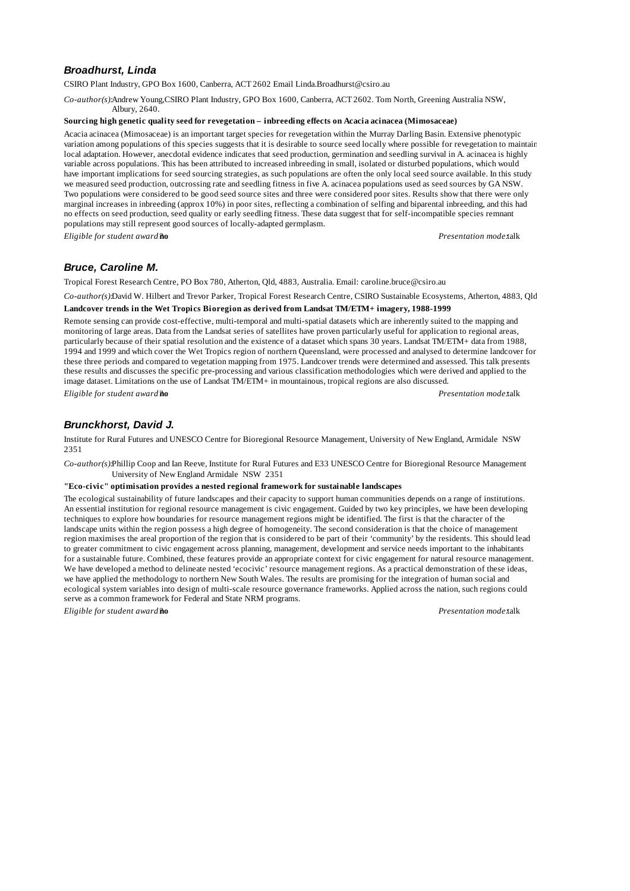# *Broadhurst, Linda*

CSIRO Plant Industry, GPO Box 1600, Canberra, ACT 2602 Email Linda.Broadhurst@csiro.au

*Co-author(s):*Andrew Young,CSIRO Plant Industry, GPO Box 1600, Canberra, ACT 2602. Tom North, Greening Australia NSW, Albury, 2640.

### **Sourcing high genetic quality seed for revegetation – inbreeding effects on Acacia acinacea (Mimosaceae)**

Acacia acinacea (Mimosaceae) is an important target species for revegetation within the Murray Darling Basin. Extensive phenotypic variation among populations of this species suggests that it is desirable to source seed locally where possible for revegetation to maintain local adaptation. However, anecdotal evidence indicates that seed production, germination and seedling survival in A. acinacea is highly variable across populations. This has been attributed to increased inbreeding in small, isolated or disturbed populations, which would have important implications for seed sourcing strategies, as such populations are often the only local seed source available. In this study we measured seed production, outcrossing rate and seedling fitness in five A. acinacea populations used as seed sources by GA NSW. Two populations were considered to be good seed source sites and three were considered poor sites. Results show that there were only marginal increases in inbreeding (approx 10%) in poor sites, reflecting a combination of selfing and biparental inbreeding, and this had no effects on seed production, seed quality or early seedling fitness. These data suggest that for self-incompatible species remnant populations may still represent good sources of locally-adapted germplasm.

*Eligible for student award?***no** *Presentation mode:*talk

# *Bruce, Caroline M.*

Tropical Forest Research Centre, PO Box 780, Atherton, Qld, 4883, Australia. Email: caroline.bruce@csiro.au

*Co-author(s):*David W. Hilbert and Trevor Parker, Tropical Forest Research Centre, CSIRO Sustainable Ecosystems, Atherton, 4883, Qld **Landcover trends in the Wet Tropics Bioregion as derived from Landsat TM/ETM+ imagery, 1988-1999**

Remote sensing can provide cost-effective, multi-temporal and multi-spatial datasets which are inherently suited to the mapping and monitoring of large areas. Data from the Landsat series of satellites have proven particularly useful for application to regional areas, particularly because of their spatial resolution and the existence of a dataset which spans 30 years. Landsat TM/ETM+ data from 1988, 1994 and 1999 and which cover the Wet Tropics region of northern Queensland, were processed and analysed to determine landcover for these three periods and compared to vegetation mapping from 1975. Landcover trends were determined and assessed. This talk presents these results and discusses the specific pre-processing and various classification methodologies which were derived and applied to the image dataset. Limitations on the use of Landsat TM/ETM+ in mountainous, tropical regions are also discussed.

*Eligible for student award?***no** *Presentation mode:*talk

# *Brunckhorst, David J.*

Institute for Rural Futures and UNESCO Centre for Bioregional Resource Management, University of New England, Armidale NSW 2351

*Co-author(s):*Phillip Coop and Ian Reeve, Institute for Rural Futures and E33 UNESCO Centre for Bioregional Resource Management University of New England Armidale NSW 2351

### **"Eco-civic" optimisation provides a nested regional framework for sustainable landscapes**

The ecological sustainability of future landscapes and their capacity to support human communities depends on a range of institutions. An essential institution for regional resource management is civic engagement. Guided by two key principles, we have been developing techniques to explore how boundaries for resource management regions might be identified. The first is that the character of the landscape units within the region possess a high degree of homogeneity. The second consideration is that the choice of management region maximises the areal proportion of the region that is considered to be part of their 'community' by the residents. This should lead to greater commitment to civic engagement across planning, management, development and service needs important to the inhabitants for a sustainable future. Combined, these features provide an appropriate context for civic engagement for natural resource management. We have developed a method to delineate nested 'ecocivic' resource management regions. As a practical demonstration of these ideas, we have applied the methodology to northern New South Wales. The results are promising for the integration of human social and ecological system variables into design of multi-scale resource governance frameworks. Applied across the nation, such regions could serve as a common framework for Federal and State NRM programs.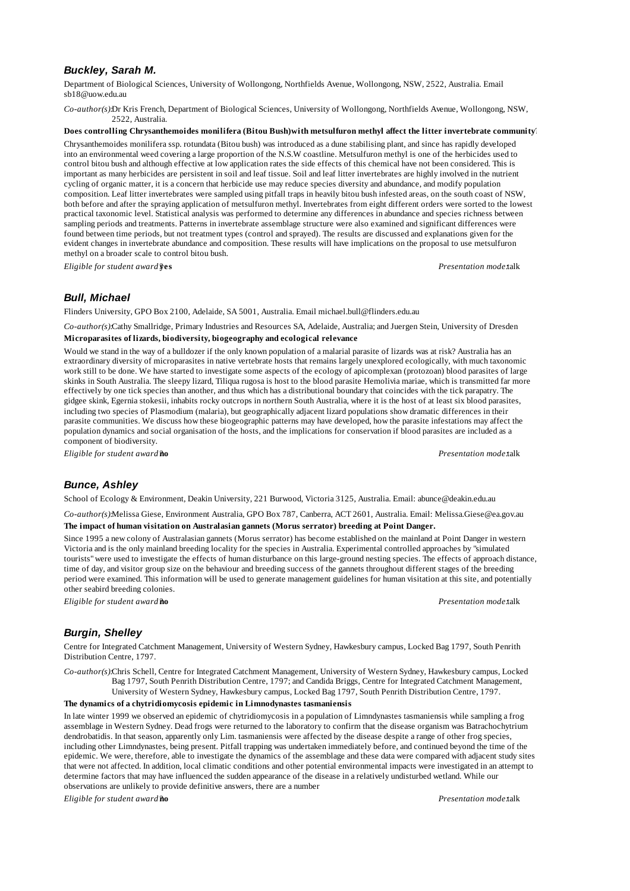# *Buckley, Sarah M.*

Department of Biological Sciences, University of Wollongong, Northfields Avenue, Wollongong, NSW, 2522, Australia. Email sb18@uow.edu.au

*Co-author(s):*Dr Kris French, Department of Biological Sciences, University of Wollongong, Northfields Avenue, Wollongong, NSW, 2522, Australia.

# **Does controlling Chrysanthemoides monilifera (Bitou Bush)with metsulfuron methyl affect the litter invertebrate community?**

Chrysanthemoides monilifera ssp. rotundata (Bitou bush) was introduced as a dune stabilising plant, and since has rapidly developed into an environmental weed covering a large proportion of the N.S.W coastline. Metsulfuron methyl is one of the herbicides used to control bitou bush and although effective at low application rates the side effects of this chemical have not been considered. This is important as many herbicides are persistent in soil and leaf tissue. Soil and leaf litter invertebrates are highly involved in the nutrient cycling of organic matter, it is a concern that herbicide use may reduce species diversity and abundance, and modify population composition. Leaf litter invertebrates were sampled using pitfall traps in heavily bitou bush infested areas, on the south coast of NSW, both before and after the spraying application of metsulfuron methyl. Invertebrates from eight different orders were sorted to the lowest practical taxonomic level. Statistical analysis was performed to determine any differences in abundance and species richness between sampling periods and treatments. Patterns in invertebrate assemblage structure were also examined and significant differences were found between time periods, but not treatment types (control and sprayed). The results are discussed and explanations given for the evident changes in invertebrate abundance and composition. These results will have implications on the proposal to use metsulfuron methyl on a broader scale to control bitou bush.

*Eligible for student award?***yes** *Presentation mode:*talk

# *Bull, Michael*

Flinders University, GPO Box 2100, Adelaide, SA 5001, Australia. Email michael.bull@flinders.edu.au

*Co-author(s):*Cathy Smallridge, Primary Industries and Resources SA, Adelaide, Australia; and Juergen Stein, University of Dresden **Microparasites of lizards, biodiversity, biogeography and ecological relevance**

Would we stand in the way of a bulldozer if the only known population of a malarial parasite of lizards was at risk? Australia has an extraordinary diversity of microparasites in native vertebrate hosts that remains largely unexplored ecologically, with much taxonomic work still to be done. We have started to investigate some aspects of the ecology of apicomplexan (protozoan) blood parasites of large skinks in South Australia. The sleepy lizard, Tiliqua rugosa is host to the blood parasite Hemolivia mariae, which is transmitted far more effectively by one tick species than another, and thus which has a distributional boundary that coincides with the tick parapatry. The gidgee skink, Egernia stokesii, inhabits rocky outcrops in northern South Australia, where it is the host of at least six blood parasites, including two species of Plasmodium (malaria), but geographically adjacent lizard populations show dramatic differences in their parasite communities. We discuss how these biogeographic patterns may have developed, how the parasite infestations may affect the population dynamics and social organisation of the hosts, and the implications for conservation if blood parasites are included as a component of biodiversity.

*Eligible for student award?***no** *Presentation mode:*talk

# *Bunce, Ashley*

School of Ecology & Environment, Deakin University, 221 Burwood, Victoria 3125, Australia. Email: abunce@deakin.edu.au

*Co-author(s):*Melissa Giese, Environment Australia, GPO Box 787, Canberra, ACT 2601, Australia. Email: Melissa.Giese@ea.gov.au **The impact of human visitation on Australasian gannets (Morus serrator) breeding at Point Danger.**

Since 1995 a new colony of Australasian gannets (Morus serrator) has become established on the mainland at Point Danger in western Victoria and is the only mainland breeding locality for the species in Australia. Experimental controlled approaches by "simulated tourists" were used to investigate the effects of human disturbance on this large-ground nesting species. The effects of approach distance, time of day, and visitor group size on the behaviour and breeding success of the gannets throughout different stages of the breeding period were examined. This information will be used to generate management guidelines for human visitation at this site, and potentially other seabird breeding colonies.

*Eligible for student award?***no** *Presentation mode:*talk

# *Burgin, Shelley*

Centre for Integrated Catchment Management, University of Western Sydney, Hawkesbury campus, Locked Bag 1797, South Penrith Distribution Centre, 1797.

*Co-author(s):*Chris Schell, Centre for Integrated Catchment Management, University of Western Sydney, Hawkesbury campus, Locked Bag 1797, South Penrith Distribution Centre, 1797; and Candida Briggs, Centre for Integrated Catchment Management, University of Western Sydney, Hawkesbury campus, Locked Bag 1797, South Penrith Distribution Centre, 1797.

### **The dynamics of a chytridiomycosis epidemic in Limnodynastes tasmaniensis**

In late winter 1999 we observed an epidemic of chytridiomycosis in a population of Limndynastes tasmaniensis while sampling a frog assemblage in Western Sydney. Dead frogs were returned to the laboratory to confirm that the disease organism was Batrachochytrium dendrobatidis. In that season, apparently only Lim. tasmaniensis were affected by the disease despite a range of other frog species, including other Limndynastes, being present. Pitfall trapping was undertaken immediately before, and continued beyond the time of the epidemic. We were, therefore, able to investigate the dynamics of the assemblage and these data were compared with adjacent study sites that were not affected. In addition, local climatic conditions and other potential environmental impacts were investigated in an attempt to determine factors that may have influenced the sudden appearance of the disease in a relatively undisturbed wetland. While our observations are unlikely to provide definitive answers, there are a number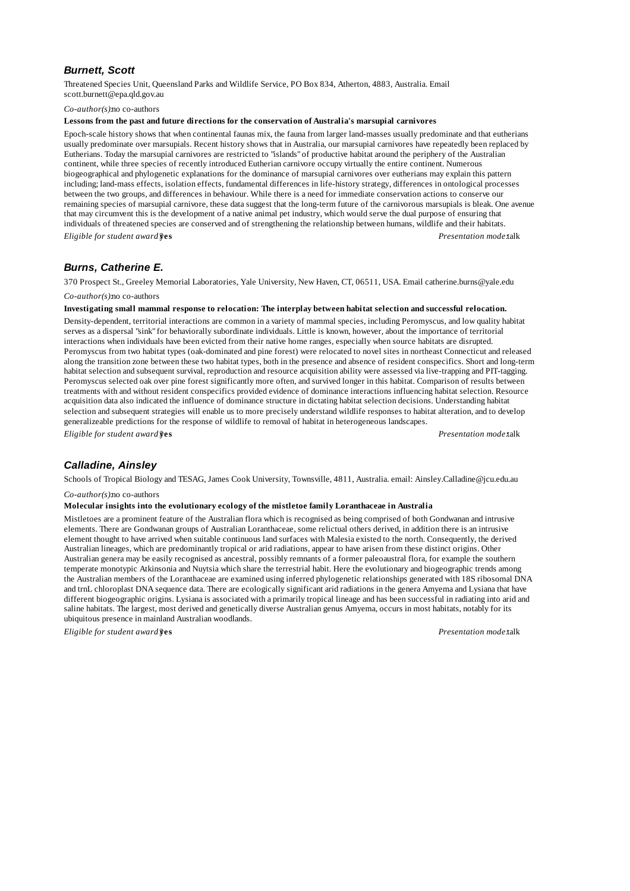# *Burnett, Scott*

Threatened Species Unit, Queensland Parks and Wildlife Service, PO Box 834, Atherton, 4883, Australia. Email scott.burnett@epa.qld.gov.au

### *Co-author(s):*no co-authors

### **Lessons from the past and future directions for the conservation of Australia's marsupial carnivores**

Epoch-scale history shows that when continental faunas mix, the fauna from larger land-masses usually predominate and that eutherians usually predominate over marsupials. Recent history shows that in Australia, our marsupial carnivores have repeatedly been replaced by Eutherians. Today the marsupial carnivores are restricted to "islands" of productive habitat around the periphery of the Australian continent, while three species of recently introduced Eutherian carnivore occupy virtually the entire continent. Numerous biogeographical and phylogenetic explanations for the dominance of marsupial carnivores over eutherians may explain this pattern including; land-mass effects, isolation effects, fundamental differences in life-history strategy, differences in ontological processes between the two groups, and differences in behaviour. While there is a need for immediate conservation actions to conserve our remaining species of marsupial carnivore, these data suggest that the long-term future of the carnivorous marsupials is bleak. One avenue that may circumvent this is the development of a native animal pet industry, which would serve the dual purpose of ensuring that individuals of threatened species are conserved and of strengthening the relationship between humans, wildlife and their habitats. *Eligible for student award?***yes** *Presentation mode:*talk

# *Burns, Catherine E.*

370 Prospect St., Greeley Memorial Laboratories, Yale University, New Haven, CT, 06511, USA. Email catherine.burns@yale.edu *Co-author(s):*no co-authors

#### **Investigating small mammal response to relocation: The interplay between habitat selection and successful relocation.**

Density-dependent, territorial interactions are common in a variety of mammal species, including Peromyscus, and low quality habitat serves as a dispersal "sink" for behaviorally subordinate individuals. Little is known, however, about the importance of territorial interactions when individuals have been evicted from their native home ranges, especially when source habitats are disrupted. Peromyscus from two habitat types (oak-dominated and pine forest) were relocated to novel sites in northeast Connecticut and released along the transition zone between these two habitat types, both in the presence and absence of resident conspecifics. Short and long-term habitat selection and subsequent survival, reproduction and resource acquisition ability were assessed via live-trapping and PIT-tagging. Peromyscus selected oak over pine forest significantly more often, and survived longer in this habitat. Comparison of results between treatments with and without resident conspecifics provided evidence of dominance interactions influencing habitat selection. Resource acquisition data also indicated the influence of dominance structure in dictating habitat selection decisions. Understanding habitat selection and subsequent strategies will enable us to more precisely understand wildlife responses to habitat alteration, and to develop generalizeable predictions for the response of wildlife to removal of habitat in heterogeneous landscapes.

*Eligible for student award?***yes** *Presentation mode:*talk

# *Calladine, Ainsley*

Schools of Tropical Biology and TESAG, James Cook University, Townsville, 4811, Australia. email: Ainsley.Calladine@jcu.edu.au

#### *Co-author(s):*no co-authors

#### **Molecular insights into the evolutionary ecology of the mistletoe family Loranthaceae in Australia**

Mistletoes are a prominent feature of the Australian flora which is recognised as being comprised of both Gondwanan and intrusive elements. There are Gondwanan groups of Australian Loranthaceae, some relictual others derived, in addition there is an intrusive element thought to have arrived when suitable continuous land surfaces with Malesia existed to the north. Consequently, the derived Australian lineages, which are predominantly tropical or arid radiations, appear to have arisen from these distinct origins. Other Australian genera may be easily recognised as ancestral, possibly remnants of a former paleoaustral flora, for example the southern temperate monotypic Atkinsonia and Nuytsia which share the terrestrial habit. Here the evolutionary and biogeographic trends among the Australian members of the Loranthaceae are examined using inferred phylogenetic relationships generated with 18S ribosomal DNA and trnL chloroplast DNA sequence data. There are ecologically significant arid radiations in the genera Amyema and Lysiana that have different biogeographic origins. Lysiana is associated with a primarily tropical lineage and has been successful in radiating into arid and saline habitats. The largest, most derived and genetically diverse Australian genus Amyema, occurs in most habitats, notably for its ubiquitous presence in mainland Australian woodlands.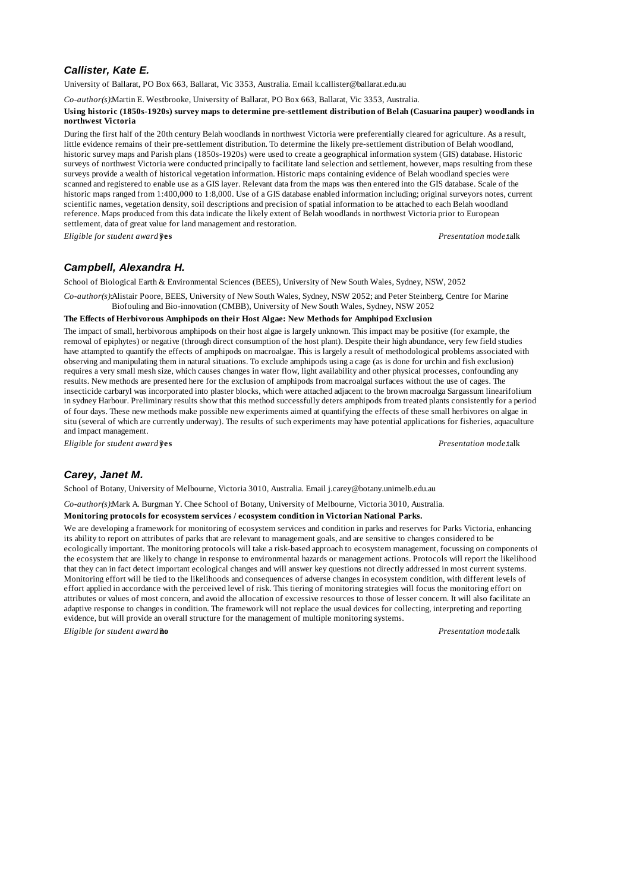# *Callister, Kate E.*

University of Ballarat, PO Box 663, Ballarat, Vic 3353, Australia. Email k.callister@ballarat.edu.au

*Co-author(s):*Martin E. Westbrooke, University of Ballarat, PO Box 663, Ballarat, Vic 3353, Australia.

#### **Using historic (1850s-1920s) survey maps to determine pre-settlement distribution of Belah (Casuarina pauper) woodlands in northwest Victoria**

During the first half of the 20th century Belah woodlands in northwest Victoria were preferentially cleared for agriculture. As a result, little evidence remains of their pre-settlement distribution. To determine the likely pre-settlement distribution of Belah woodland, historic survey maps and Parish plans (1850s-1920s) were used to create a geographical information system (GIS) database. Historic surveys of northwest Victoria were conducted principally to facilitate land selection and settlement, however, maps resulting from these surveys provide a wealth of historical vegetation information. Historic maps containing evidence of Belah woodland species were scanned and registered to enable use as a GIS layer. Relevant data from the maps was then entered into the GIS database. Scale of the historic maps ranged from 1:400,000 to 1:8,000. Use of a GIS database enabled information including; original surveyors notes, current scientific names, vegetation density, soil descriptions and precision of spatial information to be attached to each Belah woodland reference. Maps produced from this data indicate the likely extent of Belah woodlands in northwest Victoria prior to European settlement, data of great value for land management and restoration.

*Eligible for student award?***yes** *Presentation mode:*talk

# *Campbell, Alexandra H.*

School of Biological Earth & Environmental Sciences (BEES), University of New South Wales, Sydney, NSW, 2052

*Co-author(s):*Alistair Poore, BEES, University of New South Wales, Sydney, NSW 2052; and Peter Steinberg, Centre for Marine Biofouling and Bio-innovation (CMBB), University of New South Wales, Sydney, NSW 2052

### **The Effects of Herbivorous Amphipods on their Host Algae: New Methods for Amphipod Exclusion**

The impact of small, herbivorous amphipods on their host algae is largely unknown. This impact may be positive (for example, the removal of epiphytes) or negative (through direct consumption of the host plant). Despite their high abundance, very few field studies have attampted to quantify the effects of amphipods on macroalgae. This is largely a result of methodological problems associated with observing and manipulating them in natural situations. To exclude amphipods using a cage (as is done for urchin and fish exclusion) requires a very small mesh size, which causes changes in water flow, light availability and other physical processes, confounding any results. New methods are presented here for the exclusion of amphipods from macroalgal surfaces without the use of cages. The insecticide carbaryl was incorporated into plaster blocks, which were attached adjacent to the brown macroalga Sargassum linearifolium in sydney Harbour. Preliminary results show that this method successfully deters amphipods from treated plants consistently for a period of four days. These new methods make possible new experiments aimed at quantifying the effects of these small herbivores on algae in situ (several of which are currently underway). The results of such experiments may have potential applications for fisheries, aquaculture and impact management.

*Eligible for student award?***yes** *Presentation mode:*talk

# *Carey, Janet M.*

School of Botany, University of Melbourne, Victoria 3010, Australia. Email j.carey@botany.unimelb.edu.au

*Co-author(s):*Mark A. Burgman Y. Chee School of Botany, University of Melbourne, Victoria 3010, Australia.

**Monitoring protocols for ecosystem services / ecosystem condition in Victorian National Parks.**

We are developing a framework for monitoring of ecosystem services and condition in parks and reserves for Parks Victoria, enhancing its ability to report on attributes of parks that are relevant to management goals, and are sensitive to changes considered to be ecologically important. The monitoring protocols will take a risk-based approach to ecosystem management, focussing on components of the ecosystem that are likely to change in response to environmental hazards or management actions. Protocols will report the likelihood that they can in fact detect important ecological changes and will answer key questions not directly addressed in most current systems. Monitoring effort will be tied to the likelihoods and consequences of adverse changes in ecosystem condition, with different levels of effort applied in accordance with the perceived level of risk. This tiering of monitoring strategies will focus the monitoring effort on attributes or values of most concern, and avoid the allocation of excessive resources to those of lesser concern. It will also facilitate an adaptive response to changes in condition. The framework will not replace the usual devices for collecting, interpreting and reporting evidence, but will provide an overall structure for the management of multiple monitoring systems.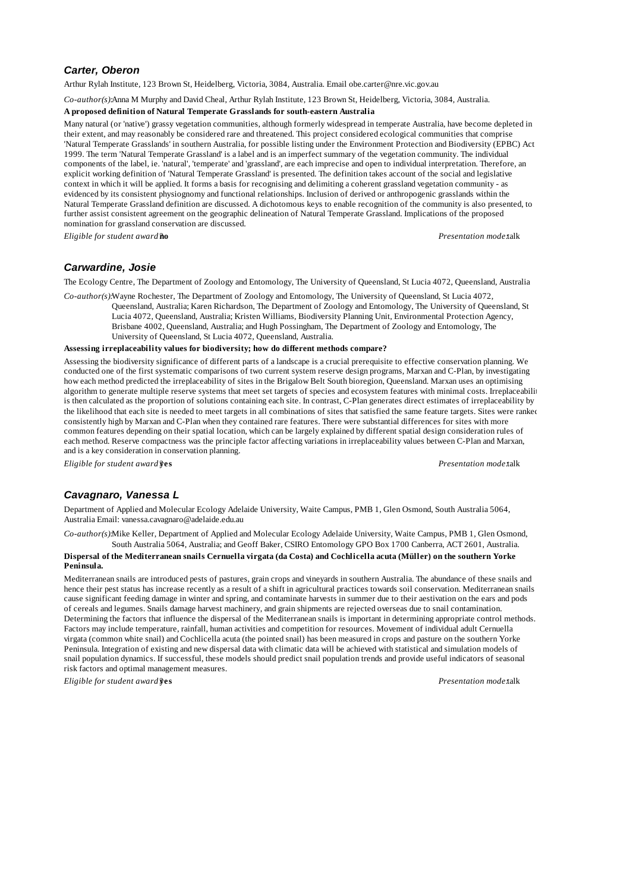# *Carter, Oberon*

Arthur Rylah Institute, 123 Brown St, Heidelberg, Victoria, 3084, Australia. Email obe.carter@nre.vic.gov.au

*Co-author(s):*Anna M Murphy and David Cheal, Arthur Rylah Institute, 123 Brown St, Heidelberg, Victoria, 3084, Australia.

### **A proposed definition of Natural Temperate Grasslands for south-eastern Australia**

Many natural (or 'native') grassy vegetation communities, although formerly widespread in temperate Australia, have become depleted in their extent, and may reasonably be considered rare and threatened. This project considered ecological communities that comprise 'Natural Temperate Grasslands' in southern Australia, for possible listing under the Environment Protection and Biodiversity (EPBC) Act 1999. The term 'Natural Temperate Grassland' is a label and is an imperfect summary of the vegetation community. The individual components of the label, ie. 'natural', 'temperate' and 'grassland', are each imprecise and open to individual interpretation. Therefore, an explicit working definition of 'Natural Temperate Grassland' is presented. The definition takes account of the social and legislative context in which it will be applied. It forms a basis for recognising and delimiting a coherent grassland vegetation community - as evidenced by its consistent physiognomy and functional relationships. Inclusion of derived or anthropogenic grasslands within the Natural Temperate Grassland definition are discussed. A dichotomous keys to enable recognition of the community is also presented, to further assist consistent agreement on the geographic delineation of Natural Temperate Grassland. Implications of the proposed nomination for grassland conservation are discussed.

*Eligible for student award?***no** *Presentation mode:*talk

# *Carwardine, Josie*

The Ecology Centre, The Department of Zoology and Entomology, The University of Queensland, St Lucia 4072, Queensland, Australia

*Co-author(s):*Wayne Rochester, The Department of Zoology and Entomology, The University of Queensland, St Lucia 4072,

Queensland, Australia; Karen Richardson, The Department of Zoology and Entomology, The University of Queensland, St Lucia 4072, Queensland, Australia; Kristen Williams, Biodiversity Planning Unit, Environmental Protection Agency, Brisbane 4002, Queensland, Australia; and Hugh Possingham, The Department of Zoology and Entomology, The University of Queensland, St Lucia 4072, Queensland, Australia.

### **Assessing irreplaceability values for biodiversity; how do different methods compare?**

Assessing the biodiversity significance of different parts of a landscape is a crucial prerequisite to effective conservation planning. We conducted one of the first systematic comparisons of two current system reserve design programs, Marxan and C-Plan, by investigating how each method predicted the irreplaceability of sites in the Brigalow Belt South bioregion, Queensland. Marxan uses an optimising algorithm to generate multiple reserve systems that meet set targets of species and ecosystem features with minimal costs. Irreplaceability is then calculated as the proportion of solutions containing each site. In contrast, C-Plan generates direct estimates of irreplaceability by the likelihood that each site is needed to meet targets in all combinations of sites that satisfied the same feature targets. Sites were ranked consistently high by Marxan and C-Plan when they contained rare features. There were substantial differences for sites with more common features depending on their spatial location, which can be largely explained by different spatial design consideration rules of each method. Reserve compactness was the principle factor affecting variations in irreplaceability values between C-Plan and Marxan, and is a key consideration in conservation planning.

*Eligible for student award?***yes** *Presentation mode:*talk

# *Cavagnaro, Vanessa L*

Department of Applied and Molecular Ecology Adelaide University, Waite Campus, PMB 1, Glen Osmond, South Australia 5064, Australia Email: vanessa.cavagnaro@adelaide.edu.au

*Co-author(s):*Mike Keller, Department of Applied and Molecular Ecology Adelaide University, Waite Campus, PMB 1, Glen Osmond, South Australia 5064, Australia; and Geoff Baker, CSIRO Entomology GPO Box 1700 Canberra, ACT 2601, Australia.

### **Dispersal of the Mediterranean snails Cernuella virgata (da Costa) and Cochlicella acuta (Müller) on the southern Yorke Peninsula.**

Mediterranean snails are introduced pests of pastures, grain crops and vineyards in southern Australia. The abundance of these snails and hence their pest status has increase recently as a result of a shift in agricultural practices towards soil conservation. Mediterranean snails cause significant feeding damage in winter and spring, and contaminate harvests in summer due to their aestivation on the ears and pods of cereals and legumes. Snails damage harvest machinery, and grain shipments are rejected overseas due to snail contamination. Determining the factors that influence the dispersal of the Mediterranean snails is important in determining appropriate control methods. Factors may include temperature, rainfall, human activities and competition for resources. Movement of individual adult Cernuella virgata (common white snail) and Cochlicella acuta (the pointed snail) has been measured in crops and pasture on the southern Yorke Peninsula. Integration of existing and new dispersal data with climatic data will be achieved with statistical and simulation models of snail population dynamics. If successful, these models should predict snail population trends and provide useful indicators of seasonal risk factors and optimal management measures.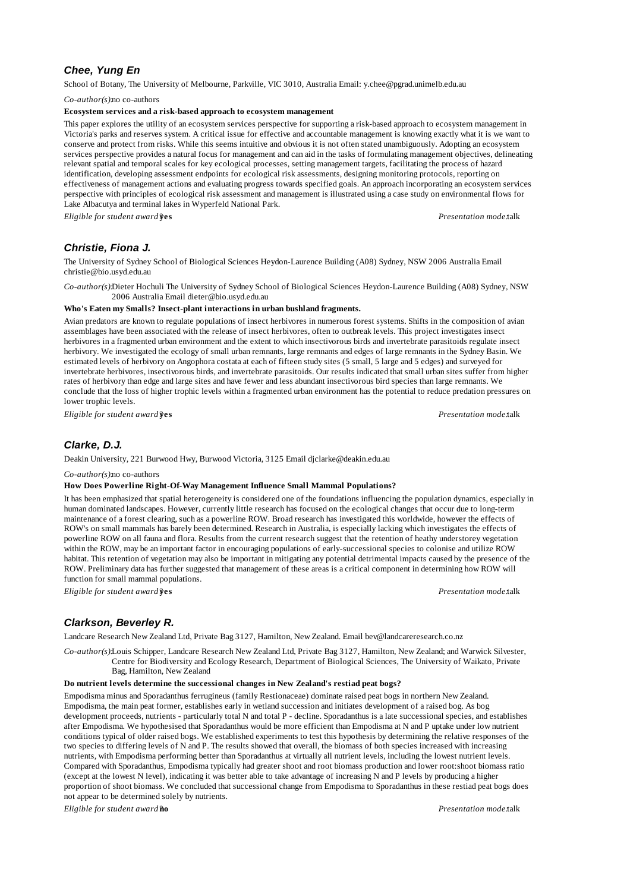# *Chee, Yung En*

School of Botany, The University of Melbourne, Parkville, VIC 3010, Australia Email: y.chee@pgrad.unimelb.edu.au

*Co-author(s):*no co-authors

#### **Ecosystem services and a risk-based approach to ecosystem management**

This paper explores the utility of an ecosystem services perspective for supporting a risk-based approach to ecosystem management in Victoria's parks and reserves system. A critical issue for effective and accountable management is knowing exactly what it is we want to conserve and protect from risks. While this seems intuitive and obvious it is not often stated unambiguously. Adopting an ecosystem services perspective provides a natural focus for management and can aid in the tasks of formulating management objectives, delineating relevant spatial and temporal scales for key ecological processes, setting management targets, facilitating the process of hazard identification, developing assessment endpoints for ecological risk assessments, designing monitoring protocols, reporting on effectiveness of management actions and evaluating progress towards specified goals. An approach incorporating an ecosystem services perspective with principles of ecological risk assessment and management is illustrated using a case study on environmental flows for Lake Albacutya and terminal lakes in Wyperfeld National Park.

*Eligible for student award?***yes** *Presentation mode:*talk

# *Christie, Fiona J.*

The University of Sydney School of Biological Sciences Heydon-Laurence Building (A08) Sydney, NSW 2006 Australia Email christie@bio.usyd.edu.au

*Co-author(s):*Dieter Hochuli The University of Sydney School of Biological Sciences Heydon-Laurence Building (A08) Sydney, NSW 2006 Australia Email dieter@bio.usyd.edu.au

#### **Who's Eaten my Smalls? Insect-plant interactions in urban bushland fragments.**

Avian predators are known to regulate populations of insect herbivores in numerous forest systems. Shifts in the composition of avian assemblages have been associated with the release of insect herbivores, often to outbreak levels. This project investigates insect herbivores in a fragmented urban environment and the extent to which insectivorous birds and invertebrate parasitoids regulate insect herbivory. We investigated the ecology of small urban remnants, large remnants and edges of large remnants in the Sydney Basin. We estimated levels of herbivory on Angophora costata at each of fifteen study sites (5 small, 5 large and 5 edges) and surveyed for invertebrate herbivores, insectivorous birds, and invertebrate parasitoids. Our results indicated that small urban sites suffer from higher rates of herbivory than edge and large sites and have fewer and less abundant insectivorous bird species than large remnants. We conclude that the loss of higher trophic levels within a fragmented urban environment has the potential to reduce predation pressures on lower trophic levels.

*Eligible for student award?***yes** *Presentation mode:*talk

# *Clarke, D.J.*

Deakin University, 221 Burwood Hwy, Burwood Victoria, 3125 Email djclarke@deakin.edu.au

*Co-author(s):*no co-authors

### **How Does Powerline Right-Of-Way Management Influence Small Mammal Populations?**

It has been emphasized that spatial heterogeneity is considered one of the foundations influencing the population dynamics, especially in human dominated landscapes. However, currently little research has focused on the ecological changes that occur due to long-term maintenance of a forest clearing, such as a powerline ROW. Broad research has investigated this worldwide, however the effects of ROW's on small mammals has barely been determined. Research in Australia, is especially lacking which investigates the effects of powerline ROW on all fauna and flora. Results from the current research suggest that the retention of heathy understorey vegetation within the ROW, may be an important factor in encouraging populations of early-successional species to colonise and utilize ROW habitat. This retention of vegetation may also be important in mitigating any potential detrimental impacts caused by the presence of the ROW. Preliminary data has further suggested that management of these areas is a critical component in determining how ROW will function for small mammal populations.

*Eligible for student award?***yes** *Presentation mode:*talk

# *Clarkson, Beverley R.*

Landcare Research New Zealand Ltd, Private Bag 3127, Hamilton, New Zealand. Email bev@landcareresearch.co.nz

*Co-author(s):*Louis Schipper, Landcare Research New Zealand Ltd, Private Bag 3127, Hamilton, New Zealand; and Warwick Silvester, Centre for Biodiversity and Ecology Research, Department of Biological Sciences, The University of Waikato, Private Bag, Hamilton, New Zealand

#### **Do nutrient levels determine the successional changes in New Zealand's restiad peat bogs?**

Empodisma minus and Sporadanthus ferrugineus (family Restionaceae) dominate raised peat bogs in northern New Zealand. Empodisma, the main peat former, establishes early in wetland succession and initiates development of a raised bog. As bog development proceeds, nutrients - particularly total N and total P - decline. Sporadanthus is a late successional species, and establishes after Empodisma. We hypothesised that Sporadanthus would be more efficient than Empodisma at N and P uptake under low nutrient conditions typical of older raised bogs. We established experiments to test this hypothesis by determining the relative responses of the two species to differing levels of N and P. The results showed that overall, the biomass of both species increased with increasing nutrients, with Empodisma performing better than Sporadanthus at virtually all nutrient levels, including the lowest nutrient levels. Compared with Sporadanthus, Empodisma typically had greater shoot and root biomass production and lower root:shoot biomass ratio (except at the lowest N level), indicating it was better able to take advantage of increasing N and P levels by producing a higher proportion of shoot biomass. We concluded that successional change from Empodisma to Sporadanthus in these restiad peat bogs does not appear to be determined solely by nutrients.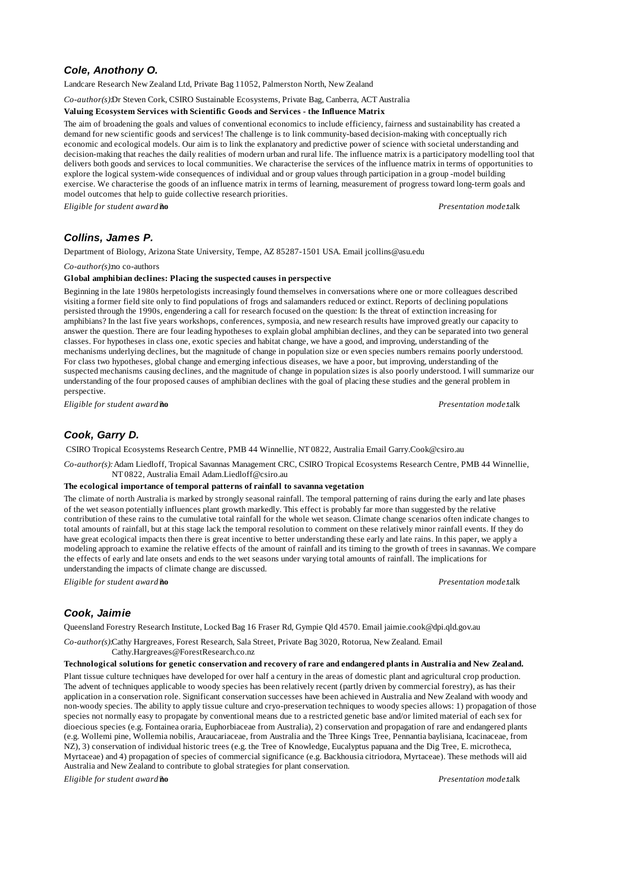# *Cole, Anothony O.*

Landcare Research New Zealand Ltd, Private Bag 11052, Palmerston North, New Zealand

*Co-author(s):*Dr Steven Cork, CSIRO Sustainable Ecosystems, Private Bag, Canberra, ACT Australia

### **Valuing Ecosystem Services with Scientific Goods and Services - the Influence Matrix**

The aim of broadening the goals and values of conventional economics to include efficiency, fairness and sustainability has created a demand for new scientific goods and services! The challenge is to link community-based decision-making with conceptually rich economic and ecological models. Our aim is to link the explanatory and predictive power of science with societal understanding and decision-making that reaches the daily realities of modern urban and rural life. The influence matrix is a participatory modelling tool that delivers both goods and services to local communities. We characterise the services of the influence matrix in terms of opportunities to explore the logical system-wide consequences of individual and or group values through participation in a group -model building exercise. We characterise the goods of an influence matrix in terms of learning, measurement of progress toward long-term goals and model outcomes that help to guide collective research priorities.

*Eligible for student award?***no** *Presentation mode:*talk

# *Collins, James P.*

Department of Biology, Arizona State University, Tempe, AZ 85287-1501 USA. Email jcollins@asu.edu

*Co-author(s):*no co-authors

### **Global amphibian declines: Placing the suspected causes in perspective**

Beginning in the late 1980s herpetologists increasingly found themselves in conversations where one or more colleagues described visiting a former field site only to find populations of frogs and salamanders reduced or extinct. Reports of declining populations persisted through the 1990s, engendering a call for research focused on the question: Is the threat of extinction increasing for amphibians? In the last five years workshops, conferences, symposia, and new research results have improved greatly our capacity to answer the question. There are four leading hypotheses to explain global amphibian declines, and they can be separated into two general classes. For hypotheses in class one, exotic species and habitat change, we have a good, and improving, understanding of the mechanisms underlying declines, but the magnitude of change in population size or even species numbers remains poorly understood. For class two hypotheses, global change and emerging infectious diseases, we have a poor, but improving, understanding of the suspected mechanisms causing declines, and the magnitude of change in population sizes is also poorly understood. I will summarize our understanding of the four proposed causes of amphibian declines with the goal of placing these studies and the general problem in perspective.

*Eligible for student award?***no** *Presentation mode:*talk

# *Cook, Garry D.*

CSIRO Tropical Ecosystems Research Centre, PMB 44 Winnellie, NT 0822, Australia Email Garry.Cook@csiro.au

*Co-author(s):* Adam Liedloff, Tropical Savannas Management CRC, CSIRO Tropical Ecosystems Research Centre, PMB 44 Winnellie, NT 0822, Australia Email Adam.Liedloff@csiro.au

### **The ecological importance of temporal patterns of rainfall to savanna vegetation**

The climate of north Australia is marked by strongly seasonal rainfall. The temporal patterning of rains during the early and late phases of the wet season potentially influences plant growth markedly. This effect is probably far more than suggested by the relative contribution of these rains to the cumulative total rainfall for the whole wet season. Climate change scenarios often indicate changes to total amounts of rainfall, but at this stage lack the temporal resolution to comment on these relatively minor rainfall events. If they do have great ecological impacts then there is great incentive to better understanding these early and late rains. In this paper, we apply a modeling approach to examine the relative effects of the amount of rainfall and its timing to the growth of trees in savannas. We compare the effects of early and late onsets and ends to the wet seasons under varying total amounts of rainfall. The implications for understanding the impacts of climate change are discussed.

*Eligible for student award?***no** *Presentation mode:*talk

# *Cook, Jaimie*

Queensland Forestry Research Institute, Locked Bag 16 Fraser Rd, Gympie Qld 4570. Email jaimie.cook@dpi.qld.gov.au

*Co-author(s):*Cathy Hargreaves, Forest Research, Sala Street, Private Bag 3020, Rotorua, New Zealand. Email Cathy.Hargreaves@ForestResearch.co.nz

**Technological solutions for genetic conservation and recovery of rare and endangered plants in Australia and New Zealand.** Plant tissue culture techniques have developed for over half a century in the areas of domestic plant and agricultural crop production. The advent of techniques applicable to woody species has been relatively recent (partly driven by commercial forestry), as has their application in a conservation role. Significant conservation successes have been achieved in Australia and New Zealand with woody and non-woody species. The ability to apply tissue culture and cryo-preservation techniques to woody species allows: 1) propagation of those species not normally easy to propagate by conventional means due to a restricted genetic base and/or limited material of each sex for dioecious species (e.g. Fontainea oraria, Euphorbiaceae from Australia), 2) conservation and propagation of rare and endangered plants (e.g. Wollemi pine, Wollemia nobilis, Araucariaceae, from Australia and the Three Kings Tree, Pennantia baylisiana, Icacinaceae, from NZ), 3) conservation of individual historic trees (e.g. the Tree of Knowledge, Eucalyptus papuana and the Dig Tree, E. microtheca, Myrtaceae) and 4) propagation of species of commercial significance (e.g. Backhousia citriodora, Myrtaceae). These methods will aid Australia and New Zealand to contribute to global strategies for plant conservation.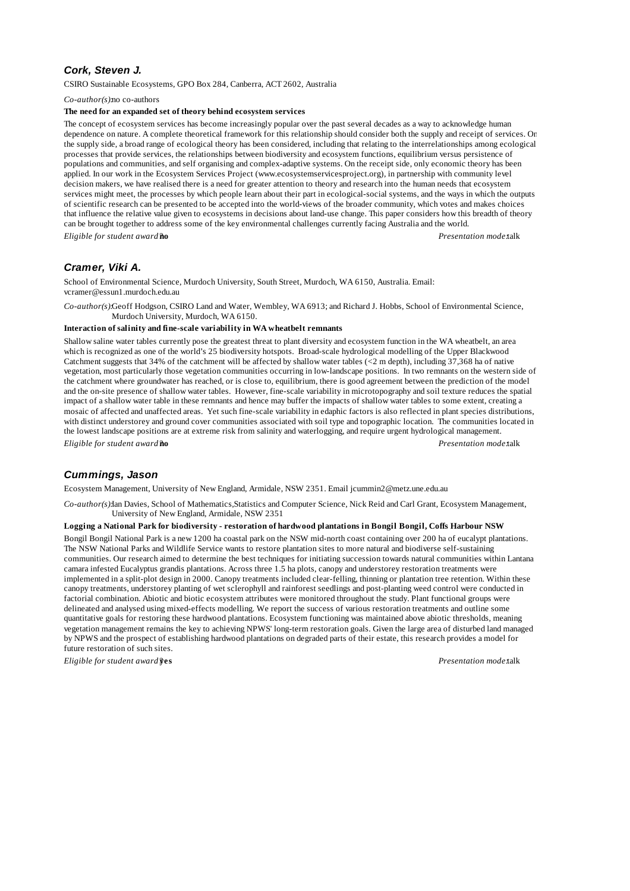# *Cork, Steven J.*

CSIRO Sustainable Ecosystems, GPO Box 284, Canberra, ACT 2602, Australia

*Co-author(s):*no co-authors

### **The need for an expanded set of theory behind ecosystem services**

The concept of ecosystem services has become increasingly popular over the past several decades as a way to acknowledge human dependence on nature. A complete theoretical framework for this relationship should consider both the supply and receipt of services. On the supply side, a broad range of ecological theory has been considered, including that relating to the interrelationships among ecological processes that provide services, the relationships between biodiversity and ecosystem functions, equilibrium versus persistence of populations and communities, and self organising and complex-adaptive systems. On the receipt side, only economic theory has been applied. In our work in the Ecosystem Services Project (www.ecosystemservicesproject.org), in partnership with community level decision makers, we have realised there is a need for greater attention to theory and research into the human needs that ecosystem services might meet, the processes by which people learn about their part in ecological-social systems, and the ways in which the outputs of scientific research can be presented to be accepted into the world-views of the broader community, which votes and makes choices that influence the relative value given to ecosystems in decisions about land-use change. This paper considers how this breadth of theory can be brought together to address some of the key environmental challenges currently facing Australia and the world. *Eligible for student award?***no** *Presentation mode:*talk

# *Cramer, Viki A.*

School of Environmental Science, Murdoch University, South Street, Murdoch, WA 6150, Australia. Email: vcramer@essun1.murdoch.edu.au

*Co-author(s):*Geoff Hodgson, CSIRO Land and Water, Wembley, WA 6913; and Richard J. Hobbs, School of Environmental Science, Murdoch University, Murdoch, WA 6150.

### **Interaction of salinity and fine-scale variability in WA wheatbelt remnants**

Shallow saline water tables currently pose the greatest threat to plant diversity and ecosystem function in the WA wheatbelt, an area which is recognized as one of the world's 25 biodiversity hotspots. Broad-scale hydrological modelling of the Upper Blackwood Catchment suggests that 34% of the catchment will be affected by shallow water tables (<2 m depth), including 37,368 ha of native vegetation, most particularly those vegetation communities occurring in low-landscape positions. In two remnants on the western side of the catchment where groundwater has reached, or is close to, equilibrium, there is good agreement between the prediction of the model and the on-site presence of shallow water tables. However, fine-scale variability in microtopography and soil texture reduces the spatial impact of a shallow water table in these remnants and hence may buffer the impacts of shallow water tables to some extent, creating a mosaic of affected and unaffected areas. Yet such fine-scale variability in edaphic factors is also reflected in plant species distributions, with distinct understorey and ground cover communities associated with soil type and topographic location. The communities located in the lowest landscape positions are at extreme risk from salinity and waterlogging, and require urgent hydrological management. *Eligible for student award?***no** *Presentation mode:*talk

### *Cummings, Jason*

Ecosystem Management, University of New England, Armidale, NSW 2351. Email jcummin2@metz.une.edu.au

*Co-author(s):*Ian Davies, School of Mathematics,Statistics and Computer Science, Nick Reid and Carl Grant, Ecosystem Management, University of New England, Armidale, NSW 2351

### **Logging a National Park for biodiversity - restoration of hardwood plantations in Bongil Bongil, Coffs Harbour NSW**

Bongil Bongil National Park is a new 1200 ha coastal park on the NSW mid-north coast containing over 200 ha of eucalypt plantations. The NSW National Parks and Wildlife Service wants to restore plantation sites to more natural and biodiverse self-sustaining communities. Our research aimed to determine the best techniques for initiating succession towards natural communities within Lantana camara infested Eucalyptus grandis plantations. Across three 1.5 ha plots, canopy and understorey restoration treatments were implemented in a split-plot design in 2000. Canopy treatments included clear-felling, thinning or plantation tree retention. Within these canopy treatments, understorey planting of wet sclerophyll and rainforest seedlings and post-planting weed control were conducted in factorial combination. Abiotic and biotic ecosystem attributes were monitored throughout the study. Plant functional groups were delineated and analysed using mixed-effects modelling. We report the success of various restoration treatments and outline some quantitative goals for restoring these hardwood plantations. Ecosystem functioning was maintained above abiotic thresholds, meaning vegetation management remains the key to achieving NPWS' long-term restoration goals. Given the large area of disturbed land managed by NPWS and the prospect of establishing hardwood plantations on degraded parts of their estate, this research provides a model for future restoration of such sites.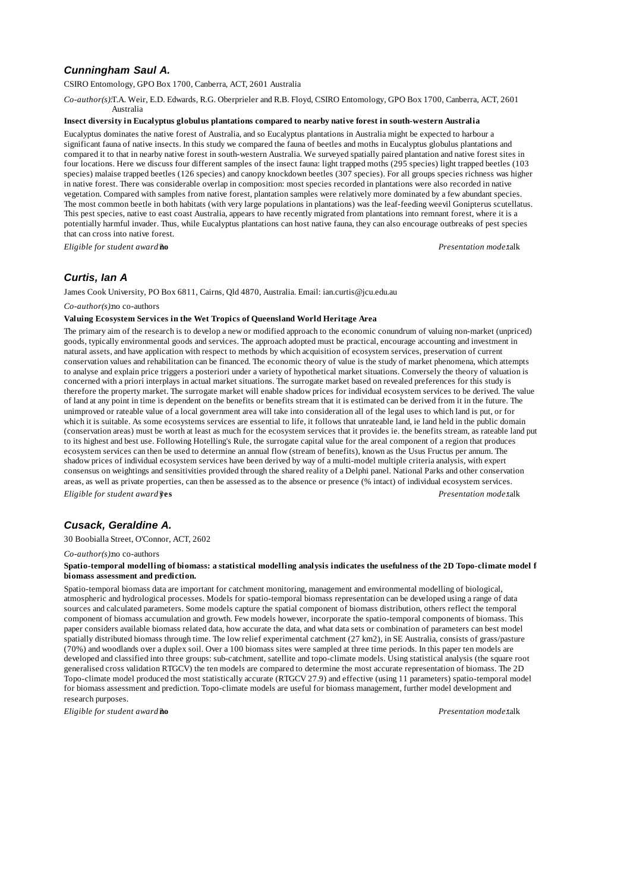# *Cunningham Saul A.*

CSIRO Entomology, GPO Box 1700, Canberra, ACT, 2601 Australia

*Co-author(s):*T.A. Weir, E.D. Edwards, R.G. Oberprieler and R.B. Floyd, CSIRO Entomology, GPO Box 1700, Canberra, ACT, 2601 Australia

### **Insect diversity in Eucalyptus globulus plantations compared to nearby native forest in south-western Australia**

Eucalyptus dominates the native forest of Australia, and so Eucalyptus plantations in Australia might be expected to harbour a significant fauna of native insects. In this study we compared the fauna of beetles and moths in Eucalyptus globulus plantations and compared it to that in nearby native forest in south-western Australia. We surveyed spatially paired plantation and native forest sites in four locations. Here we discuss four different samples of the insect fauna: light trapped moths (295 species) light trapped beetles (103 species) malaise trapped beetles (126 species) and canopy knockdown beetles (307 species). For all groups species richness was higher in native forest. There was considerable overlap in composition: most species recorded in plantations were also recorded in native vegetation. Compared with samples from native forest, plantation samples were relatively more dominated by a few abundant species. The most common beetle in both habitats (with very large populations in plantations) was the leaf-feeding weevil Gonipterus scutellatus. This pest species, native to east coast Australia, appears to have recently migrated from plantations into remnant forest, where it is a potentially harmful invader. Thus, while Eucalyptus plantations can host native fauna, they can also encourage outbreaks of pest species that can cross into native forest.

*Eligible for student award?***no** *Presentation mode:*talk

# *Curtis, Ian A*

James Cook University, PO Box 6811, Cairns, Qld 4870, Australia. Email: ian.curtis@jcu.edu.au

#### *Co-author(s):*no co-authors

# **Valuing Ecosystem Services in the Wet Tropics of Queensland World Heritage Area**

The primary aim of the research is to develop a new or modified approach to the economic conundrum of valuing non-market (unpriced) goods, typically environmental goods and services. The approach adopted must be practical, encourage accounting and investment in natural assets, and have application with respect to methods by which acquisition of ecosystem services, preservation of current conservation values and rehabilitation can be financed. The economic theory of value is the study of market phenomena, which attempts to analyse and explain price triggers a posteriori under a variety of hypothetical market situations. Conversely the theory of valuation is concerned with a priori interplays in actual market situations. The surrogate market based on revealed preferences for this study is therefore the property market. The surrogate market will enable shadow prices for individual ecosystem services to be derived. The value of land at any point in time is dependent on the benefits or benefits stream that it is estimated can be derived from it in the future. The unimproved or rateable value of a local government area will take into consideration all of the legal uses to which land is put, or for which it is suitable. As some ecosystems services are essential to life, it follows that unrateable land, ie land held in the public domain (conservation areas) must be worth at least as much for the ecosystem services that it provides ie. the benefits stream, as rateable land put to its highest and best use. Following Hotelling's Rule, the surrogate capital value for the areal component of a region that produces ecosystem services can then be used to determine an annual flow (stream of benefits), known as the Usus Fructus per annum. The shadow prices of individual ecosystem services have been derived by way of a multi-model multiple criteria analysis, with expert consensus on weightings and sensitivities provided through the shared reality of a Delphi panel. National Parks and other conservation areas, as well as private properties, can then be assessed as to the absence or presence (% intact) of individual ecosystem services. *Eligible for student award?***yes** *Presentation mode:*talk

# *Cusack, Geraldine A.*

30 Boobialla Street, O'Connor, ACT, 2602

#### *Co-author(s):*no co-authors

#### Spatio-temporal modelling of biomass: a statistical modelling analysis indicates the usefulness of the 2D Topo-climate model f **biomass assessment and prediction.**

Spatio-temporal biomass data are important for catchment monitoring, management and environmental modelling of biological, atmospheric and hydrological processes. Models for spatio-temporal biomass representation can be developed using a range of data sources and calculated parameters. Some models capture the spatial component of biomass distribution, others reflect the temporal component of biomass accumulation and growth. Few models however, incorporate the spatio-temporal components of biomass. This paper considers available biomass related data, how accurate the data, and what data sets or combination of parameters can best model spatially distributed biomass through time. The low relief experimental catchment (27 km2), in SE Australia, consists of grass/pasture (70%) and woodlands over a duplex soil. Over a 100 biomass sites were sampled at three time periods. In this paper ten models are developed and classified into three groups: sub-catchment, satellite and topo-climate models. Using statistical analysis (the square root generalised cross validation RTGCV) the ten models are compared to determine the most accurate representation of biomass. The 2D Topo-climate model produced the most statistically accurate (RTGCV 27.9) and effective (using 11 parameters) spatio-temporal model for biomass assessment and prediction. Topo-climate models are useful for biomass management, further model development and research purposes.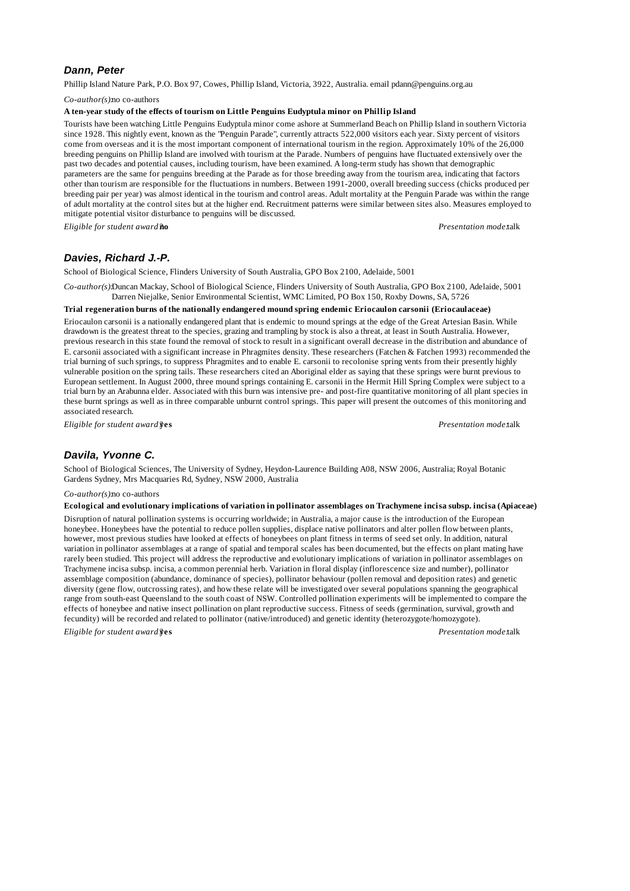# *Dann, Peter*

Phillip Island Nature Park, P.O. Box 97, Cowes, Phillip Island, Victoria, 3922, Australia. email pdann@penguins.org.au

*Co-author(s):*no co-authors

### **A ten-year study of the effects of tourism on Little Penguins Eudyptula minor on Phillip Island**

Tourists have been watching Little Penguins Eudyptula minor come ashore at Summerland Beach on Phillip Island in southern Victoria since 1928. This nightly event, known as the "Penguin Parade", currently attracts 522,000 visitors each year. Sixty percent of visitors come from overseas and it is the most important component of international tourism in the region. Approximately 10% of the 26,000 breeding penguins on Phillip Island are involved with tourism at the Parade. Numbers of penguins have fluctuated extensively over the past two decades and potential causes, including tourism, have been examined. A long-term study has shown that demographic parameters are the same for penguins breeding at the Parade as for those breeding away from the tourism area, indicating that factors other than tourism are responsible for the fluctuations in numbers. Between 1991-2000, overall breeding success (chicks produced per breeding pair per year) was almost identical in the tourism and control areas. Adult mortality at the Penguin Parade was within the range of adult mortality at the control sites but at the higher end. Recruitment patterns were similar between sites also. Measures employed to mitigate potential visitor disturbance to penguins will be discussed.

*Eligible for student award?***no** *Presentation mode:*talk

# *Davies, Richard J.-P.*

School of Biological Science, Flinders University of South Australia, GPO Box 2100, Adelaide, 5001

*Co-author(s):*Duncan Mackay, School of Biological Science, Flinders University of South Australia, GPO Box 2100, Adelaide, 5001 Darren Niejalke, Senior Environmental Scientist, WMC Limited, PO Box 150, Roxby Downs, SA, 5726

#### **Trial regeneration burns of the nationally endangered mound spring endemic Eriocaulon carsonii (Eriocaulaceae)**

Eriocaulon carsonii is a nationally endangered plant that is endemic to mound springs at the edge of the Great Artesian Basin. While drawdown is the greatest threat to the species, grazing and trampling by stock is also a threat, at least in South Australia. However, previous research in this state found the removal of stock to result in a significant overall decrease in the distribution and abundance of E. carsonii associated with a significant increase in Phragmites density. These researchers (Fatchen & Fatchen 1993) recommended the trial burning of such springs, to suppress Phragmites and to enable E. carsonii to recolonise spring vents from their presently highly vulnerable position on the spring tails. These researchers cited an Aboriginal elder as saying that these springs were burnt previous to European settlement. In August 2000, three mound springs containing E. carsonii in the Hermit Hill Spring Complex were subject to a trial burn by an Arabunna elder. Associated with this burn was intensive pre- and post-fire quantitative monitoring of all plant species in these burnt springs as well as in three comparable unburnt control springs. This paper will present the outcomes of this monitoring and associated research.

*Eligible for student award?***yes** *Presentation mode:*talk

# *Davila, Yvonne C.*

School of Biological Sciences, The University of Sydney, Heydon-Laurence Building A08, NSW 2006, Australia; Royal Botanic Gardens Sydney, Mrs Macquaries Rd, Sydney, NSW 2000, Australia

#### *Co-author(s):*no co-authors

**Ecological and evolutionary implications of variation in pollinator assemblages on Trachymene incisa subsp. incisa (Apiaceae)**

Disruption of natural pollination systems is occurring worldwide; in Australia, a major cause is the introduction of the European honeybee. Honeybees have the potential to reduce pollen supplies, displace native pollinators and alter pollen flow between plants, however, most previous studies have looked at effects of honeybees on plant fitness in terms of seed set only. In addition, natural variation in pollinator assemblages at a range of spatial and temporal scales has been documented, but the effects on plant mating have rarely been studied. This project will address the reproductive and evolutionary implications of variation in pollinator assemblages on Trachymene incisa subsp. incisa, a common perennial herb. Variation in floral display (inflorescence size and number), pollinator assemblage composition (abundance, dominance of species), pollinator behaviour (pollen removal and deposition rates) and genetic diversity (gene flow, outcrossing rates), and how these relate will be investigated over several populations spanning the geographical range from south-east Queensland to the south coast of NSW. Controlled pollination experiments will be implemented to compare the effects of honeybee and native insect pollination on plant reproductive success. Fitness of seeds (germination, survival, growth and fecundity) will be recorded and related to pollinator (native/introduced) and genetic identity (heterozygote/homozygote).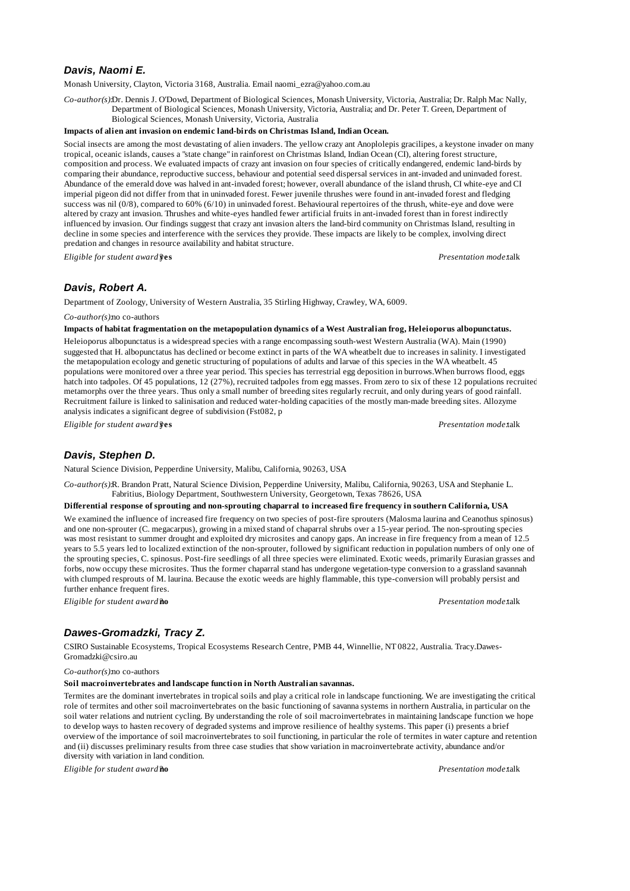# *Davis, Naomi E.*

Monash University, Clayton, Victoria 3168, Australia. Email naomi\_ezra@yahoo.com.au

*Co-author(s):*Dr. Dennis J. O'Dowd, Department of Biological Sciences, Monash University, Victoria, Australia; Dr. Ralph Mac Nally, Department of Biological Sciences, Monash University, Victoria, Australia; and Dr. Peter T. Green, Department of Biological Sciences, Monash University, Victoria, Australia

#### **Impacts of alien ant invasion on endemic land-birds on Christmas Island, Indian Ocean.**

Social insects are among the most devastating of alien invaders. The yellow crazy ant Anoplolepis gracilipes, a keystone invader on many tropical, oceanic islands, causes a "state change" in rainforest on Christmas Island, Indian Ocean (CI), altering forest structure, composition and process. We evaluated impacts of crazy ant invasion on four species of critically endangered, endemic land-birds by comparing their abundance, reproductive success, behaviour and potential seed dispersal services in ant-invaded and uninvaded forest. Abundance of the emerald dove was halved in ant-invaded forest; however, overall abundance of the island thrush, CI white-eye and CI imperial pigeon did not differ from that in uninvaded forest. Fewer juvenile thrushes were found in ant-invaded forest and fledging success was nil (0/8), compared to 60% (6/10) in uninvaded forest. Behavioural repertoires of the thrush, white-eye and dove were altered by crazy ant invasion. Thrushes and white-eyes handled fewer artificial fruits in ant-invaded forest than in forest indirectly influenced by invasion. Our findings suggest that crazy ant invasion alters the land-bird community on Christmas Island, resulting in decline in some species and interference with the services they provide. These impacts are likely to be complex, involving direct predation and changes in resource availability and habitat structure.

*Eligible for student award?***yes** *Presentation mode:*talk

# *Davis, Robert A.*

Department of Zoology, University of Western Australia, 35 Stirling Highway, Crawley, WA, 6009.

*Co-author(s):*no co-authors

### **Impacts of habitat fragmentation on the metapopulation dynamics of a West Australian frog, Heleioporus albopunctatus.**

Heleioporus albopunctatus is a widespread species with a range encompassing south-west Western Australia (WA). Main (1990) suggested that H. albopunctatus has declined or become extinct in parts of the WA wheatbelt due to increases in salinity. I investigated the metapopulation ecology and genetic structuring of populations of adults and larvae of this species in the WA wheatbelt. 45 populations were monitored over a three year period. This species has terrestrial egg deposition in burrows.When burrows flood, eggs hatch into tadpoles. Of 45 populations, 12 (27%), recruited tadpoles from egg masses. From zero to six of these 12 populations recruited metamorphs over the three years. Thus only a small number of breeding sites regularly recruit, and only during years of good rainfall. Recruitment failure is linked to salinisation and reduced water-holding capacities of the mostly man-made breeding sites. Allozyme analysis indicates a significant degree of subdivision (Fst082, p

*Eligible for student award?***yes** *Presentation mode:*talk

# *Davis, Stephen D.*

Natural Science Division, Pepperdine University, Malibu, California, 90263, USA

*Co-author(s):*R. Brandon Pratt, Natural Science Division, Pepperdine University, Malibu, California, 90263, USA and Stephanie L. Fabritius, Biology Department, Southwestern University, Georgetown, Texas 78626, USA

#### **Differential response of sprouting and non-sprouting chaparral to increased fire frequency in southern California, USA**

We examined the influence of increased fire frequency on two species of post-fire sprouters (Malosma laurina and Ceanothus spinosus) and one non-sprouter (C. megacarpus), growing in a mixed stand of chaparral shrubs over a 15-year period. The non-sprouting species was most resistant to summer drought and exploited dry microsites and canopy gaps. An increase in fire frequency from a mean of 12.5 years to 5.5 years led to localized extinction of the non-sprouter, followed by significant reduction in population numbers of only one of the sprouting species, C. spinosus. Post-fire seedlings of all three species were eliminated. Exotic weeds, primarily Eurasian grasses and forbs, now occupy these microsites. Thus the former chaparral stand has undergone vegetation-type conversion to a grassland savannah with clumped resprouts of M. laurina. Because the exotic weeds are highly flammable, this type-conversion will probably persist and further enhance frequent fires.

*Eligible for student award?***no** *Presentation mode:*talk

# *Dawes-Gromadzki, Tracy Z.*

CSIRO Sustainable Ecosystems, Tropical Ecosystems Research Centre, PMB 44, Winnellie, NT 0822, Australia. Tracy.Dawes-Gromadzki@csiro.au

*Co-author(s):*no co-authors

#### **Soil macroinvertebrates and landscape function in North Australian savannas.**

Termites are the dominant invertebrates in tropical soils and play a critical role in landscape functioning. We are investigating the critical role of termites and other soil macroinvertebrates on the basic functioning of savanna systems in northern Australia, in particular on the soil water relations and nutrient cycling. By understanding the role of soil macroinvertebrates in maintaining landscape function we hope to develop ways to hasten recovery of degraded systems and improve resilience of healthy systems. This paper (i) presents a brief overview of the importance of soil macroinvertebrates to soil functioning, in particular the role of termites in water capture and retention and (ii) discusses preliminary results from three case studies that show variation in macroinvertebrate activity, abundance and/or diversity with variation in land condition.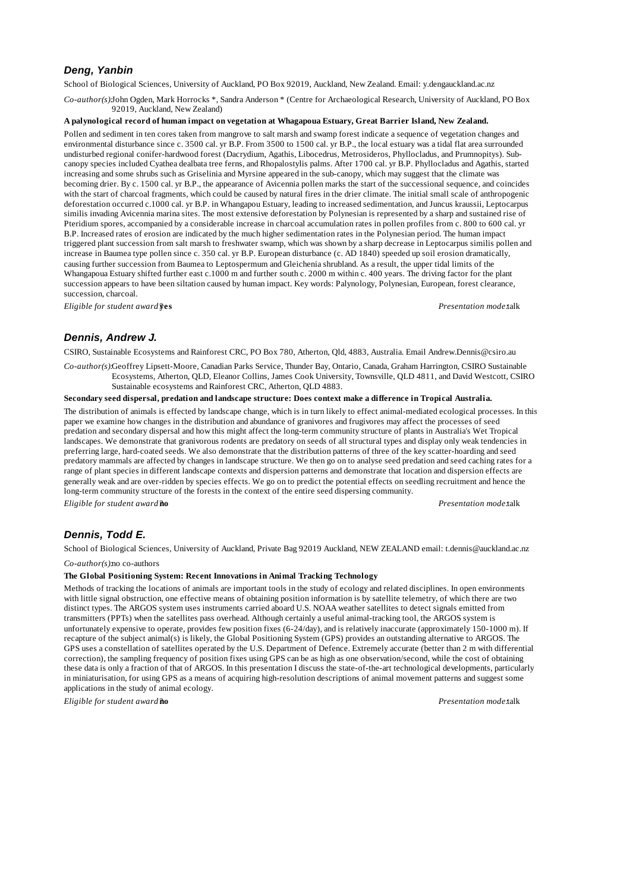# *Deng, Yanbin*

School of Biological Sciences, University of Auckland, PO Box 92019, Auckland, New Zealand. Email: y.dengauckland.ac.nz

*Co-author(s):*John Ogden, Mark Horrocks \*, Sandra Anderson \* (Centre for Archaeological Research, University of Auckland, PO Box 92019, Auckland, New Zealand)

### **A palynological record of human impact on vegetation at Whagapoua Estuary, Great Barrier Island, New Zealand.**

Pollen and sediment in ten cores taken from mangrove to salt marsh and swamp forest indicate a sequence of vegetation changes and environmental disturbance since c. 3500 cal. yr B.P. From 3500 to 1500 cal. yr B.P., the local estuary was a tidal flat area surrounded undisturbed regional conifer-hardwood forest (Dacrydium, Agathis, Libocedrus, Metrosideros, Phyllocladus, and Prumnopitys). Subcanopy species included Cyathea dealbata tree ferns, and Rhopalostylis palms. After 1700 cal. yr B.P. Phyllocladus and Agathis, started increasing and some shrubs such as Griselinia and Myrsine appeared in the sub-canopy, which may suggest that the climate was becoming drier. By c. 1500 cal. yr B.P., the appearance of Avicennia pollen marks the start of the successional sequence, and coincides with the start of charcoal fragments, which could be caused by natural fires in the drier climate. The initial small scale of anthropogenic deforestation occurred c.1000 cal. yr B.P. in Whangapou Estuary, leading to increased sedimentation, and Juncus kraussii, Leptocarpus similis invading Avicennia marina sites. The most extensive deforestation by Polynesian is represented by a sharp and sustained rise of Pteridium spores, accompanied by a considerable increase in charcoal accumulation rates in pollen profiles from c. 800 to 600 cal. yr B.P. Increased rates of erosion are indicated by the much higher sedimentation rates in the Polynesian period. The human impact triggered plant succession from salt marsh to freshwater swamp, which was shown by a sharp decrease in Leptocarpus similis pollen and increase in Baumea type pollen since c. 350 cal. yr B.P. European disturbance (c. AD 1840) speeded up soil erosion dramatically, causing further succession from Baumea to Leptospermum and Gleichenia shrubland. As a result, the upper tidal limits of the Whangapoua Estuary shifted further east c.1000 m and further south c. 2000 m within c. 400 years. The driving factor for the plant succession appears to have been siltation caused by human impact. Key words: Palynology, Polynesian, European, forest clearance, succession, charcoal.

*Eligible for student award?***yes** *Presentation mode:*talk

### *Dennis, Andrew J.*

CSIRO, Sustainable Ecosystems and Rainforest CRC, PO Box 780, Atherton, Qld, 4883, Australia. Email Andrew.Dennis@csiro.au

*Co-author(s):*Geoffrey Lipsett-Moore, Canadian Parks Service, Thunder Bay, Ontario, Canada, Graham Harrington, CSIRO Sustainable Ecosystems, Atherton, QLD, Eleanor Collins, James Cook University, Townsville, QLD 4811, and David Westcott, CSIRO Sustainable ecosystems and Rainforest CRC, Atherton, QLD 4883.

### **Secondary seed dispersal, predation and landscape structure: Does context make a difference in Tropical Australia.**

The distribution of animals is effected by landscape change, which is in turn likely to effect animal-mediated ecological processes. In this paper we examine how changes in the distribution and abundance of granivores and frugivores may affect the processes of seed predation and secondary dispersal and how this might affect the long-term community structure of plants in Australia's Wet Tropical landscapes. We demonstrate that granivorous rodents are predatory on seeds of all structural types and display only weak tendencies in preferring large, hard-coated seeds. We also demonstrate that the distribution patterns of three of the key scatter-hoarding and seed predatory mammals are affected by changes in landscape structure. We then go on to analyse seed predation and seed caching rates for a range of plant species in different landscape contexts and dispersion patterns and demonstrate that location and dispersion effects are generally weak and are over-ridden by species effects. We go on to predict the potential effects on seedling recruitment and hence the long-term community structure of the forests in the context of the entire seed dispersing community.

*Eligible for student award?***no** *Presentation mode:*talk

# *Dennis, Todd E.*

School of Biological Sciences, University of Auckland, Private Bag 92019 Auckland, NEW ZEALAND email: t.dennis@auckland.ac.nz

*Co-author(s):*no co-authors

### **The Global Positioning System: Recent Innovations in Animal Tracking Technology**

Methods of tracking the locations of animals are important tools in the study of ecology and related disciplines. In open environments with little signal obstruction, one effective means of obtaining position information is by satellite telemetry, of which there are two distinct types. The ARGOS system uses instruments carried aboard U.S. NOAA weather satellites to detect signals emitted from transmitters (PPTs) when the satellites pass overhead. Although certainly a useful animal-tracking tool, the ARGOS system is unfortunately expensive to operate, provides few position fixes (6-24/day), and is relatively inaccurate (approximately 150-1000 m). If recapture of the subject animal(s) is likely, the Global Positioning System (GPS) provides an outstanding alternative to ARGOS. The GPS uses a constellation of satellites operated by the U.S. Department of Defence. Extremely accurate (better than 2 m with differential correction), the sampling frequency of position fixes using GPS can be as high as one observation/second, while the cost of obtaining these data is only a fraction of that of ARGOS. In this presentation I discuss the state-of-the-art technological developments, particularly in miniaturisation, for using GPS as a means of acquiring high-resolution descriptions of animal movement patterns and suggest some applications in the study of animal ecology.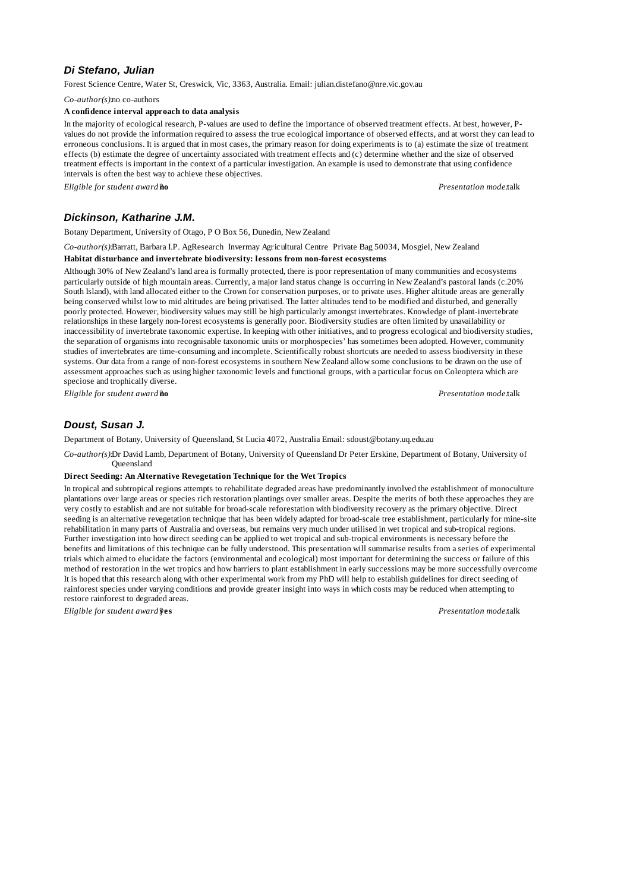# *Di Stefano, Julian*

Forest Science Centre, Water St, Creswick, Vic, 3363, Australia. Email: julian.distefano@nre.vic.gov.au

*Co-author(s):*no co-authors

#### **A confidence interval approach to data analysis**

In the majority of ecological research, P-values are used to define the importance of observed treatment effects. At best, however, Pvalues do not provide the information required to assess the true ecological importance of observed effects, and at worst they can lead to erroneous conclusions. It is argued that in most cases, the primary reason for doing experiments is to (a) estimate the size of treatment effects (b) estimate the degree of uncertainty associated with treatment effects and (c) determine whether and the size of observed treatment effects is important in the context of a particular investigation. An example is used to demonstrate that using confidence intervals is often the best way to achieve these objectives.

*Eligible for student award?***no** *Presentation mode:*talk

# *Dickinson, Katharine J.M.*

Botany Department, University of Otago, P O Box 56, Dunedin, New Zealand

*Co-author(s):*Barratt, Barbara I.P. AgResearch Invermay Agricultural Centre Private Bag 50034, Mosgiel, New Zealand

# **Habitat disturbance and invertebrate biodiversity: lessons from non-forest ecosystems**

Although 30% of New Zealand's land area is formally protected, there is poor representation of many communities and ecosystems particularly outside of high mountain areas. Currently, a major land status change is occurring in New Zealand's pastoral lands (c.20% South Island), with land allocated either to the Crown for conservation purposes, or to private uses. Higher altitude areas are generally being conserved whilst low to mid altitudes are being privatised. The latter altitudes tend to be modified and disturbed, and generally poorly protected. However, biodiversity values may still be high particularly amongst invertebrates. Knowledge of plant-invertebrate relationships in these largely non-forest ecosystems is generally poor. Biodiversity studies are often limited by unavailability or inaccessibility of invertebrate taxonomic expertise. In keeping with other initiatives, and to progress ecological and biodiversity studies, the separation of organisms into recognisable taxonomic units or morphospecies' has sometimes been adopted. However, community studies of invertebrates are time-consuming and incomplete. Scientifically robust shortcuts are needed to assess biodiversity in these systems. Our data from a range of non-forest ecosystems in southern New Zealand allow some conclusions to be drawn on the use of assessment approaches such as using higher taxonomic levels and functional groups, with a particular focus on Coleoptera which are speciose and trophically diverse.

*Eligible for student award?***no** *Presentation mode:*talk

# *Doust, Susan J.*

Department of Botany, University of Queensland, St Lucia 4072, Australia Email: sdoust@botany.uq.edu.au

*Co-author(s):*Dr David Lamb, Department of Botany, University of Queensland Dr Peter Erskine, Department of Botany, University of Queensland

#### **Direct Seeding: An Alternative Revegetation Technique for the Wet Tropics**

In tropical and subtropical regions attempts to rehabilitate degraded areas have predominantly involved the establishment of monoculture plantations over large areas or species rich restoration plantings over smaller areas. Despite the merits of both these approaches they are very costly to establish and are not suitable for broad-scale reforestation with biodiversity recovery as the primary objective. Direct seeding is an alternative revegetation technique that has been widely adapted for broad-scale tree establishment, particularly for mine-site rehabilitation in many parts of Australia and overseas, but remains very much under utilised in wet tropical and sub-tropical regions. Further investigation into how direct seeding can be applied to wet tropical and sub-tropical environments is necessary before the benefits and limitations of this technique can be fully understood. This presentation will summarise results from a series of experimental trials which aimed to elucidate the factors (environmental and ecological) most important for determining the success or failure of this method of restoration in the wet tropics and how barriers to plant establishment in early successions may be more successfully overcome. It is hoped that this research along with other experimental work from my PhD will help to establish guidelines for direct seeding of rainforest species under varying conditions and provide greater insight into ways in which costs may be reduced when attempting to restore rainforest to degraded areas.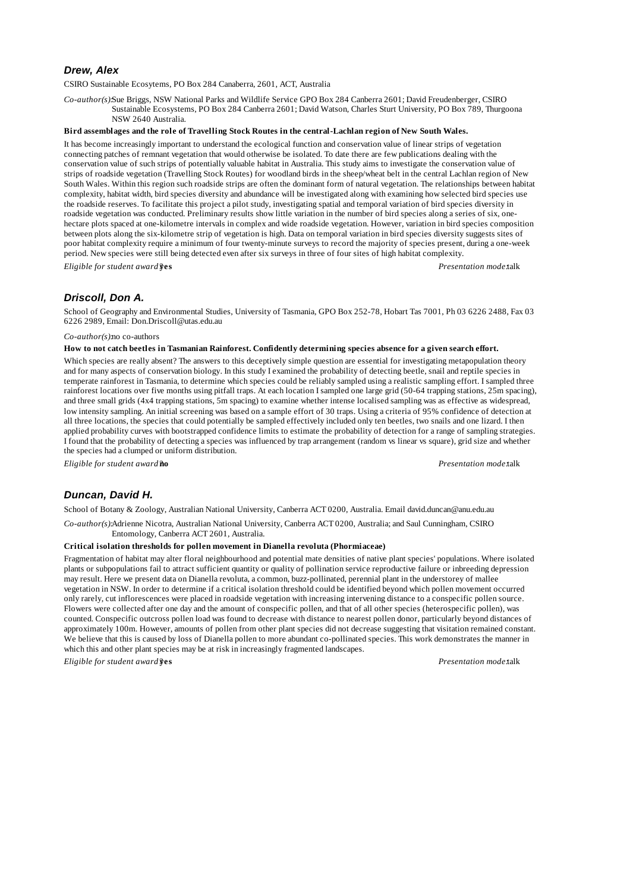# *Drew, Alex*

CSIRO Sustainable Ecosytems, PO Box 284 Canaberra, 2601, ACT, Australia

*Co-author(s):*Sue Briggs, NSW National Parks and Wildlife Service GPO Box 284 Canberra 2601; David Freudenberger, CSIRO Sustainable Ecosystems, PO Box 284 Canberra 2601; David Watson, Charles Sturt University, PO Box 789, Thurgoona NSW 2640 Australia.

### **Bird assemblages and the role of Travelling Stock Routes in the central-Lachlan region of New South Wales.**

It has become increasingly important to understand the ecological function and conservation value of linear strips of vegetation connecting patches of remnant vegetation that would otherwise be isolated. To date there are few publications dealing with the conservation value of such strips of potentially valuable habitat in Australia. This study aims to investigate the conservation value of strips of roadside vegetation (Travelling Stock Routes) for woodland birds in the sheep/wheat belt in the central Lachlan region of New South Wales. Within this region such roadside strips are often the dominant form of natural vegetation. The relationships between habitat complexity, habitat width, bird species diversity and abundance will be investigated along with examining how selected bird species use the roadside reserves. To facilitate this project a pilot study, investigating spatial and temporal variation of bird species diversity in roadside vegetation was conducted. Preliminary results show little variation in the number of bird species along a series of six, onehectare plots spaced at one-kilometre intervals in complex and wide roadside vegetation. However, variation in bird species composition between plots along the six-kilometre strip of vegetation is high. Data on temporal variation in bird species diversity suggests sites of poor habitat complexity require a minimum of four twenty-minute surveys to record the majority of species present, during a one-week period. New species were still being detected even after six surveys in three of four sites of high habitat complexity. *Eligible for student award?***yes** *Presentation mode:*talk

# *Driscoll, Don A.*

School of Geography and Environmental Studies, University of Tasmania, GPO Box 252-78, Hobart Tas 7001, Ph 03 6226 2488, Fax 03 6226 2989, Email: Don.Driscoll@utas.edu.au

#### *Co-author(s):*no co-authors

### **How to not catch beetles in Tasmanian Rainforest. Confidently determining species absence for a given search effort.**

Which species are really absent? The answers to this deceptively simple question are essential for investigating metapopulation theory and for many aspects of conservation biology. In this study I examined the probability of detecting beetle, snail and reptile species in temperate rainforest in Tasmania, to determine which species could be reliably sampled using a realistic sampling effort. I sampled three rainforest locations over five months using pitfall traps. At each location I sampled one large grid (50-64 trapping stations, 25m spacing), and three small grids (4x4 trapping stations, 5m spacing) to examine whether intense localised sampling was as effective as widespread, low intensity sampling. An initial screening was based on a sample effort of 30 traps. Using a criteria of 95% confidence of detection at all three locations, the species that could potentially be sampled effectively included only ten beetles, two snails and one lizard. I then applied probability curves with bootstrapped confidence limits to estimate the probability of detection for a range of sampling strategies. I found that the probability of detecting a species was influenced by trap arrangement (random vs linear vs square), grid size and whether the species had a clumped or uniform distribution.

*Eligible for student award?***no** *Presentation mode:*talk

# *Duncan, David H.*

School of Botany & Zoology, Australian National University, Canberra ACT 0200, Australia. Email david.duncan@anu.edu.au

*Co-author(s):*Adrienne Nicotra, Australian National University, Canberra ACT 0200, Australia; and Saul Cunningham, CSIRO Entomology, Canberra ACT 2601, Australia.

#### **Critical isolation thresholds for pollen movement in Dianella revoluta (Phormiaceae)**

Fragmentation of habitat may alter floral neighbourhood and potential mate densities of native plant species' populations. Where isolated plants or subpopulations fail to attract sufficient quantity or quality of pollination service reproductive failure or inbreeding depression may result. Here we present data on Dianella revoluta, a common, buzz-pollinated, perennial plant in the understorey of mallee vegetation in NSW. In order to determine if a critical isolation threshold could be identified beyond which pollen movement occurred only rarely, cut inflorescences were placed in roadside vegetation with increasing intervening distance to a conspecific pollen source. Flowers were collected after one day and the amount of conspecific pollen, and that of all other species (heterospecific pollen), was counted. Conspecific outcross pollen load was found to decrease with distance to nearest pollen donor, particularly beyond distances of approximately 100m. However, amounts of pollen from other plant species did not decrease suggesting that visitation remained constant. We believe that this is caused by loss of Dianella pollen to more abundant co-pollinated species. This work demonstrates the manner in which this and other plant species may be at risk in increasingly fragmented landscapes.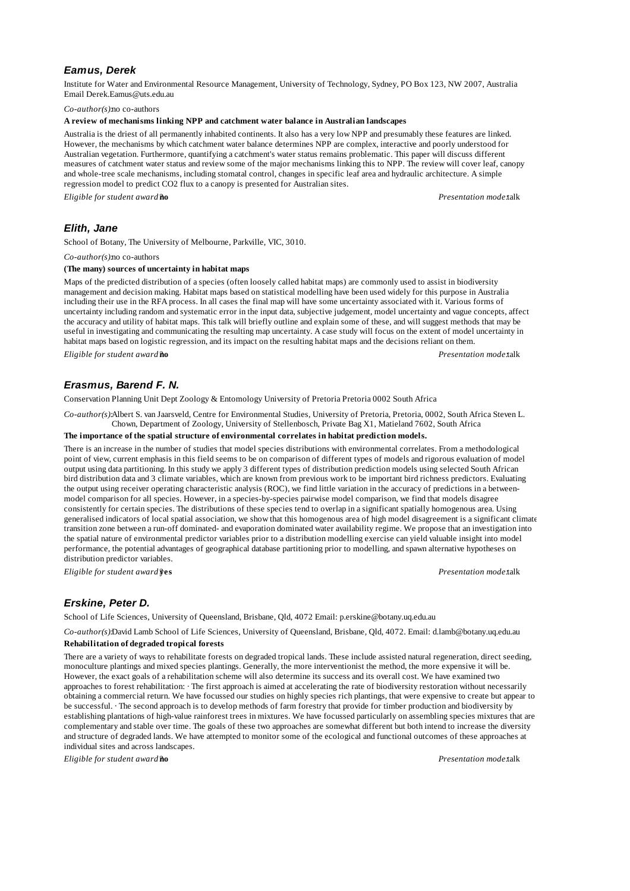### *Eamus, Derek*

Institute for Water and Environmental Resource Management, University of Technology, Sydney, PO Box 123, NW 2007, Australia Email Derek.Eamus@uts.edu.au

*Co-author(s):*no co-authors

### **A review of mechanisms linking NPP and catchment water balance in Australian landscapes**

Australia is the driest of all permanently inhabited continents. It also has a very low NPP and presumably these features are linked. However, the mechanisms by which catchment water balance determines NPP are complex, interactive and poorly understood for Australian vegetation. Furthermore, quantifying a catchment's water status remains problematic. This paper will discuss different measures of catchment water status and review some of the major mechanisms linking this to NPP. The review will cover leaf, canopy and whole-tree scale mechanisms, including stomatal control, changes in specific leaf area and hydraulic architecture. A simple regression model to predict CO2 flux to a canopy is presented for Australian sites.

*Eligible for student award?***no** *Presentation mode:*talk

### *Elith, Jane*

School of Botany, The University of Melbourne, Parkville, VIC, 3010.

*Co-author(s):*no co-authors

#### **(The many) sources of uncertainty in habitat maps**

Maps of the predicted distribution of a species (often loosely called habitat maps) are commonly used to assist in biodiversity management and decision making. Habitat maps based on statistical modelling have been used widely for this purpose in Australia including their use in the RFA process. In all cases the final map will have some uncertainty associated with it. Various forms of uncertainty including random and systematic error in the input data, subjective judgement, model uncertainty and vague concepts, affect the accuracy and utility of habitat maps. This talk will briefly outline and explain some of these, and will suggest methods that may be useful in investigating and communicating the resulting map uncertainty. A case study will focus on the extent of model uncertainty in habitat maps based on logistic regression, and its impact on the resulting habitat maps and the decisions reliant on them. *Eligible for student award?***no** *Presentation mode:*talk

# *Erasmus, Barend F. N.*

Conservation Planning Unit Dept Zoology & Entomology University of Pretoria Pretoria 0002 South Africa

*Co-author(s):*Albert S. van Jaarsveld, Centre for Environmental Studies, University of Pretoria, Pretoria, 0002, South Africa Steven L. Chown, Department of Zoology, University of Stellenbosch, Private Bag X1, Matieland 7602, South Africa

### **The importance of the spatial structure of environmental correlates in habitat prediction models.**

There is an increase in the number of studies that model species distributions with environmental correlates. From a methodological point of view, current emphasis in this field seems to be on comparison of different types of models and rigorous evaluation of model output using data partitioning. In this study we apply 3 different types of distribution prediction models using selected South African bird distribution data and 3 climate variables, which are known from previous work to be important bird richness predictors. Evaluating the output using receiver operating characteristic analysis (ROC), we find little variation in the accuracy of predictions in a betweenmodel comparison for all species. However, in a species-by-species pairwise model comparison, we find that models disagree consistently for certain species. The distributions of these species tend to overlap in a significant spatially homogenous area. Using generalised indicators of local spatial association, we show that this homogenous area of high model disagreement is a significant climate transition zone between a run-off dominated- and evaporation dominated water availability regime. We propose that an investigation into the spatial nature of environmental predictor variables prior to a distribution modelling exercise can yield valuable insight into model performance, the potential advantages of geographical database partitioning prior to modelling, and spawn alternative hypotheses on distribution predictor variables.

*Eligible for student award?***yes** *Presentation mode:*talk

# *Erskine, Peter D.*

School of Life Sciences, University of Queensland, Brisbane, Qld, 4072 Email: p.erskine@botany.uq.edu.au

*Co-author(s):*David Lamb School of Life Sciences, University of Queensland, Brisbane, Qld, 4072. Email: d.lamb@botany.uq.edu.au **Rehabilitation of degraded tropical forests**

There are a variety of ways to rehabilitate forests on degraded tropical lands. These include assisted natural regeneration, direct seeding,

monoculture plantings and mixed species plantings. Generally, the more interventionist the method, the more expensive it will be. However, the exact goals of a rehabilitation scheme will also determine its success and its overall cost. We have examined two approaches to forest rehabilitation: · The first approach is aimed at accelerating the rate of biodiversity restoration without necessarily obtaining a commercial return. We have focussed our studies on highly species rich plantings, that were expensive to create but appear to be successful. · The second approach is to develop methods of farm forestry that provide for timber production and biodiversity by establishing plantations of high-value rainforest trees in mixtures. We have focussed particularly on assembling species mixtures that are complementary and stable over time. The goals of these two approaches are somewhat different but both intend to increase the diversity and structure of degraded lands. We have attempted to monitor some of the ecological and functional outcomes of these approaches at individual sites and across landscapes.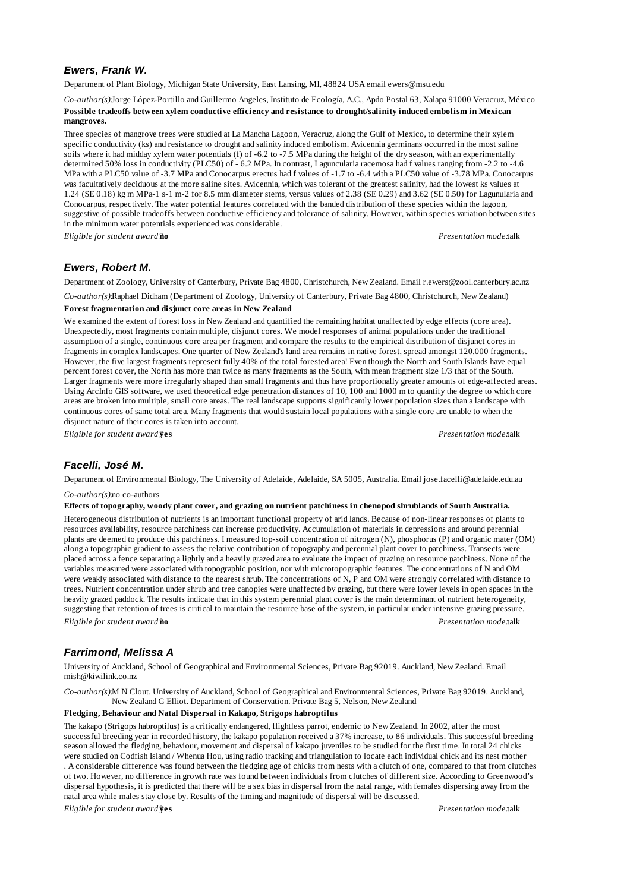# *Ewers, Frank W.*

Department of Plant Biology, Michigan State University, East Lansing, MI, 48824 USA email ewers@msu.edu

*Co-author(s):*Jorge López-Portillo and Guillermo Angeles, Instituto de Ecología, A.C., Apdo Postal 63, Xalapa 91000 Veracruz, México **Possible tradeoffs between xylem conductive efficiency and resistance to drought/salinity induced embolism in Mexican mangroves.**

Three species of mangrove trees were studied at La Mancha Lagoon, Veracruz, along the Gulf of Mexico, to determine their xylem specific conductivity (ks) and resistance to drought and salinity induced embolism. Avicennia germinans occurred in the most saline soils where it had midday xylem water potentials (f) of -6.2 to -7.5 MPa during the height of the dry season, with an experimentally determined 50% loss in conductivity (PLC50) of - 6.2 MPa. In contrast, Laguncularia racemosa had f values ranging from -2.2 to -4.6 MPa with a PLC50 value of -3.7 MPa and Conocarpus erectus had f values of -1.7 to -6.4 with a PLC50 value of -3.78 MPa. Conocarpus was facultatively deciduous at the more saline sites. Avicennia, which was tolerant of the greatest salinity, had the lowest ks values at 1.24 (SE 0.18) kg m MPa-1 s-1 m-2 for 8.5 mm diameter stems, versus values of 2.38 (SE 0.29) and 3.62 (SE 0.50) for Lagunularia and Conocarpus, respectively. The water potential features correlated with the banded distribution of these species within the lagoon, suggestive of possible tradeoffs between conductive efficiency and tolerance of salinity. However, within species variation between sites in the minimum water potentials experienced was considerable.

*Eligible for student award?***no** *Presentation mode:*talk

### *Ewers, Robert M.*

Department of Zoology, University of Canterbury, Private Bag 4800, Christchurch, New Zealand. Email r.ewers@zool.canterbury.ac.nz

*Co-author(s):*Raphael Didham (Department of Zoology, University of Canterbury, Private Bag 4800, Christchurch, New Zealand)

# **Forest fragmentation and disjunct core areas in New Zealand**

We examined the extent of forest loss in New Zealand and quantified the remaining habitat unaffected by edge effects (core area). Unexpectedly, most fragments contain multiple, disjunct cores. We model responses of animal populations under the traditional assumption of a single, continuous core area per fragment and compare the results to the empirical distribution of disjunct cores in fragments in complex landscapes. One quarter of New Zealand's land area remains in native forest, spread amongst 120,000 fragments. However, the five largest fragments represent fully 40% of the total forested area! Even though the North and South Islands have equal percent forest cover, the North has more than twice as many fragments as the South, with mean fragment size 1/3 that of the South. Larger fragments were more irregularly shaped than small fragments and thus have proportionally greater amounts of edge-affected areas. Using ArcInfo GIS software, we used theoretical edge penetration distances of 10, 100 and 1000 m to quantify the degree to which core areas are broken into multiple, small core areas. The real landscape supports significantly lower population sizes than a landscape with continuous cores of same total area. Many fragments that would sustain local populations with a single core are unable to when the disjunct nature of their cores is taken into account.

*Eligible for student award?***yes** *Presentation mode:*talk

# *Facelli, José M.*

Department of Environmental Biology, The University of Adelaide, Adelaide, SA 5005, Australia. Email jose.facelli@adelaide.edu.au

### *Co-author(s):*no co-authors

#### **Effects of topography, woody plant cover, and grazing on nutrient patchiness in chenopod shrublands of South Australia.**

Heterogeneous distribution of nutrients is an important functional property of arid lands. Because of non-linear responses of plants to resources availability, resource patchiness can increase productivity. Accumulation of materials in depressions and around perennial plants are deemed to produce this patchiness. I measured top-soil concentration of nitrogen (N), phosphorus (P) and organic mater (OM) along a topographic gradient to assess the relative contribution of topography and perennial plant cover to patchiness. Transects were placed across a fence separating a lightly and a heavily grazed area to evaluate the impact of grazing on resource patchiness. None of the variables measured were associated with topographic position, nor with microtopographic features. The concentrations of N and OM were weakly associated with distance to the nearest shrub. The concentrations of N, P and OM were strongly correlated with distance to trees. Nutrient concentration under shrub and tree canopies were unaffected by grazing, but there were lower levels in open spaces in the heavily grazed paddock. The results indicate that in this system perennial plant cover is the main determinant of nutrient heterogeneity, suggesting that retention of trees is critical to maintain the resource base of the system, in particular under intensive grazing pressure. *Eligible for student award?***no** *Presentation mode:*talk

# *Farrimond, Melissa A*

University of Auckland, School of Geographical and Environmental Sciences, Private Bag 92019. Auckland, New Zealand. Email mish@kiwilink.co.nz

*Co-author(s):*M N Clout. University of Auckland, School of Geographical and Environmental Sciences, Private Bag 92019. Auckland, New Zealand G Elliot. Department of Conservation. Private Bag 5, Nelson, New Zealand

#### **Fledging, Behaviour and Natal Dispersal in Kakapo, Strigops habroptilus**

The kakapo (Strigops habroptilus) is a critically endangered, flightless parrot, endemic to New Zealand. In 2002, after the most successful breeding year in recorded history, the kakapo population received a 37% increase, to 86 individuals. This successful breeding season allowed the fledging, behaviour, movement and dispersal of kakapo juveniles to be studied for the first time. In total 24 chicks were studied on Codfish Island / Whenua Hou, using radio tracking and triangulation to locate each individual chick and its nest mother . A considerable difference was found between the fledging age of chicks from nests with a clutch of one, compared to that from clutches of two. However, no difference in growth rate was found between individuals from clutches of different size. According to Greenwood's dispersal hypothesis, it is predicted that there will be a sex bias in dispersal from the natal range, with females dispersing away from the natal area while males stay close by. Results of the timing and magnitude of dispersal will be discussed.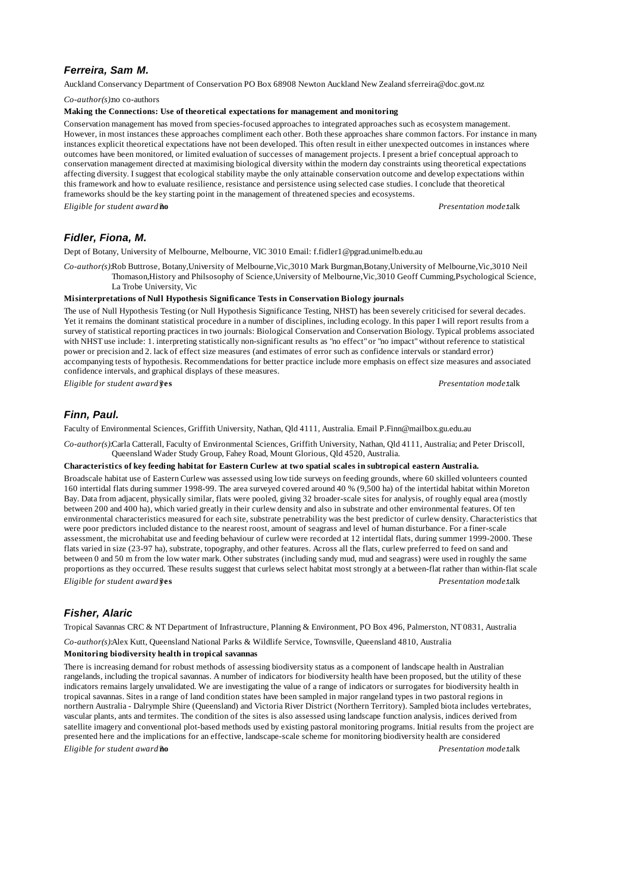# *Ferreira, Sam M.*

Auckland Conservancy Department of Conservation PO Box 68908 Newton Auckland New Zealand sferreira@doc.govt.nz

*Co-author(s):*no co-authors

#### **Making the Connections: Use of theoretical expectations for management and monitoring**

Conservation management has moved from species-focused approaches to integrated approaches such as ecosystem management. However, in most instances these approaches compliment each other. Both these approaches share common factors. For instance in many instances explicit theoretical expectations have not been developed. This often result in either unexpected outcomes in instances where outcomes have been monitored, or limited evaluation of successes of management projects. I present a brief conceptual approach to conservation management directed at maximising biological diversity within the modern day constraints using theoretical expectations affecting diversity. I suggest that ecological stability maybe the only attainable conservation outcome and develop expectations within this framework and how to evaluate resilience, resistance and persistence using selected case studies. I conclude that theoretical frameworks should be the key starting point in the management of threatened species and ecosystems.

*Eligible for student award?***no** *Presentation mode:*talk

# *Fidler, Fiona, M.*

Dept of Botany, University of Melbourne, Melbourne, VIC 3010 Email: f.fidler1@pgrad.unimelb.edu.au

*Co-author(s):*Rob Buttrose, Botany,University of Melbourne,Vic,3010 Mark Burgman,Botany,University of Melbourne,Vic,3010 Neil Thomason,History and Philsosophy of Science,University of Melbourne,Vic,3010 Geoff Cumming,Psychological Science, La Trobe University, Vic

#### **Misinterpretations of Null Hypothesis Significance Tests in Conservation Biology journals**

The use of Null Hypothesis Testing (or Null Hypothesis Significance Testing, NHST) has been severely criticised for several decades. Yet it remains the dominant statistical procedure in a number of disciplines, including ecology. In this paper I will report results from a survey of statistical reporting practices in two journals: Biological Conservation and Conservation Biology. Typical problems associated with NHST use include: 1. interpreting statistically non-significant results as "no effect" or "no impact" without reference to statistical power or precision and 2. lack of effect size measures (and estimates of error such as confidence intervals or standard error) accompanying tests of hypothesis. Recommendations for better practice include more emphasis on effect size measures and associated confidence intervals, and graphical displays of these measures.

*Eligible for student award?***yes** *Presentation mode:*talk

### *Finn, Paul.*

Faculty of Environmental Sciences, Griffith University, Nathan, Qld 4111, Australia. Email P.Finn@mailbox.gu.edu.au

*Co-author(s):*Carla Catterall, Faculty of Environmental Sciences, Griffith University, Nathan, Qld 4111, Australia; and Peter Driscoll, Queensland Wader Study Group, Fahey Road, Mount Glorious, Qld 4520, Australia.

#### **Characteristics of key feeding habitat for Eastern Curlew at two spatial scales in subtropical eastern Australia.**

Broadscale habitat use of Eastern Curlew was assessed using low tide surveys on feeding grounds, where 60 skilled volunteers counted 160 intertidal flats during summer 1998-99. The area surveyed covered around 40 % (9,500 ha) of the intertidal habitat within Moreton Bay. Data from adjacent, physically similar, flats were pooled, giving 32 broader-scale sites for analysis, of roughly equal area (mostly between 200 and 400 ha), which varied greatly in their curlew density and also in substrate and other environmental features. Of ten environmental characteristics measured for each site, substrate penetrability was the best predictor of curlew density. Characteristics that were poor predictors included distance to the nearest roost, amount of seagrass and level of human disturbance. For a finer-scale assessment, the microhabitat use and feeding behaviour of curlew were recorded at 12 intertidal flats, during summer 1999-2000. These flats varied in size (23-97 ha), substrate, topography, and other features. Across all the flats, curlew preferred to feed on sand and between 0 and 50 m from the low water mark. Other substrates (including sandy mud, mud and seagrass) were used in roughly the same proportions as they occurred. These results suggest that curlews select habitat most strongly at a between-flat rather than within-flat scale. *Eligible for student award?***yes** *Presentation mode:*talk

# *Fisher, Alaric*

Tropical Savannas CRC & NT Department of Infrastructure, Planning & Environment, PO Box 496, Palmerston, NT 0831, Australia

*Co-author(s):*Alex Kutt, Queensland National Parks & Wildlife Service, Townsville, Queensland 4810, Australia

### **Monitoring biodiversity health in tropical savannas**

There is increasing demand for robust methods of assessing biodiversity status as a component of landscape health in Australian rangelands, including the tropical savannas. A number of indicators for biodiversity health have been proposed, but the utility of these indicators remains largely unvalidated. We are investigating the value of a range of indicators or surrogates for biodiversity health in tropical savannas. Sites in a range of land condition states have been sampled in major rangeland types in two pastoral regions in northern Australia - Dalrymple Shire (Queensland) and Victoria River District (Northern Territory). Sampled biota includes vertebrates, vascular plants, ants and termites. The condition of the sites is also assessed using landscape function analysis, indices derived from satellite imagery and conventional plot-based methods used by existing pastoral monitoring programs. Initial results from the project are presented here and the implications for an effective, landscape-scale scheme for monitoring biodiversity health are considered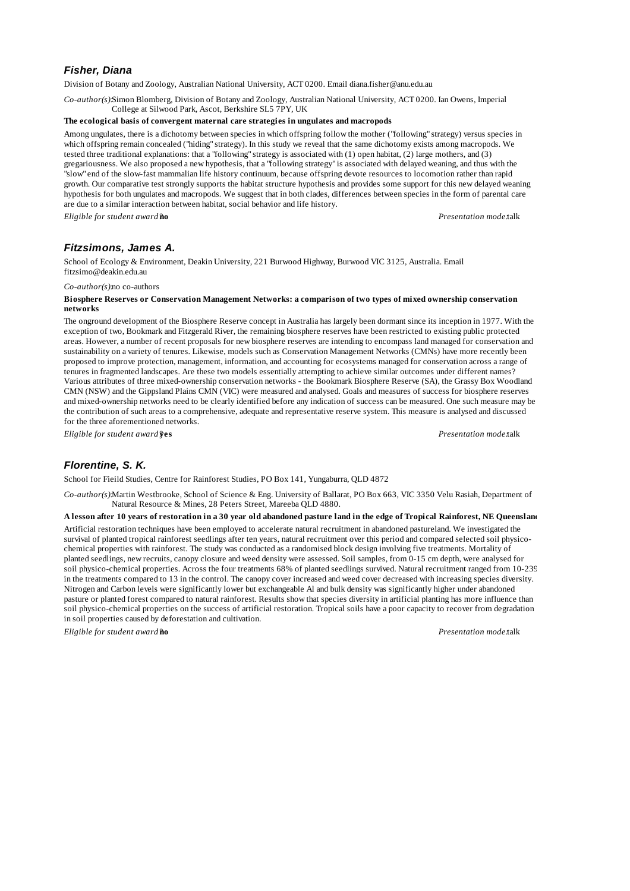# *Fisher, Diana*

Division of Botany and Zoology, Australian National University, ACT 0200. Email diana.fisher@anu.edu.au

*Co-author(s):*Simon Blomberg, Division of Botany and Zoology, Australian National University, ACT 0200. Ian Owens, Imperial College at Silwood Park, Ascot, Berkshire SL5 7PY, UK

### **The ecological basis of convergent maternal care strategies in ungulates and macropods**

Among ungulates, there is a dichotomy between species in which offspring follow the mother ("following" strategy) versus species in which offspring remain concealed ("hiding" strategy). In this study we reveal that the same dichotomy exists among macropods. We tested three traditional explanations: that a "following" strategy is associated with (1) open habitat, (2) large mothers, and (3) gregariousness. We also proposed a new hypothesis, that a "following strategy" is associated with delayed weaning, and thus with the "slow" end of the slow-fast mammalian life history continuum, because offspring devote resources to locomotion rather than rapid growth. Our comparative test strongly supports the habitat structure hypothesis and provides some support for this new delayed weaning hypothesis for both ungulates and macropods. We suggest that in both clades, differences between species in the form of parental care are due to a similar interaction between habitat, social behavior and life history.

*Eligible for student award?***no** *Presentation mode:*talk

# *Fitzsimons, James A.*

School of Ecology & Environment, Deakin University, 221 Burwood Highway, Burwood VIC 3125, Australia. Email fitzsimo@deakin.edu.au

*Co-author(s):*no co-authors

### **Biosphere Reserves or Conservation Management Networks: a comparison of two types of mixed ownership conservation networks**

The onground development of the Biosphere Reserve concept in Australia has largely been dormant since its inception in 1977. With the exception of two, Bookmark and Fitzgerald River, the remaining biosphere reserves have been restricted to existing public protected areas. However, a number of recent proposals for new biosphere reserves are intending to encompass land managed for conservation and sustainability on a variety of tenures. Likewise, models such as Conservation Management Networks (CMNs) have more recently been proposed to improve protection, management, information, and accounting for ecosystems managed for conservation across a range of tenures in fragmented landscapes. Are these two models essentially attempting to achieve similar outcomes under different names? Various attributes of three mixed-ownership conservation networks - the Bookmark Biosphere Reserve (SA), the Grassy Box Woodland CMN (NSW) and the Gippsland Plains CMN (VIC) were measured and analysed. Goals and measures of success for biosphere reserves and mixed-ownership networks need to be clearly identified before any indication of success can be measured. One such measure may be the contribution of such areas to a comprehensive, adequate and representative reserve system. This measure is analysed and discussed for the three aforementioned networks.

*Eligible for student award?***yes** *Presentation mode:*talk

# *Florentine, S. K.*

School for Fieild Studies, Centre for Rainforest Studies, PO Box 141, Yungaburra, QLD 4872

*Co-author(s):*Martin Westbrooke, School of Science & Eng. University of Ballarat, PO Box 663, VIC 3350 Velu Rasiah, Department of Natural Resource & Mines, 28 Peters Street, Mareeba QLD 4880.

**A lesson after 10 years of restoration in a 30 year old abandoned pasture land in the edge of Tropical Rainforest, NE Queensland** Artificial restoration techniques have been employed to accelerate natural recruitment in abandoned pastureland. We investigated the survival of planted tropical rainforest seedlings after ten years, natural recruitment over this period and compared selected soil physicochemical properties with rainforest. The study was conducted as a randomised block design involving five treatments. Mortality of planted seedlings, new recruits, canopy closure and weed density were assessed. Soil samples, from 0-15 cm depth, were analysed for soil physico-chemical properties. Across the four treatments 68% of planted seedlings survived. Natural recruitment ranged from 10-239 in the treatments compared to 13 in the control. The canopy cover increased and weed cover decreased with increasing species diversity. Nitrogen and Carbon levels were significantly lower but exchangeable Al and bulk density was significantly higher under abandoned pasture or planted forest compared to natural rainforest. Results show that species diversity in artificial planting has more influence than soil physico-chemical properties on the success of artificial restoration. Tropical soils have a poor capacity to recover from degradation in soil properties caused by deforestation and cultivation.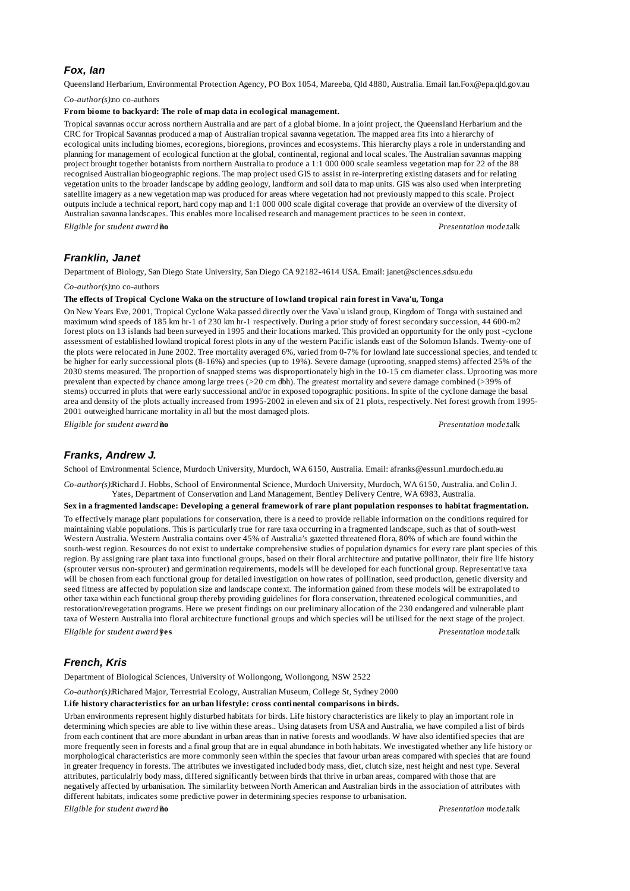### *Fox, Ian*

Queensland Herbarium, Environmental Protection Agency, PO Box 1054, Mareeba, Qld 4880, Australia. Email Ian.Fox@epa.qld.gov.au

*Co-author(s):*no co-authors

### **From biome to backyard: The role of map data in ecological management.**

Tropical savannas occur across northern Australia and are part of a global biome. In a joint project, the Queensland Herbarium and the CRC for Tropical Savannas produced a map of Australian tropical savanna vegetation. The mapped area fits into a hierarchy of ecological units including biomes, ecoregions, bioregions, provinces and ecosystems. This hierarchy plays a role in understanding and planning for management of ecological function at the global, continental, regional and local scales. The Australian savannas mapping project brought together botanists from northern Australia to produce a 1:1 000 000 scale seamless vegetation map for 22 of the 88 recognised Australian biogeographic regions. The map project used GIS to assist in re-interpreting existing datasets and for relating vegetation units to the broader landscape by adding geology, landform and soil data to map units. GIS was also used when interpreting satellite imagery as a new vegetation map was produced for areas where vegetation had not previously mapped to this scale. Project outputs include a technical report, hard copy map and 1:1 000 000 scale digital coverage that provide an overview of the diversity of Australian savanna landscapes. This enables more localised research and management practices to be seen in context. *Eligible for student award?***no** *Presentation mode:*talk

# *Franklin, Janet*

Department of Biology, San Diego State University, San Diego CA 92182-4614 USA. Email: janet@sciences.sdsu.edu

*Co-author(s):*no co-authors

### **The effects of Tropical Cyclone Waka on the structure of lowland tropical rain forest in Vava'u, Tonga**

On New Years Eve, 2001, Tropical Cyclone Waka passed directly over the Vava`u island group, Kingdom of Tonga with sustained and maximum wind speeds of 185 km hr-1 of 230 km hr-1 respectively. During a prior study of forest secondary succession, 44 600-m2 forest plots on 13 islands had been surveyed in 1995 and their locations marked. This provided an opportunity for the only post -cyclone assessment of established lowland tropical forest plots in any of the western Pacific islands east of the Solomon Islands. Twenty-one of the plots were relocated in June 2002. Tree mortality averaged 6%, varied from 0-7% for lowland late successional species, and tended to be higher for early successional plots (8-16%) and species (up to 19%). Severe damage (uprooting, snapped stems) affected 25% of the 2030 stems measured. The proportion of snapped stems was disproportionately high in the 10-15 cm diameter class. Uprooting was more prevalent than expected by chance among large trees (>20 cm dbh). The greatest mortality and severe damage combined (>39% of stems) occurred in plots that were early successional and/or in exposed topographic positions. In spite of the cyclone damage the basal area and density of the plots actually increased from 1995-2002 in eleven and six of 21 plots, respectively. Net forest growth from 1995- 2001 outweighed hurricane mortality in all but the most damaged plots.

*Eligible for student award?***no** *Presentation mode:*talk

# *Franks, Andrew J.*

School of Environmental Science, Murdoch University, Murdoch, WA 6150, Australia. Email: afranks@essun1.murdoch.edu.au

*Co-author(s):*Richard J. Hobbs, School of Environmental Science, Murdoch University, Murdoch, WA 6150, Australia. and Colin J. Yates, Department of Conservation and Land Management, Bentley Delivery Centre, WA 6983, Australia.

**Sex in a fragmented landscape: Developing a general framework of rare plant population responses to habitat fragmentation.**

To effectively manage plant populations for conservation, there is a need to provide reliable information on the conditions required for maintaining viable populations. This is particularly true for rare taxa occurring in a fragmented landscape, such as that of south-west Western Australia. Western Australia contains over 45% of Australia's gazetted threatened flora, 80% of which are found within the south-west region. Resources do not exist to undertake comprehensive studies of population dynamics for every rare plant species of this region. By assigning rare plant taxa into functional groups, based on their floral architecture and putative pollinator, their fire life history (sprouter versus non-sprouter) and germination requirements, models will be developed for each functional group. Representative taxa will be chosen from each functional group for detailed investigation on how rates of pollination, seed production, genetic diversity and seed fitness are affected by population size and landscape context. The information gained from these models will be extrapolated to other taxa within each functional group thereby providing guidelines for flora conservation, threatened ecological communities, and restoration/revegetation programs. Here we present findings on our preliminary allocation of the 230 endangered and vulnerable plant taxa of Western Australia into floral architecture functional groups and which species will be utilised for the next stage of the project. *Eligible for student award?***yes** *Presentation mode:*talk

# *French, Kris*

Department of Biological Sciences, University of Wollongong, Wollongong, NSW 2522

*Co-author(s):*Richared Major, Terrestrial Ecology, Australian Museum, College St, Sydney 2000

### **Life history characteristics for an urban lifestyle: cross continental comparisons in birds.**

Urban environments represent highly disturbed habitats for birds. Life history characteristics are likely to play an important role in determining which species are able to live within these areas.. Using datasets from USA and Australia, we have compiled a list of birds from each continent that are more abundant in urban areas than in native forests and woodlands. W have also identified species that are more frequently seen in forests and a final group that are in equal abundance in both habitats. We investigated whether any life history or morphological characteristics are more commonly seen within the species that favour urban areas compared with species that are found in greater frequency in forests. The attributes we investigated included body mass, diet, clutch size, nest height and nest type. Several attributes, particulalrly body mass, differed significantly between birds that thrive in urban areas, compared with those that are negatively affected by urbanisation. The similarlity between North American and Australian birds in the association of attributes with different habitats, indicates some predictive power in determining species response to urbanisation.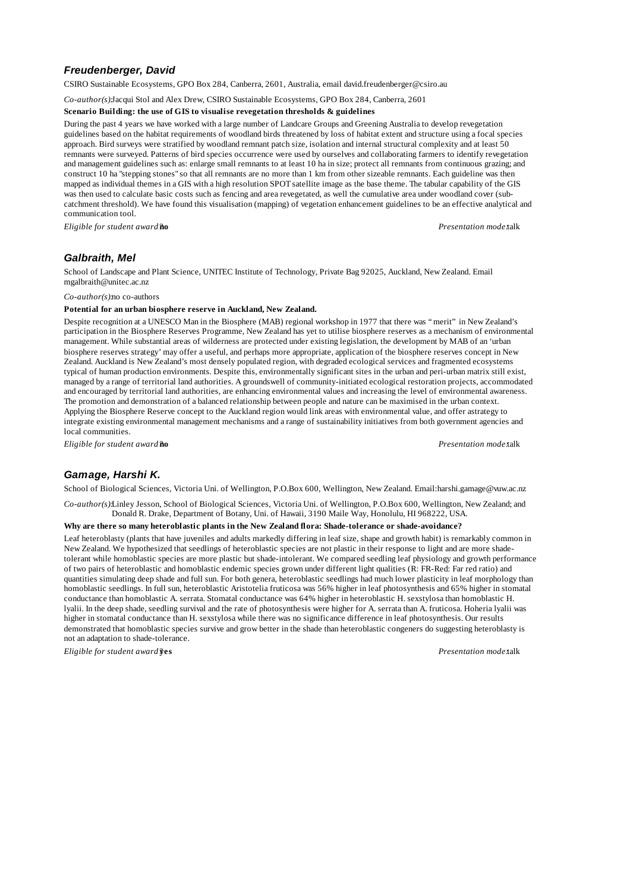# *Freudenberger, David*

CSIRO Sustainable Ecosystems, GPO Box 284, Canberra, 2601, Australia, email david.freudenberger@csiro.au

*Co-author(s):*Jacqui Stol and Alex Drew, CSIRO Sustainable Ecosystems, GPO Box 284, Canberra, 2601

#### **Scenario Building: the use of GIS to visualise revegetation thresholds & guidelines**

During the past 4 years we have worked with a large number of Landcare Groups and Greening Australia to develop revegetation guidelines based on the habitat requirements of woodland birds threatened by loss of habitat extent and structure using a focal species approach. Bird surveys were stratified by woodland remnant patch size, isolation and internal structural complexity and at least 50 remnants were surveyed. Patterns of bird species occurrence were used by ourselves and collaborating farmers to identify revegetation and management guidelines such as: enlarge small remnants to at least 10 ha in size; protect all remnants from continuous grazing; and construct 10 ha "stepping stones" so that all remnants are no more than 1 km from other sizeable remnants. Each guideline was then mapped as individual themes in a GIS with a high resolution SPOT satellite image as the base theme. The tabular capability of the GIS was then used to calculate basic costs such as fencing and area revegetated, as well the cumulative area under woodland cover (subcatchment threshold). We have found this visualisation (mapping) of vegetation enhancement guidelines to be an effective analytical and communication tool.

*Eligible for student award?***no** *Presentation mode:*talk

# *Galbraith, Mel*

School of Landscape and Plant Science, UNITEC Institute of Technology, Private Bag 92025, Auckland, New Zealand. Email mgalbraith@unitec.ac.nz

*Co-author(s):*no co-authors

#### **Potential for an urban biosphere reserve in Auckland, New Zealand.**

Despite recognition at a UNESCO Man in the Biosphere (MAB) regional workshop in 1977 that there was "merit" in New Zealand's participation in the Biosphere Reserves Programme, New Zealand has yet to utilise biosphere reserves as a mechanism of environmental management. While substantial areas of wilderness are protected under existing legislation, the development by MAB of an 'urban biosphere reserves strategy' may offer a useful, and perhaps more appropriate, application of the biosphere reserves concept in New Zealand. Auckland is New Zealand's most densely populated region, with degraded ecological services and fragmented ecosystems typical of human production environments. Despite this, environmentally significant sites in the urban and peri-urban matrix still exist, managed by a range of territorial land authorities. A groundswell of community-initiated ecological restoration projects, accommodated and encouraged by territorial land authorities, are enhancing environmental values and increasing the level of environmental awareness. The promotion and demonstration of a balanced relationship between people and nature can be maximised in the urban context. Applying the Biosphere Reserve concept to the Auckland region would link areas with environmental value, and offer astrategy to integrate existing environmental management mechanisms and a range of sustainability initiatives from both government agencies and local communities.

*Eligible for student award?***no** *Presentation mode:*talk

# *Gamage, Harshi K.*

School of Biological Sciences, Victoria Uni. of Wellington, P.O.Box 600, Wellington, New Zealand. Email:harshi.gamage@vuw.ac.nz

*Co-author(s):*Linley Jesson, School of Biological Sciences, Victoria Uni. of Wellington, P.O.Box 600, Wellington, New Zealand; and Donald R. Drake, Department of Botany, Uni. of Hawaii, 3190 Maile Way, Honolulu, HI 968222, USA.

#### **Why are there so many heteroblastic plants in the New Zealand flora: Shade-tolerance or shade-avoidance?**

Leaf heteroblasty (plants that have juveniles and adults markedly differing in leaf size, shape and growth habit) is remarkably common in New Zealand. We hypothesized that seedlings of heteroblastic species are not plastic in their response to light and are more shadetolerant while homoblastic species are more plastic but shade-intolerant. We compared seedling leaf physiology and growth performance of two pairs of heteroblastic and homoblastic endemic species grown under different light qualities (R: FR-Red: Far red ratio) and quantities simulating deep shade and full sun. For both genera, heteroblastic seedlings had much lower plasticity in leaf morphology than homoblastic seedlings. In full sun, heteroblastic Aristotelia fruticosa was 56% higher in leaf photosynthesis and 65% higher in stomatal conductance than homoblastic A. serrata. Stomatal conductance was 64% higher in heteroblastic H. sexstylosa than homoblastic H. lyalii. In the deep shade, seedling survival and the rate of photosynthesis were higher for A. serrata than A. fruticosa. Hoheria lyalii was higher in stomatal conductance than H. sexstylosa while there was no significance difference in leaf photosynthesis. Our results demonstrated that homoblastic species survive and grow better in the shade than heteroblastic congeners do suggesting heteroblasty is not an adaptation to shade-tolerance.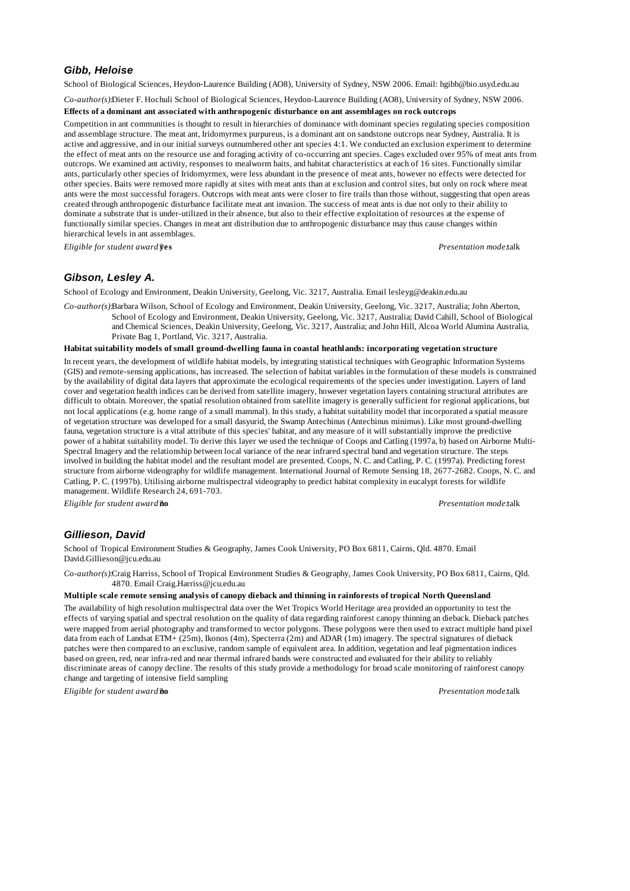# *Gibb, Heloise*

School of Biological Sciences, Heydon-Laurence Building (AO8), University of Sydney, NSW 2006. Email: hgibb@bio.usyd.edu.au

*Co-author(s):*Dieter F. Hochuli School of Biological Sciences, Heydon-Laurence Building (AO8), University of Sydney, NSW 2006.

#### **Effects of a dominant ant associated with anthropogenic disturbance on ant assemblages on rock outcrops**

Competition in ant communities is thought to result in hierarchies of dominance with dominant species regulating species composition and assemblage structure. The meat ant, Iridomyrmex purpureus, is a dominant ant on sandstone outcrops near Sydney, Australia. It is active and aggressive, and in our initial surveys outnumbered other ant species 4:1. We conducted an exclusion experiment to determine the effect of meat ants on the resource use and foraging activity of co-occurring ant species. Cages excluded over 95% of meat ants from outcrops. We examined ant activity, responses to mealworm baits, and habitat characteristics at each of 16 sites. Functionally similar ants, particularly other species of Iridomyrmex, were less abundant in the presence of meat ants, however no effects were detected for other species. Baits were removed more rapidly at sites with meat ants than at exclusion and control sites, but only on rock where meat ants were the most successful foragers. Outcrops with meat ants were closer to fire trails than those without, suggesting that open areas created through anthropogenic disturbance facilitate meat ant invasion. The success of meat ants is due not only to their ability to dominate a substrate that is under-utilized in their absence, but also to their effective exploitation of resources at the expense of functionally similar species. Changes in meat ant distribution due to anthropogenic disturbance may thus cause changes within hierarchical levels in ant assemblages.

*Eligible for student award?***yes** *Presentation mode:*talk

# *Gibson, Lesley A.*

School of Ecology and Environment, Deakin University, Geelong, Vic. 3217, Australia. Email lesleyg@deakin.edu.au

*Co-author(s):*Barbara Wilson, School of Ecology and Environment, Deakin University, Geelong, Vic. 3217, Australia; John Aberton, School of Ecology and Environment, Deakin University, Geelong, Vic. 3217, Australia; David Cahill, School of Biological and Chemical Sciences, Deakin University, Geelong, Vic. 3217, Australia; and John Hill, Alcoa World Alumina Australia, Private Bag 1, Portland, Vic. 3217, Australia.

# **Habitat suitability models of small ground-dwelling fauna in coastal heathlands: incorporating vegetation structure**

In recent years, the development of wildlife habitat models, by integrating statistical techniques with Geographic Information Systems (GIS) and remote-sensing applications, has increased. The selection of habitat variables in the formulation of these models is constrained by the availability of digital data layers that approximate the ecological requirements of the species under investigation. Layers of land cover and vegetation health indices can be derived from satellite imagery, however vegetation layers containing structural attributes are difficult to obtain. Moreover, the spatial resolution obtained from satellite imagery is generally sufficient for regional applications, but not local applications (e.g. home range of a small mammal). In this study, a habitat suitability model that incorporated a spatial measure of vegetation structure was developed for a small dasyurid, the Swamp Antechinus (Antechinus minimus). Like most ground-dwelling fauna, vegetation structure is a vital attribute of this species' habitat, and any measure of it will substantially improve the predictive power of a habitat suitability model. To derive this layer we used the technique of Coops and Catling (1997a, b) based on Airborne Multi-Spectral Imagery and the relationship between local variance of the near infrared spectral band and vegetation structure. The steps involved in building the habitat model and the resultant model are presented. Coops, N. C. and Catling, P. C. (1997a). Predicting forest structure from airborne videography for wildlife management. International Journal of Remote Sensing 18, 2677-2682. Coops, N. C. and Catling, P. C. (1997b). Utilising airborne multispectral videography to predict habitat complexity in eucalypt forests for wildlife management. Wildlife Research 24, 691-703.

*Eligible for student award?***no** *Presentation mode:*talk

# *Gillieson, David*

School of Tropical Environment Studies & Geography, James Cook University, PO Box 6811, Cairns, Qld. 4870. Email David.Gillieson@jcu.edu.au

*Co-author(s):*Craig Harriss, School of Tropical Environment Studies & Geography, James Cook University, PO Box 6811, Cairns, Qld. 4870. Email Craig.Harriss@jcu.edu.au

### **Multiple scale remote sensing analysis of canopy dieback and thinning in rainforests of tropical North Queensland**

The availability of high resolution multispectral data over the Wet Tropics World Heritage area provided an opportunity to test the effects of varying spatial and spectral resolution on the quality of data regarding rainforest canopy thinning an dieback. Dieback patches were mapped from aerial photography and transformed to vector polygons. These polygons were then used to extract multiple band pixel data from each of Landsat ETM+ (25m), Ikonos (4m), Specterra (2m) and ADAR (1m) imagery. The spectral signatures of dieback patches were then compared to an exclusive, random sample of equivalent area. In addition, vegetation and leaf pigmentation indices based on green, red, near infra-red and near thermal infrared bands were constructed and evaluated for their ability to reliably discriminate areas of canopy decline. The results of this study provide a methodology for broad scale monitoring of rainforest canopy change and targeting of intensive field sampling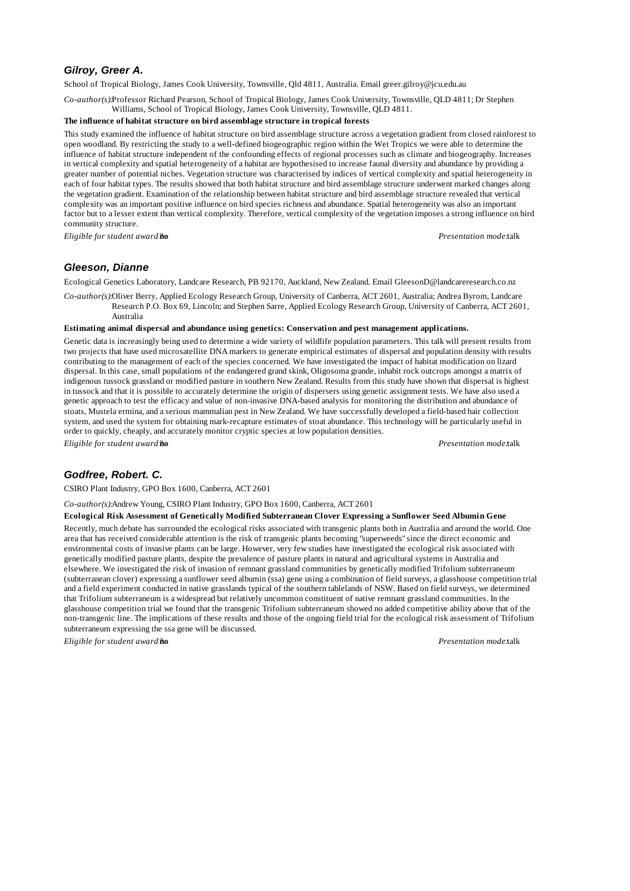# *Gilroy, Greer A.*

School of Tropical Biology, James Cook University, Townsville, Qld 4811, Australia. Email greer.gilroy@jcu.edu.au

*Co-author(s):*Professor Richard Pearson, School of Tropical Biology, James Cook University, Townsville, QLD 4811; Dr Stephen Williams, School of Tropical Biology, James Cook University, Townsville, QLD 4811.

### **The influence of habitat structure on bird assemblage structure in tropical forests**

This study examined the influence of habitat structure on bird assemblage structure across a vegetation gradient from closed rainforest to open woodland. By restricting the study to a well-defined biogeographic region within the Wet Tropics we were able to determine the influence of habitat structure independent of the confounding effects of regional processes such as climate and biogeography. Increases in vertical complexity and spatial heterogeneity of a habitat are hypothesised to increase faunal diversity and abundance by providing a greater number of potential niches. Vegetation structure was characterised by indices of vertical complexity and spatial heterogeneity in each of four habitat types. The results showed that both habitat structure and bird assemblage structure underwent marked changes along the vegetation gradient. Examination of the relationship between habitat structure and bird assemblage structure revealed that vertical complexity was an important positive influence on bird species richness and abundance. Spatial heterogeneity was also an important factor but to a lesser extent than vertical complexity. Therefore, vertical complexity of the vegetation imposes a strong influence on bird community structure.

*Eligible for student award?***no** *Presentation mode:*talk

# *Gleeson, Dianne*

Ecological Genetics Laboratory, Landcare Research, PB 92170, Auckland, New Zealand. Email GleesonD@landcareresearch.co.nz

*Co-author(s):*Oliver Berry, Applied Ecology Research Group, University of Canberra, ACT 2601, Australia; Andrea Byrom, Landcare Research P.O. Box 69, Lincoln; and Stephen Sarre, Applied Ecology Research Group, University of Canberra, ACT 2601, Australia

#### **Estimating animal dispersal and abundance using genetics: Conservation and pest management applications.**

Genetic data is increasingly being used to determine a wide variety of wildlife population parameters. This talk will present results from two projects that have used microsatellite DNA markers to generate empirical estimates of dispersal and population density with results contributing to the management of each of the species concerned. We have investigated the impact of habitat modification on lizard dispersal. In this case, small populations of the endangered grand skink, Oligosoma grande, inhabit rock outcrops amongst a matrix of indigenous tussock grassland or modified pasture in southern New Zealand. Results from this study have shown that dispersal is highest in tussock and that it is possible to accurately determine the origin of dispersers using genetic assignment tests. We have also used a genetic approach to test the efficacy and value of non-invasive DNA-based analysis for monitoring the distribution and abundance of stoats, Mustela ermina, and a serious mammalian pest in New Zealand. We have successfully developed a field-based hair collection system, and used the system for obtaining mark-recapture estimates of stoat abundance. This technology will be particularly useful in order to quickly, cheaply, and accurately monitor cryptic species at low population densities. *Eligible for student award?***no** *Presentation mode:*talk

# *Godfree, Robert. C.*

CSIRO Plant Industry, GPO Box 1600, Canberra, ACT 2601

*Co-author(s):*Andrew Young, CSIRO Plant Industry, GPO Box 1600, Canberra, ACT 2601

### **Ecological Risk Assessment of Genetically Modified Subterranean Clover Expressing a Sunflower Seed Albumin Gene**

Recently, much debate has surrounded the ecological risks associated with transgenic plants both in Australia and around the world. One area that has received considerable attention is the risk of transgenic plants becoming "superweeds" since the direct economic and environmental costs of invasive plants can be large. However, very few studies have investigated the ecological risk associated with genetically modified pasture plants, despite the prevalence of pasture plants in natural and agricultural systems in Australia and elsewhere. We investigated the risk of invasion of remnant grassland communities by genetically modified Trifolium subterraneum (subterranean clover) expressing a sunflower seed albumin (ssa) gene using a combination of field surveys, a glasshouse competition trial and a field experiment conducted in native grasslands typical of the southern tablelands of NSW. Based on field surveys, we determined that Trifolium subterraneum is a widespread but relatively uncommon constituent of native remnant grassland communities. In the glasshouse competition trial we found that the transgenic Trifolium subterraneum showed no added competitive ability above that of the non-transgenic line. The implications of these results and those of the ongoing field trial for the ecological risk assessment of Trifolium subterraneum expressing the ssa gene will be discussed.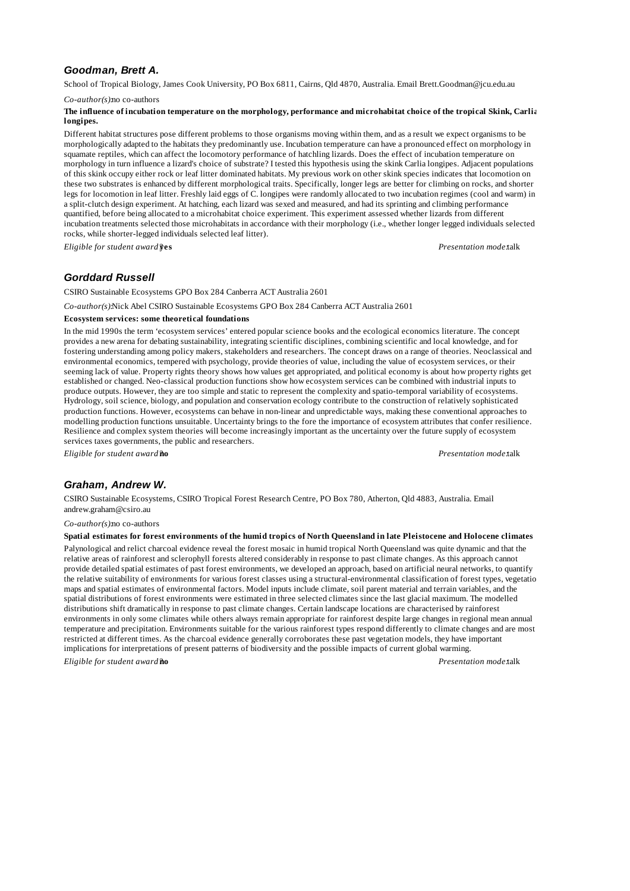# *Goodman, Brett A.*

School of Tropical Biology, James Cook University, PO Box 6811, Cairns, Qld 4870, Australia. Email Brett.Goodman@jcu.edu.au

*Co-author(s):*no co-authors

#### **The influence of incubation temperature on the morphology, performance and microhabitat choice of the tropical Skink, Carlia longipes.**

Different habitat structures pose different problems to those organisms moving within them, and as a result we expect organisms to be morphologically adapted to the habitats they predominantly use. Incubation temperature can have a pronounced effect on morphology in squamate reptiles, which can affect the locomotory performance of hatchling lizards. Does the effect of incubation temperature on morphology in turn influence a lizard's choice of substrate? I tested this hypothesis using the skink Carlia longipes. Adjacent populations of this skink occupy either rock or leaf litter dominated habitats. My previous work on other skink species indicates that locomotion on these two substrates is enhanced by different morphological traits. Specifically, longer legs are better for climbing on rocks, and shorter legs for locomotion in leaf litter. Freshly laid eggs of C. longipes were randomly allocated to two incubation regimes (cool and warm) in a split-clutch design experiment. At hatching, each lizard was sexed and measured, and had its sprinting and climbing performance quantified, before being allocated to a microhabitat choice experiment. This experiment assessed whether lizards from different incubation treatments selected those microhabitats in accordance with their morphology (i.e., whether longer legged individuals selected rocks, while shorter-legged individuals selected leaf litter).

*Eligible for student award?***yes** *Presentation mode:*talk

# *Gorddard Russell*

CSIRO Sustainable Ecosystems GPO Box 284 Canberra ACT Australia 2601

*Co-author(s):*Nick Abel CSIRO Sustainable Ecosystems GPO Box 284 Canberra ACT Australia 2601

### **Ecosystem services: some theoretical foundations**

In the mid 1990s the term 'ecosystem services' entered popular science books and the ecological economics literature. The concept provides a new arena for debating sustainability, integrating scientific disciplines, combining scientific and local knowledge, and for fostering understanding among policy makers, stakeholders and researchers. The concept draws on a range of theories. Neoclassical and environmental economics, tempered with psychology, provide theories of value, including the value of ecosystem services, or their seeming lack of value. Property rights theory shows how values get appropriated, and political economy is about how property rights get established or changed. Neo-classical production functions show how ecosystem services can be combined with industrial inputs to produce outputs. However, they are too simple and static to represent the complexity and spatio-temporal variability of ecosystems. Hydrology, soil science, biology, and population and conservation ecology contribute to the construction of relatively sophisticated production functions. However, ecosystems can behave in non-linear and unpredictable ways, making these conventional approaches to modelling production functions unsuitable. Uncertainty brings to the fore the importance of ecosystem attributes that confer resilience. Resilience and complex system theories will become increasingly important as the uncertainty over the future supply of ecosystem services taxes governments, the public and researchers.

*Eligible for student award?***no** *Presentation mode:*talk

# *Graham, Andrew W.*

CSIRO Sustainable Ecosystems, CSIRO Tropical Forest Research Centre, PO Box 780, Atherton, Qld 4883, Australia. Email andrew.graham@csiro.au

#### *Co-author(s):*no co-authors

### **Spatial estimates for forest environments of the humid tropics of North Queensland in late Pleistocene and Holocene climates**

Palynological and relict charcoal evidence reveal the forest mosaic in humid tropical North Queensland was quite dynamic and that the relative areas of rainforest and sclerophyll forests altered considerably in response to past climate changes. As this approach cannot provide detailed spatial estimates of past forest environments, we developed an approach, based on artificial neural networks, to quantify the relative suitability of environments for various forest classes using a structural-environmental classification of forest types, vegetation maps and spatial estimates of environmental factors. Model inputs include climate, soil parent material and terrain variables, and the spatial distributions of forest environments were estimated in three selected climates since the last glacial maximum. The modelled distributions shift dramatically in response to past climate changes. Certain landscape locations are characterised by rainforest environments in only some climates while others always remain appropriate for rainforest despite large changes in regional mean annual temperature and precipitation. Environments suitable for the various rainforest types respond differently to climate changes and are most restricted at different times. As the charcoal evidence generally corroborates these past vegetation models, they have important implications for interpretations of present patterns of biodiversity and the possible impacts of current global warming.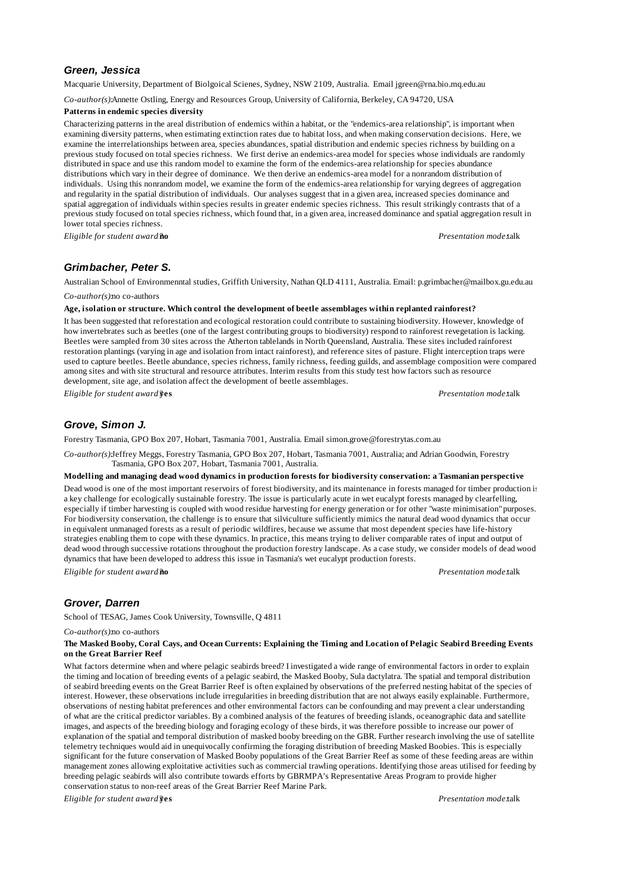### *Green, Jessica*

Macquarie University, Department of Biolgoical Scienes, Sydney, NSW 2109, Australia. Email jgreen@rna.bio.mq.edu.au

*Co-author(s):*Annette Ostling, Energy and Resources Group, University of California, Berkeley, CA 94720, USA

#### **Patterns in endemic species diversity**

Characterizing patterns in the areal distribution of endemics within a habitat, or the "endemics-area relationship", is important when examining diversity patterns, when estimating extinction rates due to habitat loss, and when making conservation decisions. Here, we examine the interrelationships between area, species abundances, spatial distribution and endemic species richness by building on a previous study focused on total species richness. We first derive an endemics-area model for species whose individuals are randomly distributed in space and use this random model to examine the form of the endemics-area relationship for species abundance distributions which vary in their degree of dominance. We then derive an endemics-area model for a nonrandom distribution of individuals. Using this nonrandom model, we examine the form of the endemics-area relationship for varying degrees of aggregation and regularity in the spatial distribution of individuals. Our analyses suggest that in a given area, increased species dominance and spatial aggregation of individuals within species results in greater endemic species richness. This result strikingly contrasts that of a previous study focused on total species richness, which found that, in a given area, increased dominance and spatial aggregation result in lower total species richness.

*Eligible for student award?***no** *Presentation mode:*talk

### *Grimbacher, Peter S.*

Australian School of Environmenntal studies, Griffith University, Nathan QLD 4111, Australia. Email: p.grimbacher@mailbox.gu.edu.au *Co-author(s):*no co-authors

#### **Age, isolation or structure. Which control the development of beetle assemblages within replanted rainforest?**

It has been suggested that reforestation and ecological restoration could contribute to sustaining biodiversity. However, knowledge of how invertebrates such as beetles (one of the largest contributing groups to biodiversity) respond to rainforest revegetation is lacking. Beetles were sampled from 30 sites across the Atherton tablelands in North Queensland, Australia. These sites included rainforest restoration plantings (varying in age and isolation from intact rainforest), and reference sites of pasture. Flight interception traps were used to capture beetles. Beetle abundance, species richness, family richness, feeding guilds, and assemblage composition were compared among sites and with site structural and resource attributes. Interim results from this study test how factors such as resource development, site age, and isolation affect the development of beetle assemblages.

*Eligible for student award?***yes** *Presentation mode:*talk

# *Grove, Simon J.*

Forestry Tasmania, GPO Box 207, Hobart, Tasmania 7001, Australia. Email simon.grove@forestrytas.com.au

*Co-author(s):*Jeffrey Meggs, Forestry Tasmania, GPO Box 207, Hobart, Tasmania 7001, Australia; and Adrian Goodwin, Forestry Tasmania, GPO Box 207, Hobart, Tasmania 7001, Australia.

### **Modelling and managing dead wood dynamics in production forests for biodiversity conservation: a Tasmanian perspective**

Dead wood is one of the most important reservoirs of forest biodiversity, and its maintenance in forests managed for timber production is a key challenge for ecologically sustainable forestry. The issue is particularly acute in wet eucalypt forests managed by clearfelling, especially if timber harvesting is coupled with wood residue harvesting for energy generation or for other "waste minimisation" purposes. For biodiversity conservation, the challenge is to ensure that silviculture sufficiently mimics the natural dead wood dynamics that occur in equivalent unmanaged forests as a result of periodic wildfires, because we assume that most dependent species have life-history strategies enabling them to cope with these dynamics. In practice, this means trying to deliver comparable rates of input and output of dead wood through successive rotations throughout the production forestry landscape. As a case study, we consider models of dead wood dynamics that have been developed to address this issue in Tasmania's wet eucalypt production forests.

*Eligible for student award?***no** *Presentation mode:*talk

# *Grover, Darren*

School of TESAG, James Cook University, Townsville, Q 4811

*Co-author(s):*no co-authors

### **The Masked Booby, Coral Cays, and Ocean Currents: Explaining the Timing and Location of Pelagic Seabird Breeding Events on the Great Barrier Reef**

What factors determine when and where pelagic seabirds breed? I investigated a wide range of environmental factors in order to explain the timing and location of breeding events of a pelagic seabird, the Masked Booby, Sula dactylatra. The spatial and temporal distribution of seabird breeding events on the Great Barrier Reef is often explained by observations of the preferred nesting habitat of the species of interest. However, these observations include irregularities in breeding distribution that are not always easily explainable. Furthermore, observations of nesting habitat preferences and other environmental factors can be confounding and may prevent a clear understanding of what are the critical predictor variables. By a combined analysis of the features of breeding islands, oceanographic data and satellite images, and aspects of the breeding biology and foraging ecology of these birds, it was therefore possible to increase our power of explanation of the spatial and temporal distribution of masked booby breeding on the GBR. Further research involving the use of satellite telemetry techniques would aid in unequivocally confirming the foraging distribution of breeding Masked Boobies. This is especially significant for the future conservation of Masked Booby populations of the Great Barrier Reef as some of these feeding areas are within management zones allowing exploitative activities such as commercial trawling operations. Identifying those areas utilised for feeding by breeding pelagic seabirds will also contribute towards efforts by GBRMPA's Representative Areas Program to provide higher conservation status to non-reef areas of the Great Barrier Reef Marine Park.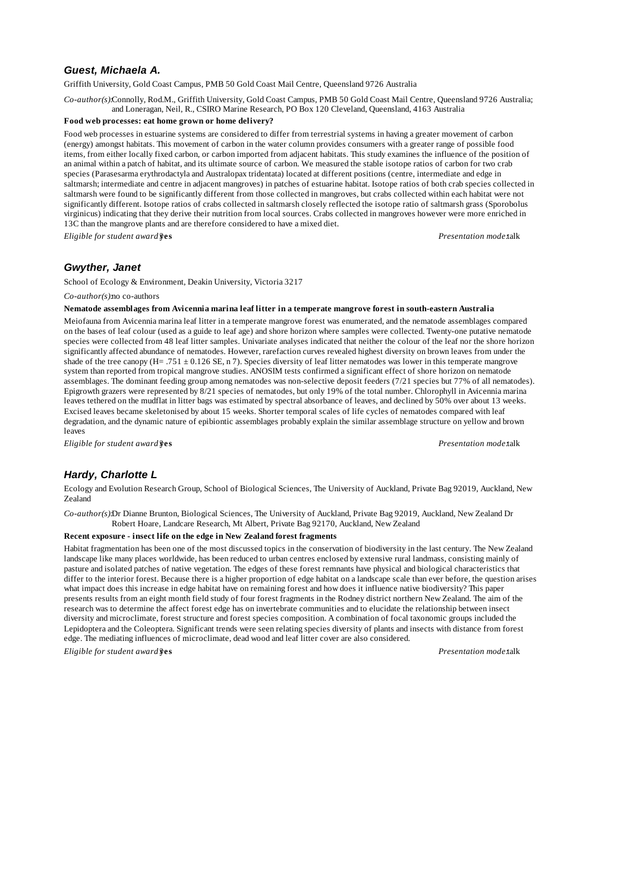# *Guest, Michaela A.*

Griffith University, Gold Coast Campus, PMB 50 Gold Coast Mail Centre, Queensland 9726 Australia

*Co-author(s):*Connolly, Rod.M., Griffith University, Gold Coast Campus, PMB 50 Gold Coast Mail Centre, Queensland 9726 Australia; and Loneragan, Neil, R., CSIRO Marine Research, PO Box 120 Cleveland, Queensland, 4163 Australia

### **Food web processes: eat home grown or home delivery?**

Food web processes in estuarine systems are considered to differ from terrestrial systems in having a greater movement of carbon (energy) amongst habitats. This movement of carbon in the water column provides consumers with a greater range of possible food items, from either locally fixed carbon, or carbon imported from adjacent habitats. This study examines the influence of the position of an animal within a patch of habitat, and its ultimate source of carbon. We measured the stable isotope ratios of carbon for two crab species (Parasesarma erythrodactyla and Australopax tridentata) located at different positions (centre, intermediate and edge in saltmarsh; intermediate and centre in adjacent mangroves) in patches of estuarine habitat. Isotope ratios of both crab species collected in saltmarsh were found to be significantly different from those collected in mangroves, but crabs collected within each habitat were not significantly different. Isotope ratios of crabs collected in saltmarsh closely reflected the isotope ratio of saltmarsh grass (Sporobolus virginicus) indicating that they derive their nutrition from local sources. Crabs collected in mangroves however were more enriched in 13C than the mangrove plants and are therefore considered to have a mixed diet.

*Eligible for student award?***yes** *Presentation mode:*talk

### *Gwyther, Janet*

School of Ecology & Environment, Deakin University, Victoria 3217

*Co-author(s):*no co-authors

**Nematode assemblages from Avicennia marina leaf litter in a temperate mangrove forest in south-eastern Australia**

Meiofauna from Avicennia marina leaf litter in a temperate mangrove forest was enumerated, and the nematode assemblages compared on the bases of leaf colour (used as a guide to leaf age) and shore horizon where samples were collected. Twenty-one putative nematode species were collected from 48 leaf litter samples. Univariate analyses indicated that neither the colour of the leaf nor the shore horizon significantly affected abundance of nematodes. However, rarefaction curves revealed highest diversity on brown leaves from under the shade of the tree canopy (H= .751 ± 0.126 SE, n 7). Species diversity of leaf litter nematodes was lower in this temperate mangrove system than reported from tropical mangrove studies. ANOSIM tests confirmed a significant effect of shore horizon on nematode assemblages. The dominant feeding group among nematodes was non-selective deposit feeders (7/21 species but 77% of all nematodes). Epigrowth grazers were represented by 8/21 species of nematodes, but only 19% of the total number. Chlorophyll in Avicennia marina leaves tethered on the mudflat in litter bags was estimated by spectral absorbance of leaves, and declined by 50% over about 13 weeks. Excised leaves became skeletonised by about 15 weeks. Shorter temporal scales of life cycles of nematodes compared with leaf degradation, and the dynamic nature of epibiontic assemblages probably explain the similar assemblage structure on yellow and brown leaves

*Eligible for student award?***yes** *Presentation mode:*talk

# *Hardy, Charlotte L*

Ecology and Evolution Research Group, School of Biological Sciences, The University of Auckland, Private Bag 92019, Auckland, New Zealand

*Co-author(s):*Dr Dianne Brunton, Biological Sciences, The University of Auckland, Private Bag 92019, Auckland, New Zealand Dr Robert Hoare, Landcare Research, Mt Albert, Private Bag 92170, Auckland, New Zealand

#### **Recent exposure - insect life on the edge in New Zealand forest fragments**

Habitat fragmentation has been one of the most discussed topics in the conservation of biodiversity in the last century. The New Zealand landscape like many places worldwide, has been reduced to urban centres enclosed by extensive rural landmass, consisting mainly of pasture and isolated patches of native vegetation. The edges of these forest remnants have physical and biological characteristics that differ to the interior forest. Because there is a higher proportion of edge habitat on a landscape scale than ever before, the question arises, what impact does this increase in edge habitat have on remaining forest and how does it influence native biodiversity? This paper presents results from an eight month field study of four forest fragments in the Rodney district northern New Zealand. The aim of the research was to determine the affect forest edge has on invertebrate communities and to elucidate the relationship between insect diversity and microclimate, forest structure and forest species composition. A combination of focal taxonomic groups included the Lepidoptera and the Coleoptera. Significant trends were seen relating species diversity of plants and insects with distance from forest edge. The mediating influences of microclimate, dead wood and leaf litter cover are also considered.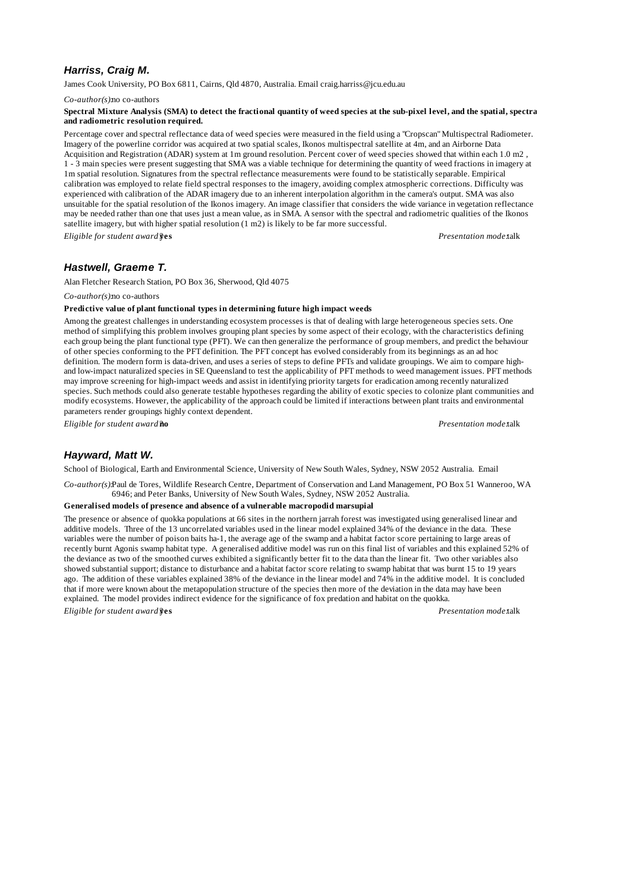# *Harriss, Craig M.*

James Cook University, PO Box 6811, Cairns, Qld 4870, Australia. Email craig.harriss@jcu.edu.au

*Co-author(s):*no co-authors

#### **Spectral Mixture Analysis (SMA) to detect the fractional quantity of weed species at the sub-pixel level, and the spatial, spectral and radiometric resolution required.**

Percentage cover and spectral reflectance data of weed species were measured in the field using a "Cropscan" Multispectral Radiometer. Imagery of the powerline corridor was acquired at two spatial scales, Ikonos multispectral satellite at 4m, and an Airborne Data Acquisition and Registration (ADAR) system at 1m ground resolution. Percent cover of weed species showed that within each 1.0 m2 , 1 - 3 main species were present suggesting that SMA was a viable technique for determining the quantity of weed fractions in imagery at 1m spatial resolution. Signatures from the spectral reflectance measurements were found to be statistically separable. Empirical calibration was employed to relate field spectral responses to the imagery, avoiding complex atmospheric corrections. Difficulty was experienced with calibration of the ADAR imagery due to an inherent interpolation algorithm in the camera's output. SMA was also unsuitable for the spatial resolution of the Ikonos imagery. An image classifier that considers the wide variance in vegetation reflectance may be needed rather than one that uses just a mean value, as in SMA. A sensor with the spectral and radiometric qualities of the Ikonos satellite imagery, but with higher spatial resolution (1 m2) is likely to be far more successful.

*Eligible for student award?***yes** *Presentation mode:*talk

# *Hastwell, Graeme T.*

Alan Fletcher Research Station, PO Box 36, Sherwood, Qld 4075

*Co-author(s):*no co-authors

#### **Predictive value of plant functional types in determining future high impact weeds**

Among the greatest challenges in understanding ecosystem processes is that of dealing with large heterogeneous species sets. One method of simplifying this problem involves grouping plant species by some aspect of their ecology, with the characteristics defining each group being the plant functional type (PFT). We can then generalize the performance of group members, and predict the behaviour of other species conforming to the PFT definition. The PFT concept has evolved considerably from its beginnings as an ad hoc definition. The modern form is data-driven, and uses a series of steps to define PFTs and validate groupings. We aim to compare highand low-impact naturalized species in SE Queensland to test the applicability of PFT methods to weed management issues. PFT methods may improve screening for high-impact weeds and assist in identifying priority targets for eradication among recently naturalized species. Such methods could also generate testable hypotheses regarding the ability of exotic species to colonize plant communities and modify ecosystems. However, the applicability of the approach could be limited if interactions between plant traits and environmental parameters render groupings highly context dependent.

*Eligible for student award?***no** *Presentation mode:*talk

# *Hayward, Matt W.*

School of Biological, Earth and Environmental Science, University of New South Wales, Sydney, NSW 2052 Australia. Email

*Co-author(s):*Paul de Tores, Wildlife Research Centre, Department of Conservation and Land Management, PO Box 51 Wanneroo, WA 6946; and Peter Banks, University of New South Wales, Sydney, NSW 2052 Australia.

#### **Generalised models of presence and absence of a vulnerable macropodid marsupial**

The presence or absence of quokka populations at 66 sites in the northern jarrah forest was investigated using generalised linear and additive models. Three of the 13 uncorrelated variables used in the linear model explained 34% of the deviance in the data. These variables were the number of poison baits ha-1, the average age of the swamp and a habitat factor score pertaining to large areas of recently burnt Agonis swamp habitat type. A generalised additive model was run on this final list of variables and this explained 52% of the deviance as two of the smoothed curves exhibited a significantly better fit to the data than the linear fit. Two other variables also showed substantial support; distance to disturbance and a habitat factor score relating to swamp habitat that was burnt 15 to 19 years ago. The addition of these variables explained 38% of the deviance in the linear model and 74% in the additive model. It is concluded that if more were known about the metapopulation structure of the species then more of the deviation in the data may have been explained. The model provides indirect evidence for the significance of fox predation and habitat on the quokka.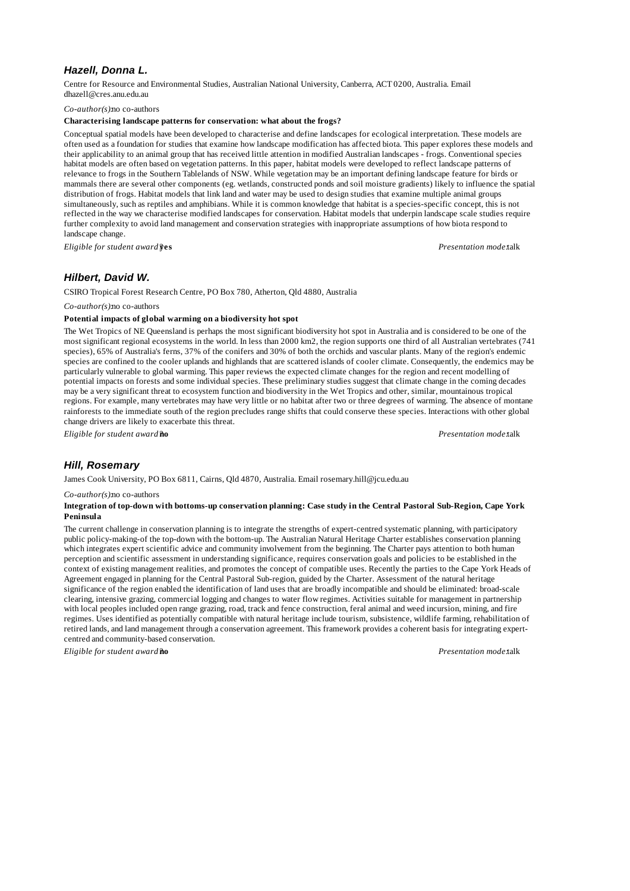# *Hazell, Donna L.*

Centre for Resource and Environmental Studies, Australian National University, Canberra, ACT 0200, Australia. Email dhazell@cres.anu.edu.au

### *Co-author(s):*no co-authors

### **Characterising landscape patterns for conservation: what about the frogs?**

Conceptual spatial models have been developed to characterise and define landscapes for ecological interpretation. These models are often used as a foundation for studies that examine how landscape modification has affected biota. This paper explores these models and their applicability to an animal group that has received little attention in modified Australian landscapes - frogs. Conventional species habitat models are often based on vegetation patterns. In this paper, habitat models were developed to reflect landscape patterns of relevance to frogs in the Southern Tablelands of NSW. While vegetation may be an important defining landscape feature for birds or mammals there are several other components (eg. wetlands, constructed ponds and soil moisture gradients) likely to influence the spatial distribution of frogs. Habitat models that link land and water may be used to design studies that examine multiple animal groups simultaneously, such as reptiles and amphibians. While it is common knowledge that habitat is a species-specific concept, this is not reflected in the way we characterise modified landscapes for conservation. Habitat models that underpin landscape scale studies require further complexity to avoid land management and conservation strategies with inappropriate assumptions of how biota respond to landscape change.

*Eligible for student award?***yes** *Presentation mode:*talk

# *Hilbert, David W.*

CSIRO Tropical Forest Research Centre, PO Box 780, Atherton, Qld 4880, Australia

### *Co-author(s):*no co-authors

# **Potential impacts of global warming on a biodiversity hot spot**

The Wet Tropics of NE Queensland is perhaps the most significant biodiversity hot spot in Australia and is considered to be one of the most significant regional ecosystems in the world. In less than 2000 km2, the region supports one third of all Australian vertebrates (741 species), 65% of Australia's ferns, 37% of the conifers and 30% of both the orchids and vascular plants. Many of the region's endemic species are confined to the cooler uplands and highlands that are scattered islands of cooler climate. Consequently, the endemics may be particularly vulnerable to global warming. This paper reviews the expected climate changes for the region and recent modelling of potential impacts on forests and some individual species. These preliminary studies suggest that climate change in the coming decades may be a very significant threat to ecosystem function and biodiversity in the Wet Tropics and other, similar, mountainous tropical regions. For example, many vertebrates may have very little or no habitat after two or three degrees of warming. The absence of montane rainforests to the immediate south of the region precludes range shifts that could conserve these species. Interactions with other global change drivers are likely to exacerbate this threat.

*Eligible for student award?***no** *Presentation mode:*talk

# *Hill, Rosemary*

James Cook University, PO Box 6811, Cairns, Qld 4870, Australia. Email rosemary.hill@jcu.edu.au

#### *Co-author(s):*no co-authors

#### **Integration of top-down with bottoms-up conservation planning: Case study in the Central Pastoral Sub-Region, Cape York Peninsula**

The current challenge in conservation planning is to integrate the strengths of expert-centred systematic planning, with participatory public policy-making-of the top-down with the bottom-up. The Australian Natural Heritage Charter establishes conservation planning which integrates expert scientific advice and community involvement from the beginning. The Charter pays attention to both human perception and scientific assessment in understanding significance, requires conservation goals and policies to be established in the context of existing management realities, and promotes the concept of compatible uses. Recently the parties to the Cape York Heads of Agreement engaged in planning for the Central Pastoral Sub-region, guided by the Charter. Assessment of the natural heritage significance of the region enabled the identification of land uses that are broadly incompatible and should be eliminated: broad-scale clearing, intensive grazing, commercial logging and changes to water flow regimes. Activities suitable for management in partnership with local peoples included open range grazing, road, track and fence construction, feral animal and weed incursion, mining, and fire regimes. Uses identified as potentially compatible with natural heritage include tourism, subsistence, wildlife farming, rehabilitation of retired lands, and land management through a conservation agreement. This framework provides a coherent basis for integrating expertcentred and community-based conservation.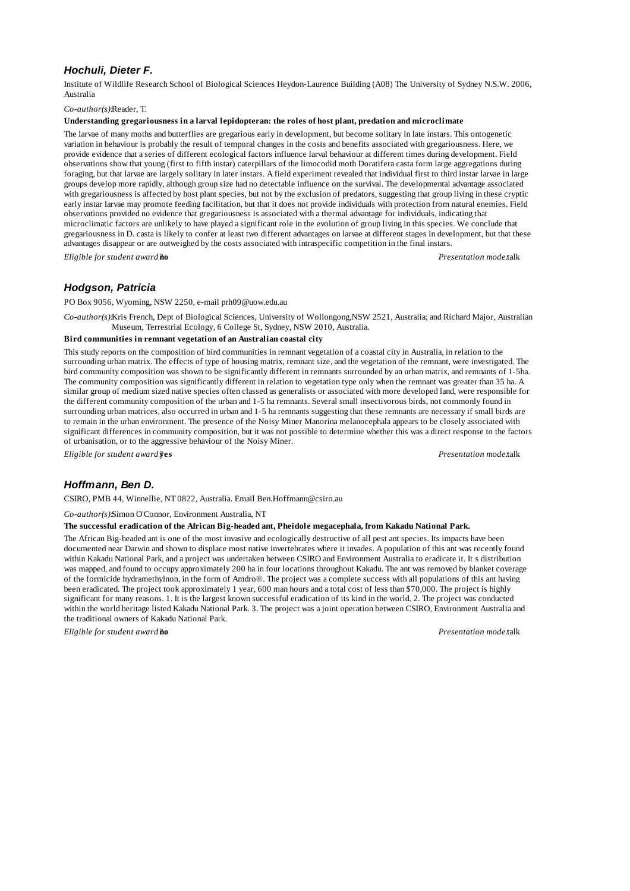# *Hochuli, Dieter F.*

Institute of Wildlife Research School of Biological Sciences Heydon-Laurence Building (A08) The University of Sydney N.S.W. 2006, Australia

### *Co-author(s):*Reader, T.

### **Understanding gregariousness in a larval lepidopteran: the roles of host plant, predation and microclimate**

The larvae of many moths and butterflies are gregarious early in development, but become solitary in late instars. This ontogenetic variation in behaviour is probably the result of temporal changes in the costs and benefits associated with gregariousness. Here, we provide evidence that a series of different ecological factors influence larval behaviour at different times during development. Field observations show that young (first to fifth instar) caterpillars of the limocodid moth Doratifera casta form large aggregations during foraging, but that larvae are largely solitary in later instars. A field experiment revealed that individual first to third instar larvae in large groups develop more rapidly, although group size had no detectable influence on the survival. The developmental advantage associated with gregariousness is affected by host plant species, but not by the exclusion of predators, suggesting that group living in these cryptic early instar larvae may promote feeding facilitation, but that it does not provide individuals with protection from natural enemies. Field observations provided no evidence that gregariousness is associated with a thermal advantage for individuals, indicating that microclimatic factors are unlikely to have played a significant role in the evolution of group living in this species. We conclude that gregariousness in D. casta is likely to confer at least two different advantages on larvae at different stages in development, but that these advantages disappear or are outweighed by the costs associated with intraspecific competition in the final instars. *Eligible for student award?***no** *Presentation mode:*talk

# *Hodgson, Patricia*

PO Box 9056, Wyoming, NSW 2250, e-mail prh09@uow.edu.au

*Co-author(s):*Kris French, Dept of Biological Sciences, University of Wollongong,NSW 2521, Australia; and Richard Major, Australian Museum, Terrestrial Ecology, 6 College St, Sydney, NSW 2010, Australia.

### **Bird communities in remnant vegetation of an Australian coastal city**

This study reports on the composition of bird communities in remnant vegetation of a coastal city in Australia, in relation to the surrounding urban matrix. The effects of type of housing matrix, remnant size, and the vegetation of the remnant, were investigated. The bird community composition was shown to be significantly different in remnants surrounded by an urban matrix, and remnants of 1-5ha. The community composition was significantly different in relation to vegetation type only when the remnant was greater than 35 ha. A similar group of medium sized native species often classed as generalists or associated with more developed land, were responsible for the different community composition of the urban and 1-5 ha remnants. Several small insectivorous birds, not commonly found in surrounding urban matrices, also occurred in urban and 1-5 ha remnants suggesting that these remnants are necessary if small birds are to remain in the urban environment. The presence of the Noisy Miner Manorina melanocephala appears to be closely associated with significant differences in community composition, but it was not possible to determine whether this was a direct response to the factors of urbanisation, or to the aggressive behaviour of the Noisy Miner.

*Eligible for student award?***yes** *Presentation mode:*talk

# *Hoffmann, Ben D.*

CSIRO, PMB 44, Winnellie, NT 0822, Australia. Email Ben.Hoffmann@csiro.au

*Co-author(s):*Simon O'Connor, Environment Australia, NT

### **The successful eradication of the African Big-headed ant, Pheidole megacephala, from Kakadu National Park.**

The African Big-headed ant is one of the most invasive and ecologically destructive of all pest ant species. Its impacts have been documented near Darwin and shown to displace most native invertebrates where it invades. A population of this ant was recently found within Kakadu National Park, and a project was undertaken between CSIRO and Environment Australia to eradicate it. It s distribution was mapped, and found to occupy approximately 200 ha in four locations throughout Kakadu. The ant was removed by blanket coverage of the formicide hydramethylnon, in the form of Amdro®. The project was a complete success with all populations of this ant having been eradicated. The project took approximately 1 year, 600 man hours and a total cost of less than \$70,000. The project is highly significant for many reasons. 1. It is the largest known successful eradication of its kind in the world. 2. The project was conducted within the world heritage listed Kakadu National Park. 3. The project was a joint operation between CSIRO, Environment Australia and the traditional owners of Kakadu National Park.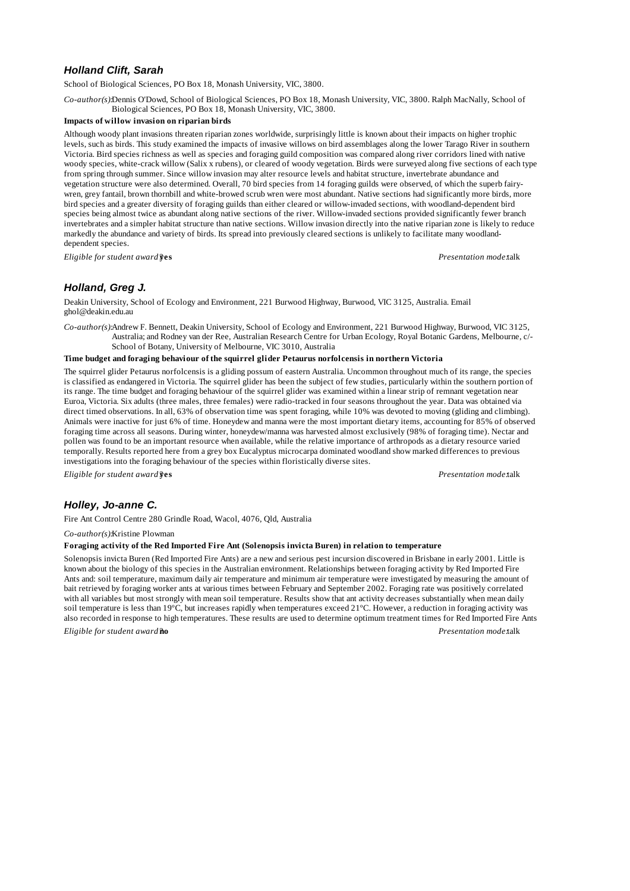# *Holland Clift, Sarah*

School of Biological Sciences, PO Box 18, Monash University, VIC, 3800.

*Co-author(s):*Dennis O'Dowd, School of Biological Sciences, PO Box 18, Monash University, VIC, 3800. Ralph MacNally, School of Biological Sciences, PO Box 18, Monash University, VIC, 3800.

### **Impacts of willow invasion on riparian birds**

Although woody plant invasions threaten riparian zones worldwide, surprisingly little is known about their impacts on higher trophic levels, such as birds. This study examined the impacts of invasive willows on bird assemblages along the lower Tarago River in southern Victoria. Bird species richness as well as species and foraging guild composition was compared along river corridors lined with native woody species, white-crack willow (Salix x rubens), or cleared of woody vegetation. Birds were surveyed along five sections of each type from spring through summer. Since willow invasion may alter resource levels and habitat structure, invertebrate abundance and vegetation structure were also determined. Overall, 70 bird species from 14 foraging guilds were observed, of which the superb fairywren, grey fantail, brown thornbill and white-browed scrub wren were most abundant. Native sections had significantly more birds, more bird species and a greater diversity of foraging guilds than either cleared or willow-invaded sections, with woodland-dependent bird species being almost twice as abundant along native sections of the river. Willow-invaded sections provided significantly fewer branch invertebrates and a simpler habitat structure than native sections. Willow invasion directly into the native riparian zone is likely to reduce markedly the abundance and variety of birds. Its spread into previously cleared sections is unlikely to facilitate many woodlanddependent species.

*Eligible for student award?***yes** *Presentation mode:*talk

## *Holland, Greg J.*

Deakin University, School of Ecology and Environment, 221 Burwood Highway, Burwood, VIC 3125, Australia. Email ghol@deakin.edu.au

*Co-author(s):*Andrew F. Bennett, Deakin University, School of Ecology and Environment, 221 Burwood Highway, Burwood, VIC 3125, Australia; and Rodney van der Ree, Australian Research Centre for Urban Ecology, Royal Botanic Gardens, Melbourne, c/- School of Botany, University of Melbourne, VIC 3010, Australia

#### **Time budget and foraging behaviour of the squirrel glider Petaurus norfolcensis in northern Victoria**

The squirrel glider Petaurus norfolcensis is a gliding possum of eastern Australia. Uncommon throughout much of its range, the species is classified as endangered in Victoria. The squirrel glider has been the subject of few studies, particularly within the southern portion of its range. The time budget and foraging behaviour of the squirrel glider was examined within a linear strip of remnant vegetation near Euroa, Victoria. Six adults (three males, three females) were radio-tracked in four seasons throughout the year. Data was obtained via direct timed observations. In all, 63% of observation time was spent foraging, while 10% was devoted to moving (gliding and climbing). Animals were inactive for just 6% of time. Honeydew and manna were the most important dietary items, accounting for 85% of observed foraging time across all seasons. During winter, honeydew/manna was harvested almost exclusively (98% of foraging time). Nectar and pollen was found to be an important resource when available, while the relative importance of arthropods as a dietary resource varied temporally. Results reported here from a grey box Eucalyptus microcarpa dominated woodland show marked differences to previous investigations into the foraging behaviour of the species within floristically diverse sites.

*Eligible for student award?***yes** *Presentation mode:*talk

# *Holley, Jo-anne C.*

Fire Ant Control Centre 280 Grindle Road, Wacol, 4076, Qld, Australia

*Co-author(s):*Kristine Plowman

#### **Foraging activity of the Red Imported Fire Ant (Solenopsis invicta Buren) in relation to temperature**

Solenopsis invicta Buren (Red Imported Fire Ants) are a new and serious pest incursion discovered in Brisbane in early 2001. Little is known about the biology of this species in the Australian environment. Relationships between foraging activity by Red Imported Fire Ants and: soil temperature, maximum daily air temperature and minimum air temperature were investigated by measuring the amount of bait retrieved by foraging worker ants at various times between February and September 2002. Foraging rate was positively correlated with all variables but most strongly with mean soil temperature. Results show that ant activity decreases substantially when mean daily soil temperature is less than 19°C, but increases rapidly when temperatures exceed 21°C. However, a reduction in foraging activity was also recorded in response to high temperatures. These results are used to determine optimum treatment times for Red Imported Fire Ants. *Eligible for student award?***no** *Presentation mode:*talk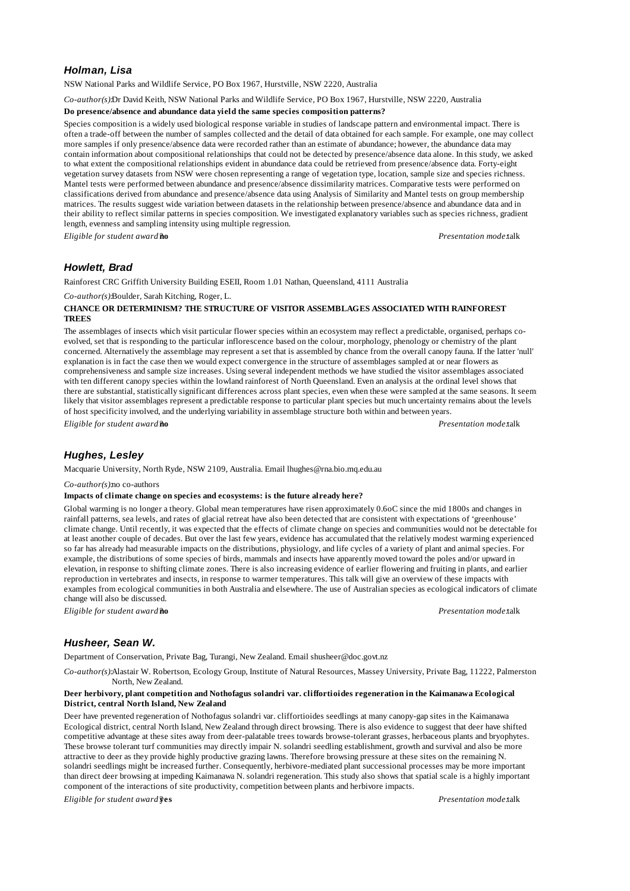## *Holman, Lisa*

NSW National Parks and Wildlife Service, PO Box 1967, Hurstville, NSW 2220, Australia

*Co-author(s):*Dr David Keith, NSW National Parks and Wildlife Service, PO Box 1967, Hurstville, NSW 2220, Australia

#### **Do presence/absence and abundance data yield the same species composition patterns?**

Species composition is a widely used biological response variable in studies of landscape pattern and environmental impact. There is often a trade-off between the number of samples collected and the detail of data obtained for each sample. For example, one may collect more samples if only presence/absence data were recorded rather than an estimate of abundance; however, the abundance data may contain information about compositional relationships that could not be detected by presence/absence data alone. In this study, we asked to what extent the compositional relationships evident in abundance data could be retrieved from presence/absence data. Forty-eight vegetation survey datasets from NSW were chosen representing a range of vegetation type, location, sample size and species richness. Mantel tests were performed between abundance and presence/absence dissimilarity matrices. Comparative tests were performed on classifications derived from abundance and presence/absence data using Analysis of Similarity and Mantel tests on group membership matrices. The results suggest wide variation between datasets in the relationship between presence/absence and abundance data and in their ability to reflect similar patterns in species composition. We investigated explanatory variables such as species richness, gradient length, evenness and sampling intensity using multiple regression.

*Eligible for student award?***no** *Presentation mode:*talk

# *Howlett, Brad*

Rainforest CRC Griffith University Building ESEII, Room 1.01 Nathan, Queensland, 4111 Australia

#### *Co-author(s):*Boulder, Sarah Kitching, Roger, L.

### **CHANCE OR DETERMINISM? THE STRUCTURE OF VISITOR ASSEMBLAGES ASSOCIATED WITH RAINFOREST TREES**

The assemblages of insects which visit particular flower species within an ecosystem may reflect a predictable, organised, perhaps coevolved, set that is responding to the particular inflorescence based on the colour, morphology, phenology or chemistry of the plant concerned. Alternatively the assemblage may represent a set that is assembled by chance from the overall canopy fauna. If the latter 'null' explanation is in fact the case then we would expect convergence in the structure of assemblages sampled at or near flowers as comprehensiveness and sample size increases. Using several independent methods we have studied the visitor assemblages associated with ten different canopy species within the lowland rainforest of North Queensland. Even an analysis at the ordinal level shows that there are substantial, statistically significant differences across plant species, even when these were sampled at the same seasons. It seems likely that visitor assemblages represent a predictable response to particular plant species but much uncertainty remains about the levels of host specificity involved, and the underlying variability in assemblage structure both within and between years.

*Eligible for student award?***no** *Presentation mode:*talk

# *Hughes, Lesley*

Macquarie University, North Ryde, NSW 2109, Australia. Email lhughes@rna.bio.mq.edu.au

*Co-author(s):*no co-authors

#### **Impacts of climate change on species and ecosystems: is the future already here?**

Global warming is no longer a theory. Global mean temperatures have risen approximately 0.6oC since the mid 1800s and changes in rainfall patterns, sea levels, and rates of glacial retreat have also been detected that are consistent with expectations of 'greenhouse' climate change. Until recently, it was expected that the effects of climate change on species and communities would not be detectable for at least another couple of decades. But over the last few years, evidence has accumulated that the relatively modest warming experienced so far has already had measurable impacts on the distributions, physiology, and life cycles of a variety of plant and animal species. For example, the distributions of some species of birds, mammals and insects have apparently moved toward the poles and/or upward in elevation, in response to shifting climate zones. There is also increasing evidence of earlier flowering and fruiting in plants, and earlier reproduction in vertebrates and insects, in response to warmer temperatures. This talk will give an overview of these impacts with examples from ecological communities in both Australia and elsewhere. The use of Australian species as ecological indicators of climate change will also be discussed.

*Eligible for student award?***no** *Presentation mode:*talk

## *Husheer, Sean W.*

Department of Conservation, Private Bag, Turangi, New Zealand. Email shusheer@doc.govt.nz

*Co-author(s):*Alastair W. Robertson, Ecology Group, Institute of Natural Resources, Massey University, Private Bag, 11222, Palmerston North, New Zealand.

#### **Deer herbivory, plant competition and Nothofagus solandri var. cliffortioides regeneration in the Kaimanawa Ecological District, central North Island, New Zealand**

Deer have prevented regeneration of Nothofagus solandri var. cliffortioides seedlings at many canopy-gap sites in the Kaimanawa Ecological district, central North Island, New Zealand through direct browsing. There is also evidence to suggest that deer have shifted competitive advantage at these sites away from deer-palatable trees towards browse-tolerant grasses, herbaceous plants and bryophytes. These browse tolerant turf communities may directly impair N. solandri seedling establishment, growth and survival and also be more attractive to deer as they provide highly productive grazing lawns. Therefore browsing pressure at these sites on the remaining N. solandri seedlings might be increased further. Consequently, herbivore-mediated plant successional processes may be more important than direct deer browsing at impeding Kaimanawa N. solandri regeneration. This study also shows that spatial scale is a highly important component of the interactions of site productivity, competition between plants and herbivore impacts.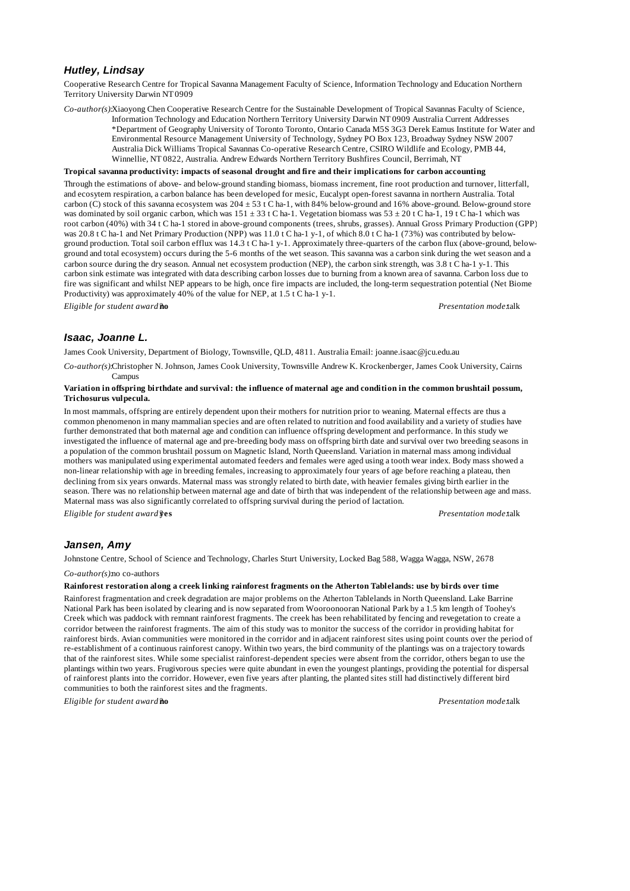## *Hutley, Lindsay*

Cooperative Research Centre for Tropical Savanna Management Faculty of Science, Information Technology and Education Northern Territory University Darwin NT 0909

*Co-author(s):*Xiaoyong Chen Cooperative Research Centre for the Sustainable Development of Tropical Savannas Faculty of Science,

Information Technology and Education Northern Territory University Darwin NT 0909 Australia Current Addresses \*Department of Geography University of Toronto Toronto, Ontario Canada M5S 3G3 Derek Eamus Institute for Water and Environmental Resource Management University of Technology, Sydney PO Box 123, Broadway Sydney NSW 2007 Australia Dick Williams Tropical Savannas Co-operative Research Centre, CSIRO Wildlife and Ecology, PMB 44, Winnellie, NT 0822, Australia. Andrew Edwards Northern Territory Bushfires Council, Berrimah, NT

#### **Tropical savanna productivity: impacts of seasonal drought and fire and their implications for carbon accounting**

Through the estimations of above- and below-ground standing biomass, biomass increment, fine root production and turnover, litterfall, and ecosytem respiration, a carbon balance has been developed for mesic, Eucalypt open-forest savanna in northern Australia. Total carbon (C) stock of this savanna ecosystem was 204 ± 53 t C ha-1, with 84% below-ground and 16% above-ground. Below-ground store was dominated by soil organic carbon, which was  $151 \pm 33$  t C ha-1. Vegetation biomass was  $53 \pm 20$  t C ha-1, 19 t C ha-1 which was root carbon (40%) with 34 t C ha-1 stored in above-ground components (trees, shrubs, grasses). Annual Gross Primary Production (GPP) was 20.8 t C ha-1 and Net Primary Production (NPP) was 11.0 t C ha-1 y-1, of which 8.0 t C ha-1 (73%) was contributed by belowground production. Total soil carbon efflux was 14.3 t C ha-1 y-1. Approximately three-quarters of the carbon flux (above-ground, belowground and total ecosystem) occurs during the 5-6 months of the wet season. This savanna was a carbon sink during the wet season and a carbon source during the dry season. Annual net ecosystem production (NEP), the carbon sink strength, was 3.8 t C ha-1 y-1. This carbon sink estimate was integrated with data describing carbon losses due to burning from a known area of savanna. Carbon loss due to fire was significant and whilst NEP appears to be high, once fire impacts are included, the long-term sequestration potential (Net Biome Productivity) was approximately 40% of the value for NEP, at 1.5 t C ha-1 y-1.

*Eligible for student award?***no** *Presentation mode:*talk

### *Isaac, Joanne L.*

James Cook University, Department of Biology, Townsville, QLD, 4811. Australia Email: joanne.isaac@jcu.edu.au

*Co-author(s):*Christopher N. Johnson, James Cook University, Townsville Andrew K. Krockenberger, James Cook University, Cairns Campus

#### **Variation in offspring birthdate and survival: the influence of maternal age and condition in the common brushtail possum, Trichosurus vulpecula.**

In most mammals, offspring are entirely dependent upon their mothers for nutrition prior to weaning. Maternal effects are thus a common phenomenon in many mammalian species and are often related to nutrition and food availability and a variety of studies have further demonstrated that both maternal age and condition can influence offspring development and performance. In this study we investigated the influence of maternal age and pre-breeding body mass on offspring birth date and survival over two breeding seasons in a population of the common brushtail possum on Magnetic Island, North Queensland. Variation in maternal mass among individual mothers was manipulated using experimental automated feeders and females were aged using a tooth wear index. Body mass showed a non-linear relationship with age in breeding females, increasing to approximately four years of age before reaching a plateau, then declining from six years onwards. Maternal mass was strongly related to birth date, with heavier females giving birth earlier in the season. There was no relationship between maternal age and date of birth that was independent of the relationship between age and mass. Maternal mass was also significantly correlated to offspring survival during the period of lactation.

*Eligible for student award?***yes** *Presentation mode:*talk

## *Jansen, Amy*

Johnstone Centre, School of Science and Technology, Charles Sturt University, Locked Bag 588, Wagga Wagga, NSW, 2678

### *Co-author(s):*no co-authors

### **Rainforest restoration along a creek linking rainforest fragments on the Atherton Tablelands: use by birds over time**

Rainforest fragmentation and creek degradation are major problems on the Atherton Tablelands in North Queensland. Lake Barrine National Park has been isolated by clearing and is now separated from Wooroonooran National Park by a 1.5 km length of Toohey's Creek which was paddock with remnant rainforest fragments. The creek has been rehabilitated by fencing and revegetation to create a corridor between the rainforest fragments. The aim of this study was to monitor the success of the corridor in providing habitat for rainforest birds. Avian communities were monitored in the corridor and in adjacent rainforest sites using point counts over the period of re-establishment of a continuous rainforest canopy. Within two years, the bird community of the plantings was on a trajectory towards that of the rainforest sites. While some specialist rainforest-dependent species were absent from the corridor, others began to use the plantings within two years. Frugivorous species were quite abundant in even the youngest plantings, providing the potential for dispersal of rainforest plants into the corridor. However, even five years after planting, the planted sites still had distinctively different bird communities to both the rainforest sites and the fragments.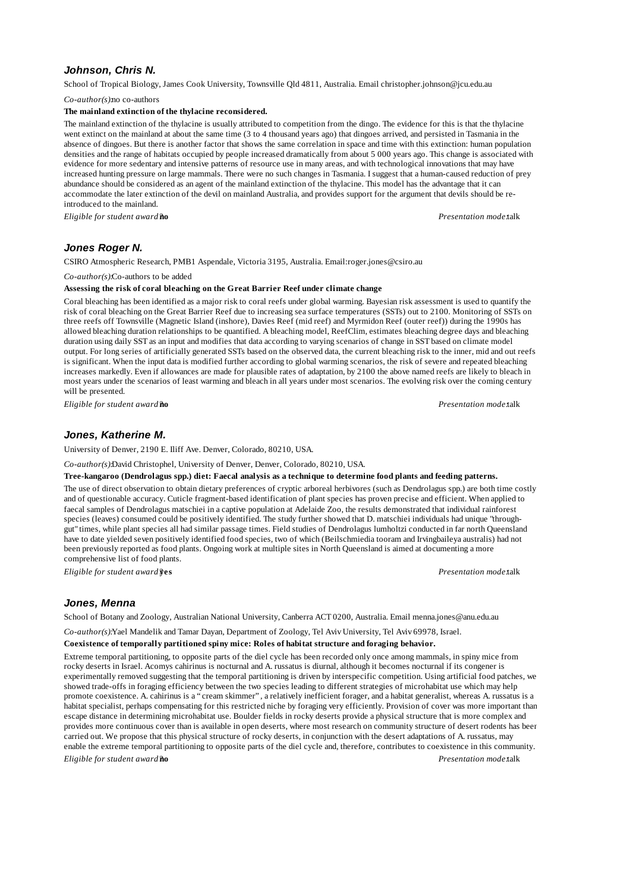# *Johnson, Chris N.*

School of Tropical Biology, James Cook University, Townsville Qld 4811, Australia. Email christopher.johnson@jcu.edu.au

*Co-author(s):*no co-authors

# **The mainland extinction of the thylacine reconsidered.**

The mainland extinction of the thylacine is usually attributed to competition from the dingo. The evidence for this is that the thylacine went extinct on the mainland at about the same time (3 to 4 thousand years ago) that dingoes arrived, and persisted in Tasmania in the absence of dingoes. But there is another factor that shows the same correlation in space and time with this extinction: human population densities and the range of habitats occupied by people increased dramatically from about 5 000 years ago. This change is associated with evidence for more sedentary and intensive patterns of resource use in many areas, and with technological innovations that may have increased hunting pressure on large mammals. There were no such changes in Tasmania. I suggest that a human-caused reduction of prey abundance should be considered as an agent of the mainland extinction of the thylacine. This model has the advantage that it can accommodate the later extinction of the devil on mainland Australia, and provides support for the argument that devils should be reintroduced to the mainland.

*Eligible for student award?***no** *Presentation mode:*talk

# *Jones Roger N.*

CSIRO Atmospheric Research, PMB1 Aspendale, Victoria 3195, Australia. Email:roger.jones@csiro.au

### *Co-author(s):*Co-authors to be added

#### **Assessing the risk of coral bleaching on the Great Barrier Reef under climate change**

Coral bleaching has been identified as a major risk to coral reefs under global warming. Bayesian risk assessment is used to quantify the risk of coral bleaching on the Great Barrier Reef due to increasing sea surface temperatures (SSTs) out to 2100. Monitoring of SSTs on three reefs off Townsville (Magnetic Island (inshore), Davies Reef (mid reef) and Myrmidon Reef (outer reef)) during the 1990s has allowed bleaching duration relationships to be quantified. A bleaching model, ReefClim, estimates bleaching degree days and bleaching duration using daily SST as an input and modifies that data according to varying scenarios of change in SST based on climate model output. For long series of artificially generated SSTs based on the observed data, the current bleaching risk to the inner, mid and out reefs is significant. When the input data is modified further according to global warming scenarios, the risk of severe and repeated bleaching increases markedly. Even if allowances are made for plausible rates of adaptation, by 2100 the above named reefs are likely to bleach in most years under the scenarios of least warming and bleach in all years under most scenarios. The evolving risk over the coming century will be presented.

*Eligible for student award?***no** *Presentation mode:*talk

# *Jones, Katherine M.*

University of Denver, 2190 E. Iliff Ave. Denver, Colorado, 80210, USA.

*Co-author(s):*David Christophel, University of Denver, Denver, Colorado, 80210, USA.

**Tree-kangaroo (Dendrolagus spp.) diet: Faecal analysis as a technique to determine food plants and feeding patterns.**

The use of direct observation to obtain dietary preferences of cryptic arboreal herbivores (such as Dendrolagus spp.) are both time costly and of questionable accuracy. Cuticle fragment-based identification of plant species has proven precise and efficient. When applied to faecal samples of Dendrolagus matschiei in a captive population at Adelaide Zoo, the results demonstrated that individual rainforest species (leaves) consumed could be positively identified. The study further showed that D. matschiei individuals had unique "throughgut" times, while plant species all had similar passage times. Field studies of Dendrolagus lumholtzi conducted in far north Queensland have to date yielded seven positively identified food species, two of which (Beilschmiedia tooram and Irvingbaileya australis) had not been previously reported as food plants. Ongoing work at multiple sites in North Queensland is aimed at documenting a more comprehensive list of food plants.

*Eligible for student award?***yes** *Presentation mode:*talk

## *Jones, Menna*

School of Botany and Zoology, Australian National University, Canberra ACT 0200, Australia. Email menna.jones@anu.edu.au

*Co-author(s):*Yael Mandelik and Tamar Dayan, Department of Zoology, Tel Aviv University, Tel Aviv 69978, Israel.

**Coexistence of temporally partitioned spiny mice: Roles of habitat structure and foraging behavior.**

Extreme temporal partitioning, to opposite parts of the diel cycle has been recorded only once among mammals, in spiny mice from rocky deserts in Israel. Acomys cahirinus is nocturnal and A. russatus is diurnal, although it becomes nocturnal if its congener is experimentally removed suggesting that the temporal partitioning is driven by interspecific competition. Using artificial food patches, we showed trade-offs in foraging efficiency between the two species leading to different strategies of microhabitat use which may help promote coexistence. A. cahirinus is a "cream skimmer", a relatively inefficient forager, and a habitat generalist, whereas A. russatus is a habitat specialist, perhaps compensating for this restricted niche by foraging very efficiently. Provision of cover was more important than escape distance in determining microhabitat use. Boulder fields in rocky deserts provide a physical structure that is more complex and provides more continuous cover than is available in open deserts, where most research on community structure of desert rodents has been carried out. We propose that this physical structure of rocky deserts, in conjunction with the desert adaptations of A. russatus, may enable the extreme temporal partitioning to opposite parts of the diel cycle and, therefore, contributes to coexistence in this community. *Eligible for student award?***no** *Presentation mode:*talk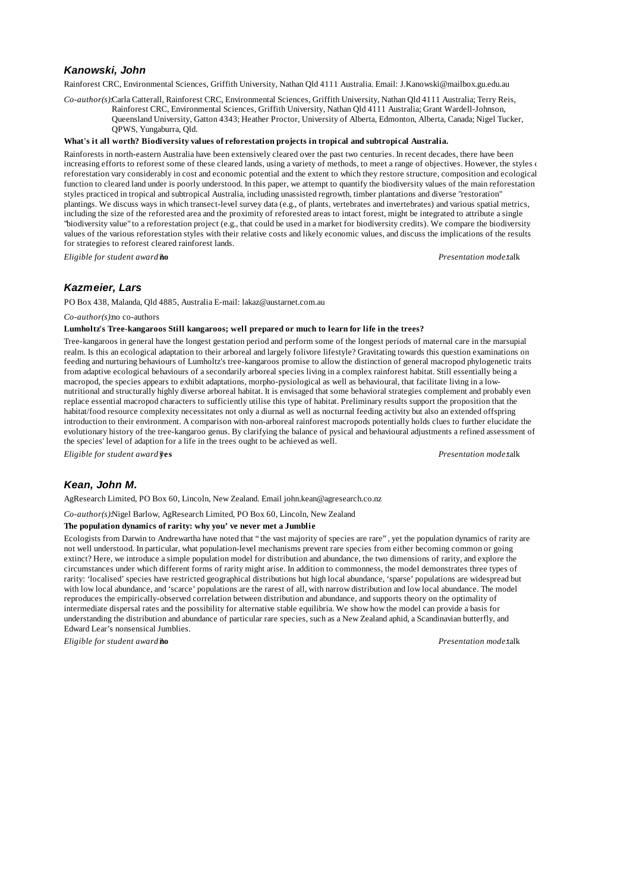## *Kanowski, John*

Rainforest CRC, Environmental Sciences, Griffith University, Nathan Qld 4111 Australia. Email: J.Kanowski@mailbox.gu.edu.au

*Co-author(s):*Carla Catterall, Rainforest CRC, Environmental Sciences, Griffith University, Nathan Qld 4111 Australia; Terry Reis, Rainforest CRC, Environmental Sciences, Griffith University, Nathan Qld 4111 Australia; Grant Wardell-Johnson, Queensland University, Gatton 4343; Heather Proctor, University of Alberta, Edmonton, Alberta, Canada; Nigel Tucker, QPWS, Yungaburra, Qld.

#### **What's it all worth? Biodiversity values of reforestation projects in tropical and subtropical Australia.**

Rainforests in north-eastern Australia have been extensively cleared over the past two centuries. In recent decades, there have been increasing efforts to reforest some of these cleared lands, using a variety of methods, to meet a range of objectives. However, the styles  $\epsilon$ reforestation vary considerably in cost and economic potential and the extent to which they restore structure, composition and ecological function to cleared land under is poorly understood. In this paper, we attempt to quantify the biodiversity values of the main reforestation styles practiced in tropical and subtropical Australia, including unassisted regrowth, timber plantations and diverse "restoration" plantings. We discuss ways in which transect-level survey data (e.g., of plants, vertebrates and invertebrates) and various spatial metrics, including the size of the reforested area and the proximity of reforested areas to intact forest, might be integrated to attribute a single "biodiversity value" to a reforestation project (e.g., that could be used in a market for biodiversity credits). We compare the biodiversity values of the various reforestation styles with their relative costs and likely economic values, and discuss the implications of the results for strategies to reforest cleared rainforest lands.

*Eligible for student award?***no** *Presentation mode:*talk

## *Kazmeier, Lars*

PO Box 438, Malanda, Qld 4885, Australia E-mail: lakaz@austarnet.com.au

*Co-author(s):*no co-authors

### **Lumholtz's Tree-kangaroos Still kangaroos; well prepared or much to learn for life in the trees?**

Tree-kangaroos in general have the longest gestation period and perform some of the longest periods of maternal care in the marsupial realm. Is this an ecological adaptation to their arboreal and largely folivore lifestyle? Gravitating towards this question examinations on feeding and nurturing behaviours of Lumholtz's tree-kangaroos promise to allow the distinction of general macropod phylogenetic traits from adaptive ecological behaviours of a secondarily arboreal species living in a complex rainforest habitat. Still essentially being a macropod, the species appears to exhibit adaptations, morpho-pysiological as well as behavioural, that facilitate living in a lownutritional and structurally highly diverse arboreal habitat. It is envisaged that some behavioral strategies complement and probably even replace essential macropod characters to sufficiently utilise this type of habitat. Preliminary results support the proposition that the habitat/food resource complexity necessitates not only a diurnal as well as nocturnal feeding activity but also an extended offspring introduction to their environment. A comparison with non-arboreal rainforest macropods potentially holds clues to further elucidate the evolutionary history of the tree-kangaroo genus. By clarifying the balance of pysical and behavioural adjustments a refined assessment of the species' level of adaption for a life in the trees ought to be achieved as well.

*Eligible for student award?***yes** *Presentation mode:*talk

## *Kean, John M.*

AgResearch Limited, PO Box 60, Lincoln, New Zealand. Email john.kean@agresearch.co.nz

*Co-author(s):*Nigel Barlow, AgResearch Limited, PO Box 60, Lincoln, New Zealand

### **The population dynamics of rarity: why you've never met a Jumblie**

Ecologists from Darwin to Andrewartha have noted that "the vast majority of species are rare", yet the population dynamics of rarity are not well understood. In particular, what population-level mechanisms prevent rare species from either becoming common or going extinct? Here, we introduce a simple population model for distribution and abundance, the two dimensions of rarity, and explore the circumstances under which different forms of rarity might arise. In addition to commonness, the model demonstrates three types of rarity: 'localised' species have restricted geographical distributions but high local abundance, 'sparse' populations are widespread but with low local abundance, and 'scarce' populations are the rarest of all, with narrow distribution and low local abundance. The model reproduces the empirically-observed correlation between distribution and abundance, and supports theory on the optimality of intermediate dispersal rates and the possibility for alternative stable equilibria. We show how the model can provide a basis for understanding the distribution and abundance of particular rare species, such as a New Zealand aphid, a Scandinavian butterfly, and Edward Lear's nonsensical Jumblies.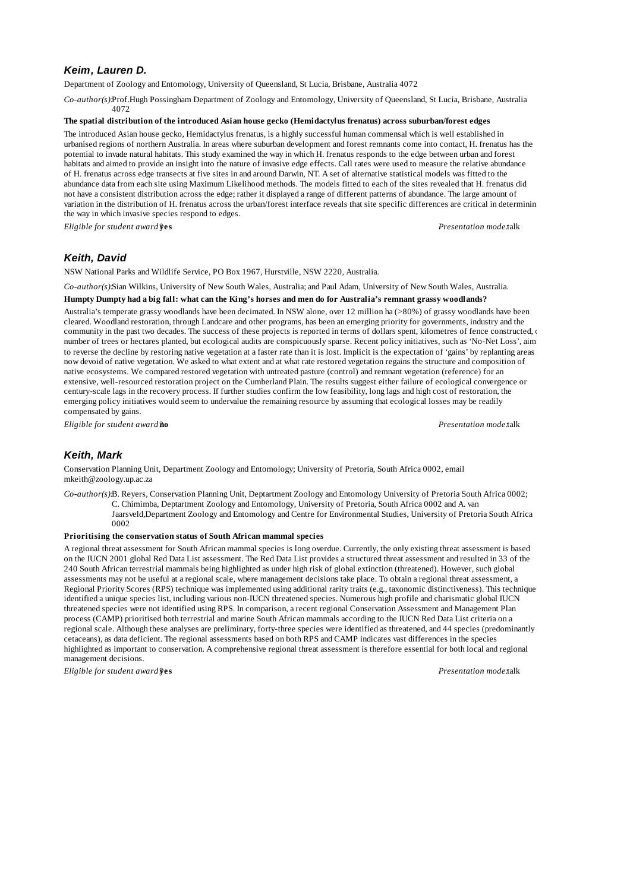# *Keim, Lauren D.*

Department of Zoology and Entomology, University of Queensland, St Lucia, Brisbane, Australia 4072

*Co-author(s):*Prof.Hugh Possingham Department of Zoology and Entomology, University of Queensland, St Lucia, Brisbane, Australia 4072

### **The spatial distribution of the introduced Asian house gecko (Hemidactylus frenatus) across suburban/forest edges**

The introduced Asian house gecko, Hemidactylus frenatus, is a highly successful human commensal which is well established in urbanised regions of northern Australia. In areas where suburban development and forest remnants come into contact, H. frenatus has the potential to invade natural habitats. This study examined the way in which H. frenatus responds to the edge between urban and forest habitats and aimed to provide an insight into the nature of invasive edge effects. Call rates were used to measure the relative abundance of H. frenatus across edge transects at five sites in and around Darwin, NT. A set of alternative statistical models was fitted to the abundance data from each site using Maximum Likelihood methods. The models fitted to each of the sites revealed that H. frenatus did not have a consistent distribution across the edge; rather it displayed a range of different patterns of abundance. The large amount of variation in the distribution of H. frenatus across the urban/forest interface reveals that site specific differences are critical in determining the way in which invasive species respond to edges.

*Eligible for student award?***yes** *Presentation mode:*talk

## *Keith, David*

NSW National Parks and Wildlife Service, PO Box 1967, Hurstville, NSW 2220, Australia.

*Co-author(s):*Sian Wilkins, University of New South Wales, Australia; and Paul Adam, University of New South Wales, Australia. **Humpty Dumpty had a big fall: what can the King's horses and men do for Australia's remnant grassy woodlands?**

Australia's temperate grassy woodlands have been decimated. In NSW alone, over 12 million ha (>80%) of grassy woodlands have been cleared. Woodland restoration, through Landcare and other programs, has been an emerging priority for governments, industry and the community in the past two decades. The success of these projects is reported in terms of dollars spent, kilometres of fence constructed, number of trees or hectares planted, but ecological audits are conspicuously sparse. Recent policy initiatives, such as 'No-Net Loss', aim to reverse the decline by restoring native vegetation at a faster rate than it is lost. Implicit is the expectation of 'gains' by replanting areas now devoid of native vegetation. We asked to what extent and at what rate restored vegetation regains the structure and composition of native ecosystems. We compared restored vegetation with untreated pasture (control) and remnant vegetation (reference) for an extensive, well-resourced restoration project on the Cumberland Plain. The results suggest either failure of ecological convergence or century-scale lags in the recovery process. If further studies confirm the low feasibility, long lags and high cost of restoration, the emerging policy initiatives would seem to undervalue the remaining resource by assuming that ecological losses may be readily compensated by gains.

*Eligible for student award?***no** *Presentation mode:*talk

## *Keith, Mark*

Conservation Planning Unit, Department Zoology and Entomology; University of Pretoria, South Africa 0002, email mkeith@zoology.up.ac.za

*Co-author(s):*B. Reyers, Conservation Planning Unit, Deptartment Zoology and Entomology University of Pretoria South Africa 0002; C. Chimimba, Deptartment Zoology and Entomology, University of Pretoria, South Africa 0002 and A. van Jaarsveld,Department Zoology and Entomology and Centre for Environmental Studies, University of Pretoria South Africa 0002

### **Prioritising the conservation status of South African mammal species**

A regional threat assessment for South African mammal species is long overdue. Currently, the only existing threat assessment is based on the IUCN 2001 global Red Data List assessment. The Red Data List provides a structured threat assessment and resulted in 33 of the 240 South African terrestrial mammals being highlighted as under high risk of global extinction (threatened). However, such global assessments may not be useful at a regional scale, where management decisions take place. To obtain a regional threat assessment, a Regional Priority Scores (RPS) technique was implemented using additional rarity traits (e.g., taxonomic distinctiveness). This technique identified a unique species list, including various non-IUCN threatened species. Numerous high profile and charismatic global IUCN threatened species were not identified using RPS. In comparison, a recent regional Conservation Assessment and Management Plan process (CAMP) prioritised both terrestrial and marine South African mammals according to the IUCN Red Data List criteria on a regional scale. Although these analyses are preliminary, forty-three species were identified as threatened, and 44 species (predominantly cetaceans), as data deficient. The regional assessments based on both RPS and CAMP indicates vast differences in the species highlighted as important to conservation. A comprehensive regional threat assessment is therefore essential for both local and regional management decisions.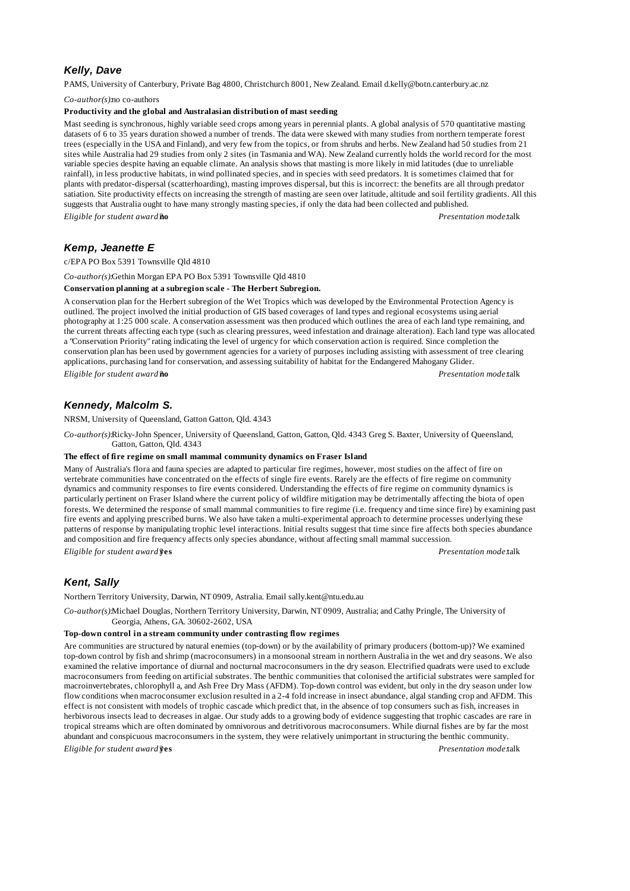# *Kelly, Dave*

PAMS, University of Canterbury, Private Bag 4800, Christchurch 8001, New Zealand. Email d.kelly@botn.canterbury.ac.nz

*Co-author(s):*no co-authors

#### **Productivity and the global and Australasian distribution of mast seeding**

Mast seeding is synchronous, highly variable seed crops among years in perennial plants. A global analysis of 570 quantitative masting datasets of 6 to 35 years duration showed a number of trends. The data were skewed with many studies from northern temperate forest trees (especially in the USA and Finland), and very few from the topics, or from shrubs and herbs. New Zealand had 50 studies from 21 sites while Australia had 29 studies from only 2 sites (in Tasmania and WA). New Zealand currently holds the world record for the most variable species despite having an equable climate. An analysis shows that masting is more likely in mid latitudes (due to unreliable rainfall), in less productive habitats, in wind pollinated species, and in species with seed predators. It is sometimes claimed that for plants with predator-dispersal (scatterhoarding), masting improves dispersal, but this is incorrect: the benefits are all through predator satiation. Site productivity effects on increasing the strength of masting are seen over latitude, altitude and soil fertility gradients. All this suggests that Australia ought to have many strongly masting species, if only the data had been collected and published. *Eligible for student award?***no** *Presentation mode:*talk

# *Kemp, Jeanette E*

c/EPA PO Box 5391 Townsville Qld 4810

*Co-author(s):*Gethin Morgan EPA PO Box 5391 Townsville Qld 4810

#### **Conservation planning at a subregion scale - The Herbert Subregion.**

A conservation plan for the Herbert subregion of the Wet Tropics which was developed by the Environmental Protection Agency is outlined. The project involved the initial production of GIS based coverages of land types and regional ecosystems using aerial photography at 1:25 000 scale. A conservation assessment was then produced which outlines the area of each land type remaining, and the current threats affecting each type (such as clearing pressures, weed infestation and drainage alteration). Each land type was allocated a "Conservation Priority" rating indicating the level of urgency for which conservation action is required. Since completion the conservation plan has been used by government agencies for a variety of purposes including assisting with assessment of tree clearing applications, purchasing land for conservation, and assessing suitability of habitat for the Endangered Mahogany Glider. *Eligible for student award?***no** *Presentation mode:*talk

# *Kennedy, Malcolm S.*

NRSM, University of Queensland, Gatton Gatton, Qld. 4343

*Co-author(s):*Ricky-John Spencer, University of Queensland, Gatton, Gatton, Qld. 4343 Greg S. Baxter, University of Queensland, Gatton, Gatton, Qld. 4343

### **The effect of fire regime on small mammal community dynamics on Fraser Island**

Many of Australia's flora and fauna species are adapted to particular fire regimes, however, most studies on the affect of fire on vertebrate communities have concentrated on the effects of single fire events. Rarely are the effects of fire regime on community dynamics and community responses to fire events considered. Understanding the effects of fire regime on community dynamics is particularly pertinent on Fraser Island where the current policy of wildfire mitigation may be detrimentally affecting the biota of open forests. We determined the response of small mammal communities to fire regime (i.e. frequency and time since fire) by examining past fire events and applying prescribed burns. We also have taken a multi-experimental approach to determine processes underlying these patterns of response by manipulating trophic level interactions. Initial results suggest that time since fire affects both species abundance and composition and fire frequency affects only species abundance, without affecting small mammal succession.

*Eligible for student award?***yes** *Presentation mode:*talk

## *Kent, Sally*

Northern Territory University, Darwin, NT 0909, Astralia. Email sally.kent@ntu.edu.au

*Co-author(s):*Michael Douglas, Northern Territory University, Darwin, NT 0909, Australia; and Cathy Pringle, The University of Georgia, Athens, GA. 30602-2602, USA

## **Top-down control in a stream community under contrasting flow regimes**

Are communities are structured by natural enemies (top-down) or by the availability of primary producers (bottom-up)? We examined top-down control by fish and shrimp (macroconsumers) in a monsoonal stream in northern Australia in the wet and dry seasons. We also examined the relative importance of diurnal and nocturnal macroconsumers in the dry season. Electrified quadrats were used to exclude macroconsumers from feeding on artificial substrates. The benthic communities that colonised the artificial substrates were sampled for macroinvertebrates, chlorophyll a, and Ash Free Dry Mass (AFDM). Top-down control was evident, but only in the dry season under low flow conditions when macroconsumer exclusion resulted in a 2-4 fold increase in insect abundance, algal standing crop and AFDM. This effect is not consistent with models of trophic cascade which predict that, in the absence of top consumers such as fish, increases in herbivorous insects lead to decreases in algae. Our study adds to a growing body of evidence suggesting that trophic cascades are rare in tropical streams which are often dominated by omnivorous and detritivorous macroconsumers. While diurnal fishes are by far the most abundant and conspicuous macroconsumers in the system, they were relatively unimportant in structuring the benthic community.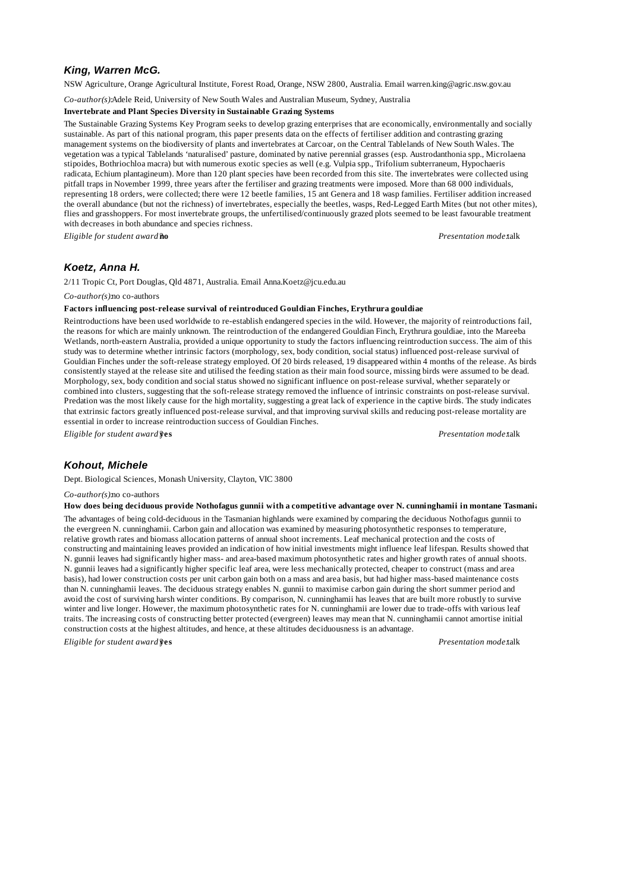# *King, Warren McG.*

NSW Agriculture, Orange Agricultural Institute, Forest Road, Orange, NSW 2800, Australia. Email warren.king@agric.nsw.gov.au

*Co-author(s):*Adele Reid, University of New South Wales and Australian Museum, Sydney, Australia

### **Invertebrate and Plant Species Diversity in Sustainable Grazing Systems**

The Sustainable Grazing Systems Key Program seeks to develop grazing enterprises that are economically, environmentally and socially sustainable. As part of this national program, this paper presents data on the effects of fertiliser addition and contrasting grazing management systems on the biodiversity of plants and invertebrates at Carcoar, on the Central Tablelands of New South Wales. The vegetation was a typical Tablelands 'naturalised' pasture, dominated by native perennial grasses (esp. Austrodanthonia spp., Microlaena stipoides, Bothriochloa macra) but with numerous exotic species as well (e.g. Vulpia spp., Trifolium subterraneum, Hypochaeris radicata, Echium plantagineum). More than 120 plant species have been recorded from this site. The invertebrates were collected using pitfall traps in November 1999, three years after the fertiliser and grazing treatments were imposed. More than 68 000 individuals, representing 18 orders, were collected; there were 12 beetle families, 15 ant Genera and 18 wasp families. Fertiliser addition increased the overall abundance (but not the richness) of invertebrates, especially the beetles, wasps, Red-Legged Earth Mites (but not other mites), flies and grasshoppers. For most invertebrate groups, the unfertilised/continuously grazed plots seemed to be least favourable treatment with decreases in both abundance and species richness.

*Eligible for student award?***no** *Presentation mode:*talk

## *Koetz, Anna H.*

2/11 Tropic Ct, Port Douglas, Qld 4871, Australia. Email Anna.Koetz@jcu.edu.au

*Co-author(s):*no co-authors

#### **Factors influencing post-release survival of reintroduced Gouldian Finches, Erythrura gouldiae**

Reintroductions have been used worldwide to re-establish endangered species in the wild. However, the majority of reintroductions fail, the reasons for which are mainly unknown. The reintroduction of the endangered Gouldian Finch, Erythrura gouldiae, into the Mareeba Wetlands, north-eastern Australia, provided a unique opportunity to study the factors influencing reintroduction success. The aim of this study was to determine whether intrinsic factors (morphology, sex, body condition, social status) influenced post-release survival of Gouldian Finches under the soft-release strategy employed. Of 20 birds released, 19 disappeared within 4 months of the release. As birds consistently stayed at the release site and utilised the feeding station as their main food source, missing birds were assumed to be dead. Morphology, sex, body condition and social status showed no significant influence on post-release survival, whether separately or combined into clusters, suggesting that the soft-release strategy removed the influence of intrinsic constraints on post-release survival. Predation was the most likely cause for the high mortality, suggesting a great lack of experience in the captive birds. The study indicates that extrinsic factors greatly influenced post-release survival, and that improving survival skills and reducing post-release mortality are essential in order to increase reintroduction success of Gouldian Finches.

*Eligible for student award?***yes** *Presentation mode:*talk

### *Kohout, Michele*

Dept. Biological Sciences, Monash University, Clayton, VIC 3800

#### *Co-author(s):*no co-authors

**How does being deciduous provide Nothofagus gunnii with a competitive advantage over N. cunninghamii in montane Tasmania?**

The advantages of being cold-deciduous in the Tasmanian highlands were examined by comparing the deciduous Nothofagus gunnii to the evergreen N. cunninghamii. Carbon gain and allocation was examined by measuring photosynthetic responses to temperature, relative growth rates and biomass allocation patterns of annual shoot increments. Leaf mechanical protection and the costs of constructing and maintaining leaves provided an indication of how initial investments might influence leaf lifespan. Results showed that N. gunnii leaves had significantly higher mass- and area-based maximum photosynthetic rates and higher growth rates of annual shoots. N. gunnii leaves had a significantly higher specific leaf area, were less mechanically protected, cheaper to construct (mass and area basis), had lower construction costs per unit carbon gain both on a mass and area basis, but had higher mass-based maintenance costs than N. cunninghamii leaves. The deciduous strategy enables N. gunnii to maximise carbon gain during the short summer period and avoid the cost of surviving harsh winter conditions. By comparison, N. cunninghamii has leaves that are built more robustly to survive winter and live longer. However, the maximum photosynthetic rates for N. cunninghamii are lower due to trade-offs with various leaf traits. The increasing costs of constructing better protected (evergreen) leaves may mean that N. cunninghamii cannot amortise initial construction costs at the highest altitudes, and hence, at these altitudes deciduousness is an advantage.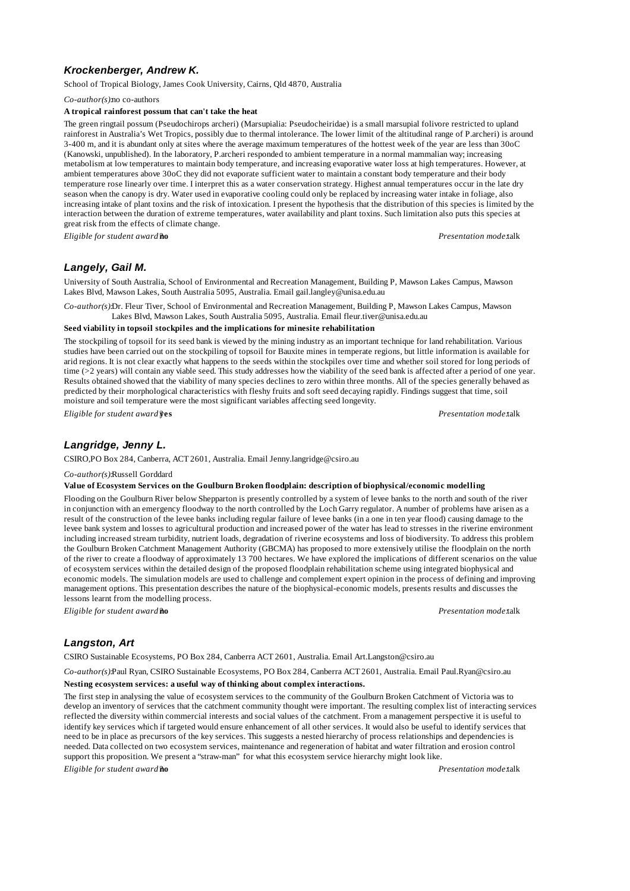# *Krockenberger, Andrew K.*

School of Tropical Biology, James Cook University, Cairns, Qld 4870, Australia

*Co-author(s):*no co-authors

#### **A tropical rainforest possum that can't take the heat**

The green ringtail possum (Pseudochirops archeri) (Marsupialia: Pseudocheiridae) is a small marsupial folivore restricted to upland rainforest in Australia's Wet Tropics, possibly due to thermal intolerance. The lower limit of the altitudinal range of P.archeri) is around 3-400 m, and it is abundant only at sites where the average maximum temperatures of the hottest week of the year are less than 30oC (Kanowski, unpublished). In the laboratory, P.archeri responded to ambient temperature in a normal mammalian way; increasing metabolism at low temperatures to maintain body temperature, and increasing evaporative water loss at high temperatures. However, at ambient temperatures above 30oC they did not evaporate sufficient water to maintain a constant body temperature and their body temperature rose linearly over time. I interpret this as a water conservation strategy. Highest annual temperatures occur in the late dry season when the canopy is dry. Water used in evaporative cooling could only be replaced by increasing water intake in foliage, also increasing intake of plant toxins and the risk of intoxication. I present the hypothesis that the distribution of this species is limited by the interaction between the duration of extreme temperatures, water availability and plant toxins. Such limitation also puts this species at great risk from the effects of climate change.

*Eligible for student award?***no** *Presentation mode:*talk

## *Langely, Gail M.*

University of South Australia, School of Environmental and Recreation Management, Building P, Mawson Lakes Campus, Mawson Lakes Blvd, Mawson Lakes, South Australia 5095, Australia. Email gail.langley@unisa.edu.au

*Co-author(s):*Dr. Fleur Tiver, School of Environmental and Recreation Management, Building P, Mawson Lakes Campus, Mawson Lakes Blvd, Mawson Lakes, South Australia 5095, Australia. Email fleur.tiver@unisa.edu.au

### **Seed viability in topsoil stockpiles and the implications for minesite rehabilitation**

The stockpiling of topsoil for its seed bank is viewed by the mining industry as an important technique for land rehabilitation. Various studies have been carried out on the stockpiling of topsoil for Bauxite mines in temperate regions, but little information is available for arid regions. It is not clear exactly what happens to the seeds within the stockpiles over time and whether soil stored for long periods of time (>2 years) will contain any viable seed. This study addresses how the viability of the seed bank is affected after a period of one year. Results obtained showed that the viability of many species declines to zero within three months. All of the species generally behaved as predicted by their morphological characteristics with fleshy fruits and soft seed decaying rapidly. Findings suggest that time, soil moisture and soil temperature were the most significant variables affecting seed longevity.

*Eligible for student award?***yes** *Presentation mode:*talk

# *Langridge, Jenny L.*

CSIRO,PO Box 284, Canberra, ACT 2601, Australia. Email Jenny.langridge@csiro.au

*Co-author(s):*Russell Gorddard

#### **Value of Ecosystem Services on the Goulburn Broken floodplain: description of biophysical/economic modelling**

Flooding on the Goulburn River below Shepparton is presently controlled by a system of levee banks to the north and south of the river in conjunction with an emergency floodway to the north controlled by the Loch Garry regulator. A number of problems have arisen as a result of the construction of the levee banks including regular failure of levee banks (in a one in ten year flood) causing damage to the levee bank system and losses to agricultural production and increased power of the water has lead to stresses in the riverine environment including increased stream turbidity, nutrient loads, degradation of riverine ecosystems and loss of biodiversity. To address this problem the Goulburn Broken Catchment Management Authority (GBCMA) has proposed to more extensively utilise the floodplain on the north of the river to create a floodway of approximately 13 700 hectares. We have explored the implications of different scenarios on the value of ecosystem services within the detailed design of the proposed floodplain rehabilitation scheme using integrated biophysical and economic models. The simulation models are used to challenge and complement expert opinion in the process of defining and improving management options. This presentation describes the nature of the biophysical-economic models, presents results and discusses the lessons learnt from the modelling process.

*Eligible for student award?***no** *Presentation mode:*talk

# *Langston, Art*

CSIRO Sustainable Ecosystems, PO Box 284, Canberra ACT 2601, Australia. Email Art.Langston@csiro.au

*Co-author(s):*Paul Ryan, CSIRO Sustainable Ecosystems, PO Box 284, Canberra ACT 2601, Australia. Email Paul.Ryan@csiro.au

#### **Nesting ecosystem services: a useful way of thinking about complex interactions.**

The first step in analysing the value of ecosystem services to the community of the Goulburn Broken Catchment of Victoria was to develop an inventory of services that the catchment community thought were important. The resulting complex list of interacting services reflected the diversity within commercial interests and social values of the catchment. From a management perspective it is useful to identify key services which if targeted would ensure enhancement of all other services. It would also be useful to identify services that need to be in place as precursors of the key services. This suggests a nested hierarchy of process relationships and dependencies is needed. Data collected on two ecosystem services, maintenance and regeneration of habitat and water filtration and erosion control support this proposition. We present a "straw-man" for what this ecosystem service hierarchy might look like.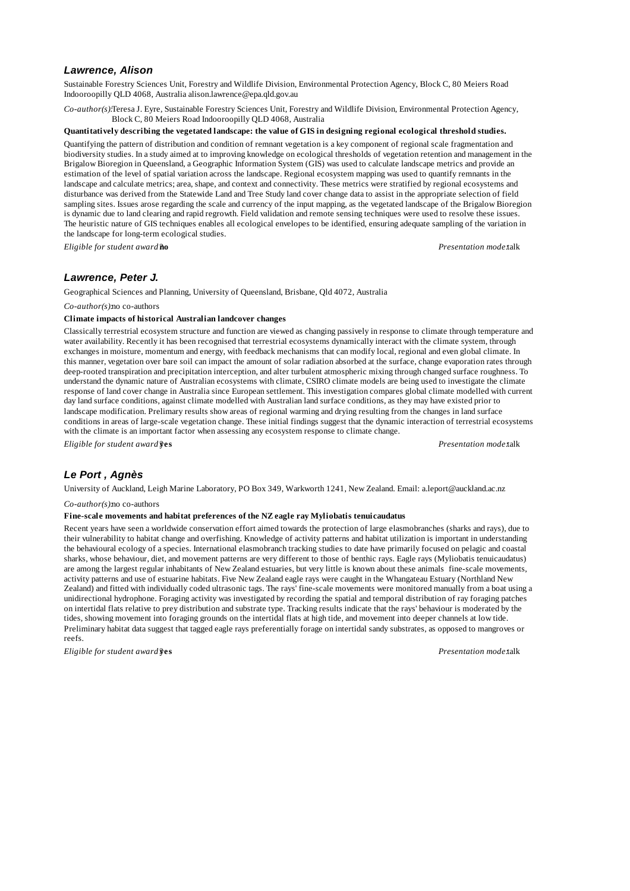## *Lawrence, Alison*

Sustainable Forestry Sciences Unit, Forestry and Wildlife Division, Environmental Protection Agency, Block C, 80 Meiers Road Indooroopilly QLD 4068, Australia alison.lawrence@epa.qld.gov.au

*Co-author(s):*Teresa J. Eyre, Sustainable Forestry Sciences Unit, Forestry and Wildlife Division, Environmental Protection Agency, Block C, 80 Meiers Road Indooroopilly QLD 4068, Australia

#### **Quantitatively describing the vegetated landscape: the value of GIS in designing regional ecological threshold studies.**

Quantifying the pattern of distribution and condition of remnant vegetation is a key component of regional scale fragmentation and biodiversity studies. In a study aimed at to improving knowledge on ecological thresholds of vegetation retention and management in the Brigalow Bioregion in Queensland, a Geographic Information System (GIS) was used to calculate landscape metrics and provide an estimation of the level of spatial variation across the landscape. Regional ecosystem mapping was used to quantify remnants in the landscape and calculate metrics; area, shape, and context and connectivity. These metrics were stratified by regional ecosystems and disturbance was derived from the Statewide Land and Tree Study land cover change data to assist in the appropriate selection of field sampling sites. Issues arose regarding the scale and currency of the input mapping, as the vegetated landscape of the Brigalow Bioregion is dynamic due to land clearing and rapid regrowth. Field validation and remote sensing techniques were used to resolve these issues. The heuristic nature of GIS techniques enables all ecological envelopes to be identified, ensuring adequate sampling of the variation in the landscape for long-term ecological studies.

*Eligible for student award?***no** *Presentation mode:*talk

### *Lawrence, Peter J.*

Geographical Sciences and Planning, University of Queensland, Brisbane, Qld 4072, Australia

#### *Co-author(s):*no co-authors

## **Climate impacts of historical Australian landcover changes**

Classically terrestrial ecosystem structure and function are viewed as changing passively in response to climate through temperature and water availability. Recently it has been recognised that terrestrial ecosystems dynamically interact with the climate system, through exchanges in moisture, momentum and energy, with feedback mechanisms that can modify local, regional and even global climate. In this manner, vegetation over bare soil can impact the amount of solar radiation absorbed at the surface, change evaporation rates through deep-rooted transpiration and precipitation interception, and alter turbulent atmospheric mixing through changed surface roughness. To understand the dynamic nature of Australian ecosystems with climate, CSIRO climate models are being used to investigate the climate response of land cover change in Australia since European settlement. This investigation compares global climate modelled with current day land surface conditions, against climate modelled with Australian land surface conditions, as they may have existed prior to landscape modification. Prelimary results show areas of regional warming and drying resulting from the changes in land surface conditions in areas of large-scale vegetation change. These initial findings suggest that the dynamic interaction of terrestrial ecosystems with the climate is an important factor when assessing any ecosystem response to climate change.

*Eligible for student award?***yes** *Presentation mode:*talk

## *Le Port , Agnès*

University of Auckland, Leigh Marine Laboratory, PO Box 349, Warkworth 1241, New Zealand. Email: a.leport@auckland.ac.nz

*Co-author(s):*no co-authors

#### **Fine-scale movements and habitat preferences of the NZ eagle ray Myliobatis tenuicaudatus**

Recent years have seen a worldwide conservation effort aimed towards the protection of large elasmobranches (sharks and rays), due to their vulnerability to habitat change and overfishing. Knowledge of activity patterns and habitat utilization is important in understanding the behavioural ecology of a species. International elasmobranch tracking studies to date have primarily focused on pelagic and coastal sharks, whose behaviour, diet, and movement patterns are very different to those of benthic rays. Eagle rays (Myliobatis tenuicaudatus) are among the largest regular inhabitants of New Zealand estuaries, but very little is known about these animals fine-scale movements, activity patterns and use of estuarine habitats. Five New Zealand eagle rays were caught in the Whangateau Estuary (Northland New Zealand) and fitted with individually coded ultrasonic tags. The rays' fine-scale movements were monitored manually from a boat using a unidirectional hydrophone. Foraging activity was investigated by recording the spatial and temporal distribution of ray foraging patches on intertidal flats relative to prey distribution and substrate type. Tracking results indicate that the rays' behaviour is moderated by the tides, showing movement into foraging grounds on the intertidal flats at high tide, and movement into deeper channels at low tide. Preliminary habitat data suggest that tagged eagle rays preferentially forage on intertidal sandy substrates, as opposed to mangroves or reefs.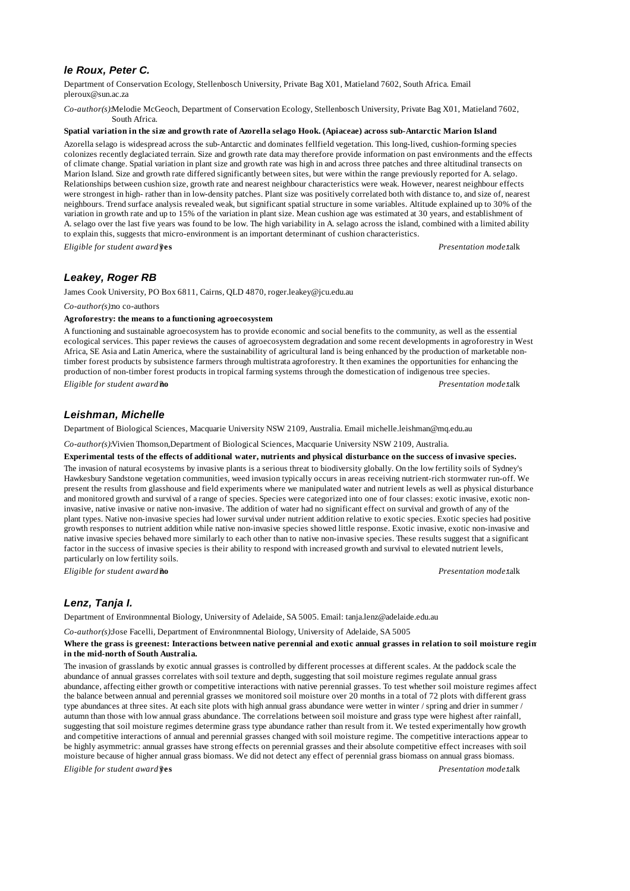# *le Roux, Peter C.*

Department of Conservation Ecology, Stellenbosch University, Private Bag X01, Matieland 7602, South Africa. Email pleroux@sun.ac.za

*Co-author(s):*Melodie McGeoch, Department of Conservation Ecology, Stellenbosch University, Private Bag X01, Matieland 7602, South Africa.

### **Spatial variation in the size and growth rate of Azorella selago Hook. (Apiaceae) across sub-Antarctic Marion Island**

Azorella selago is widespread across the sub-Antarctic and dominates fellfield vegetation. This long-lived, cushion-forming species colonizes recently deglaciated terrain. Size and growth rate data may therefore provide information on past environments and the effects of climate change. Spatial variation in plant size and growth rate was high in and across three patches and three altitudinal transects on Marion Island. Size and growth rate differed significantly between sites, but were within the range previously reported for A. selago. Relationships between cushion size, growth rate and nearest neighbour characteristics were weak. However, nearest neighbour effects were strongest in high- rather than in low-density patches. Plant size was positively correlated both with distance to, and size of, nearest neighbours. Trend surface analysis revealed weak, but significant spatial structure in some variables. Altitude explained up to 30% of the variation in growth rate and up to 15% of the variation in plant size. Mean cushion age was estimated at 30 years, and establishment of A. selago over the last five years was found to be low. The high variability in A. selago across the island, combined with a limited ability to explain this, suggests that micro-environment is an important determinant of cushion characteristics.

*Eligible for student award?***yes** *Presentation mode:*talk

# *Leakey, Roger RB*

James Cook University, PO Box 6811, Cairns, QLD 4870, roger.leakey@jcu.edu.au

#### *Co-author(s):*no co-authors

### **Agroforestry: the means to a functioning agroecosystem**

A functioning and sustainable agroecosystem has to provide economic and social benefits to the community, as well as the essential ecological services. This paper reviews the causes of agroecosystem degradation and some recent developments in agroforestry in West Africa, SE Asia and Latin America, where the sustainability of agricultural land is being enhanced by the production of marketable nontimber forest products by subsistence farmers through multistrata agroforestry. It then examines the opportunities for enhancing the production of non-timber forest products in tropical farming systems through the domestication of indigenous tree species. *Eligible for student award?***no** *Presentation mode:*talk

## *Leishman, Michelle*

Department of Biological Sciences, Macquarie University NSW 2109, Australia. Email michelle.leishman@mq.edu.au

*Co-author(s):*Vivien Thomson,Department of Biological Sciences, Macquarie University NSW 2109, Australia.

## **Experimental tests of the effects of additional water, nutrients and physical disturbance on the success of invasive species.**

The invasion of natural ecosystems by invasive plants is a serious threat to biodiversity globally. On the low fertility soils of Sydney's Hawkesbury Sandstone vegetation communities, weed invasion typically occurs in areas receiving nutrient-rich stormwater run-off. We present the results from glasshouse and field experiments where we manipulated water and nutrient levels as well as physical disturbance and monitored growth and survival of a range of species. Species were categorized into one of four classes: exotic invasive, exotic noninvasive, native invasive or native non-invasive. The addition of water had no significant effect on survival and growth of any of the plant types. Native non-invasive species had lower survival under nutrient addition relative to exotic species. Exotic species had positive growth responses to nutrient addition while native non-invasive species showed little response. Exotic invasive, exotic non-invasive and native invasive species behaved more similarly to each other than to native non-invasive species. These results suggest that a significant factor in the success of invasive species is their ability to respond with increased growth and survival to elevated nutrient levels, particularly on low fertility soils.

*Eligible for student award?***no** *Presentation mode:*talk

# *Lenz, Tanja I.*

Department of Environmnental Biology, University of Adelaide, SA 5005. Email: tanja.lenz@adelaide.edu.au

*Co-author(s):*Jose Facelli, Department of Environmnental Biology, University of Adelaide, SA 5005

#### Where the grass is greenest: Interactions between native perennial and exotic annual grasses in relation to soil moisture regin **in the mid-north of South Australia.**

The invasion of grasslands by exotic annual grasses is controlled by different processes at different scales. At the paddock scale the abundance of annual grasses correlates with soil texture and depth, suggesting that soil moisture regimes regulate annual grass abundance, affecting either growth or competitive interactions with native perennial grasses. To test whether soil moisture regimes affect the balance between annual and perennial grasses we monitored soil moisture over 20 months in a total of 72 plots with different grass type abundances at three sites. At each site plots with high annual grass abundance were wetter in winter / spring and drier in summer / autumn than those with low annual grass abundance. The correlations between soil moisture and grass type were highest after rainfall, suggesting that soil moisture regimes determine grass type abundance rather than result from it. We tested experimentally how growth and competitive interactions of annual and perennial grasses changed with soil moisture regime. The competitive interactions appear to be highly asymmetric: annual grasses have strong effects on perennial grasses and their absolute competitive effect increases with soil moisture because of higher annual grass biomass. We did not detect any effect of perennial grass biomass on annual grass biomass.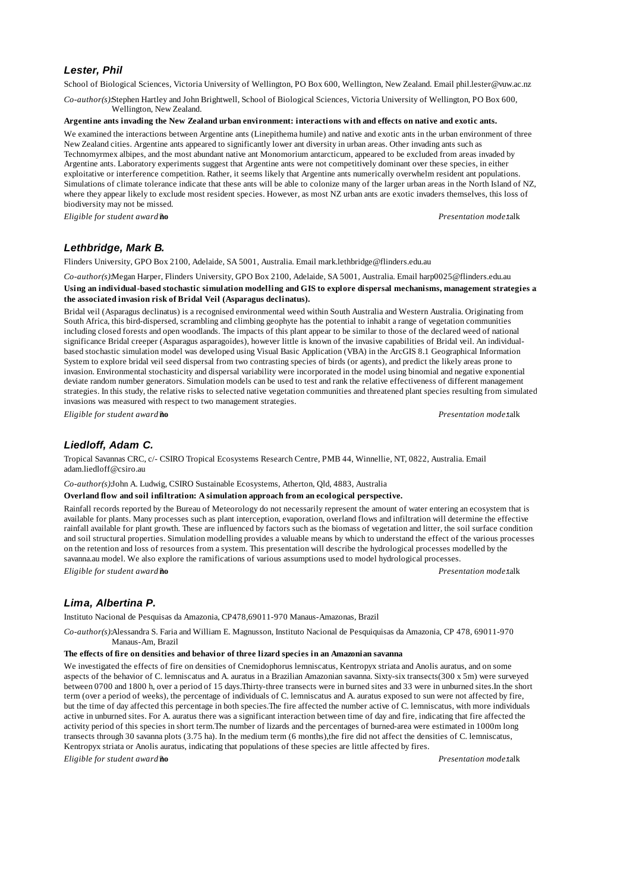## *Lester, Phil*

School of Biological Sciences, Victoria University of Wellington, PO Box 600, Wellington, New Zealand. Email phil.lester@vuw.ac.nz

*Co-author(s):*Stephen Hartley and John Brightwell, School of Biological Sciences, Victoria University of Wellington, PO Box 600, Wellington, New Zealand.

#### **Argentine ants invading the New Zealand urban environment: interactions with and effects on native and exotic ants.**

We examined the interactions between Argentine ants (Linepithema humile) and native and exotic ants in the urban environment of three New Zealand cities. Argentine ants appeared to significantly lower ant diversity in urban areas. Other invading ants such as Technomyrmex albipes, and the most abundant native ant Monomorium antarcticum, appeared to be excluded from areas invaded by Argentine ants. Laboratory experiments suggest that Argentine ants were not competitively dominant over these species, in either exploitative or interference competition. Rather, it seems likely that Argentine ants numerically overwhelm resident ant populations. Simulations of climate tolerance indicate that these ants will be able to colonize many of the larger urban areas in the North Island of NZ, where they appear likely to exclude most resident species. However, as most NZ urban ants are exotic invaders themselves, this loss of biodiversity may not be missed.

*Eligible for student award?***no** *Presentation mode:*talk

# *Lethbridge, Mark B.*

Flinders University, GPO Box 2100, Adelaide, SA 5001, Australia. Email mark.lethbridge@flinders.edu.au

*Co-author(s):*Megan Harper, Flinders University, GPO Box 2100, Adelaide, SA 5001, Australia. Email harp0025@flinders.edu.au Using an individual-based stochastic simulation modelling and GIS to explore dispersal mechanisms, management strategies a **the associated invasion risk of Bridal Veil (Asparagus declinatus).**

Bridal veil (Asparagus declinatus) is a recognised environmental weed within South Australia and Western Australia. Originating from South Africa, this bird-dispersed, scrambling and climbing geophyte has the potential to inhabit a range of vegetation communities including closed forests and open woodlands. The impacts of this plant appear to be similar to those of the declared weed of national significance Bridal creeper (Asparagus asparagoides), however little is known of the invasive capabilities of Bridal veil. An individualbased stochastic simulation model was developed using Visual Basic Application (VBA) in the ArcGIS 8.1 Geographical Information System to explore bridal veil seed dispersal from two contrasting species of birds (or agents), and predict the likely areas prone to invasion. Environmental stochasticity and dispersal variability were incorporated in the model using binomial and negative exponential deviate random number generators. Simulation models can be used to test and rank the relative effectiveness of different management strategies. In this study, the relative risks to selected native vegetation communities and threatened plant species resulting from simulated invasions was measured with respect to two management strategies.

*Eligible for student award?***no** *Presentation mode:*talk

## *Liedloff, Adam C.*

Tropical Savannas CRC, c/- CSIRO Tropical Ecosystems Research Centre, PMB 44, Winnellie, NT, 0822, Australia. Email adam.liedloff@csiro.au

*Co-author(s):*John A. Ludwig, CSIRO Sustainable Ecosystems, Atherton, Qld, 4883, Australia

**Overland flow and soil infiltration: A simulation approach from an ecological perspective.**

Rainfall records reported by the Bureau of Meteorology do not necessarily represent the amount of water entering an ecosystem that is available for plants. Many processes such as plant interception, evaporation, overland flows and infiltration will determine the effective rainfall available for plant growth. These are influenced by factors such as the biomass of vegetation and litter, the soil surface condition and soil structural properties. Simulation modelling provides a valuable means by which to understand the effect of the various processes on the retention and loss of resources from a system. This presentation will describe the hydrological processes modelled by the savanna.au model. We also explore the ramifications of various assumptions used to model hydrological processes.

*Eligible for student award?***no** *Presentation mode:*talk

# *Lima, Albertina P.*

Instituto Nacional de Pesquisas da Amazonia, CP478,69011-970 Manaus-Amazonas, Brazil

*Co-author(s):*Alessandra S. Faria and William E. Magnusson, Instituto Nacional de Pesquiquisas da Amazonia, CP 478, 69011-970 Manaus-Am, Brazil

### **The effects of fire on densities and behavior of three lizard species in an Amazonian savanna**

We investigated the effects of fire on densities of Cnemidophorus lemniscatus, Kentropyx striata and Anolis auratus, and on some aspects of the behavior of C. lemniscatus and A. auratus in a Brazilian Amazonian savanna. Sixty-six transects(300 x 5m) were surveyed between 0700 and 1800 h, over a period of 15 days.Thirty-three transects were in burned sites and 33 were in unburned sites.In the short term (over a period of weeks), the percentage of individuals of C. lemniscatus and A. auratus exposed to sun were not affected by fire, but the time of day affected this percentage in both species.The fire affected the number active of C. lemniscatus, with more individuals active in unburned sites. For A. auratus there was a significant interaction between time of day and fire, indicating that fire affected the activity period of this species in short term.The number of lizards and the percentages of burned-area were estimated in 1000m long transects through 30 savanna plots (3.75 ha). In the medium term (6 months),the fire did not affect the densities of C. lemniscatus, Kentropyx striata or Anolis auratus, indicating that populations of these species are little affected by fires.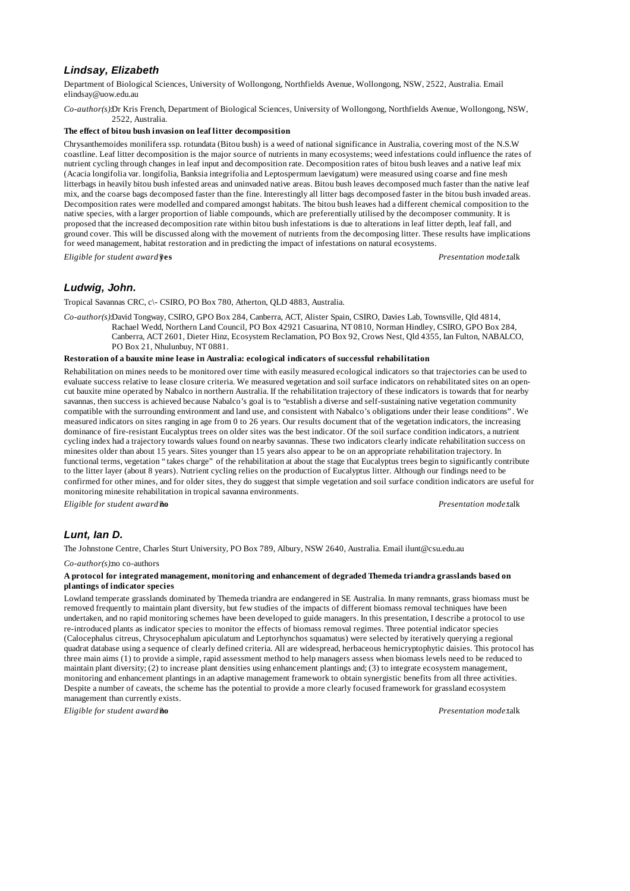# *Lindsay, Elizabeth*

Department of Biological Sciences, University of Wollongong, Northfields Avenue, Wollongong, NSW, 2522, Australia. Email elindsay@uow.edu.au

*Co-author(s):*Dr Kris French, Department of Biological Sciences, University of Wollongong, Northfields Avenue, Wollongong, NSW, 2522, Australia.

#### **The effect of bitou bush invasion on leaf litter decomposition**

Chrysanthemoides monilifera ssp. rotundata (Bitou bush) is a weed of national significance in Australia, covering most of the N.S.W coastline. Leaf litter decomposition is the major source of nutrients in many ecosystems; weed infestations could influence the rates of nutrient cycling through changes in leaf input and decomposition rate. Decomposition rates of bitou bush leaves and a native leaf mix (Acacia longifolia var. longifolia, Banksia integrifolia and Leptospermum laevigatum) were measured using coarse and fine mesh litterbags in heavily bitou bush infested areas and uninvaded native areas. Bitou bush leaves decomposed much faster than the native leaf mix, and the coarse bags decomposed faster than the fine. Interestingly all litter bags decomposed faster in the bitou bush invaded areas. Decomposition rates were modelled and compared amongst habitats. The bitou bush leaves had a different chemical composition to the native species, with a larger proportion of liable compounds, which are preferentially utilised by the decomposer community. It is proposed that the increased decomposition rate within bitou bush infestations is due to alterations in leaf litter depth, leaf fall, and ground cover. This will be discussed along with the movement of nutrients from the decomposing litter. These results have implications for weed management, habitat restoration and in predicting the impact of infestations on natural ecosystems. *Eligible for student award?***yes** *Presentation mode:*talk

# *Ludwig, John.*

Tropical Savannas CRC, c\- CSIRO, PO Box 780, Atherton, QLD 4883, Australia.

*Co-author(s):*David Tongway, CSIRO, GPO Box 284, Canberra, ACT, Alister Spain, CSIRO, Davies Lab, Townsville, Qld 4814, Rachael Wedd, Northern Land Council, PO Box 42921 Casuarina, NT 0810, Norman Hindley, CSIRO, GPO Box 284, Canberra, ACT 2601, Dieter Hinz, Ecosystem Reclamation, PO Box 92, Crows Nest, Qld 4355, Ian Fulton, NABALCO, PO Box 21, Nhulunbuy, NT 0881.

#### **Restoration of a bauxite mine lease in Australia: ecological indicators of successful rehabilitation**

Rehabilitation on mines needs to be monitored over time with easily measured ecological indicators so that trajectories can be used to evaluate success relative to lease closure criteria. We measured vegetation and soil surface indicators on rehabilitated sites on an opencut bauxite mine operated by Nabalco in northern Australia. If the rehabilitation trajectory of these indicators is towards that for nearby savannas, then success is achieved because Nabalco's goal is to "establish a diverse and self-sustaining native vegetation community compatible with the surrounding environment and land use, and consistent with Nabalco's obligations under their lease conditions". We measured indicators on sites ranging in age from 0 to 26 years. Our results document that of the vegetation indicators, the increasing dominance of fire-resistant Eucalyptus trees on older sites was the best indicator. Of the soil surface condition indicators, a nutrient cycling index had a trajectory towards values found on nearby savannas. These two indicators clearly indicate rehabilitation success on minesites older than about 15 years. Sites younger than 15 years also appear to be on an appropriate rehabilitation trajectory. In functional terms, vegetation "takes charge" of the rehabilitation at about the stage that Eucalyptus trees begin to significantly contribute to the litter layer (about 8 years). Nutrient cycling relies on the production of Eucalyptus litter. Although our findings need to be confirmed for other mines, and for older sites, they do suggest that simple vegetation and soil surface condition indicators are useful for monitoring minesite rehabilitation in tropical savanna environments.

*Eligible for student award?***no** *Presentation mode:*talk

## *Lunt, Ian D.*

The Johnstone Centre, Charles Sturt University, PO Box 789, Albury, NSW 2640, Australia. Email ilunt@csu.edu.au

#### *Co-author(s):*no co-authors

### **A protocol for integrated management, monitoring and enhancement of degraded Themeda triandra grasslands based on plantings of indicator species**

Lowland temperate grasslands dominated by Themeda triandra are endangered in SE Australia. In many remnants, grass biomass must be removed frequently to maintain plant diversity, but few studies of the impacts of different biomass removal techniques have been undertaken, and no rapid monitoring schemes have been developed to guide managers. In this presentation, I describe a protocol to use re-introduced plants as indicator species to monitor the effects of biomass removal regimes. Three potential indicator species (Calocephalus citreus, Chrysocephalum apiculatum and Leptorhynchos squamatus) were selected by iteratively querying a regional quadrat database using a sequence of clearly defined criteria. All are widespread, herbaceous hemicryptophytic daisies. This protocol has three main aims (1) to provide a simple, rapid assessment method to help managers assess when biomass levels need to be reduced to maintain plant diversity; (2) to increase plant densities using enhancement plantings and; (3) to integrate ecosystem management, monitoring and enhancement plantings in an adaptive management framework to obtain synergistic benefits from all three activities. Despite a number of caveats, the scheme has the potential to provide a more clearly focused framework for grassland ecosystem management than currently exists.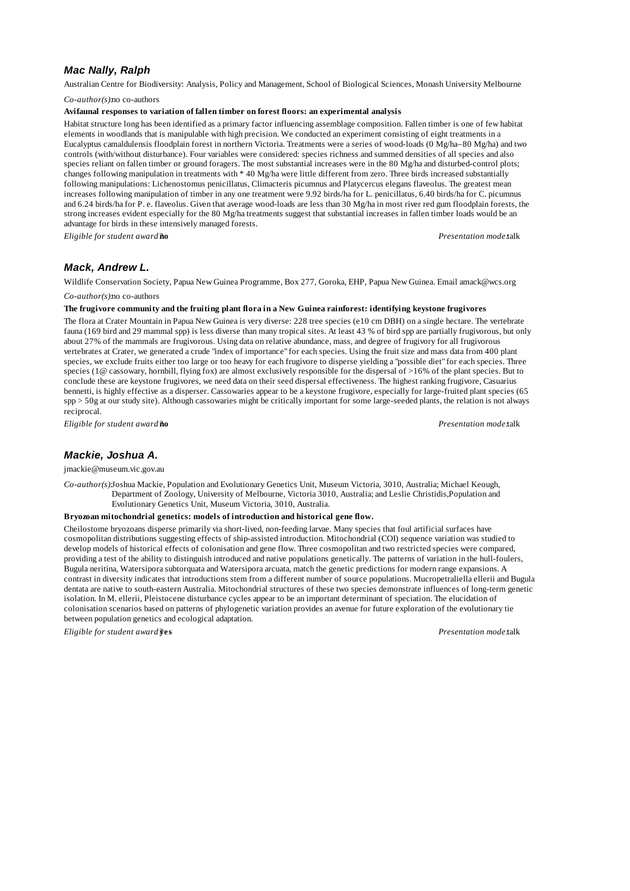# *Mac Nally, Ralph*

Australian Centre for Biodiversity: Analysis, Policy and Management, School of Biological Sciences, Monash University Melbourne

*Co-author(s):*no co-authors

## **Avifaunal responses to variation of fallen timber on forest floors: an experimental analysis**

Habitat structure long has been identified as a primary factor influencing assemblage composition. Fallen timber is one of few habitat elements in woodlands that is manipulable with high precision. We conducted an experiment consisting of eight treatments in a Eucalyptus camaldulensis floodplain forest in northern Victoria. Treatments were a series of wood-loads (0 Mg/ha–80 Mg/ha) and two controls (with/without disturbance). Four variables were considered: species richness and summed densities of all species and also species reliant on fallen timber or ground foragers. The most substantial increases were in the 80 Mg/ha and disturbed-control plots; changes following manipulation in treatments with \* 40 Mg/ha were little different from zero. Three birds increased substantially following manipulations: Lichenostomus penicillatus, Climacteris picumnus and Platycercus elegans flaveolus. The greatest mean increases following manipulation of timber in any one treatment were 9.92 birds/ha for L. penicillatus, 6.40 birds/ha for C. picumnus and 6.24 birds/ha for P. e. flaveolus. Given that average wood-loads are less than 30 Mg/ha in most river red gum floodplain forests, the strong increases evident especially for the 80 Mg/ha treatments suggest that substantial increases in fallen timber loads would be an advantage for birds in these intensively managed forests.

*Eligible for student award?***no** *Presentation mode:*talk

## *Mack, Andrew L.*

Wildlife Conservation Society, Papua New Guinea Programme, Box 277, Goroka, EHP, Papua New Guinea. Email amack@wcs.org *Co-author(s):*no co-authors

**The frugivore community and the fruiting plant flora in a New Guinea rainforest: identifying keystone frugivores**

The flora at Crater Mountain in Papua New Guinea is very diverse: 228 tree species (e10 cm DBH) on a single hectare. The vertebrate fauna (169 bird and 29 mammal spp) is less diverse than many tropical sites. At least 43 % of bird spp are partially frugivorous, but only about 27% of the mammals are frugivorous. Using data on relative abundance, mass, and degree of frugivory for all frugivorous vertebrates at Crater, we generated a crude "index of importance" for each species. Using the fruit size and mass data from 400 plant species, we exclude fruits either too large or too heavy for each frugivore to disperse yielding a "possible diet" for each species. Three species (1@ cassowary, hornbill, flying fox) are almost exclusively responsible for the dispersal of >16% of the plant species. But to conclude these are keystone frugivores, we need data on their seed dispersal effectiveness. The highest ranking frugivore, Casuarius bennetti, is highly effective as a disperser. Cassowaries appear to be a keystone frugivore, especially for large-fruited plant species (65 spp > 50g at our study site). Although cassowaries might be critically important for some large-seeded plants, the relation is not always reciprocal.

*Eligible for student award?***no** *Presentation mode:*talk

# *Mackie, Joshua A.*

jmackie@museum.vic.gov.au

*Co-author(s):*Joshua Mackie, Population and Evolutionary Genetics Unit, Museum Victoria, 3010, Australia; Michael Keough, Department of Zoology, University of Melbourne, Victoria 3010, Australia; and Leslie Christidis,Population and Evolutionary Genetics Unit, Museum Victoria, 3010, Australia.

#### **Bryozoan mitochondrial genetics: models of introduction and historical gene flow.**

Cheilostome bryozoans disperse primarily via short-lived, non-feeding larvae. Many species that foul artificial surfaces have cosmopolitan distributions suggesting effects of ship-assisted introduction. Mitochondrial (COI) sequence variation was studied to develop models of historical effects of colonisation and gene flow. Three cosmopolitan and two restricted species were compared, providing a test of the ability to distinguish introduced and native populations genetically. The patterns of variation in the hull-foulers, Bugula neritina, Watersipora subtorquata and Watersipora arcuata, match the genetic predictions for modern range expansions. A contrast in diversity indicates that introductions stem from a different number of source populations. Mucropetraliella ellerii and Bugula dentata are native to south-eastern Australia. Mitochondrial structures of these two species demonstrate influences of long-term genetic isolation. In M. ellerii, Pleistocene disturbance cycles appear to be an important determinant of speciation. The elucidation of colonisation scenarios based on patterns of phylogenetic variation provides an avenue for future exploration of the evolutionary tie between population genetics and ecological adaptation.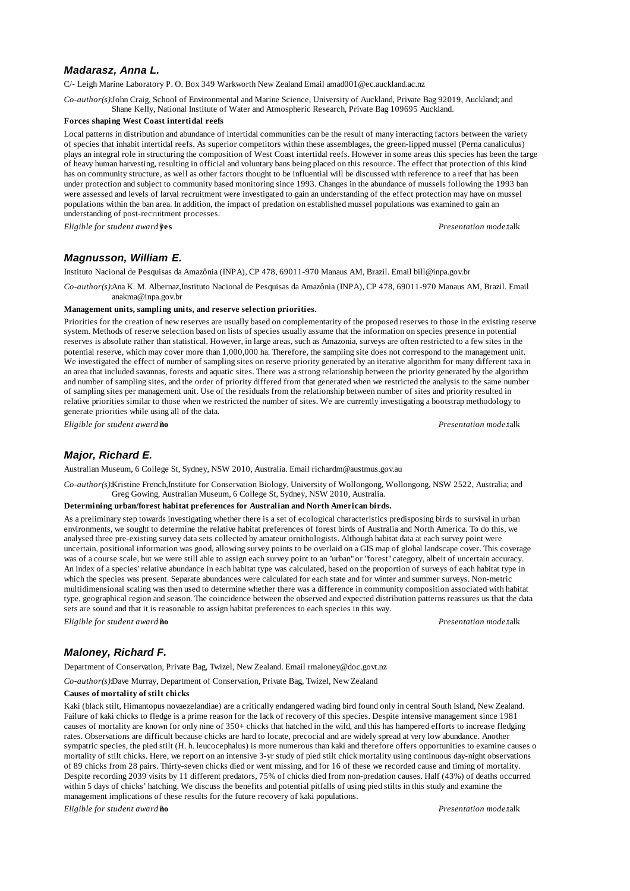## *Madarasz, Anna L.*

C/- Leigh Marine Laboratory P. O. Box 349 Warkworth New Zealand Email amad001@ec.auckland.ac.nz

*Co-author(s):*John Craig, School of Environmental and Marine Science, University of Auckland, Private Bag 92019, Auckland; and Shane Kelly, National Institute of Water and Atmospheric Research, Private Bag 109695 Auckland.

### **Forces shaping West Coast intertidal reefs**

Local patterns in distribution and abundance of intertidal communities can be the result of many interacting factors between the variety of species that inhabit intertidal reefs. As superior competitors within these assemblages, the green-lipped mussel (Perna canaliculus) plays an integral role in structuring the composition of West Coast intertidal reefs. However in some areas this species has been the targe of heavy human harvesting, resulting in official and voluntary bans being placed on this resource. The effect that protection of this kind has on community structure, as well as other factors thought to be influential will be discussed with reference to a reef that has been under protection and subject to community based monitoring since 1993. Changes in the abundance of mussels following the 1993 ban were assessed and levels of larval recruitment were investigated to gain an understanding of the effect protection may have on mussel populations within the ban area. In addition, the impact of predation on established mussel populations was examined to gain an understanding of post-recruitment processes.

*Eligible for student award?***yes** *Presentation mode:*talk

# *Magnusson, William E.*

Instituto Nacional de Pesquisas da Amazônia (INPA), CP 478, 69011-970 Manaus AM, Brazil. Email bill@inpa.gov.br

*Co-author(s):*Ana K. M. Albernaz,Instituto Nacional de Pesquisas da Amazônia (INPA), CP 478, 69011-970 Manaus AM, Brazil. Email anakma@inpa.gov.br

### **Management units, sampling units, and reserve selection priorities.**

Priorities for the creation of new reserves are usually based on complementarity of the proposed reserves to those in the existing reserve system. Methods of reserve selection based on lists of species usually assume that the information on species presence in potential reserves is absolute rather than statistical. However, in large areas, such as Amazonia, surveys are often restricted to a few sites in the potential reserve, which may cover more than 1,000,000 ha. Therefore, the sampling site does not correspond to the management unit. We investigated the effect of number of sampling sites on reserve priority generated by an iterative algorithm for many different taxa in an area that included savannas, forests and aquatic sites. There was a strong relationship between the priority generated by the algorithm and number of sampling sites, and the order of priority differed from that generated when we restricted the analysis to the same number of sampling sites per management unit. Use of the residuals from the relationship between number of sites and priority resulted in relative priorities similar to those when we restricted the number of sites. We are currently investigating a bootstrap methodology to generate priorities while using all of the data.

*Eligible for student award?***no** *Presentation mode:*talk

# *Major, Richard E.*

Australian Museum, 6 College St, Sydney, NSW 2010, Australia. Email richardm@austmus.gov.au

*Co-author(s):*Kristine French,Institute for Conservation Biology, University of Wollongong, Wollongong, NSW 2522, Australia; and Greg Gowing, Australian Museum, 6 College St, Sydney, NSW 2010, Australia.

#### **Determining urban/forest habitat preferences for Australian and North American birds.**

As a preliminary step towards investigating whether there is a set of ecological characteristics predisposing birds to survival in urban environments, we sought to determine the relative habitat preferences of forest birds of Australia and North America. To do this, we analysed three pre-existing survey data sets collected by amateur ornithologists. Although habitat data at each survey point were uncertain, positional information was good, allowing survey points to be overlaid on a GIS map of global landscape cover. This coverage was of a course scale, but we were still able to assign each survey point to an "urban" or "forest" category, albeit of uncertain accuracy. An index of a species' relative abundance in each habitat type was calculated, based on the proportion of surveys of each habitat type in which the species was present. Separate abundances were calculated for each state and for winter and summer surveys. Non-metric multidimensional scaling was then used to determine whether there was a difference in community composition associated with habitat type, geographical region and season. The coincidence between the observed and expected distribution patterns reassures us that the data sets are sound and that it is reasonable to assign habitat preferences to each species in this way.

*Eligible for student award?***no** *Presentation mode:*talk

# *Maloney, Richard F.*

Department of Conservation, Private Bag, Twizel, New Zealand. Email rmaloney@doc.govt.nz

*Co-author(s):*Dave Murray, Department of Conservation, Private Bag, Twizel, New Zealand

#### **Causes of mortality of stilt chicks**

Kaki (black stilt, Himantopus novaezelandiae) are a critically endangered wading bird found only in central South Island, New Zealand. Failure of kaki chicks to fledge is a prime reason for the lack of recovery of this species. Despite intensive management since 1981 causes of mortality are known for only nine of 350+ chicks that hatched in the wild, and this has hampered efforts to increase fledging rates. Observations are difficult because chicks are hard to locate, precocial and are widely spread at very low abundance. Another sympatric species, the pied stilt (H. h. leucocephalus) is more numerous than kaki and therefore offers opportunities to examine causes o mortality of stilt chicks. Here, we report on an intensive 3-yr study of pied stilt chick mortality using continuous day-night observations of 89 chicks from 28 pairs. Thirty-seven chicks died or went missing, and for 16 of these we recorded cause and timing of mortality. Despite recording 2039 visits by 11 different predators, 75% of chicks died from non-predation causes. Half (43%) of deaths occurred within 5 days of chicks' hatching. We discuss the benefits and potential pitfalls of using pied stilts in this study and examine the management implications of these results for the future recovery of kaki populations.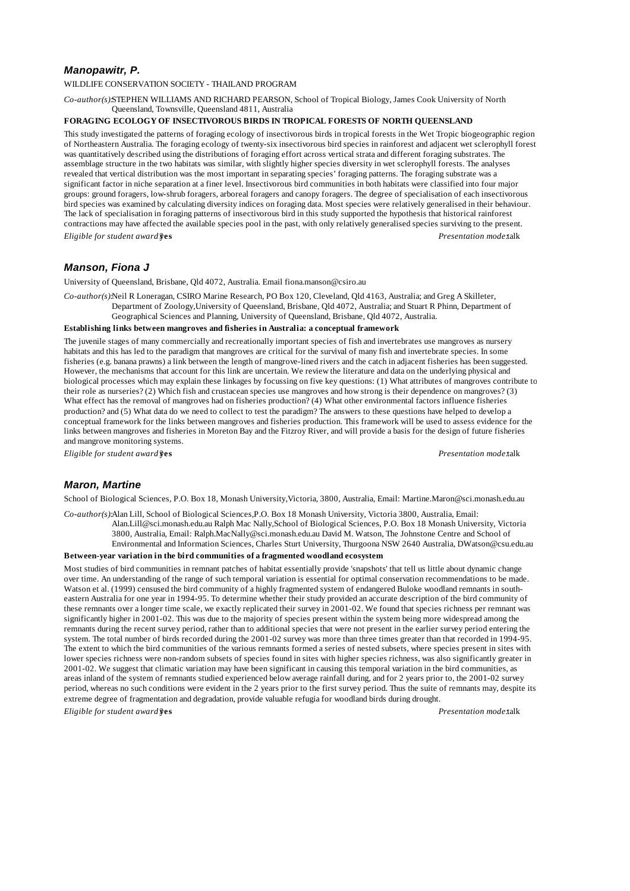# *Manopawitr, P.*

WILDLIFE CONSERVATION SOCIETY - THAILAND PROGRAM

*Co-author(s):*STEPHEN WILLIAMS AND RICHARD PEARSON, School of Tropical Biology, James Cook University of North Queensland, Townsville, Queensland 4811, Australia

#### **FORAGING ECOLOGY OF INSECTIVOROUS BIRDS IN TROPICAL FORESTS OF NORTH QUEENSLAND**

This study investigated the patterns of foraging ecology of insectivorous birds in tropical forests in the Wet Tropic biogeographic region of Northeastern Australia. The foraging ecology of twenty-six insectivorous bird species in rainforest and adjacent wet sclerophyll forest was quantitatively described using the distributions of foraging effort across vertical strata and different foraging substrates. The assemblage structure in the two habitats was similar, with slightly higher species diversity in wet sclerophyll forests. The analyses revealed that vertical distribution was the most important in separating species' foraging patterns. The foraging substrate was a significant factor in niche separation at a finer level. Insectivorous bird communities in both habitats were classified into four major groups: ground foragers, low-shrub foragers, arboreal foragers and canopy foragers. The degree of specialisation of each insectivorous bird species was examined by calculating diversity indices on foraging data. Most species were relatively generalised in their behaviour. The lack of specialisation in foraging patterns of insectivorous bird in this study supported the hypothesis that historical rainforest contractions may have affected the available species pool in the past, with only relatively generalised species surviving to the present. *Eligible for student award?***yes** *Presentation mode:*talk

# *Manson, Fiona J*

University of Queensland, Brisbane, Qld 4072, Australia. Email fiona.manson@csiro.au

*Co-author(s):*Neil R Loneragan, CSIRO Marine Research, PO Box 120, Cleveland, Qld 4163, Australia; and Greg A Skilleter,

Department of Zoology,University of Queensland, Brisbane, Qld 4072, Australia; and Stuart R Phinn, Department of Geographical Sciences and Planning, University of Queensland, Brisbane, Qld 4072, Australia.

### **Establishing links between mangroves and fisheries in Australia: a conceptual framework**

The juvenile stages of many commercially and recreationally important species of fish and invertebrates use mangroves as nursery habitats and this has led to the paradigm that mangroves are critical for the survival of many fish and invertebrate species. In some fisheries (e.g. banana prawns) a link between the length of mangrove-lined rivers and the catch in adjacent fisheries has been suggested. However, the mechanisms that account for this link are uncertain. We review the literature and data on the underlying physical and biological processes which may explain these linkages by focussing on five key questions: (1) What attributes of mangroves contribute to their role as nurseries? (2) Which fish and crustacean species use mangroves and how strong is their dependence on mangroves? (3) What effect has the removal of mangroves had on fisheries production? (4) What other environmental factors influence fisheries production? and (5) What data do we need to collect to test the paradigm? The answers to these questions have helped to develop a conceptual framework for the links between mangroves and fisheries production. This framework will be used to assess evidence for the links between mangroves and fisheries in Moreton Bay and the Fitzroy River, and will provide a basis for the design of future fisheries and mangrove monitoring systems.

*Eligible for student award?***yes** *Presentation mode:*talk

## *Maron, Martine*

School of Biological Sciences, P.O. Box 18, Monash University,Victoria, 3800, Australia, Email: Martine.Maron@sci.monash.edu.au

*Co-author(s):*Alan Lill, School of Biological Sciences,P.O. Box 18 Monash University, Victoria 3800, Australia, Email: Alan.Lill@sci.monash.edu.au Ralph Mac Nally,School of Biological Sciences, P.O. Box 18 Monash University, Victoria 3800, Australia, Email: Ralph.MacNally@sci.monash.edu.au David M. Watson, The Johnstone Centre and School of Environmental and Information Sciences, Charles Sturt University, Thurgoona NSW 2640 Australia, DWatson@csu.edu.au

### **Between-year variation in the bird communities of a fragmented woodland ecosystem**

Most studies of bird communities in remnant patches of habitat essentially provide 'snapshots' that tell us little about dynamic change over time. An understanding of the range of such temporal variation is essential for optimal conservation recommendations to be made. Watson et al. (1999) censused the bird community of a highly fragmented system of endangered Buloke woodland remnants in southeastern Australia for one year in 1994-95. To determine whether their study provided an accurate description of the bird community of these remnants over a longer time scale, we exactly replicated their survey in 2001-02. We found that species richness per remnant was significantly higher in 2001-02. This was due to the majority of species present within the system being more widespread among the remnants during the recent survey period, rather than to additional species that were not present in the earlier survey period entering the system. The total number of birds recorded during the 2001-02 survey was more than three times greater than that recorded in 1994-95. The extent to which the bird communities of the various remnants formed a series of nested subsets, where species present in sites with lower species richness were non-random subsets of species found in sites with higher species richness, was also significantly greater in 2001-02. We suggest that climatic variation may have been significant in causing this temporal variation in the bird communities, as areas inland of the system of remnants studied experienced below average rainfall during, and for 2 years prior to, the 2001-02 survey period, whereas no such conditions were evident in the 2 years prior to the first survey period. Thus the suite of remnants may, despite its extreme degree of fragmentation and degradation, provide valuable refugia for woodland birds during drought.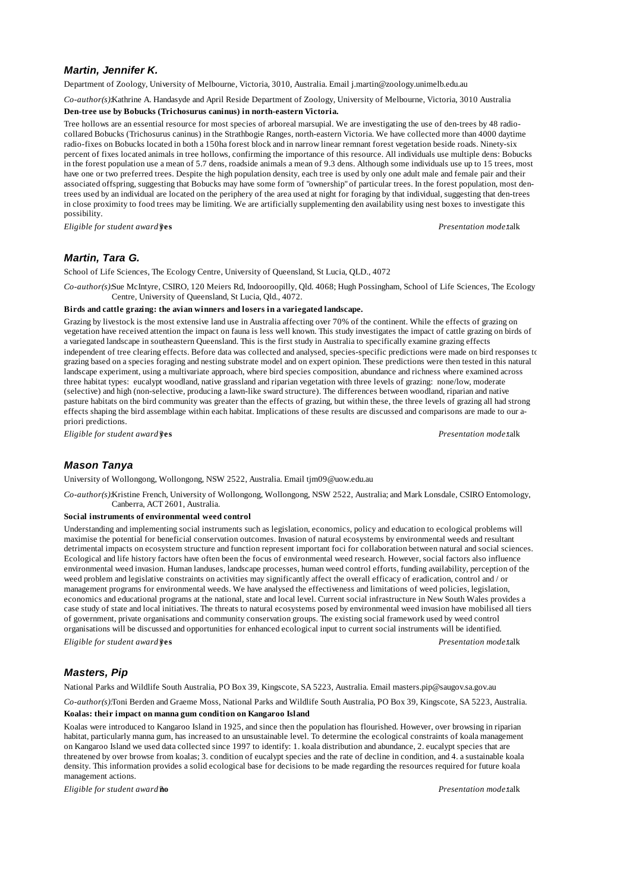# *Martin, Jennifer K.*

Department of Zoology, University of Melbourne, Victoria, 3010, Australia. Email j.martin@zoology.unimelb.edu.au

*Co-author(s):*Kathrine A. Handasyde and April Reside Department of Zoology, University of Melbourne, Victoria, 3010 Australia

#### **Den-tree use by Bobucks (Trichosurus caninus) in north-eastern Victoria.**

Tree hollows are an essential resource for most species of arboreal marsupial. We are investigating the use of den-trees by 48 radiocollared Bobucks (Trichosurus caninus) in the Strathbogie Ranges, north-eastern Victoria. We have collected more than 4000 daytime radio-fixes on Bobucks located in both a 150ha forest block and in narrow linear remnant forest vegetation beside roads. Ninety-six percent of fixes located animals in tree hollows, confirming the importance of this resource. All individuals use multiple dens: Bobucks in the forest population use a mean of 5.7 dens, roadside animals a mean of 9.3 dens. Although some individuals use up to 15 trees, most have one or two preferred trees. Despite the high population density, each tree is used by only one adult male and female pair and their associated offspring, suggesting that Bobucks may have some form of "ownership" of particular trees. In the forest population, most dentrees used by an individual are located on the periphery of the area used at night for foraging by that individual, suggesting that den-trees in close proximity to food trees may be limiting. We are artificially supplementing den availability using nest boxes to investigate this possibility.

*Eligible for student award?***yes** *Presentation mode:*talk

# *Martin, Tara G.*

School of Life Sciences, The Ecology Centre, University of Queensland, St Lucia, QLD., 4072

*Co-author(s):*Sue McIntyre, CSIRO, 120 Meiers Rd, Indooroopilly, Qld. 4068; Hugh Possingham, School of Life Sciences, The Ecology Centre, University of Queensland, St Lucia, Qld., 4072.

#### **Birds and cattle grazing: the avian winners and losers in a variegated landscape.**

Grazing by livestock is the most extensive land use in Australia affecting over 70% of the continent. While the effects of grazing on vegetation have received attention the impact on fauna is less well known. This study investigates the impact of cattle grazing on birds of a variegated landscape in southeastern Queensland. This is the first study in Australia to specifically examine grazing effects independent of tree clearing effects. Before data was collected and analysed, species-specific predictions were made on bird responses to grazing based on a species foraging and nesting substrate model and on expert opinion. These predictions were then tested in this natural landscape experiment, using a multivariate approach, where bird species composition, abundance and richness where examined across three habitat types: eucalypt woodland, native grassland and riparian vegetation with three levels of grazing: none/low, moderate (selective) and high (non-selective, producing a lawn-like sward structure). The differences between woodland, riparian and native pasture habitats on the bird community was greater than the effects of grazing, but within these, the three levels of grazing all had strong effects shaping the bird assemblage within each habitat. Implications of these results are discussed and comparisons are made to our apriori predictions.

*Eligible for student award?***yes** *Presentation mode:*talk

### *Mason Tanya*

University of Wollongong, Wollongong, NSW 2522, Australia. Email tjm09@uow.edu.au

*Co-author(s):*Kristine French, University of Wollongong, Wollongong, NSW 2522, Australia; and Mark Lonsdale, CSIRO Entomology, Canberra, ACT 2601, Australia.

#### **Social instruments of environmental weed control**

Understanding and implementing social instruments such as legislation, economics, policy and education to ecological problems will maximise the potential for beneficial conservation outcomes. Invasion of natural ecosystems by environmental weeds and resultant detrimental impacts on ecosystem structure and function represent important foci for collaboration between natural and social sciences. Ecological and life history factors have often been the focus of environmental weed research. However, social factors also influence environmental weed invasion. Human landuses, landscape processes, human weed control efforts, funding availability, perception of the weed problem and legislative constraints on activities may significantly affect the overall efficacy of eradication, control and / or management programs for environmental weeds. We have analysed the effectiveness and limitations of weed policies, legislation, economics and educational programs at the national, state and local level. Current social infrastructure in New South Wales provides a case study of state and local initiatives. The threats to natural ecosystems posed by environmental weed invasion have mobilised all tiers of government, private organisations and community conservation groups. The existing social framework used by weed control organisations will be discussed and opportunities for enhanced ecological input to current social instruments will be identified. *Eligible for student award?***yes** *Presentation mode:*talk

## *Masters, Pip*

National Parks and Wildlife South Australia, PO Box 39, Kingscote, SA 5223, Australia. Email masters.pip@saugov.sa.gov.au

*Co-author(s):*Toni Berden and Graeme Moss, National Parks and Wildlife South Australia, PO Box 39, Kingscote, SA 5223, Australia. **Koalas: their impact on manna gum condition on Kangaroo Island**

Koalas were introduced to Kangaroo Island in 1925, and since then the population has flourished. However, over browsing in riparian habitat, particularly manna gum, has increased to an unsustainable level. To determine the ecological constraints of koala management on Kangaroo Island we used data collected since 1997 to identify: 1. koala distribution and abundance, 2. eucalypt species that are threatened by over browse from koalas; 3. condition of eucalypt species and the rate of decline in condition, and 4. a sustainable koala density. This information provides a solid ecological base for decisions to be made regarding the resources required for future koala management actions.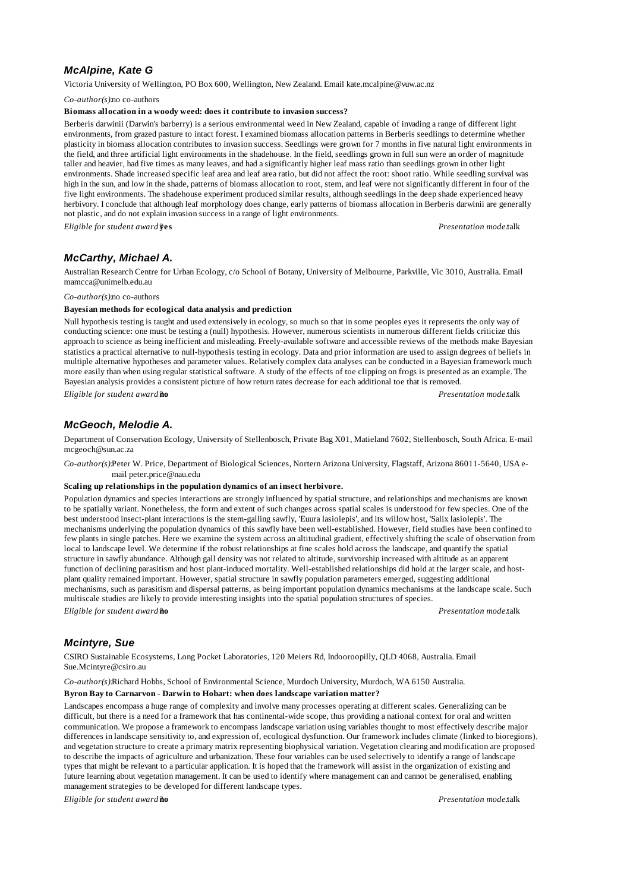# *McAlpine, Kate G*

Victoria University of Wellington, PO Box 600, Wellington, New Zealand. Email kate.mcalpine@vuw.ac.nz

*Co-author(s):*no co-authors

## **Biomass allocation in a woody weed: does it contribute to invasion success?**

Berberis darwinii (Darwin's barberry) is a serious environmental weed in New Zealand, capable of invading a range of different light environments, from grazed pasture to intact forest. I examined biomass allocation patterns in Berberis seedlings to determine whether plasticity in biomass allocation contributes to invasion success. Seedlings were grown for 7 months in five natural light environments in the field, and three artificial light environments in the shadehouse. In the field, seedlings grown in full sun were an order of magnitude taller and heavier, had five times as many leaves, and had a significantly higher leaf mass ratio than seedlings grown in other light environments. Shade increased specific leaf area and leaf area ratio, but did not affect the root: shoot ratio. While seedling survival was high in the sun, and low in the shade, patterns of biomass allocation to root, stem, and leaf were not significantly different in four of the five light environments. The shadehouse experiment produced similar results, although seedlings in the deep shade experienced heavy herbivory. I conclude that although leaf morphology does change, early patterns of biomass allocation in Berberis darwinii are generally not plastic, and do not explain invasion success in a range of light environments.

*Eligible for student award?***yes** *Presentation mode:*talk

# *McCarthy, Michael A.*

Australian Research Centre for Urban Ecology, c/o School of Botany, University of Melbourne, Parkville, Vic 3010, Australia. Email mamcca@unimelb.edu.au

*Co-author(s):*no co-authors

#### **Bayesian methods for ecological data analysis and prediction**

Null hypothesis testing is taught and used extensively in ecology, so much so that in some peoples eyes it represents the only way of conducting science: one must be testing a (null) hypothesis. However, numerous scientists in numerous different fields criticize this approach to science as being inefficient and misleading. Freely-available software and accessible reviews of the methods make Bayesian statistics a practical alternative to null-hypothesis testing in ecology. Data and prior information are used to assign degrees of beliefs in multiple alternative hypotheses and parameter values. Relatively complex data analyses can be conducted in a Bayesian framework much more easily than when using regular statistical software. A study of the effects of toe clipping on frogs is presented as an example. The Bayesian analysis provides a consistent picture of how return rates decrease for each additional toe that is removed.

*Eligible for student award?***no** *Presentation mode:*talk

# *McGeoch, Melodie A.*

Department of Conservation Ecology, University of Stellenbosch, Private Bag X01, Matieland 7602, Stellenbosch, South Africa. E-mail mcgeoch@sun.ac.za

*Co-author(s):*Peter W. Price, Department of Biological Sciences, Nortern Arizona University, Flagstaff, Arizona 86011-5640, USA email peter.price@nau.edu

### **Scaling up relationships in the population dynamics of an insect herbivore.**

Population dynamics and species interactions are strongly influenced by spatial structure, and relationships and mechanisms are known to be spatially variant. Nonetheless, the form and extent of such changes across spatial scales is understood for few species. One of the best understood insect-plant interactions is the stem-galling sawfly, 'Euura lasiolepis', and its willow host, 'Salix lasiolepis'. The mechanisms underlying the population dynamics of this sawfly have been well-established. However, field studies have been confined to few plants in single patches. Here we examine the system across an altitudinal gradient, effectively shifting the scale of observation from local to landscape level. We determine if the robust relationships at fine scales hold across the landscape, and quantify the spatial structure in sawfly abundance. Although gall density was not related to altitude, survivorship increased with altitude as an apparent function of declining parasitism and host plant-induced mortality. Well-established relationships did hold at the larger scale, and hostplant quality remained important. However, spatial structure in sawfly population parameters emerged, suggesting additional mechanisms, such as parasitism and dispersal patterns, as being important population dynamics mechanisms at the landscape scale. Such multiscale studies are likely to provide interesting insights into the spatial population structures of species. *Eligible for student award?***no** *Presentation mode:*talk

## *Mcintyre, Sue*

CSIRO Sustainable Ecosystems, Long Pocket Laboratories, 120 Meiers Rd, Indooroopilly, QLD 4068, Australia. Email Sue.Mcintyre@csiro.au

*Co-author(s):*Richard Hobbs, School of Environmental Science, Murdoch University, Murdoch, WA 6150 Australia. **Byron Bay to Carnarvon - Darwin to Hobart: when does landscape variation matter?**

Landscapes encompass a huge range of complexity and involve many processes operating at different scales. Generalizing can be difficult, but there is a need for a framework that has continental-wide scope, thus providing a national context for oral and written communication. We propose a framework to encompass landscape variation using variables thought to most effectively describe major differences in landscape sensitivity to, and expression of, ecological dysfunction. Our framework includes climate (linked to bioregions), and vegetation structure to create a primary matrix representing biophysical variation. Vegetation clearing and modification are proposed to describe the impacts of agriculture and urbanization. These four variables can be used selectively to identify a range of landscape types that might be relevant to a particular application. It is hoped that the framework will assist in the organization of existing and future learning about vegetation management. It can be used to identify where management can and cannot be generalised, enabling management strategies to be developed for different landscape types.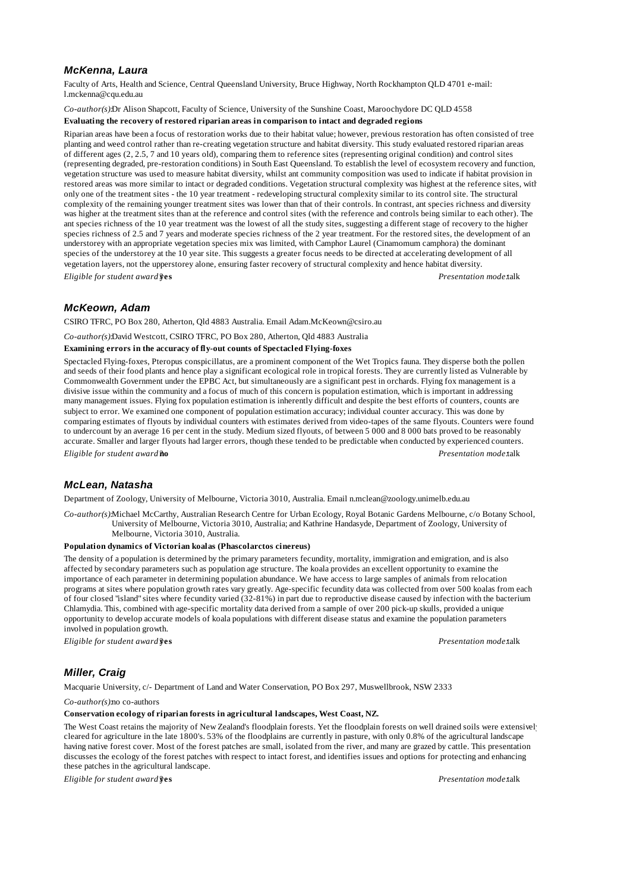# *McKenna, Laura*

Faculty of Arts, Health and Science, Central Queensland University, Bruce Highway, North Rockhampton QLD 4701 e-mail: l.mckenna@cqu.edu.au

*Co-author(s):*Dr Alison Shapcott, Faculty of Science, University of the Sunshine Coast, Maroochydore DC QLD 4558

### **Evaluating the recovery of restored riparian areas in comparison to intact and degraded regions**

Riparian areas have been a focus of restoration works due to their habitat value; however, previous restoration has often consisted of tree planting and weed control rather than re-creating vegetation structure and habitat diversity. This study evaluated restored riparian areas of different ages (2, 2.5, 7 and 10 years old), comparing them to reference sites (representing original condition) and control sites (representing degraded, pre-restoration conditions) in South East Queensland. To establish the level of ecosystem recovery and function, vegetation structure was used to measure habitat diversity, whilst ant community composition was used to indicate if habitat provision in restored areas was more similar to intact or degraded conditions. Vegetation structural complexity was highest at the reference sites, with only one of the treatment sites - the 10 year treatment - redeveloping structural complexity similar to its control site. The structural complexity of the remaining younger treatment sites was lower than that of their controls. In contrast, ant species richness and diversity was higher at the treatment sites than at the reference and control sites (with the reference and controls being similar to each other). The ant species richness of the 10 year treatment was the lowest of all the study sites, suggesting a different stage of recovery to the higher species richness of 2.5 and 7 years and moderate species richness of the 2 year treatment. For the restored sites, the development of an understorey with an appropriate vegetation species mix was limited, with Camphor Laurel (Cinamomum camphora) the dominant species of the understorey at the 10 year site. This suggests a greater focus needs to be directed at accelerating development of all vegetation layers, not the upperstorey alone, ensuring faster recovery of structural complexity and hence habitat diversity. *Eligible for student award?***yes** *Presentation mode:*talk

# *McKeown, Adam*

CSIRO TFRC, PO Box 280, Atherton, Qld 4883 Australia. Email Adam.McKeown@csiro.au

*Co-author(s):*David Westcott, CSIRO TFRC, PO Box 280, Atherton, Qld 4883 Australia

#### **Examining errors in the accuracy of fly-out counts of Spectacled Flying-foxes**

Spectacled Flying-foxes, Pteropus conspicillatus, are a prominent component of the Wet Tropics fauna. They disperse both the pollen and seeds of their food plants and hence play a significant ecological role in tropical forests. They are currently listed as Vulnerable by Commonwealth Government under the EPBC Act, but simultaneously are a significant pest in orchards. Flying fox management is a divisive issue within the community and a focus of much of this concern is population estimation, which is important in addressing many management issues. Flying fox population estimation is inherently difficult and despite the best efforts of counters, counts are subject to error. We examined one component of population estimation accuracy; individual counter accuracy. This was done by comparing estimates of flyouts by individual counters with estimates derived from video-tapes of the same flyouts. Counters were found to undercount by an average 16 per cent in the study. Medium sized flyouts, of between 5 000 and 8 000 bats proved to be reasonably accurate. Smaller and larger flyouts had larger errors, though these tended to be predictable when conducted by experienced counters. *Eligible for student award?***no** *Presentation mode:*talk

*McLean, Natasha*

Department of Zoology, University of Melbourne, Victoria 3010, Australia. Email n.mclean@zoology.unimelb.edu.au

*Co-author(s):*Michael McCarthy, Australian Research Centre for Urban Ecology, Royal Botanic Gardens Melbourne, c/o Botany School, University of Melbourne, Victoria 3010, Australia; and Kathrine Handasyde, Department of Zoology, University of Melbourne, Victoria 3010, Australia.

### **Population dynamics of Victorian koalas (Phascolarctos cinereus)**

The density of a population is determined by the primary parameters fecundity, mortality, immigration and emigration, and is also affected by secondary parameters such as population age structure. The koala provides an excellent opportunity to examine the importance of each parameter in determining population abundance. We have access to large samples of animals from relocation programs at sites where population growth rates vary greatly. Age-specific fecundity data was collected from over 500 koalas from each of four closed "island" sites where fecundity varied (32-81%) in part due to reproductive disease caused by infection with the bacterium Chlamydia. This, combined with age-specific mortality data derived from a sample of over 200 pick-up skulls, provided a unique opportunity to develop accurate models of koala populations with different disease status and examine the population parameters involved in population growth.

*Eligible for student award?***yes** *Presentation mode:*talk

# *Miller, Craig*

Macquarie University, c/- Department of Land and Water Conservation, PO Box 297, Muswellbrook, NSW 2333

*Co-author(s):*no co-authors

### **Conservation ecology of riparian forests in agricultural landscapes, West Coast, NZ.**

The West Coast retains the majority of New Zealand's floodplain forests. Yet the floodplain forests on well drained soils were extensively cleared for agriculture in the late 1800's. 53% of the floodplains are currently in pasture, with only 0.8% of the agricultural landscape having native forest cover. Most of the forest patches are small, isolated from the river, and many are grazed by cattle. This presentation discusses the ecology of the forest patches with respect to intact forest, and identifies issues and options for protecting and enhancing these patches in the agricultural landscape.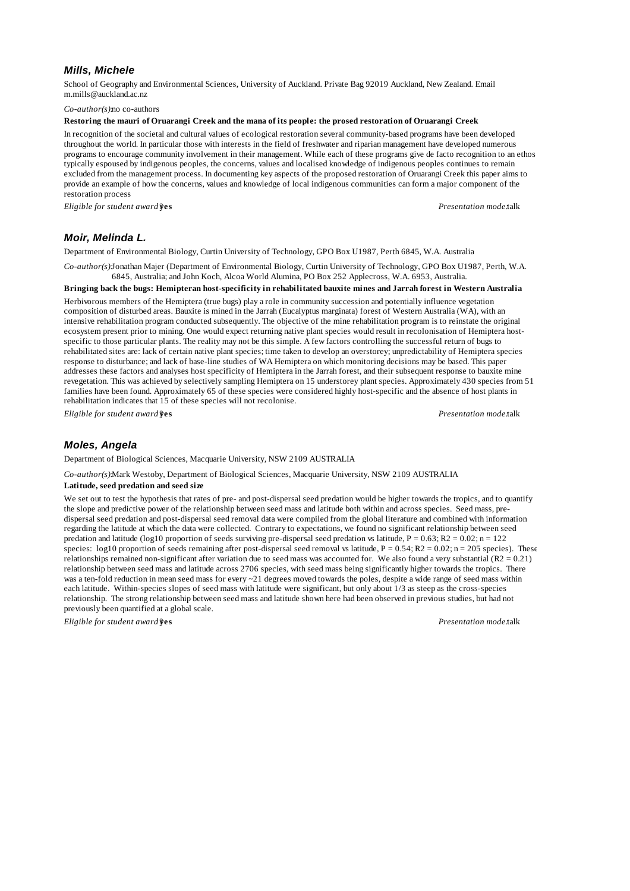## *Mills, Michele*

School of Geography and Environmental Sciences, University of Auckland. Private Bag 92019 Auckland, New Zealand. Email m.mills@auckland.ac.nz

*Co-author(s):*no co-authors

**Restoring the mauri of Oruarangi Creek and the mana of its people: the prosed restoration of Oruarangi Creek**

In recognition of the societal and cultural values of ecological restoration several community-based programs have been developed throughout the world. In particular those with interests in the field of freshwater and riparian management have developed numerous programs to encourage community involvement in their management. While each of these programs give de facto recognition to an ethos typically espoused by indigenous peoples, the concerns, values and localised knowledge of indigenous peoples continues to remain excluded from the management process. In documenting key aspects of the proposed restoration of Oruarangi Creek this paper aims to provide an example of how the concerns, values and knowledge of local indigenous communities can form a major component of the restoration process

*Eligible for student award?***yes** *Presentation mode:*talk

## *Moir, Melinda L.*

Department of Environmental Biology, Curtin University of Technology, GPO Box U1987, Perth 6845, W.A. Australia

*Co-author(s):*Jonathan Majer (Department of Environmental Biology, Curtin University of Technology, GPO Box U1987, Perth, W.A. 6845, Australia; and John Koch, Alcoa World Alumina, PO Box 252 Applecross, W.A. 6953, Australia.

#### **Bringing back the bugs: Hemipteran host-specificity in rehabilitated bauxite mines and Jarrah forest in Western Australia**

Herbivorous members of the Hemiptera (true bugs) play a role in community succession and potentially influence vegetation composition of disturbed areas. Bauxite is mined in the Jarrah (Eucalyptus marginata) forest of Western Australia (WA), with an intensive rehabilitation program conducted subsequently. The objective of the mine rehabilitation program is to reinstate the original ecosystem present prior to mining. One would expect returning native plant species would result in recolonisation of Hemiptera hostspecific to those particular plants. The reality may not be this simple. A few factors controlling the successful return of bugs to rehabilitated sites are: lack of certain native plant species; time taken to develop an overstorey; unpredictability of Hemiptera species response to disturbance; and lack of base-line studies of WA Hemiptera on which monitoring decisions may be based. This paper addresses these factors and analyses host specificity of Hemiptera in the Jarrah forest, and their subsequent response to bauxite mine revegetation. This was achieved by selectively sampling Hemiptera on 15 understorey plant species. Approximately 430 species from 51 families have been found. Approximately 65 of these species were considered highly host-specific and the absence of host plants in rehabilitation indicates that 15 of these species will not recolonise.

*Eligible for student award?***yes** *Presentation mode:*talk

# *Moles, Angela*

Department of Biological Sciences, Macquarie University, NSW 2109 AUSTRALIA

*Co-author(s):*Mark Westoby, Department of Biological Sciences, Macquarie University, NSW 2109 AUSTRALIA

#### **Latitude, seed predation and seed size**

We set out to test the hypothesis that rates of pre- and post-dispersal seed predation would be higher towards the tropics, and to quantify the slope and predictive power of the relationship between seed mass and latitude both within and across species. Seed mass, predispersal seed predation and post-dispersal seed removal data were compiled from the global literature and combined with information regarding the latitude at which the data were collected. Contrary to expectations, we found no significant relationship between seed predation and latitude (log10 proportion of seeds surviving pre-dispersal seed predation vs latitude,  $P = 0.63$ ;  $R2 = 0.02$ ; n = 122 species:  $\log 10$  proportion of seeds remaining after post-dispersal seed removal vs latitude,  $P = 0.54$ ;  $R2 = 0.02$ ; n = 205 species). These relationships remained non-significant after variation due to seed mass was accounted for. We also found a very substantial (R2 = 0.21) relationship between seed mass and latitude across 2706 species, with seed mass being significantly higher towards the tropics. There was a ten-fold reduction in mean seed mass for every ~21 degrees moved towards the poles, despite a wide range of seed mass within each latitude. Within-species slopes of seed mass with latitude were significant, but only about  $\frac{1}{3}$  as steep as the cross-species relationship. The strong relationship between seed mass and latitude shown here had been observed in previous studies, but had not previously been quantified at a global scale.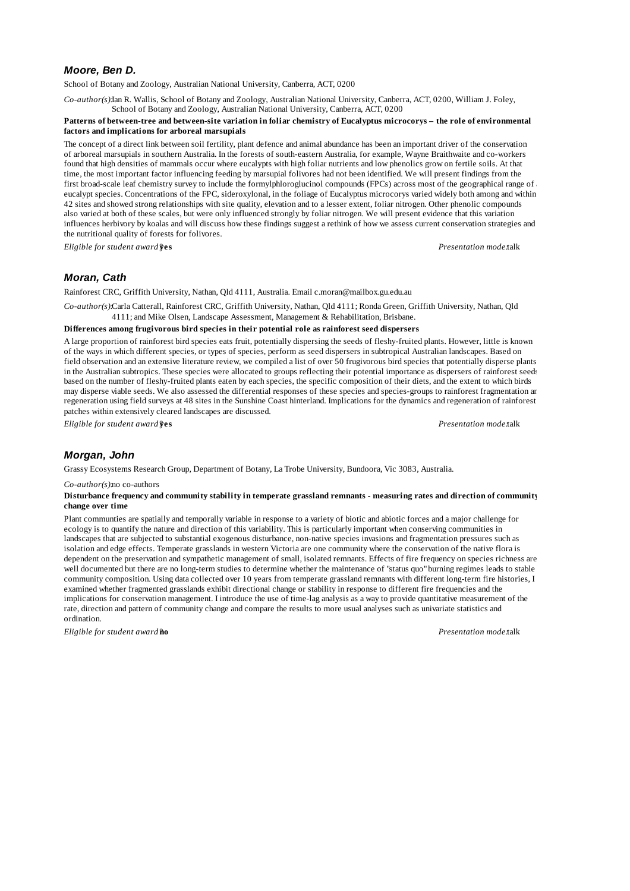# *Moore, Ben D.*

School of Botany and Zoology, Australian National University, Canberra, ACT, 0200

*Co-author(s):*Ian R. Wallis, School of Botany and Zoology, Australian National University, Canberra, ACT, 0200, William J. Foley, School of Botany and Zoology, Australian National University, Canberra, ACT, 0200

### **Patterns of between-tree and between-site variation in foliar chemistry of Eucalyptus microcorys – the role of environmental factors and implications for arboreal marsupials**

The concept of a direct link between soil fertility, plant defence and animal abundance has been an important driver of the conservation of arboreal marsupials in southern Australia. In the forests of south-eastern Australia, for example, Wayne Braithwaite and co-workers found that high densities of mammals occur where eucalypts with high foliar nutrients and low phenolics grow on fertile soils. At that time, the most important factor influencing feeding by marsupial folivores had not been identified. We will present findings from the first broad-scale leaf chemistry survey to include the formylphloroglucinol compounds (FPCs) across most of the geographical range of eucalypt species. Concentrations of the FPC, sideroxylonal, in the foliage of Eucalyptus microcorys varied widely both among and within 42 sites and showed strong relationships with site quality, elevation and to a lesser extent, foliar nitrogen. Other phenolic compounds also varied at both of these scales, but were only influenced strongly by foliar nitrogen. We will present evidence that this variation influences herbivory by koalas and will discuss how these findings suggest a rethink of how we assess current conservation strategies and the nutritional quality of forests for folivores.

*Eligible for student award?***yes** *Presentation mode:*talk

# *Moran, Cath*

Rainforest CRC, Griffith University, Nathan, Qld 4111, Australia. Email c.moran@mailbox.gu.edu.au

*Co-author(s):*Carla Catterall, Rainforest CRC, Griffith University, Nathan, Qld 4111; Ronda Green, Griffith University, Nathan, Qld 4111; and Mike Olsen, Landscape Assessment, Management & Rehabilitation, Brisbane.

#### **Differences among frugivorous bird species in their potential role as rainforest seed dispersers**

A large proportion of rainforest bird species eats fruit, potentially dispersing the seeds of fleshy-fruited plants. However, little is known of the ways in which different species, or types of species, perform as seed dispersers in subtropical Australian landscapes. Based on field observation and an extensive literature review, we compiled a list of over 50 frugivorous bird species that potentially disperse plants in the Australian subtropics. These species were allocated to groups reflecting their potential importance as dispersers of rainforest seeds based on the number of fleshy-fruited plants eaten by each species, the specific composition of their diets, and the extent to which birds may disperse viable seeds. We also assessed the differential responses of these species and species-groups to rainforest fragmentation and regeneration using field surveys at 48 sites in the Sunshine Coast hinterland. Implications for the dynamics and regeneration of rainforest patches within extensively cleared landscapes are discussed.

*Eligible for student award?***yes** *Presentation mode:*talk

# *Morgan, John*

Grassy Ecosystems Research Group, Department of Botany, La Trobe University, Bundoora, Vic 3083, Australia.

*Co-author(s):*no co-authors

#### **Disturbance frequency and community stability in temperate grassland remnants - measuring rates and direction of community change over time**

Plant communties are spatially and temporally variable in response to a variety of biotic and abiotic forces and a major challenge for ecology is to quantify the nature and direction of this variability. This is particularly important when conserving communities in landscapes that are subjected to substantial exogenous disturbance, non-native species invasions and fragmentation pressures such as isolation and edge effects. Temperate grasslands in western Victoria are one community where the conservation of the native flora is dependent on the preservation and sympathetic management of small, isolated remnants. Effects of fire frequency on species richness are well documented but there are no long-term studies to determine whether the maintenance of "status quo" burning regimes leads to stable community composition. Using data collected over 10 years from temperate grassland remnants with different long-term fire histories, I examined whether fragmented grasslands exhibit directional change or stability in response to different fire frequencies and the implications for conservation management. I introduce the use of time-lag analysis as a way to provide quantitative measurement of the rate, direction and pattern of community change and compare the results to more usual analyses such as univariate statistics and ordination.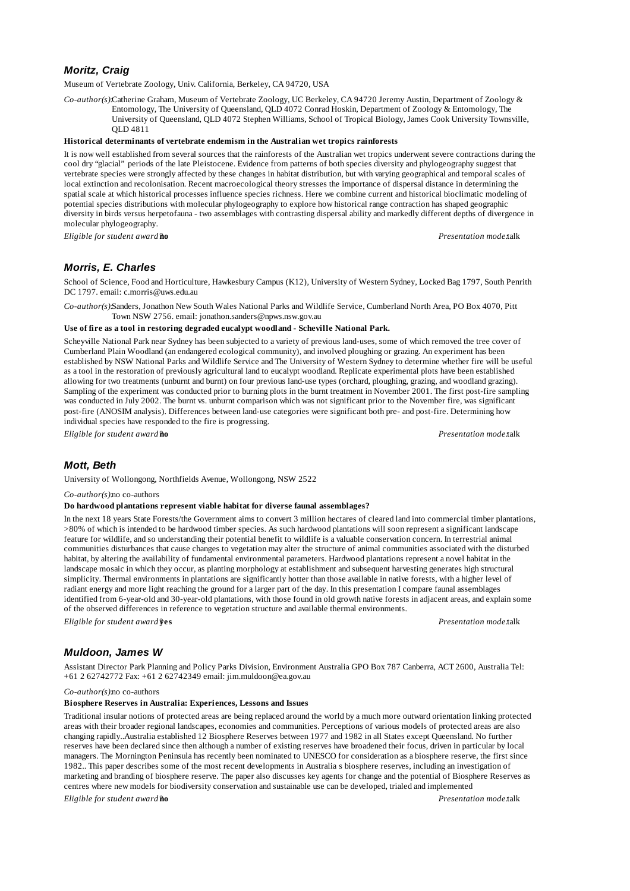## *Moritz, Craig*

Museum of Vertebrate Zoology, Univ. California, Berkeley, CA 94720, USA

*Co-author(s):*Catherine Graham, Museum of Vertebrate Zoology, UC Berkeley, CA 94720 Jeremy Austin, Department of Zoology & Entomology, The University of Queensland, QLD 4072 Conrad Hoskin, Department of Zoology & Entomology, The University of Queensland, QLD 4072 Stephen Williams, School of Tropical Biology, James Cook University Townsville, QLD 4811

#### **Historical determinants of vertebrate endemism in the Australian wet tropics rainforests**

It is now well established from several sources that the rainforests of the Australian wet tropics underwent severe contractions during the cool dry "glacial" periods of the late Pleistocene. Evidence from patterns of both species diversity and phylogeography suggest that vertebrate species were strongly affected by these changes in habitat distribution, but with varying geographical and temporal scales of local extinction and recolonisation. Recent macroecological theory stresses the importance of dispersal distance in determining the spatial scale at which historical processes influence species richness. Here we combine current and historical bioclimatic modeling of potential species distributions with molecular phylogeography to explore how historical range contraction has shaped geographic diversity in birds versus herpetofauna - two assemblages with contrasting dispersal ability and markedly different depths of divergence in molecular phylogeography.

*Eligible for student award?***no** *Presentation mode:*talk

## *Morris, E. Charles*

School of Science, Food and Horticulture, Hawkesbury Campus (K12), University of Western Sydney, Locked Bag 1797, South Penrith DC 1797. email: c.morris@uws.edu.au

*Co-author(s):*Sanders, Jonathon New South Wales National Parks and Wildlife Service, Cumberland North Area, PO Box 4070, Pitt Town NSW 2756. email: jonathon.sanders@npws.nsw.gov.au

### **Use of fire as a tool in restoring degraded eucalypt woodland - Scheville National Park.**

Scheyville National Park near Sydney has been subjected to a variety of previous land-uses, some of which removed the tree cover of Cumberland Plain Woodland (an endangered ecological community), and involved ploughing or grazing. An experiment has been established by NSW National Parks and Wildlife Service and The University of Western Sydney to determine whether fire will be useful as a tool in the restoration of previously agricultural land to eucalypt woodland. Replicate experimental plots have been established allowing for two treatments (unburnt and burnt) on four previous land-use types (orchard, ploughing, grazing, and woodland grazing). Sampling of the experiment was conducted prior to burning plots in the burnt treatment in November 2001. The first post-fire sampling was conducted in July 2002. The burnt vs. unburnt comparison which was not significant prior to the November fire, was significant post-fire (ANOSIM analysis). Differences between land-use categories were significant both pre- and post-fire. Determining how individual species have responded to the fire is progressing.

*Eligible for student award?***no** *Presentation mode:*talk

### *Mott, Beth*

University of Wollongong, Northfields Avenue, Wollongong, NSW 2522

#### *Co-author(s):*no co-authors

#### **Do hardwood plantations represent viable habitat for diverse faunal assemblages?**

In the next 18 years State Forests/the Government aims to convert 3 million hectares of cleared land into commercial timber plantations, >80% of which is intended to be hardwood timber species. As such hardwood plantations will soon represent a significant landscape feature for wildlife, and so understanding their potential benefit to wildlife is a valuable conservation concern. In terrestrial animal communities disturbances that cause changes to vegetation may alter the structure of animal communities associated with the disturbed habitat, by altering the availability of fundamental environmental parameters. Hardwood plantations represent a novel habitat in the landscape mosaic in which they occur, as planting morphology at establishment and subsequent harvesting generates high structural simplicity. Thermal environments in plantations are significantly hotter than those available in native forests, with a higher level of radiant energy and more light reaching the ground for a larger part of the day. In this presentation I compare faunal assemblages identified from 6-year-old and 30-year-old plantations, with those found in old growth native forests in adjacent areas, and explain some of the observed differences in reference to vegetation structure and available thermal environments.

*Eligible for student award?***yes** *Presentation mode:*talk

### *Muldoon, James W*

Assistant Director Park Planning and Policy Parks Division, Environment Australia GPO Box 787 Canberra, ACT 2600, Australia Tel: +61 2 62742772 Fax: +61 2 62742349 email: jim.muldoon@ea.gov.au

*Co-author(s):*no co-authors

#### **Biosphere Reserves in Australia: Experiences, Lessons and Issues**

Traditional insular notions of protected areas are being replaced around the world by a much more outward orientation linking protected areas with their broader regional landscapes, economies and communities. Perceptions of various models of protected areas are also changing rapidly..Australia established 12 Biosphere Reserves between 1977 and 1982 in all States except Queensland. No further reserves have been declared since then although a number of existing reserves have broadened their focus, driven in particular by local managers. The Mornington Peninsula has recently been nominated to UNESCO for consideration as a biosphere reserve, the first since 1982.. This paper describes some of the most recent developments in Australia s biosphere reserves, including an investigation of marketing and branding of biosphere reserve. The paper also discusses key agents for change and the potential of Biosphere Reserves as centres where new models for biodiversity conservation and sustainable use can be developed, trialed and implemented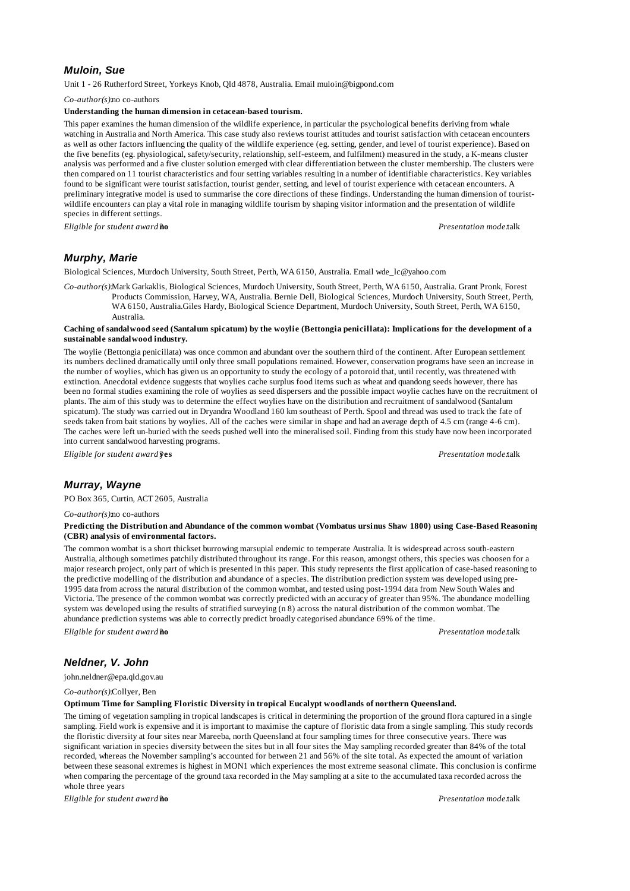## *Muloin, Sue*

Unit 1 - 26 Rutherford Street, Yorkeys Knob, Qld 4878, Australia. Email muloin@bigpond.com

*Co-author(s):*no co-authors

## **Understanding the human dimension in cetacean-based tourism.**

This paper examines the human dimension of the wildlife experience, in particular the psychological benefits deriving from whale watching in Australia and North America. This case study also reviews tourist attitudes and tourist satisfaction with cetacean encounters as well as other factors influencing the quality of the wildlife experience (eg. setting, gender, and level of tourist experience). Based on the five benefits (eg. physiological, safety/security, relationship, self-esteem, and fulfilment) measured in the study, a K-means cluster analysis was performed and a five cluster solution emerged with clear differentiation between the cluster membership. The clusters were then compared on 11 tourist characteristics and four setting variables resulting in a number of identifiable characteristics. Key variables found to be significant were tourist satisfaction, tourist gender, setting, and level of tourist experience with cetacean encounters. A preliminary integrative model is used to summarise the core directions of these findings. Understanding the human dimension of touristwildlife encounters can play a vital role in managing wildlife tourism by shaping visitor information and the presentation of wildlife species in different settings.

*Eligible for student award?***no** *Presentation mode:*talk

# *Murphy, Marie*

Biological Sciences, Murdoch University, South Street, Perth, WA 6150, Australia. Email wde\_lc@yahoo.com

*Co-author(s):*Mark Garkaklis, Biological Sciences, Murdoch University, South Street, Perth, WA 6150, Australia. Grant Pronk, Forest Products Commission, Harvey, WA, Australia. Bernie Dell, Biological Sciences, Murdoch University, South Street, Perth, WA 6150, Australia.Giles Hardy, Biological Science Department, Murdoch University, South Street, Perth, WA 6150, Australia.

### **Caching of sandalwood seed (Santalum spicatum) by the woylie (Bettongia penicillata): Implications for the development of a sustainable sandalwood industry.**

The woylie (Bettongia penicillata) was once common and abundant over the southern third of the continent. After European settlement its numbers declined dramatically until only three small populations remained. However, conservation programs have seen an increase in the number of woylies, which has given us an opportunity to study the ecology of a potoroid that, until recently, was threatened with extinction. Anecdotal evidence suggests that woylies cache surplus food items such as wheat and quandong seeds however, there has been no formal studies examining the role of woylies as seed dispersers and the possible impact woylie caches have on the recruitment of plants. The aim of this study was to determine the effect woylies have on the distribution and recruitment of sandalwood (Santalum spicatum). The study was carried out in Dryandra Woodland 160 km southeast of Perth. Spool and thread was used to track the fate of seeds taken from bait stations by woylies. All of the caches were similar in shape and had an average depth of 4.5 cm (range 4-6 cm). The caches were left un-buried with the seeds pushed well into the mineralised soil. Finding from this study have now been incorporated into current sandalwood harvesting programs.

*Eligible for student award?***yes** *Presentation mode:*talk

# *Murray, Wayne*

PO Box 365, Curtin, ACT 2605, Australia

### *Co-author(s):*no co-authors

#### **Predicting the Distribution and Abundance of the common wombat (Vombatus ursinus Shaw 1800) using Case-Based Reasoning (CBR) analysis of environmental factors.**

The common wombat is a short thickset burrowing marsupial endemic to temperate Australia. It is widespread across south-eastern Australia, although sometimes patchily distributed throughout its range. For this reason, amongst others, this species was choosen for a major research project, only part of which is presented in this paper. This study represents the first application of case-based reasoning to the predictive modelling of the distribution and abundance of a species. The distribution prediction system was developed using pre-1995 data from across the natural distribution of the common wombat, and tested using post-1994 data from New South Wales and Victoria. The presence of the common wombat was correctly predicted with an accuracy of greater than 95%. The abundance modelling system was developed using the results of stratified surveying (n 8) across the natural distribution of the common wombat. The abundance prediction systems was able to correctly predict broadly categorised abundance 69% of the time.

*Eligible for student award?***no** *Presentation mode:*talk

# *Neldner, V. John*

john.neldner@epa.qld.gov.au

*Co-author(s):*Collyer, Ben

#### **Optimum Time for Sampling Floristic Diversity in tropical Eucalypt woodlands of northern Queensland.**

The timing of vegetation sampling in tropical landscapes is critical in determining the proportion of the ground flora captured in a single sampling. Field work is expensive and it is important to maximise the capture of floristic data from a single sampling. This study records the floristic diversity at four sites near Mareeba, north Queensland at four sampling times for three consecutive years. There was significant variation in species diversity between the sites but in all four sites the May sampling recorded greater than 84% of the total recorded, whereas the November sampling's accounted for between 21 and 56% of the site total. As expected the amount of variation between these seasonal extremes is highest in MON1 which experiences the most extreme seasonal climate. This conclusion is confirme when comparing the percentage of the ground taxa recorded in the May sampling at a site to the accumulated taxa recorded across the whole three years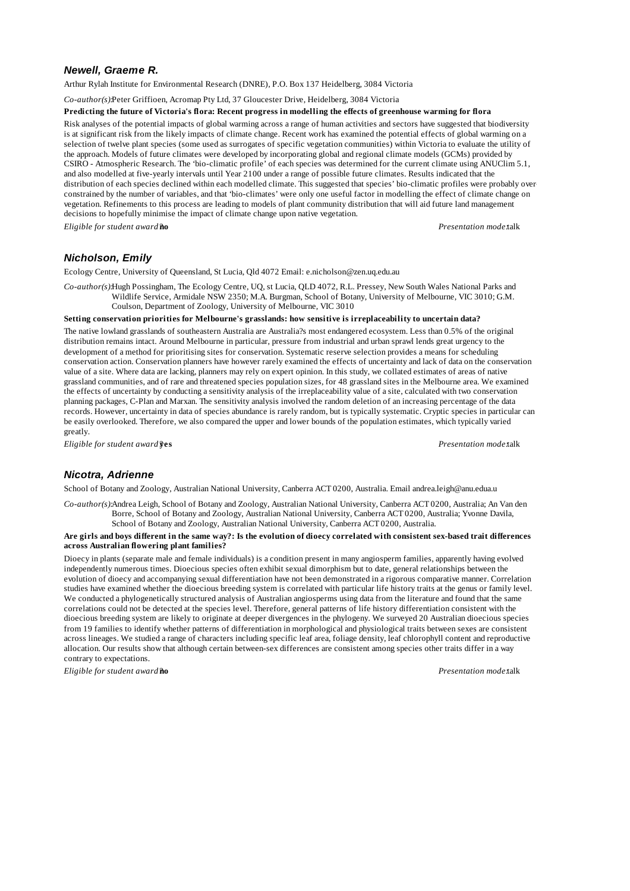# *Newell, Graeme R.*

Arthur Rylah Institute for Environmental Research (DNRE), P.O. Box 137 Heidelberg, 3084 Victoria

*Co-author(s):*Peter Griffioen, Acromap Pty Ltd, 37 Gloucester Drive, Heidelberg, 3084 Victoria

#### **Predicting the future of Victoria's flora: Recent progress in modelling the effects of greenhouse warming for flora**

Risk analyses of the potential impacts of global warming across a range of human activities and sectors have suggested that biodiversity is at significant risk from the likely impacts of climate change. Recent work has examined the potential effects of global warming on a selection of twelve plant species (some used as surrogates of specific vegetation communities) within Victoria to evaluate the utility of the approach. Models of future climates were developed by incorporating global and regional climate models (GCMs) provided by CSIRO - Atmospheric Research. The 'bio-climatic profile' of each species was determined for the current climate using ANUClim 5.1, and also modelled at five-yearly intervals until Year 2100 under a range of possible future climates. Results indicated that the distribution of each species declined within each modelled climate. This suggested that species' bio-climatic profiles were probably overconstrained by the number of variables, and that 'bio-climates' were only one useful factor in modelling the effect of climate change on vegetation. Refinements to this process are leading to models of plant community distribution that will aid future land management decisions to hopefully minimise the impact of climate change upon native vegetation.

*Eligible for student award?***no** *Presentation mode:*talk

## *Nicholson, Emily*

Ecology Centre, University of Queensland, St Lucia, Qld 4072 Email: e.nicholson@zen.uq.edu.au

*Co-author(s):*Hugh Possingham, The Ecology Centre, UQ, st Lucia, QLD 4072, R.L. Pressey, New South Wales National Parks and Wildlife Service, Armidale NSW 2350; M.A. Burgman, School of Botany, University of Melbourne, VIC 3010; G.M. Coulson, Department of Zoology, University of Melbourne, VIC 3010

### **Setting conservation priorities for Melbourne's grasslands: how sensitive is irreplaceability to uncertain data?**

The native lowland grasslands of southeastern Australia are Australia?s most endangered ecosystem. Less than 0.5% of the original distribution remains intact. Around Melbourne in particular, pressure from industrial and urban sprawl lends great urgency to the development of a method for prioritising sites for conservation. Systematic reserve selection provides a means for scheduling conservation action. Conservation planners have however rarely examined the effects of uncertainty and lack of data on the conservation value of a site. Where data are lacking, planners may rely on expert opinion. In this study, we collated estimates of areas of native grassland communities, and of rare and threatened species population sizes, for 48 grassland sites in the Melbourne area. We examined the effects of uncertainty by conducting a sensitivity analysis of the irreplaceability value of a site, calculated with two conservation planning packages, C-Plan and Marxan. The sensitivity analysis involved the random deletion of an increasing percentage of the data records. However, uncertainty in data of species abundance is rarely random, but is typically systematic. Cryptic species in particular can be easily overlooked. Therefore, we also compared the upper and lower bounds of the population estimates, which typically varied greatly.

*Eligible for student award?***yes** *Presentation mode:*talk

# *Nicotra, Adrienne*

School of Botany and Zoology, Australian National University, Canberra ACT 0200, Australia. Email andrea.leigh@anu.edua.u

*Co-author(s):*Andrea Leigh, School of Botany and Zoology, Australian National University, Canberra ACT 0200, Australia; An Van den Borre, School of Botany and Zoology, Australian National University, Canberra ACT 0200, Australia; Yvonne Davila, School of Botany and Zoology, Australian National University, Canberra ACT 0200, Australia.

### **Are girls and boys different in the same way?: Is the evolution of dioecy correlated with consistent sex-based trait differences across Australian flowering plant families?**

Dioecy in plants (separate male and female individuals) is a condition present in many angiosperm families, apparently having evolved independently numerous times. Dioecious species often exhibit sexual dimorphism but to date, general relationships between the evolution of dioecy and accompanying sexual differentiation have not been demonstrated in a rigorous comparative manner. Correlation studies have examined whether the dioecious breeding system is correlated with particular life history traits at the genus or family level. We conducted a phylogenetically structured analysis of Australian angiosperms using data from the literature and found that the same correlations could not be detected at the species level. Therefore, general patterns of life history differentiation consistent with the dioecious breeding system are likely to originate at deeper divergences in the phylogeny. We surveyed 20 Australian dioecious species from 19 families to identify whether patterns of differentiation in morphological and physiological traits between sexes are consistent across lineages. We studied a range of characters including specific leaf area, foliage density, leaf chlorophyll content and reproductive allocation. Our results show that although certain between-sex differences are consistent among species other traits differ in a way contrary to expectations.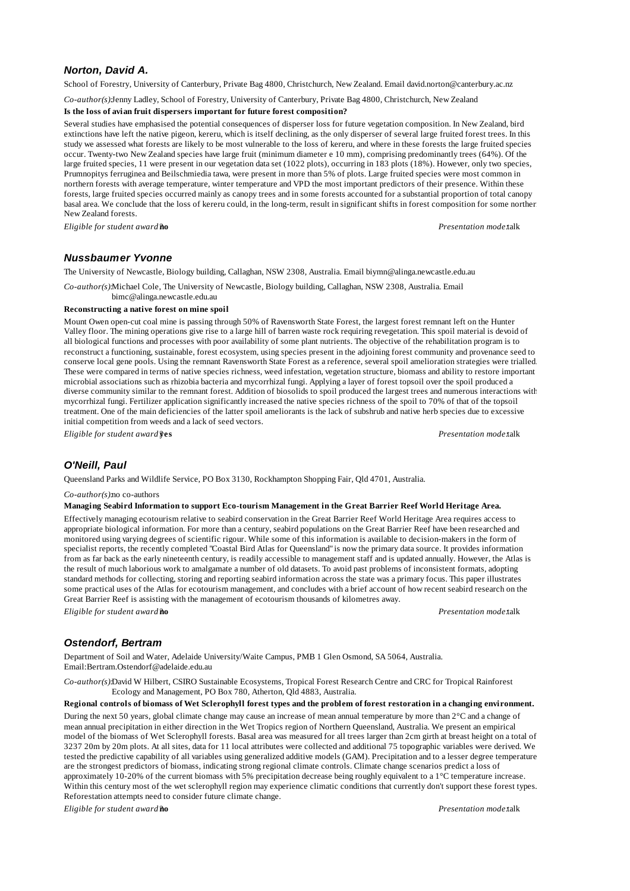## *Norton, David A.*

School of Forestry, University of Canterbury, Private Bag 4800, Christchurch, New Zealand. Email david.norton@canterbury.ac.nz

*Co-author(s):*Jenny Ladley, School of Forestry, University of Canterbury, Private Bag 4800, Christchurch, New Zealand

## **Is the loss of avian fruit dispersers important for future forest composition?**

Several studies have emphasised the potential consequences of disperser loss for future vegetation composition. In New Zealand, bird extinctions have left the native pigeon, kereru, which is itself declining, as the only disperser of several large fruited forest trees. In this study we assessed what forests are likely to be most vulnerable to the loss of kereru, and where in these forests the large fruited species occur. Twenty-two New Zealand species have large fruit (minimum diameter e 10 mm), comprising predominantly trees (64%). Of the large fruited species, 11 were present in our vegetation data set (1022 plots), occurring in 183 plots (18%). However, only two species, Prumnopitys ferruginea and Beilschmiedia tawa, were present in more than 5% of plots. Large fruited species were most common in northern forests with average temperature, winter temperature and VPD the most important predictors of their presence. Within these forests, large fruited species occurred mainly as canopy trees and in some forests accounted for a substantial proportion of total canopy basal area. We conclude that the loss of kereru could, in the long-term, result in significant shifts in forest composition for some norther New Zealand forests.

*Eligible for student award?***no** *Presentation mode:*talk

## *Nussbaumer Yvonne*

The University of Newcastle, Biology building, Callaghan, NSW 2308, Australia. Email biymn@alinga.newcastle.edu.au

*Co-author(s):*Michael Cole, The University of Newcastle, Biology building, Callaghan, NSW 2308, Australia. Email

bimc@alinga.newcastle.edu.au

#### **Reconstructing a native forest on mine spoil**

Mount Owen open-cut coal mine is passing through 50% of Ravensworth State Forest, the largest forest remnant left on the Hunter Valley floor. The mining operations give rise to a large hill of barren waste rock requiring revegetation. This spoil material is devoid of all biological functions and processes with poor availability of some plant nutrients. The objective of the rehabilitation program is to reconstruct a functioning, sustainable, forest ecosystem, using species present in the adjoining forest community and provenance seed to conserve local gene pools. Using the remnant Ravensworth State Forest as a reference, several spoil amelioration strategies were trialled. These were compared in terms of native species richness, weed infestation, vegetation structure, biomass and ability to restore important microbial associations such as rhizobia bacteria and mycorrhizal fungi. Applying a layer of forest topsoil over the spoil produced a diverse community similar to the remnant forest. Addition of biosolids to spoil produced the largest trees and numerous interactions with mycorrhizal fungi. Fertilizer application significantly increased the native species richness of the spoil to 70% of that of the topsoil treatment. One of the main deficiencies of the latter spoil ameliorants is the lack of subshrub and native herb species due to excessive initial competition from weeds and a lack of seed vectors.

*Eligible for student award?***yes** *Presentation mode:*talk

## *O'Neill, Paul*

Queensland Parks and Wildlife Service, PO Box 3130, Rockhampton Shopping Fair, Qld 4701, Australia.

#### *Co-author(s):*no co-authors

#### **Managing Seabird Information to support Eco-tourism Management in the Great Barrier Reef World Heritage Area.**

Effectively managing ecotourism relative to seabird conservation in the Great Barrier Reef World Heritage Area requires access to appropriate biological information. For more than a century, seabird populations on the Great Barrier Reef have been researched and monitored using varying degrees of scientific rigour. While some of this information is available to decision-makers in the form of specialist reports, the recently completed "Coastal Bird Atlas for Queensland" is now the primary data source. It provides information from as far back as the early nineteenth century, is readily accessible to management staff and is updated annually. However, the Atlas is the result of much laborious work to amalgamate a number of old datasets. To avoid past problems of inconsistent formats, adopting standard methods for collecting, storing and reporting seabird information across the state was a primary focus. This paper illustrates some practical uses of the Atlas for ecotourism management, and concludes with a brief account of how recent seabird research on the Great Barrier Reef is assisting with the management of ecotourism thousands of kilometres away.

*Eligible for student award?***no** *Presentation mode:*talk

## *Ostendorf, Bertram*

Department of Soil and Water, Adelaide University/Waite Campus, PMB 1 Glen Osmond, SA 5064, Australia. Email:Bertram.Ostendorf@adelaide.edu.au

*Co-author(s):*David W Hilbert, CSIRO Sustainable Ecosystems, Tropical Forest Research Centre and CRC for Tropical Rainforest Ecology and Management, PO Box 780, Atherton, Qld 4883, Australia.

### **Regional controls of biomass of Wet Sclerophyll forest types and the problem of forest restoration in a changing environment.**

During the next 50 years, global climate change may cause an increase of mean annual temperature by more than 2°C and a change of mean annual precipitation in either direction in the Wet Tropics region of Northern Queensland, Australia. We present an empirical model of the biomass of Wet Sclerophyll forests. Basal area was measured for all trees larger than 2cm girth at breast height on a total of 3237 20m by 20m plots. At all sites, data for 11 local attributes were collected and additional 75 topographic variables were derived. We tested the predictive capability of all variables using generalized additive models (GAM). Precipitation and to a lesser degree temperature are the strongest predictors of biomass, indicating strong regional climate controls. Climate change scenarios predict a loss of approximately 10-20% of the current biomass with 5% precipitation decrease being roughly equivalent to a 1°C temperature increase. Within this century most of the wet sclerophyll region may experience climatic conditions that currently don't support these forest types. Reforestation attempts need to consider future climate change.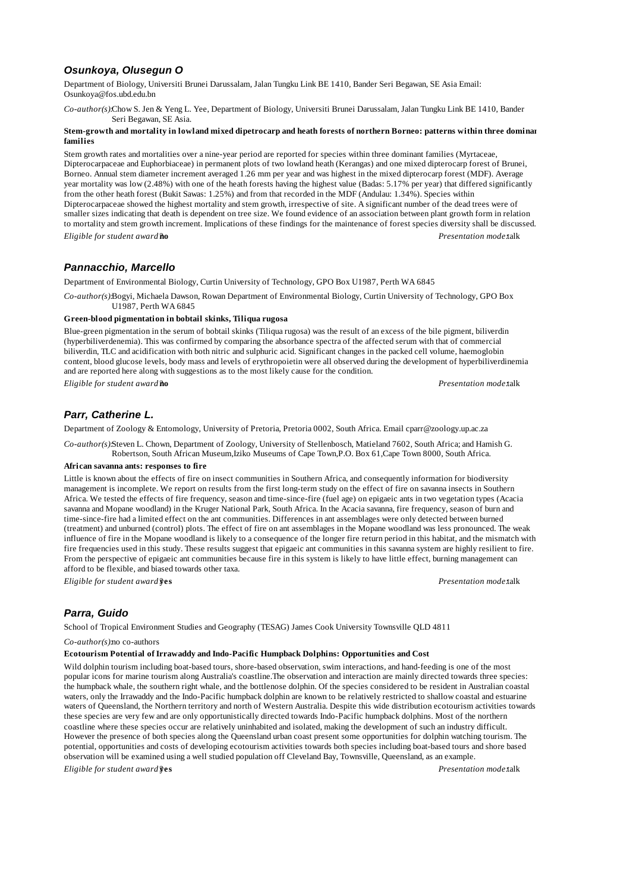# *Osunkoya, Olusegun O*

Department of Biology, Universiti Brunei Darussalam, Jalan Tungku Link BE 1410, Bander Seri Begawan, SE Asia Email: Osunkoya@fos.ubd.edu.bn

*Co-author(s):*Chow S. Jen & Yeng L. Yee, Department of Biology, Universiti Brunei Darussalam, Jalan Tungku Link BE 1410, Bander Seri Begawan, SE Asia.

#### **Stem-growth and mortality in lowland mixed dipetrocarp and heath forests of northern Borneo: patterns within three dominant families**

Stem growth rates and mortalities over a nine-year period are reported for species within three dominant families (Myrtaceae, Dipterocarpaceae and Euphorbiaceae) in permanent plots of two lowland heath (Kerangas) and one mixed dipterocarp forest of Brunei, Borneo. Annual stem diameter increment averaged 1.26 mm per year and was highest in the mixed dipterocarp forest (MDF). Average year mortality was low (2.48%) with one of the heath forests having the highest value (Badas: 5.17% per year) that differed significantly from the other heath forest (Bukit Sawas: 1.25%) and from that recorded in the MDF (Andulau: 1.34%). Species within Dipterocarpaceae showed the highest mortality and stem growth, irrespective of site. A significant number of the dead trees were of smaller sizes indicating that death is dependent on tree size. We found evidence of an association between plant growth form in relation to mortality and stem growth increment. Implications of these findings for the maintenance of forest species diversity shall be discussed. *Eligible for student award?***no** *Presentation mode:*talk

# *Pannacchio, Marcello*

Department of Environmental Biology, Curtin University of Technology, GPO Box U1987, Perth WA 6845

*Co-author(s):*Bogyi, Michaela Dawson, Rowan Department of Environmental Biology, Curtin University of Technology, GPO Box U1987, Perth WA 6845

# **Green-blood pigmentation in bobtail skinks, Tiliqua rugosa**

Blue-green pigmentation in the serum of bobtail skinks (Tiliqua rugosa) was the result of an excess of the bile pigment, biliverdin (hyperbiliverdenemia). This was confirmed by comparing the absorbance spectra of the affected serum with that of commercial biliverdin, TLC and acidification with both nitric and sulphuric acid. Significant changes in the packed cell volume, haemoglobin content, blood glucose levels, body mass and levels of erythropoietin were all observed during the development of hyperbiliverdinemia and are reported here along with suggestions as to the most likely cause for the condition.

*Eligible for student award?***no** *Presentation mode:*talk

# *Parr, Catherine L.*

Department of Zoology & Entomology, University of Pretoria, Pretoria 0002, South Africa. Email cparr@zoology.up.ac.za

*Co-author(s):*Steven L. Chown, Department of Zoology, University of Stellenbosch, Matieland 7602, South Africa; and Hamish G. Robertson, South African Museum,Iziko Museums of Cape Town,P.O. Box 61,Cape Town 8000, South Africa.

#### **African savanna ants: responses to fire**

Little is known about the effects of fire on insect communities in Southern Africa, and consequently information for biodiversity management is incomplete. We report on results from the first long-term study on the effect of fire on savanna insects in Southern Africa. We tested the effects of fire frequency, season and time-since-fire (fuel age) on epigaeic ants in two vegetation types (Acacia savanna and Mopane woodland) in the Kruger National Park, South Africa. In the Acacia savanna, fire frequency, season of burn and time-since-fire had a limited effect on the ant communities. Differences in ant assemblages were only detected between burned (treatment) and unburned (control) plots. The effect of fire on ant assemblages in the Mopane woodland was less pronounced. The weak influence of fire in the Mopane woodland is likely to a consequence of the longer fire return period in this habitat, and the mismatch with fire frequencies used in this study. These results suggest that epigaeic ant communities in this savanna system are highly resilient to fire. From the perspective of epigaeic ant communities because fire in this system is likely to have little effect, burning management can afford to be flexible, and biased towards other taxa.

*Eligible for student award?***yes** *Presentation mode:*talk

# *Parra, Guido*

School of Tropical Environment Studies and Geography (TESAG) James Cook University Townsville QLD 4811

#### *Co-author(s):*no co-authors

### **Ecotourism Potential of Irrawaddy and Indo-Pacific Humpback Dolphins: Opportunities and Cost**

Wild dolphin tourism including boat-based tours, shore-based observation, swim interactions, and hand-feeding is one of the most popular icons for marine tourism along Australia's coastline.The observation and interaction are mainly directed towards three species: the humpback whale, the southern right whale, and the bottlenose dolphin. Of the species considered to be resident in Australian coastal waters, only the Irrawaddy and the Indo-Pacific humpback dolphin are known to be relatively restricted to shallow coastal and estuarine waters of Queensland, the Northern territory and north of Western Australia. Despite this wide distribution ecotourism activities towards these species are very few and are only opportunistically directed towards Indo-Pacific humpback dolphins. Most of the northern coastline where these species occur are relatively uninhabited and isolated, making the development of such an industry difficult. However the presence of both species along the Queensland urban coast present some opportunities for dolphin watching tourism. The potential, opportunities and costs of developing ecotourism activities towards both species including boat-based tours and shore based observation will be examined using a well studied population off Cleveland Bay, Townsville, Queensland, as an example.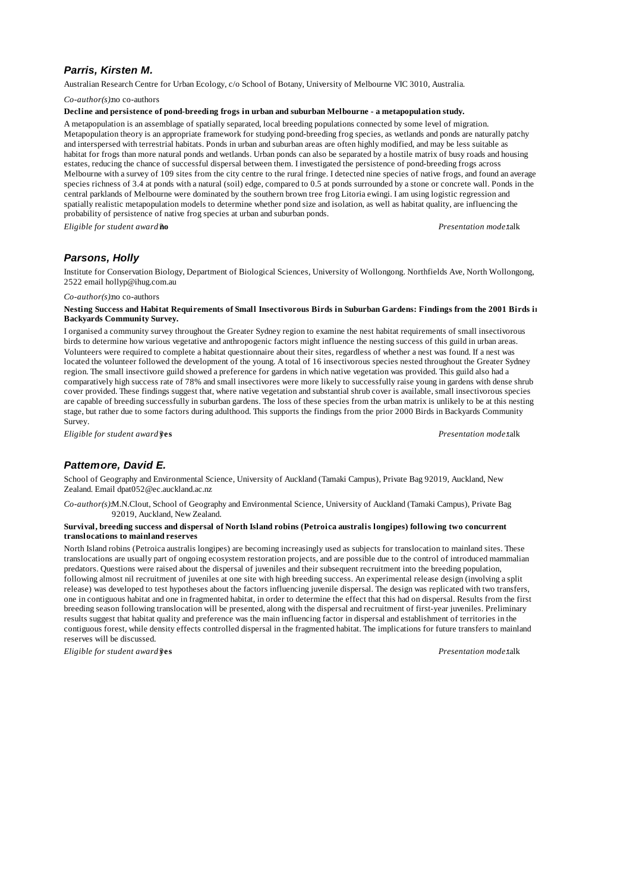# *Parris, Kirsten M.*

Australian Research Centre for Urban Ecology, c/o School of Botany, University of Melbourne VIC 3010, Australia.

*Co-author(s):*no co-authors

#### **Decline and persistence of pond-breeding frogs in urban and suburban Melbourne - a metapopulation study.**

A metapopulation is an assemblage of spatially separated, local breeding populations connected by some level of migration. Metapopulation theory is an appropriate framework for studying pond-breeding frog species, as wetlands and ponds are naturally patchy and interspersed with terrestrial habitats. Ponds in urban and suburban areas are often highly modified, and may be less suitable as habitat for frogs than more natural ponds and wetlands. Urban ponds can also be separated by a hostile matrix of busy roads and housing estates, reducing the chance of successful dispersal between them. I investigated the persistence of pond-breeding frogs across Melbourne with a survey of 109 sites from the city centre to the rural fringe. I detected nine species of native frogs, and found an average species richness of 3.4 at ponds with a natural (soil) edge, compared to 0.5 at ponds surrounded by a stone or concrete wall. Ponds in the central parklands of Melbourne were dominated by the southern brown tree frog Litoria ewingi. I am using logistic regression and spatially realistic metapopulation models to determine whether pond size and isolation, as well as habitat quality, are influencing the probability of persistence of native frog species at urban and suburban ponds.

*Eligible for student award?***no** *Presentation mode:*talk

## *Parsons, Holly*

Institute for Conservation Biology, Department of Biological Sciences, University of Wollongong. Northfields Ave, North Wollongong, 2522 email hollyp@ihug.com.au

#### *Co-author(s):*no co-authors

### **Nesting Success and Habitat Requirements of Small Insectivorous Birds in Suburban Gardens: Findings from the 2001 Birds in Backyards Community Survey.**

I organised a community survey throughout the Greater Sydney region to examine the nest habitat requirements of small insectivorous birds to determine how various vegetative and anthropogenic factors might influence the nesting success of this guild in urban areas. Volunteers were required to complete a habitat questionnaire about their sites, regardless of whether a nest was found. If a nest was located the volunteer followed the development of the young. A total of 16 insectivorous species nested throughout the Greater Sydney region. The small insectivore guild showed a preference for gardens in which native vegetation was provided. This guild also had a comparatively high success rate of 78% and small insectivores were more likely to successfully raise young in gardens with dense shrub cover provided. These findings suggest that, where native vegetation and substantial shrub cover is available, small insectivorous species are capable of breeding successfully in suburban gardens. The loss of these species from the urban matrix is unlikely to be at this nesting stage, but rather due to some factors during adulthood. This supports the findings from the prior 2000 Birds in Backyards Community Survey.

*Eligible for student award?***yes** *Presentation mode:*talk

## *Pattemore, David E.*

School of Geography and Environmental Science, University of Auckland (Tamaki Campus), Private Bag 92019, Auckland, New Zealand. Email dpat052@ec.auckland.ac.nz

*Co-author(s):*M.N.Clout, School of Geography and Environmental Science, University of Auckland (Tamaki Campus), Private Bag 92019, Auckland, New Zealand.

#### **Survival, breeding success and dispersal of North Island robins (Petroica australis longipes) following two concurrent translocations to mainland reserves**

North Island robins (Petroica australis longipes) are becoming increasingly used as subjects for translocation to mainland sites. These translocations are usually part of ongoing ecosystem restoration projects, and are possible due to the control of introduced mammalian predators. Questions were raised about the dispersal of juveniles and their subsequent recruitment into the breeding population, following almost nil recruitment of juveniles at one site with high breeding success. An experimental release design (involving a split release) was developed to test hypotheses about the factors influencing juvenile dispersal. The design was replicated with two transfers, one in contiguous habitat and one in fragmented habitat, in order to determine the effect that this had on dispersal. Results from the first breeding season following translocation will be presented, along with the dispersal and recruitment of first-year juveniles. Preliminary results suggest that habitat quality and preference was the main influencing factor in dispersal and establishment of territories in the contiguous forest, while density effects controlled dispersal in the fragmented habitat. The implications for future transfers to mainland reserves will be discussed.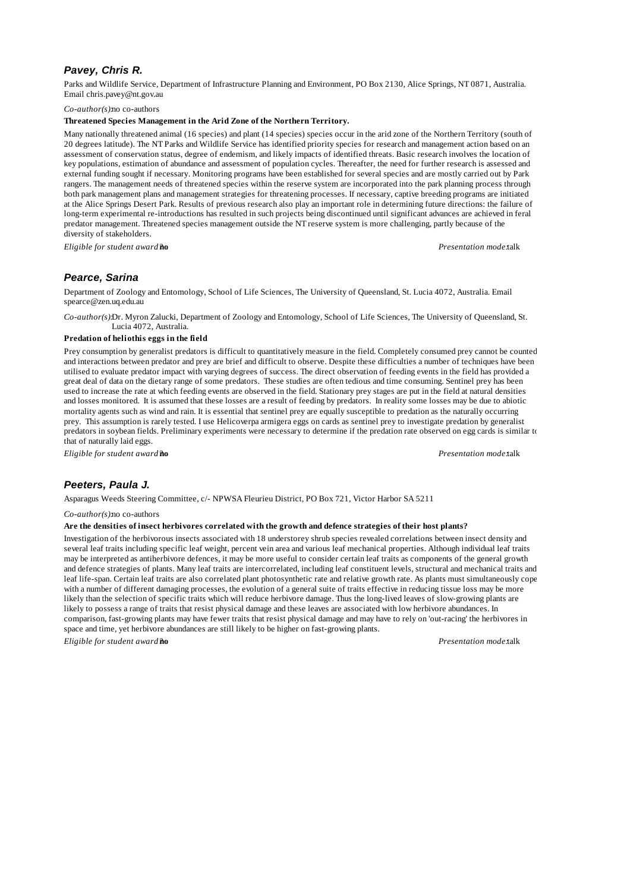# *Pavey, Chris R.*

Parks and Wildlife Service, Department of Infrastructure Planning and Environment, PO Box 2130, Alice Springs, NT 0871, Australia. Email chris.pavey@nt.gov.au

## *Co-author(s):*no co-authors

## **Threatened Species Management in the Arid Zone of the Northern Territory.**

Many nationally threatened animal (16 species) and plant (14 species) species occur in the arid zone of the Northern Territory (south of 20 degrees latitude). The NT Parks and Wildlife Service has identified priority species for research and management action based on an assessment of conservation status, degree of endemism, and likely impacts of identified threats. Basic research involves the location of key populations, estimation of abundance and assessment of population cycles. Thereafter, the need for further research is assessed and external funding sought if necessary. Monitoring programs have been established for several species and are mostly carried out by Park rangers. The management needs of threatened species within the reserve system are incorporated into the park planning process through both park management plans and management strategies for threatening processes. If necessary, captive breeding programs are initiated at the Alice Springs Desert Park. Results of previous research also play an important role in determining future directions: the failure of long-term experimental re-introductions has resulted in such projects being discontinued until significant advances are achieved in feral predator management. Threatened species management outside the NT reserve system is more challenging, partly because of the diversity of stakeholders.

*Eligible for student award?***no** *Presentation mode:*talk

# *Pearce, Sarina*

Department of Zoology and Entomology, School of Life Sciences, The University of Queensland, St. Lucia 4072, Australia. Email spearce@zen.uq.edu.au

*Co-author(s):*Dr. Myron Zalucki, Department of Zoology and Entomology, School of Life Sciences, The University of Queensland, St. Lucia 4072, Australia.

### **Predation of heliothis eggs in the field**

Prey consumption by generalist predators is difficult to quantitatively measure in the field. Completely consumed prey cannot be counted and interactions between predator and prey are brief and difficult to observe. Despite these difficulties a number of techniques have been utilised to evaluate predator impact with varying degrees of success. The direct observation of feeding events in the field has provided a great deal of data on the dietary range of some predators. These studies are often tedious and time consuming. Sentinel prey has been used to increase the rate at which feeding events are observed in the field. Stationary prey stages are put in the field at natural densities and losses monitored. It is assumed that these losses are a result of feeding by predators. In reality some losses may be due to abiotic mortality agents such as wind and rain. It is essential that sentinel prey are equally susceptible to predation as the naturally occurring prey. This assumption is rarely tested. I use Helicoverpa armigera eggs on cards as sentinel prey to investigate predation by generalist predators in soybean fields. Preliminary experiments were necessary to determine if the predation rate observed on egg cards is similar to that of naturally laid eggs.

*Eligible for student award?***no** *Presentation mode:*talk

# *Peeters, Paula J.*

Asparagus Weeds Steering Committee, c/- NPWSA Fleurieu District, PO Box 721, Victor Harbor SA 5211

*Co-author(s):*no co-authors

## **Are the densities of insect herbivores correlated with the growth and defence strategies of their host plants?**

Investigation of the herbivorous insects associated with 18 understorey shrub species revealed correlations between insect density and several leaf traits including specific leaf weight, percent vein area and various leaf mechanical properties. Although individual leaf traits may be interpreted as antiherbivore defences, it may be more useful to consider certain leaf traits as components of the general growth and defence strategies of plants. Many leaf traits are intercorrelated, including leaf constituent levels, structural and mechanical traits and leaf life-span. Certain leaf traits are also correlated plant photosynthetic rate and relative growth rate. As plants must simultaneously cope with a number of different damaging processes, the evolution of a general suite of traits effective in reducing tissue loss may be more likely than the selection of specific traits which will reduce herbivore damage. Thus the long-lived leaves of slow-growing plants are likely to possess a range of traits that resist physical damage and these leaves are associated with low herbivore abundances. In comparison, fast-growing plants may have fewer traits that resist physical damage and may have to rely on 'out-racing' the herbivores in space and time, yet herbivore abundances are still likely to be higher on fast-growing plants.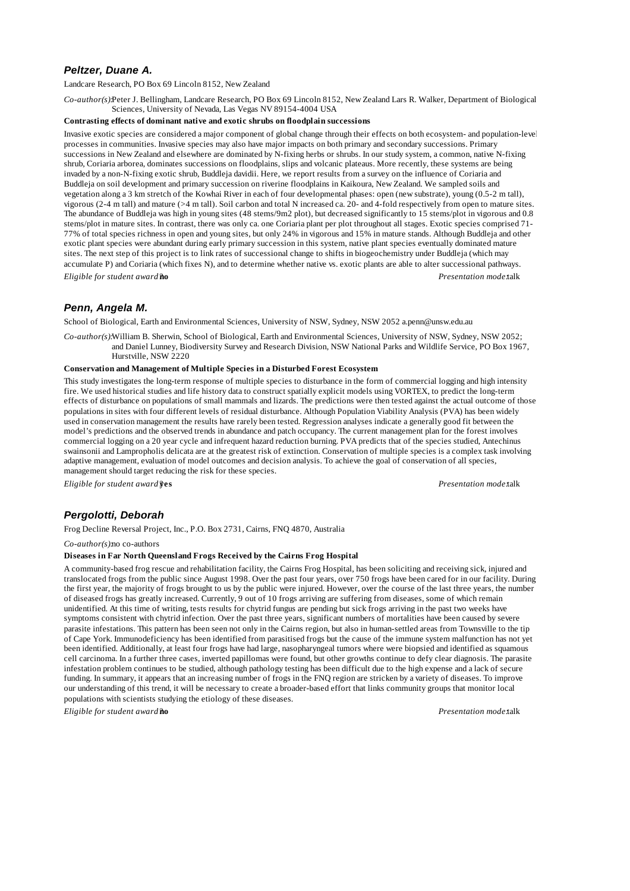# *Peltzer, Duane A.*

#### Landcare Research, PO Box 69 Lincoln 8152, New Zealand

*Co-author(s):*Peter J. Bellingham, Landcare Research, PO Box 69 Lincoln 8152, New Zealand Lars R. Walker, Department of Biological Sciences, University of Nevada, Las Vegas NV 89154-4004 USA

### **Contrasting effects of dominant native and exotic shrubs on floodplain successions**

Invasive exotic species are considered a major component of global change through their effects on both ecosystem- and population-level processes in communities. Invasive species may also have major impacts on both primary and secondary successions. Primary successions in New Zealand and elsewhere are dominated by N-fixing herbs or shrubs. In our study system, a common, native N-fixing shrub, Coriaria arborea, dominates successions on floodplains, slips and volcanic plateaus. More recently, these systems are being invaded by a non-N-fixing exotic shrub, Buddleja davidii. Here, we report results from a survey on the influence of Coriaria and Buddleja on soil development and primary succession on riverine floodplains in Kaikoura, New Zealand. We sampled soils and vegetation along a 3 km stretch of the Kowhai River in each of four developmental phases: open (new substrate), young (0.5-2 m tall), vigorous (2-4 m tall) and mature (>4 m tall). Soil carbon and total N increased ca. 20- and 4-fold respectively from open to mature sites. The abundance of Buddleja was high in young sites (48 stems/9m2 plot), but decreased significantly to 15 stems/plot in vigorous and 0.8 stems/plot in mature sites. In contrast, there was only ca. one Coriaria plant per plot throughout all stages. Exotic species comprised 71- 77% of total species richness in open and young sites, but only 24% in vigorous and 15% in mature stands. Although Buddleja and other exotic plant species were abundant during early primary succession in this system, native plant species eventually dominated mature sites. The next step of this project is to link rates of successional change to shifts in biogeochemistry under Buddleja (which may accumulate P) and Coriaria (which fixes N), and to determine whether native vs. exotic plants are able to alter successional pathways. *Eligible for student award?***no** *Presentation mode:*talk

# *Penn, Angela M.*

School of Biological, Earth and Environmental Sciences, University of NSW, Sydney, NSW 2052 a.penn@unsw.edu.au

*Co-author(s):*William B. Sherwin, School of Biological, Earth and Environmental Sciences, University of NSW, Sydney, NSW 2052; and Daniel Lunney, Biodiversity Survey and Research Division, NSW National Parks and Wildlife Service, PO Box 1967, Hurstville, NSW 2220

### **Conservation and Management of Multiple Species in a Disturbed Forest Ecosystem**

This study investigates the long-term response of multiple species to disturbance in the form of commercial logging and high intensity fire. We used historical studies and life history data to construct spatially explicit models using VORTEX, to predict the long-term effects of disturbance on populations of small mammals and lizards. The predictions were then tested against the actual outcome of those populations in sites with four different levels of residual disturbance. Although Population Viability Analysis (PVA) has been widely used in conservation management the results have rarely been tested. Regression analyses indicate a generally good fit between the model's predictions and the observed trends in abundance and patch occupancy. The current management plan for the forest involves commercial logging on a 20 year cycle and infrequent hazard reduction burning. PVA predicts that of the species studied, Antechinus swainsonii and Lampropholis delicata are at the greatest risk of extinction. Conservation of multiple species is a complex task involving adaptive management, evaluation of model outcomes and decision analysis. To achieve the goal of conservation of all species, management should target reducing the risk for these species.

*Eligible for student award?***yes** *Presentation mode:*talk

# *Pergolotti, Deborah*

Frog Decline Reversal Project, Inc., P.O. Box 2731, Cairns, FNQ 4870, Australia

*Co-author(s):*no co-authors

### **Diseases in Far North Queensland Frogs Received by the Cairns Frog Hospital**

A community-based frog rescue and rehabilitation facility, the Cairns Frog Hospital, has been soliciting and receiving sick, injured and translocated frogs from the public since August 1998. Over the past four years, over 750 frogs have been cared for in our facility. During the first year, the majority of frogs brought to us by the public were injured. However, over the course of the last three years, the number of diseased frogs has greatly increased. Currently, 9 out of 10 frogs arriving are suffering from diseases, some of which remain unidentified. At this time of writing, tests results for chytrid fungus are pending but sick frogs arriving in the past two weeks have symptoms consistent with chytrid infection. Over the past three years, significant numbers of mortalities have been caused by severe parasite infestations. This pattern has been seen not only in the Cairns region, but also in human-settled areas from Townsville to the tip of Cape York. Immunodeficiency has been identified from parasitised frogs but the cause of the immune system malfunction has not yet been identified. Additionally, at least four frogs have had large, nasopharyngeal tumors where were biopsied and identified as squamous cell carcinoma. In a further three cases, inverted papillomas were found, but other growths continue to defy clear diagnosis. The parasite infestation problem continues to be studied, although pathology testing has been difficult due to the high expense and a lack of secure funding. In summary, it appears that an increasing number of frogs in the FNQ region are stricken by a variety of diseases. To improve our understanding of this trend, it will be necessary to create a broader-based effort that links community groups that monitor local populations with scientists studying the etiology of these diseases.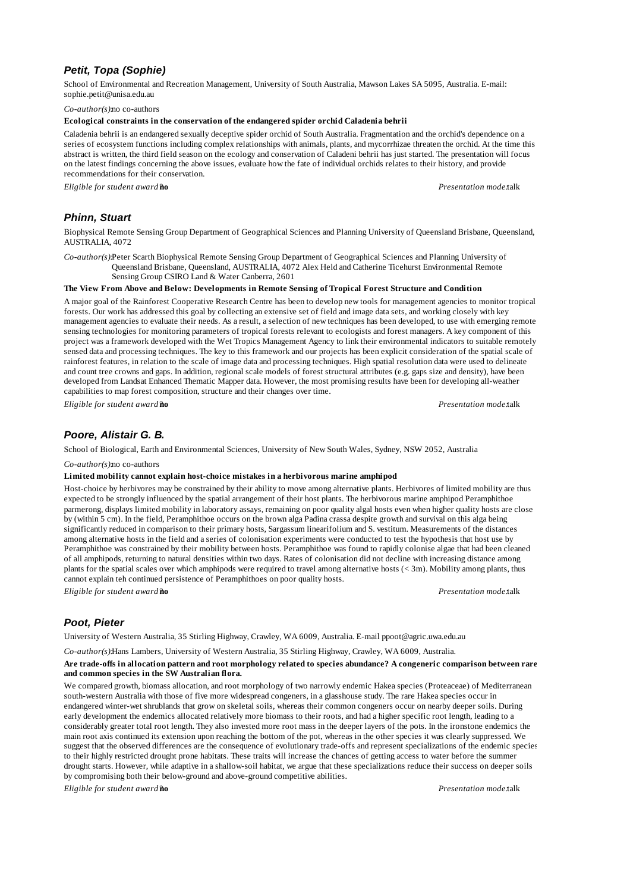# *Petit, Topa (Sophie)*

School of Environmental and Recreation Management, University of South Australia, Mawson Lakes SA 5095, Australia. E-mail: sophie.petit@unisa.edu.au

*Co-author(s):*no co-authors

#### **Ecological constraints in the conservation of the endangered spider orchid Caladenia behrii**

Caladenia behrii is an endangered sexually deceptive spider orchid of South Australia. Fragmentation and the orchid's dependence on a series of ecosystem functions including complex relationships with animals, plants, and mycorrhizae threaten the orchid. At the time this abstract is written, the third field season on the ecology and conservation of Caladeni behrii has just started. The presentation will focus on the latest findings concerning the above issues, evaluate how the fate of individual orchids relates to their history, and provide recommendations for their conservation.

*Eligible for student award?***no** *Presentation mode:*talk

# *Phinn, Stuart*

Biophysical Remote Sensing Group Department of Geographical Sciences and Planning University of Queensland Brisbane, Queensland, AUSTRALIA, 4072

*Co-author(s):*Peter Scarth Biophysical Remote Sensing Group Department of Geographical Sciences and Planning University of Queensland Brisbane, Queensland, AUSTRALIA, 4072 Alex Held and Catherine Ticehurst Environmental Remote Sensing Group CSIRO Land & Water Canberra, 2601

#### **The View From Above and Below: Developments in Remote Sensing of Tropical Forest Structure and Condition**

A major goal of the Rainforest Cooperative Research Centre has been to develop new tools for management agencies to monitor tropical forests. Our work has addressed this goal by collecting an extensive set of field and image data sets, and working closely with key management agencies to evaluate their needs. As a result, a selection of new techniques has been developed, to use with emerging remote sensing technologies for monitoring parameters of tropical forests relevant to ecologists and forest managers. A key component of this project was a framework developed with the Wet Tropics Management Agency to link their environmental indicators to suitable remotely sensed data and processing techniques. The key to this framework and our projects has been explicit consideration of the spatial scale of rainforest features, in relation to the scale of image data and processing techniques. High spatial resolution data were used to delineate and count tree crowns and gaps. In addition, regional scale models of forest structural attributes (e.g. gaps size and density), have been developed from Landsat Enhanced Thematic Mapper data. However, the most promising results have been for developing all-weather capabilities to map forest composition, structure and their changes over time.

*Eligible for student award?***no** *Presentation mode:*talk

# *Poore, Alistair G. B.*

School of Biological, Earth and Environmental Sciences, University of New South Wales, Sydney, NSW 2052, Australia

#### *Co-author(s):*no co-authors

**Limited mobility cannot explain host-choice mistakes in a herbivorous marine amphipod**

Host-choice by herbivores may be constrained by their ability to move among alternative plants. Herbivores of limited mobility are thus expected to be strongly influenced by the spatial arrangement of their host plants. The herbivorous marine amphipod Peramphithoe parmerong, displays limited mobility in laboratory assays, remaining on poor quality algal hosts even when higher quality hosts are close by (within 5 cm). In the field, Peramphithoe occurs on the brown alga Padina crassa despite growth and survival on this alga being significantly reduced in comparison to their primary hosts, Sargassum linearifolium and S. vestitum. Measurements of the distances among alternative hosts in the field and a series of colonisation experiments were conducted to test the hypothesis that host use by Peramphithoe was constrained by their mobility between hosts. Peramphithoe was found to rapidly colonise algae that had been cleaned of all amphipods, returning to natural densities within two days. Rates of colonisation did not decline with increasing distance among plants for the spatial scales over which amphipods were required to travel among alternative hosts (< 3m). Mobility among plants, thus cannot explain teh continued persistence of Peramphithoes on poor quality hosts.

*Eligible for student award?***no** *Presentation mode:*talk

## *Poot, Pieter*

University of Western Australia, 35 Stirling Highway, Crawley, WA 6009, Australia. E-mail ppoot@agric.uwa.edu.au

*Co-author(s):*Hans Lambers, University of Western Australia, 35 Stirling Highway, Crawley, WA 6009, Australia.

#### **Are trade-offs in allocation pattern and root morphology related to species abundance? A congeneric comparison between rare and common species in the SW Australian flora.**

We compared growth, biomass allocation, and root morphology of two narrowly endemic Hakea species (Proteaceae) of Mediterranean south-western Australia with those of five more widespread congeners, in a glasshouse study. The rare Hakea species occur in endangered winter-wet shrublands that grow on skeletal soils, whereas their common congeners occur on nearby deeper soils. During early development the endemics allocated relatively more biomass to their roots, and had a higher specific root length, leading to a considerably greater total root length. They also invested more root mass in the deeper layers of the pots. In the ironstone endemics the main root axis continued its extension upon reaching the bottom of the pot, whereas in the other species it was clearly suppressed. We suggest that the observed differences are the consequence of evolutionary trade-offs and represent specializations of the endemic species to their highly restricted drought prone habitats. These traits will increase the chances of getting access to water before the summer drought starts. However, while adaptive in a shallow-soil habitat, we argue that these specializations reduce their success on deeper soils by compromising both their below-ground and above-ground competitive abilities.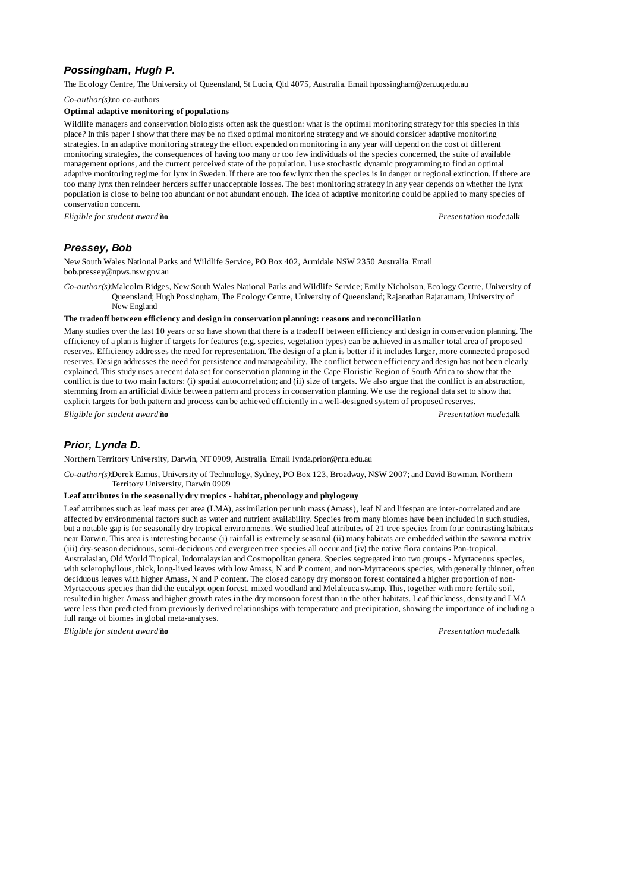# *Possingham, Hugh P.*

The Ecology Centre, The University of Queensland, St Lucia, Qld 4075, Australia. Email hpossingham@zen.uq.edu.au

*Co-author(s):*no co-authors

### **Optimal adaptive monitoring of populations**

Wildlife managers and conservation biologists often ask the question: what is the optimal monitoring strategy for this species in this place? In this paper I show that there may be no fixed optimal monitoring strategy and we should consider adaptive monitoring strategies. In an adaptive monitoring strategy the effort expended on monitoring in any year will depend on the cost of different monitoring strategies, the consequences of having too many or too few individuals of the species concerned, the suite of available management options, and the current perceived state of the population. I use stochastic dynamic programming to find an optimal adaptive monitoring regime for lynx in Sweden. If there are too few lynx then the species is in danger or regional extinction. If there are too many lynx then reindeer herders suffer unacceptable losses. The best monitoring strategy in any year depends on whether the lynx population is close to being too abundant or not abundant enough. The idea of adaptive monitoring could be applied to many species of conservation concern.

*Eligible for student award?***no** *Presentation mode:*talk

# *Pressey, Bob*

New South Wales National Parks and Wildlife Service, PO Box 402, Armidale NSW 2350 Australia. Email bob.pressey@npws.nsw.gov.au

*Co-author(s):*Malcolm Ridges, New South Wales National Parks and Wildlife Service; Emily Nicholson, Ecology Centre, University of Queensland; Hugh Possingham, The Ecology Centre, University of Queensland; Rajanathan Rajaratnam, University of New England

## **The tradeoff between efficiency and design in conservation planning: reasons and reconciliation**

Many studies over the last 10 years or so have shown that there is a tradeoff between efficiency and design in conservation planning. The efficiency of a plan is higher if targets for features (e.g. species, vegetation types) can be achieved in a smaller total area of proposed reserves. Efficiency addresses the need for representation. The design of a plan is better if it includes larger, more connected proposed reserves. Design addresses the need for persistence and manageability. The conflict between efficiency and design has not been clearly explained. This study uses a recent data set for conservation planning in the Cape Floristic Region of South Africa to show that the conflict is due to two main factors: (i) spatial autocorrelation; and (ii) size of targets. We also argue that the conflict is an abstraction, stemming from an artificial divide between pattern and process in conservation planning. We use the regional data set to show that explicit targets for both pattern and process can be achieved efficiently in a well-designed system of proposed reserves.

*Eligible for student award?***no** *Presentation mode:*talk

# *Prior, Lynda D.*

Northern Territory University, Darwin, NT 0909, Australia. Email lynda.prior@ntu.edu.au

*Co-author(s):*Derek Eamus, University of Technology, Sydney, PO Box 123, Broadway, NSW 2007; and David Bowman, Northern Territory University, Darwin 0909

#### **Leaf attributes in the seasonally dry tropics - habitat, phenology and phylogeny**

Leaf attributes such as leaf mass per area (LMA), assimilation per unit mass (Amass), leaf N and lifespan are inter-correlated and are affected by environmental factors such as water and nutrient availability. Species from many biomes have been included in such studies, but a notable gap is for seasonally dry tropical environments. We studied leaf attributes of 21 tree species from four contrasting habitats near Darwin. This area is interesting because (i) rainfall is extremely seasonal (ii) many habitats are embedded within the savanna matrix (iii) dry-season deciduous, semi-deciduous and evergreen tree species all occur and (iv) the native flora contains Pan-tropical, Australasian, Old World Tropical, Indomalaysian and Cosmopolitan genera. Species segregated into two groups - Myrtaceous species, with sclerophyllous, thick, long-lived leaves with low Amass, N and P content, and non-Myrtaceous species, with generally thinner, often deciduous leaves with higher Amass, N and P content. The closed canopy dry monsoon forest contained a higher proportion of non-Myrtaceous species than did the eucalypt open forest, mixed woodland and Melaleuca swamp. This, together with more fertile soil, resulted in higher Amass and higher growth rates in the dry monsoon forest than in the other habitats. Leaf thickness, density and LMA were less than predicted from previously derived relationships with temperature and precipitation, showing the importance of including a full range of biomes in global meta-analyses.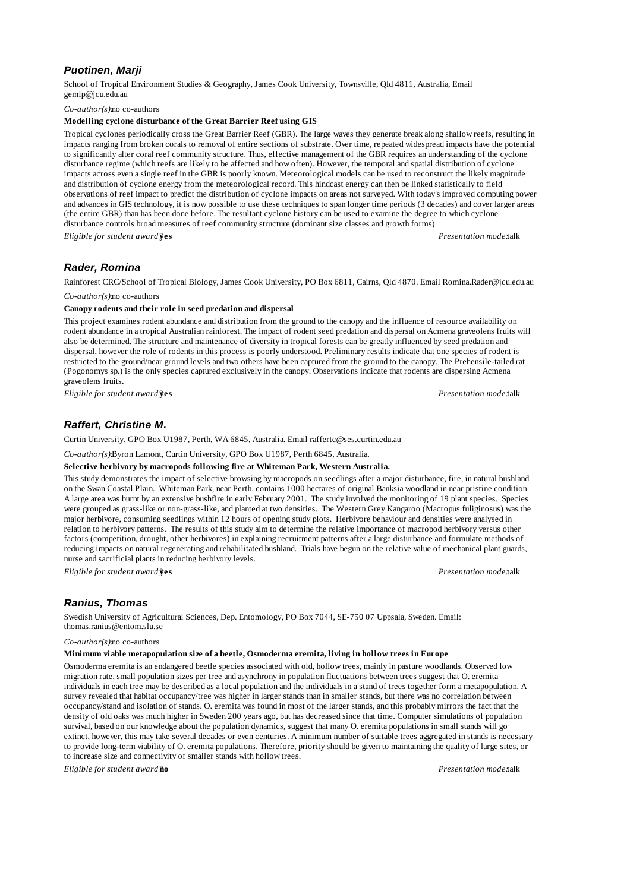# *Puotinen, Marji*

School of Tropical Environment Studies & Geography, James Cook University, Townsville, Qld 4811, Australia, Email gemlp@jcu.edu.au

*Co-author(s):*no co-authors

### **Modelling cyclone disturbance of the Great Barrier Reef using GIS**

Tropical cyclones periodically cross the Great Barrier Reef (GBR). The large waves they generate break along shallow reefs, resulting in impacts ranging from broken corals to removal of entire sections of substrate. Over time, repeated widespread impacts have the potential to significantly alter coral reef community structure. Thus, effective management of the GBR requires an understanding of the cyclone disturbance regime (which reefs are likely to be affected and how often). However, the temporal and spatial distribution of cyclone impacts across even a single reef in the GBR is poorly known. Meteorological models can be used to reconstruct the likely magnitude and distribution of cyclone energy from the meteorological record. This hindcast energy can then be linked statistically to field observations of reef impact to predict the distribution of cyclone impacts on areas not surveyed. With today's improved computing power and advances in GIS technology, it is now possible to use these techniques to span longer time periods (3 decades) and cover larger areas (the entire GBR) than has been done before. The resultant cyclone history can be used to examine the degree to which cyclone disturbance controls broad measures of reef community structure (dominant size classes and growth forms).

*Eligible for student award?***yes** *Presentation mode:*talk

# *Rader, Romina*

Rainforest CRC/School of Tropical Biology, James Cook University, PO Box 6811, Cairns, Qld 4870. Email Romina.Rader@jcu.edu.au

*Co-author(s):*no co-authors

### **Canopy rodents and their role in seed predation and dispersal**

This project examines rodent abundance and distribution from the ground to the canopy and the influence of resource availability on rodent abundance in a tropical Australian rainforest. The impact of rodent seed predation and dispersal on Acmena graveolens fruits will also be determined. The structure and maintenance of diversity in tropical forests can be greatly influenced by seed predation and dispersal, however the role of rodents in this process is poorly understood. Preliminary results indicate that one species of rodent is restricted to the ground/near ground levels and two others have been captured from the ground to the canopy. The Prehensile-tailed rat (Pogonomys sp.) is the only species captured exclusively in the canopy. Observations indicate that rodents are dispersing Acmena graveolens fruits.

*Eligible for student award?***yes** *Presentation mode:*talk

# *Raffert, Christine M.*

Curtin University, GPO Box U1987, Perth, WA 6845, Australia. Email raffertc@ses.curtin.edu.au

*Co-author(s):*Byron Lamont, Curtin University, GPO Box U1987, Perth 6845, Australia.

### **Selective herbivory by macropods following fire at Whiteman Park, Western Australia.**

This study demonstrates the impact of selective browsing by macropods on seedlings after a major disturbance, fire, in natural bushland on the Swan Coastal Plain. Whiteman Park, near Perth, contains 1000 hectares of original Banksia woodland in near pristine condition. A large area was burnt by an extensive bushfire in early February 2001. The study involved the monitoring of 19 plant species. Species were grouped as grass-like or non-grass-like, and planted at two densities. The Western Grey Kangaroo (Macropus fuliginosus) was the major herbivore, consuming seedlings within 12 hours of opening study plots. Herbivore behaviour and densities were analysed in relation to herbivory patterns. The results of this study aim to determine the relative importance of macropod herbivory versus other factors (competition, drought, other herbivores) in explaining recruitment patterns after a large disturbance and formulate methods of reducing impacts on natural regenerating and rehabilitated bushland. Trials have begun on the relative value of mechanical plant guards, nurse and sacrificial plants in reducing herbivory levels.

*Eligible for student award?***yes** *Presentation mode:*talk

# *Ranius, Thomas*

Swedish University of Agricultural Sciences, Dep. Entomology, PO Box 7044, SE-750 07 Uppsala, Sweden. Email: thomas.ranius@entom.slu.se

#### *Co-author(s):*no co-authors

## **Minimum viable metapopulation size of a beetle, Osmoderma eremita, living in hollow trees in Europe**

Osmoderma eremita is an endangered beetle species associated with old, hollow trees, mainly in pasture woodlands. Observed low migration rate, small population sizes per tree and asynchrony in population fluctuations between trees suggest that O. eremita individuals in each tree may be described as a local population and the individuals in a stand of trees together form a metapopulation. A survey revealed that habitat occupancy/tree was higher in larger stands than in smaller stands, but there was no correlation between occupancy/stand and isolation of stands. O. eremita was found in most of the larger stands, and this probably mirrors the fact that the density of old oaks was much higher in Sweden 200 years ago, but has decreased since that time. Computer simulations of population survival, based on our knowledge about the population dynamics, suggest that many O. eremita populations in small stands will go extinct, however, this may take several decades or even centuries. A minimum number of suitable trees aggregated in stands is necessary to provide long-term viability of O. eremita populations. Therefore, priority should be given to maintaining the quality of large sites, or to increase size and connectivity of smaller stands with hollow trees.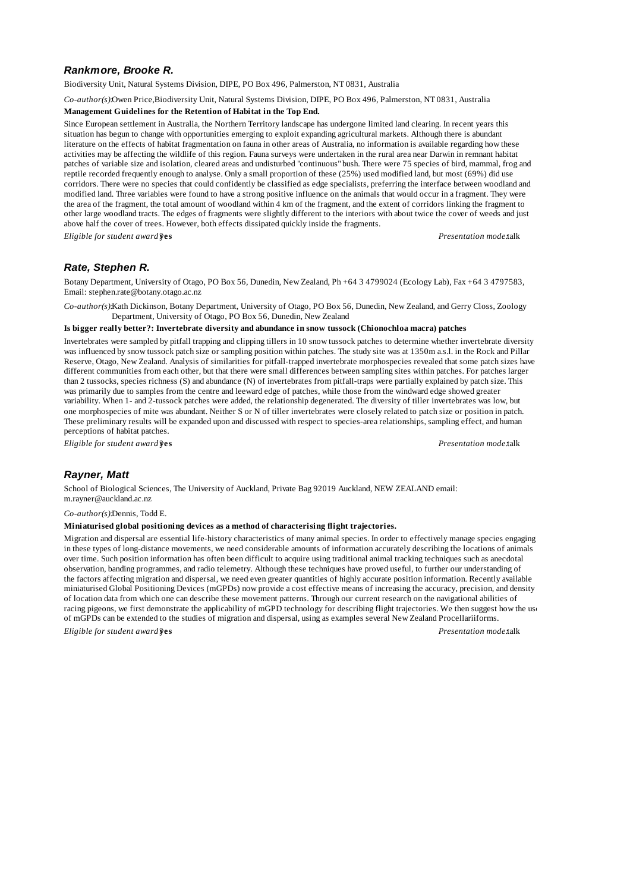# *Rankmore, Brooke R.*

Biodiversity Unit, Natural Systems Division, DIPE, PO Box 496, Palmerston, NT 0831, Australia

*Co-author(s):*Owen Price,Biodiversity Unit, Natural Systems Division, DIPE, PO Box 496, Palmerston, NT 0831, Australia

#### **Management Guidelines for the Retention of Habitat in the Top End.**

Since European settlement in Australia, the Northern Territory landscape has undergone limited land clearing. In recent years this situation has begun to change with opportunities emerging to exploit expanding agricultural markets. Although there is abundant literature on the effects of habitat fragmentation on fauna in other areas of Australia, no information is available regarding how these activities may be affecting the wildlife of this region. Fauna surveys were undertaken in the rural area near Darwin in remnant habitat patches of variable size and isolation, cleared areas and undisturbed "continuous" bush. There were 75 species of bird, mammal, frog and reptile recorded frequently enough to analyse. Only a small proportion of these (25%) used modified land, but most (69%) did use corridors. There were no species that could confidently be classified as edge specialists, preferring the interface between woodland and modified land. Three variables were found to have a strong positive influence on the animals that would occur in a fragment. They were the area of the fragment, the total amount of woodland within 4 km of the fragment, and the extent of corridors linking the fragment to other large woodland tracts. The edges of fragments were slightly different to the interiors with about twice the cover of weeds and just above half the cover of trees. However, both effects dissipated quickly inside the fragments.

*Eligible for student award?***yes** *Presentation mode:*talk

## *Rate, Stephen R.*

Botany Department, University of Otago, PO Box 56, Dunedin, New Zealand, Ph +64 3 4799024 (Ecology Lab), Fax +64 3 4797583, Email: stephen.rate@botany.otago.ac.nz

*Co-author(s):*Kath Dickinson, Botany Department, University of Otago, PO Box 56, Dunedin, New Zealand, and Gerry Closs, Zoology Department, University of Otago, PO Box 56, Dunedin, New Zealand

### **Is bigger really better?: Invertebrate diversity and abundance in snow tussock (Chionochloa macra) patches**

Invertebrates were sampled by pitfall trapping and clipping tillers in 10 snow tussock patches to determine whether invertebrate diversity was influenced by snow tussock patch size or sampling position within patches. The study site was at 1350m a.s.l. in the Rock and Pillar Reserve, Otago, New Zealand. Analysis of similarities for pitfall-trapped invertebrate morphospecies revealed that some patch sizes have different communities from each other, but that there were small differences between sampling sites within patches. For patches larger than 2 tussocks, species richness (S) and abundance (N) of invertebrates from pitfall-traps were partially explained by patch size. This was primarily due to samples from the centre and leeward edge of patches, while those from the windward edge showed greater variability. When 1- and 2-tussock patches were added, the relationship degenerated. The diversity of tiller invertebrates was low, but one morphospecies of mite was abundant. Neither S or N of tiller invertebrates were closely related to patch size or position in patch. These preliminary results will be expanded upon and discussed with respect to species-area relationships, sampling effect, and human perceptions of habitat patches.

*Eligible for student award?***yes** *Presentation mode:*talk

## *Rayner, Matt*

School of Biological Sciences, The University of Auckland, Private Bag 92019 Auckland, NEW ZEALAND email: m.rayner@auckland.ac.nz

*Co-author(s):*Dennis, Todd E.

#### **Miniaturised global positioning devices as a method of characterising flight trajectories.**

Migration and dispersal are essential life-history characteristics of many animal species. In order to effectively manage species engaging in these types of long-distance movements, we need considerable amounts of information accurately describing the locations of animals over time. Such position information has often been difficult to acquire using traditional animal tracking techniques such as anecdotal observation, banding programmes, and radio telemetry. Although these techniques have proved useful, to further our understanding of the factors affecting migration and dispersal, we need even greater quantities of highly accurate position information. Recently available miniaturised Global Positioning Devices (mGPDs) now provide a cost effective means of increasing the accuracy, precision, and density of location data from which one can describe these movement patterns. Through our current research on the navigational abilities of racing pigeons, we first demonstrate the applicability of mGPD technology for describing flight trajectories. We then suggest how the use of mGPDs can be extended to the studies of migration and dispersal, using as examples several New Zealand Procellariiforms.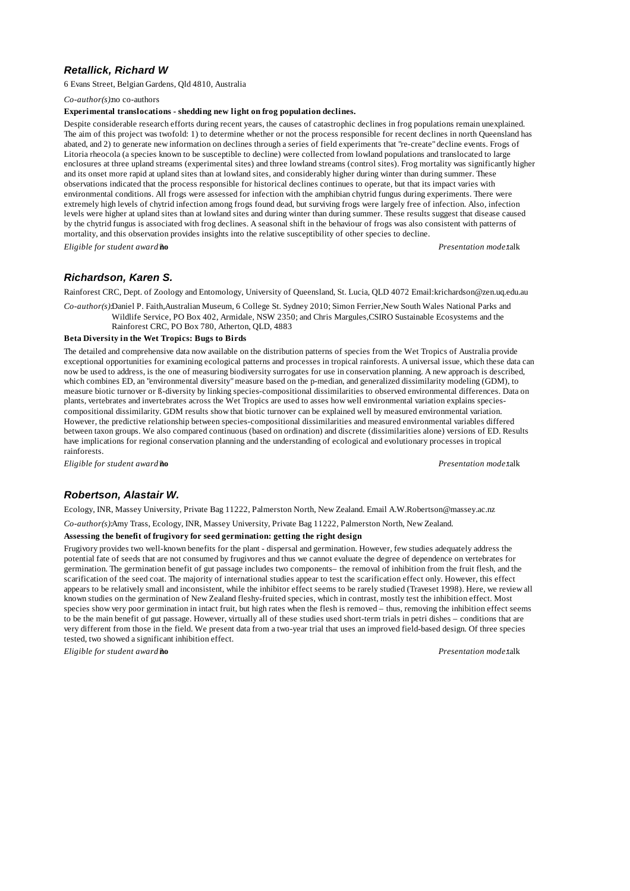# *Retallick, Richard W*

6 Evans Street, Belgian Gardens, Qld 4810, Australia

*Co-author(s):*no co-authors

#### **Experimental translocations - shedding new light on frog population declines.**

Despite considerable research efforts during recent years, the causes of catastrophic declines in frog populations remain unexplained. The aim of this project was twofold: 1) to determine whether or not the process responsible for recent declines in north Queensland has abated, and 2) to generate new information on declines through a series of field experiments that "re-create" decline events. Frogs of Litoria rheocola (a species known to be susceptible to decline) were collected from lowland populations and translocated to large enclosures at three upland streams (experimental sites) and three lowland streams (control sites). Frog mortality was significantly higher and its onset more rapid at upland sites than at lowland sites, and considerably higher during winter than during summer. These observations indicated that the process responsible for historical declines continues to operate, but that its impact varies with environmental conditions. All frogs were assessed for infection with the amphibian chytrid fungus during experiments. There were extremely high levels of chytrid infection among frogs found dead, but surviving frogs were largely free of infection. Also, infection levels were higher at upland sites than at lowland sites and during winter than during summer. These results suggest that disease caused by the chytrid fungus is associated with frog declines. A seasonal shift in the behaviour of frogs was also consistent with patterns of mortality, and this observation provides insights into the relative susceptibility of other species to decline.

*Eligible for student award?***no** *Presentation mode:*talk

# *Richardson, Karen S.*

Rainforest CRC, Dept. of Zoology and Entomology, University of Queensland, St. Lucia, QLD 4072 Email:krichardson@zen.uq.edu.au

*Co-author(s):*Daniel P. Faith,Australian Museum, 6 College St. Sydney 2010; Simon Ferrier,New South Wales National Parks and Wildlife Service, PO Box 402, Armidale, NSW 2350; and Chris Margules,CSIRO Sustainable Ecosystems and the Rainforest CRC, PO Box 780, Atherton, QLD, 4883

#### **Beta Diversity in the Wet Tropics: Bugs to Birds**

The detailed and comprehensive data now available on the distribution patterns of species from the Wet Tropics of Australia provide exceptional opportunities for examining ecological patterns and processes in tropical rainforests. A universal issue, which these data can now be used to address, is the one of measuring biodiversity surrogates for use in conservation planning. A new approach is described, which combines ED, an "environmental diversity" measure based on the p-median, and generalized dissimilarity modeling (GDM), to measure biotic turnover or ß-diversity by linking species-compositional dissimilarities to observed environmental differences. Data on plants, vertebrates and invertebrates across the Wet Tropics are used to asses how well environmental variation explains speciescompositional dissimilarity. GDM results show that biotic turnover can be explained well by measured environmental variation. However, the predictive relationship between species-compositional dissimilarities and measured environmental variables differed between taxon groups. We also compared continuous (based on ordination) and discrete (dissimilarities alone) versions of ED. Results have implications for regional conservation planning and the understanding of ecological and evolutionary processes in tropical rainforests.

*Eligible for student award?***no** *Presentation mode:*talk

# *Robertson, Alastair W.*

Ecology, INR, Massey University, Private Bag 11222, Palmerston North, New Zealand. Email A.W.Robertson@massey.ac.nz

*Co-author(s):*Amy Trass, Ecology, INR, Massey University, Private Bag 11222, Palmerston North, New Zealand.

## **Assessing the benefit of frugivory for seed germination: getting the right design**

Frugivory provides two well-known benefits for the plant - dispersal and germination. However, few studies adequately address the potential fate of seeds that are not consumed by frugivores and thus we cannot evaluate the degree of dependence on vertebrates for germination. The germination benefit of gut passage includes two components– the removal of inhibition from the fruit flesh, and the scarification of the seed coat. The majority of international studies appear to test the scarification effect only. However, this effect appears to be relatively small and inconsistent, while the inhibitor effect seems to be rarely studied (Traveset 1998). Here, we review all known studies on the germination of New Zealand fleshy-fruited species, which in contrast, mostly test the inhibition effect. Most species show very poor germination in intact fruit, but high rates when the flesh is removed – thus, removing the inhibition effect seems to be the main benefit of gut passage. However, virtually all of these studies used short-term trials in petri dishes – conditions that are very different from those in the field. We present data from a two-year trial that uses an improved field-based design. Of three species tested, two showed a significant inhibition effect.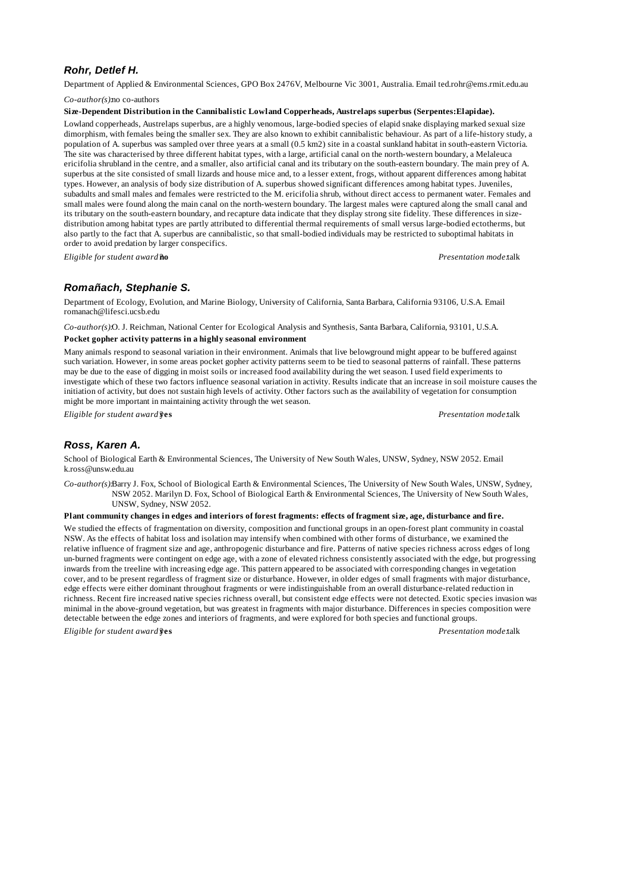# *Rohr, Detlef H.*

Department of Applied & Environmental Sciences, GPO Box 2476V, Melbourne Vic 3001, Australia. Email ted.rohr@ems.rmit.edu.au

*Co-author(s):*no co-authors

#### **Size-Dependent Distribution in the Cannibalistic Lowland Copperheads, Austrelaps superbus (Serpentes:Elapidae).**

Lowland copperheads, Austrelaps superbus, are a highly venomous, large-bodied species of elapid snake displaying marked sexual size dimorphism, with females being the smaller sex. They are also known to exhibit cannibalistic behaviour. As part of a life-history study, a population of A. superbus was sampled over three years at a small (0.5 km2) site in a coastal sunkland habitat in south-eastern Victoria. The site was characterised by three different habitat types, with a large, artificial canal on the north-western boundary, a Melaleuca ericifolia shrubland in the centre, and a smaller, also artificial canal and its tributary on the south-eastern boundary. The main prey of A. superbus at the site consisted of small lizards and house mice and, to a lesser extent, frogs, without apparent differences among habitat types. However, an analysis of body size distribution of A. superbus showed significant differences among habitat types. Juveniles, subadults and small males and females were restricted to the M. ericifolia shrub, without direct access to permanent water. Females and small males were found along the main canal on the north-western boundary. The largest males were captured along the small canal and its tributary on the south-eastern boundary, and recapture data indicate that they display strong site fidelity. These differences in sizedistribution among habitat types are partly attributed to differential thermal requirements of small versus large-bodied ectotherms, but also partly to the fact that A. superbus are cannibalistic, so that small-bodied individuals may be restricted to suboptimal habitats in order to avoid predation by larger conspecifics.

*Eligible for student award?***no** *Presentation mode:*talk

## *Romañach, Stephanie S.*

Department of Ecology, Evolution, and Marine Biology, University of California, Santa Barbara, California 93106, U.S.A. Email romanach@lifesci.ucsb.edu

*Co-author(s):*O. J. Reichman, National Center for Ecological Analysis and Synthesis, Santa Barbara, California, 93101, U.S.A.

### **Pocket gopher activity patterns in a highly seasonal environment**

Many animals respond to seasonal variation in their environment. Animals that live belowground might appear to be buffered against such variation. However, in some areas pocket gopher activity patterns seem to be tied to seasonal patterns of rainfall. These patterns may be due to the ease of digging in moist soils or increased food availability during the wet season. I used field experiments to investigate which of these two factors influence seasonal variation in activity. Results indicate that an increase in soil moisture causes the initiation of activity, but does not sustain high levels of activity. Other factors such as the availability of vegetation for consumption might be more important in maintaining activity through the wet season.

*Eligible for student award?***yes** *Presentation mode:*talk

# *Ross, Karen A.*

School of Biological Earth & Environmental Sciences, The University of New South Wales, UNSW, Sydney, NSW 2052. Email k.ross@unsw.edu.au

*Co-author(s):*Barry J. Fox, School of Biological Earth & Environmental Sciences, The University of New South Wales, UNSW, Sydney, NSW 2052. Marilyn D. Fox, School of Biological Earth & Environmental Sciences, The University of New South Wales, UNSW, Sydney, NSW 2052.

#### **Plant community changes in edges and interiors of forest fragments: effects of fragment size, age, disturbance and fire.**

We studied the effects of fragmentation on diversity, composition and functional groups in an open-forest plant community in coastal NSW. As the effects of habitat loss and isolation may intensify when combined with other forms of disturbance, we examined the relative influence of fragment size and age, anthropogenic disturbance and fire. Patterns of native species richness across edges of long un-burned fragments were contingent on edge age, with a zone of elevated richness consistently associated with the edge, but progressing inwards from the treeline with increasing edge age. This pattern appeared to be associated with corresponding changes in vegetation cover, and to be present regardless of fragment size or disturbance. However, in older edges of small fragments with major disturbance, edge effects were either dominant throughout fragments or were indistinguishable from an overall disturbance-related reduction in richness. Recent fire increased native species richness overall, but consistent edge effects were not detected. Exotic species invasion was minimal in the above-ground vegetation, but was greatest in fragments with major disturbance. Differences in species composition were detectable between the edge zones and interiors of fragments, and were explored for both species and functional groups.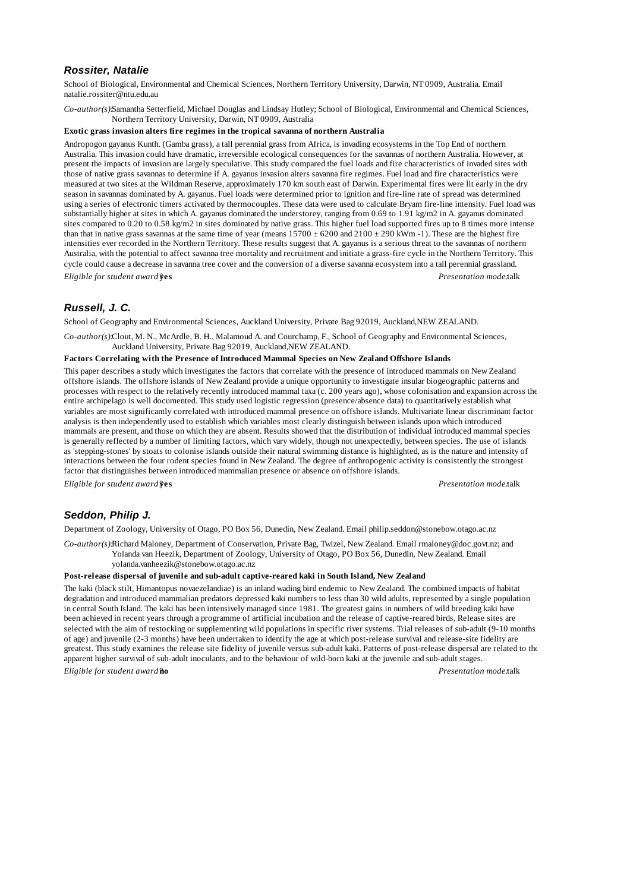### *Rossiter, Natalie*

School of Biological, Environmental and Chemical Sciences, Northern Territory University, Darwin, NT 0909, Australia. Email natalie.rossiter@ntu.edu.au

*Co-author(s):*Samantha Setterfield, Michael Douglas and Lindsay Hutley; School of Biological, Environmental and Chemical Sciences, Northern Territory University, Darwin, NT 0909, Australia

### **Exotic grass invasion alters fire regimes in the tropical savanna of northern Australia**

Andropogon gayanus Kunth. (Gamba grass), a tall perennial grass from Africa, is invading ecosystems in the Top End of northern Australia. This invasion could have dramatic, irreversible ecological consequences for the savannas of northern Australia. However, at present the impacts of invasion are largely speculative. This study compared the fuel loads and fire characteristics of invaded sites with those of native grass savannas to determine if A. gayanus invasion alters savanna fire regimes. Fuel load and fire characteristics were measured at two sites at the Wildman Reserve, approximately 170 km south east of Darwin. Experimental fires were lit early in the dry season in savannas dominated by A. gayanus. Fuel loads were determined prior to ignition and fire-line rate of spread was determined using a series of electronic timers activated by thermocouples. These data were used to calculate Bryam fire-line intensity. Fuel load was substantially higher at sites in which A. gayanus dominated the understorey, ranging from 0.69 to 1.91 kg/m2 in A. gayanus dominated sites compared to 0.20 to 0.58 kg/m2 in sites dominated by native grass. This higher fuel load supported fires up to 8 times more intense than that in native grass savannas at the same time of year (means  $15700 \pm 6200$  and  $2100 \pm 290$  kWm  $-1$ ). These are the highest fire intensities ever recorded in the Northern Territory. These results suggest that A. gayanus is a serious threat to the savannas of northern Australia, with the potential to affect savanna tree mortality and recruitment and initiate a grass-fire cycle in the Northern Territory. This cycle could cause a decrease in savanna tree cover and the conversion of a diverse savanna ecosystem into a tall perennial grassland. *Eligible for student award?***yes** *Presentation mode:*talk

# *Russell, J. C.*

School of Geography and Environmental Sciences, Auckland University, Private Bag 92019, Auckland,NEW ZEALAND.

*Co-author(s):*Clout, M. N., McArdle, B. H., Malamoud A. and Courchamp, F., School of Geography and Environmental Sciences, Auckland University, Private Bag 92019, Auckland,NEW ZEALAND.

### **Factors Correlating with the Presence of Introduced Mammal Species on New Zealand Offshore Islands**

This paper describes a study which investigates the factors that correlate with the presence of introduced mammals on New Zealand offshore islands. The offshore islands of New Zealand provide a unique opportunity to investigate insular biogeographic patterns and processes with respect to the relatively recently introduced mammal taxa (c. 200 years ago), whose colonisation and expansion across the entire archipelago is well documented. This study used logistic regression (presence/absence data) to quantitatively establish what variables are most significantly correlated with introduced mammal presence on offshore islands. Multivariate linear discriminant factor analysis is then independently used to establish which variables most clearly distinguish between islands upon which introduced mammals are present, and those on which they are absent. Results showed that the distribution of individual introduced mammal species is generally reflected by a number of limiting factors, which vary widely, though not unexpectedly, between species. The use of islands as 'stepping-stones' by stoats to colonise islands outside their natural swimming distance is highlighted, as is the nature and intensity of interactions between the four rodent species found in New Zealand. The degree of anthropogenic activity is consistently the strongest factor that distinguishes between introduced mammalian presence or absence on offshore islands.

*Eligible for student award?***yes** *Presentation mode:*talk

# *Seddon, Philip J.*

Department of Zoology, University of Otago, PO Box 56, Dunedin, New Zealand. Email philip.seddon@stonebow.otago.ac.nz

*Co-author(s):*Richard Maloney, Department of Conservation, Private Bag, Twizel, New Zealand. Email rmaloney@doc.govt.nz; and Yolanda van Heezik, Department of Zoology, University of Otago, PO Box 56, Dunedin, New Zealand. Email yolanda.vanheezik@stonebow.otago.ac.nz

### **Post-release dispersal of juvenile and sub-adult captive-reared kaki in South Island, New Zealand**

The kaki (black stilt, Himantopus novaezelandiae) is an inland wading bird endemic to New Zealand. The combined impacts of habitat degradation and introduced mammalian predators depressed kaki numbers to less than 30 wild adults, represented by a single population in central South Island. The kaki has been intensively managed since 1981. The greatest gains in numbers of wild breeding kaki have been achieved in recent years through a programme of artificial incubation and the release of captive-reared birds. Release sites are selected with the aim of restocking or supplementing wild populations in specific river systems. Trial releases of sub-adult (9-10 months of age) and juvenile (2-3 months) have been undertaken to identify the age at which post-release survival and release-site fidelity are greatest. This study examines the release site fidelity of juvenile versus sub-adult kaki. Patterns of post-release dispersal are related to the apparent higher survival of sub-adult inoculants, and to the behaviour of wild-born kaki at the juvenile and sub-adult stages.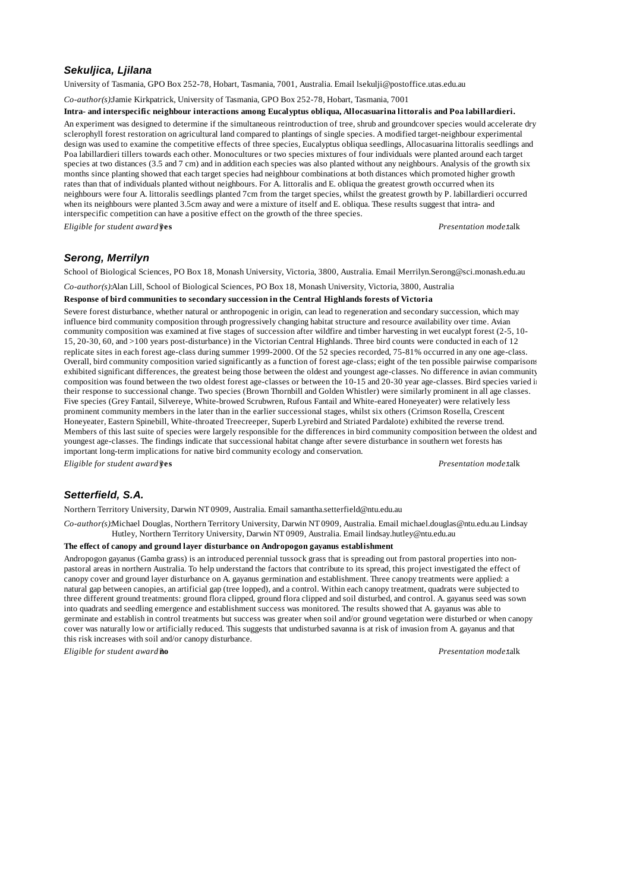# *Sekuljica, Ljilana*

University of Tasmania, GPO Box 252-78, Hobart, Tasmania, 7001, Australia. Email lsekulji@postoffice.utas.edu.au

*Co-author(s):*Jamie Kirkpatrick, University of Tasmania, GPO Box 252-78, Hobart, Tasmania, 7001

#### **Intra- and interspecific neighbour interactions among Eucalyptus obliqua, Allocasuarina littoralis and Poa labillardieri.**

An experiment was designed to determine if the simultaneous reintroduction of tree, shrub and groundcover species would accelerate dry sclerophyll forest restoration on agricultural land compared to plantings of single species. A modified target-neighbour experimental design was used to examine the competitive effects of three species, Eucalyptus obliqua seedlings, Allocasuarina littoralis seedlings and Poa labillardieri tillers towards each other. Monocultures or two species mixtures of four individuals were planted around each target species at two distances (3.5 and 7 cm) and in addition each species was also planted without any neighbours. Analysis of the growth six months since planting showed that each target species had neighbour combinations at both distances which promoted higher growth rates than that of individuals planted without neighbours. For A. littoralis and E. obliqua the greatest growth occurred when its neighbours were four A. littoralis seedlings planted 7cm from the target species, whilst the greatest growth by P. labillardieri occurred when its neighbours were planted 3.5cm away and were a mixture of itself and E. obliqua. These results suggest that intra- and interspecific competition can have a positive effect on the growth of the three species.

*Eligible for student award?***yes** *Presentation mode:*talk

### *Serong, Merrilyn*

School of Biological Sciences, PO Box 18, Monash University, Victoria, 3800, Australia. Email Merrilyn.Serong@sci.monash.edu.au

*Co-author(s):*Alan Lill, School of Biological Sciences, PO Box 18, Monash University, Victoria, 3800, Australia

### **Response of bird communities to secondary succession in the Central Highlands forests of Victoria**

Severe forest disturbance, whether natural or anthropogenic in origin, can lead to regeneration and secondary succession, which may influence bird community composition through progressively changing habitat structure and resource availability over time. Avian community composition was examined at five stages of succession after wildfire and timber harvesting in wet eucalypt forest (2-5, 10- 15, 20-30, 60, and >100 years post-disturbance) in the Victorian Central Highlands. Three bird counts were conducted in each of 12 replicate sites in each forest age-class during summer 1999-2000. Of the 52 species recorded, 75-81% occurred in any one age-class. Overall, bird community composition varied significantly as a function of forest age-class; eight of the ten possible pairwise comparisons exhibited significant differences, the greatest being those between the oldest and youngest age-classes. No difference in avian community composition was found between the two oldest forest age-classes or between the 10-15 and 20-30 year age-classes. Bird species varied in their response to successional change. Two species (Brown Thornbill and Golden Whistler) were similarly prominent in all age classes. Five species (Grey Fantail, Silvereye, White-browed Scrubwren, Rufous Fantail and White-eared Honeyeater) were relatively less prominent community members in the later than in the earlier successional stages, whilst six others (Crimson Rosella, Crescent Honeyeater, Eastern Spinebill, White-throated Treecreeper, Superb Lyrebird and Striated Pardalote) exhibited the reverse trend. Members of this last suite of species were largely responsible for the differences in bird community composition between the oldest and youngest age-classes. The findings indicate that successional habitat change after severe disturbance in southern wet forests has important long-term implications for native bird community ecology and conservation. *Eligible for student award?***yes** *Presentation mode:*talk

## *Setterfield, S.A.*

Northern Territory University, Darwin NT 0909, Australia. Email samantha.setterfield@ntu.edu.au

*Co-author(s):*Michael Douglas, Northern Territory University, Darwin NT 0909, Australia. Email michael.douglas@ntu.edu.au Lindsay Hutley, Northern Territory University, Darwin NT 0909, Australia. Email lindsay.hutley@ntu.edu.au

### **The effect of canopy and ground layer disturbance on Andropogon gayanus establishment**

Andropogon gayanus (Gamba grass) is an introduced perennial tussock grass that is spreading out from pastoral properties into nonpastoral areas in northern Australia. To help understand the factors that contribute to its spread, this project investigated the effect of canopy cover and ground layer disturbance on A. gayanus germination and establishment. Three canopy treatments were applied: a natural gap between canopies, an artificial gap (tree lopped), and a control. Within each canopy treatment, quadrats were subjected to three different ground treatments: ground flora clipped, ground flora clipped and soil disturbed, and control. A. gayanus seed was sown into quadrats and seedling emergence and establishment success was monitored. The results showed that A. gayanus was able to germinate and establish in control treatments but success was greater when soil and/or ground vegetation were disturbed or when canopy cover was naturally low or artificially reduced. This suggests that undisturbed savanna is at risk of invasion from A. gayanus and that this risk increases with soil and/or canopy disturbance.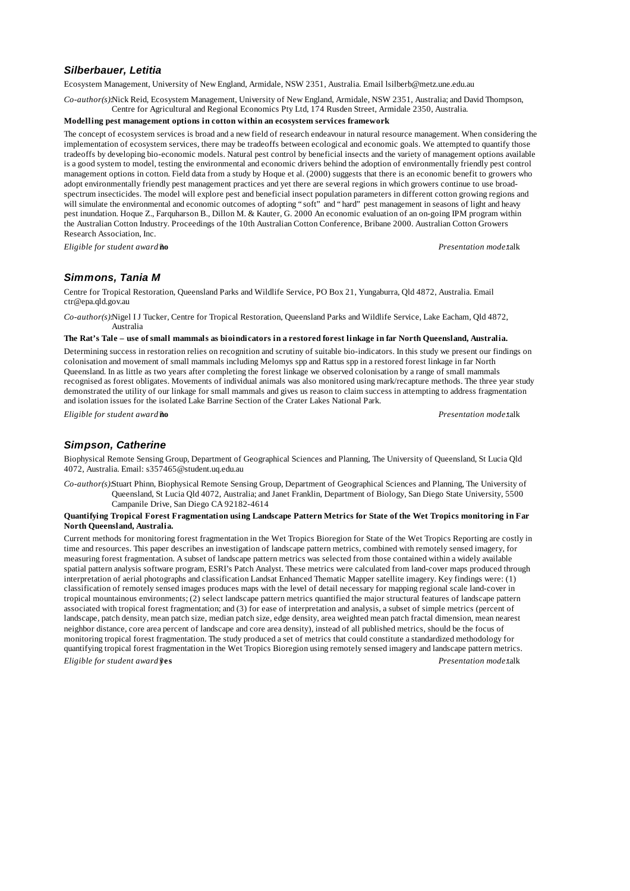## *Silberbauer, Letitia*

Ecosystem Management, University of New England, Armidale, NSW 2351, Australia. Email lsilberb@metz.une.edu.au

*Co-author(s):*Nick Reid, Ecosystem Management, University of New England, Armidale, NSW 2351, Australia; and David Thompson, Centre for Agricultural and Regional Economics Pty Ltd, 174 Rusden Street, Armidale 2350, Australia.

## **Modelling pest management options in cotton within an ecosystem services framework**

The concept of ecosystem services is broad and a new field of research endeavour in natural resource management. When considering the implementation of ecosystem services, there may be tradeoffs between ecological and economic goals. We attempted to quantify those tradeoffs by developing bio-economic models. Natural pest control by beneficial insects and the variety of management options available is a good system to model, testing the environmental and economic drivers behind the adoption of environmentally friendly pest control management options in cotton. Field data from a study by Hoque et al. (2000) suggests that there is an economic benefit to growers who adopt environmentally friendly pest management practices and yet there are several regions in which growers continue to use broadspectrum insecticides. The model will explore pest and beneficial insect population parameters in different cotton growing regions and will simulate the environmental and economic outcomes of adopting "soft" and "hard" pest management in seasons of light and heavy pest inundation. Hoque Z., Farquharson B., Dillon M. & Kauter, G. 2000 An economic evaluation of an on-going IPM program within the Australian Cotton Industry. Proceedings of the 10th Australian Cotton Conference, Bribane 2000. Australian Cotton Growers Research Association, Inc.

*Eligible for student award?***no** *Presentation mode:*talk

## *Simmons, Tania M*

Centre for Tropical Restoration, Queensland Parks and Wildlife Service, PO Box 21, Yungaburra, Qld 4872, Australia. Email ctr@epa.qld.gov.au

*Co-author(s):*Nigel I J Tucker, Centre for Tropical Restoration, Queensland Parks and Wildlife Service, Lake Eacham, Qld 4872, Australia

#### **The Rat's Tale – use of small mammals as bioindicators in a restored forest linkage in far North Queensland, Australia.**

Determining success in restoration relies on recognition and scrutiny of suitable bio-indicators. In this study we present our findings on colonisation and movement of small mammals including Melomys spp and Rattus spp in a restored forest linkage in far North Queensland. In as little as two years after completing the forest linkage we observed colonisation by a range of small mammals recognised as forest obligates. Movements of individual animals was also monitored using mark/recapture methods. The three year study demonstrated the utility of our linkage for small mammals and gives us reason to claim success in attempting to address fragmentation and isolation issues for the isolated Lake Barrine Section of the Crater Lakes National Park.

*Eligible for student award?***no** *Presentation mode:*talk

## *Simpson, Catherine*

Biophysical Remote Sensing Group, Department of Geographical Sciences and Planning, The University of Queensland, St Lucia Qld 4072, Australia. Email: s357465@student.uq.edu.au

*Co-author(s):*Stuart Phinn, Biophysical Remote Sensing Group, Department of Geographical Sciences and Planning, The University of Queensland, St Lucia Qld 4072, Australia; and Janet Franklin, Department of Biology, San Diego State University, 5500 Campanile Drive, San Diego CA 92182-4614

#### **Quantifying Tropical Forest Fragmentation using Landscape Pattern Metrics for State of the Wet Tropics monitoring in Far North Queensland, Australia.**

Current methods for monitoring forest fragmentation in the Wet Tropics Bioregion for State of the Wet Tropics Reporting are costly in time and resources. This paper describes an investigation of landscape pattern metrics, combined with remotely sensed imagery, for measuring forest fragmentation. A subset of landscape pattern metrics was selected from those contained within a widely available spatial pattern analysis software program, ESRI's Patch Analyst. These metrics were calculated from land-cover maps produced through interpretation of aerial photographs and classification Landsat Enhanced Thematic Mapper satellite imagery. Key findings were: (1) classification of remotely sensed images produces maps with the level of detail necessary for mapping regional scale land-cover in tropical mountainous environments; (2) select landscape pattern metrics quantified the major structural features of landscape pattern associated with tropical forest fragmentation; and (3) for ease of interpretation and analysis, a subset of simple metrics (percent of landscape, patch density, mean patch size, median patch size, edge density, area weighted mean patch fractal dimension, mean nearest neighbor distance, core area percent of landscape and core area density), instead of all published metrics, should be the focus of monitoring tropical forest fragmentation. The study produced a set of metrics that could constitute a standardized methodology for quantifying tropical forest fragmentation in the Wet Tropics Bioregion using remotely sensed imagery and landscape pattern metrics. *Eligible for student award?***yes** *Presentation mode:*talk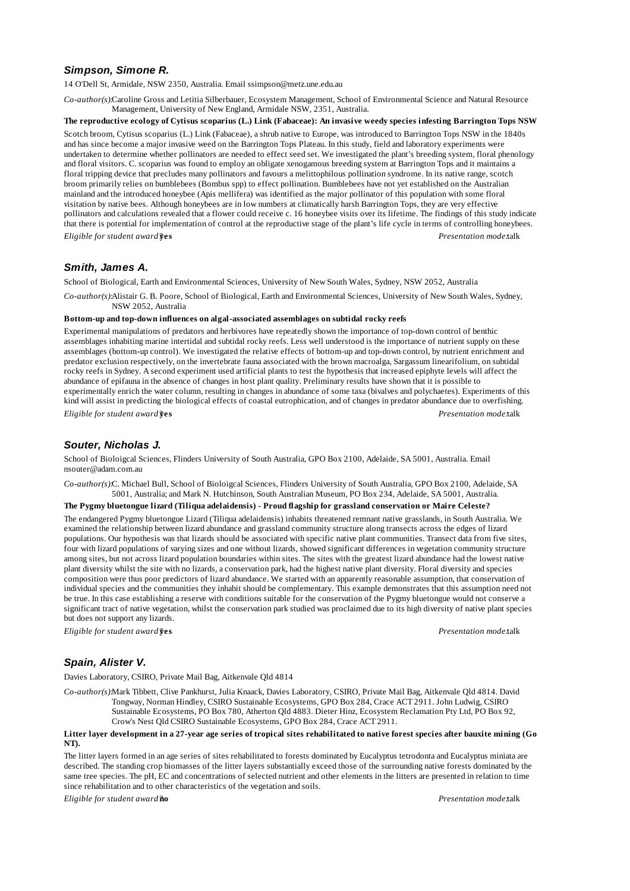# *Simpson, Simone R.*

14 O'Dell St, Armidale, NSW 2350, Australia. Email ssimpson@metz.une.edu.au

*Co-author(s):*Caroline Gross and Letitia Silberbauer, Ecosystem Management, School of Environmental Science and Natural Resource Management, University of New England, Armidale NSW, 2351, Australia.

**The reproductive ecology of Cytisus scoparius (L.) Link (Fabaceae): An invasive weedy species infesting Barrington Tops NSW.** Scotch broom, Cytisus scoparius (L.) Link (Fabaceae), a shrub native to Europe, was introduced to Barrington Tops NSW in the 1840s and has since become a major invasive weed on the Barrington Tops Plateau. In this study, field and laboratory experiments were undertaken to determine whether pollinators are needed to effect seed set. We investigated the plant's breeding system, floral phenology and floral visitors. C. scoparius was found to employ an obligate xenogamous breeding system at Barrington Tops and it maintains a floral tripping device that precludes many pollinators and favours a melittophilous pollination syndrome. In its native range, scotch broom primarily relies on bumblebees (Bombus spp) to effect pollination. Bumblebees have not yet established on the Australian mainland and the introduced honeybee (Apis mellifera) was identified as the major pollinator of this population with some floral visitation by native bees. Although honeybees are in low numbers at climatically harsh Barrington Tops, they are very effective pollinators and calculations revealed that a flower could receive c. 16 honeybee visits over its lifetime. The findings of this study indicate that there is potential for implementation of control at the reproductive stage of the plant's life cycle in terms of controlling honeybees. *Eligible for student award?***yes** *Presentation mode:*talk

# *Smith, James A.*

School of Biological, Earth and Environmental Sciences, University of New South Wales, Sydney, NSW 2052, Australia

*Co-author(s):*Alistair G. B. Poore, School of Biological, Earth and Environmental Sciences, University of New South Wales, Sydney, NSW 2052, Australia

### **Bottom-up and top-down influences on algal-associated assemblages on subtidal rocky reefs**

Experimental manipulations of predators and herbivores have repeatedly shown the importance of top-down control of benthic assemblages inhabiting marine intertidal and subtidal rocky reefs. Less well understood is the importance of nutrient supply on these assemblages (bottom-up control). We investigated the relative effects of bottom-up and top-down control, by nutrient enrichment and predator exclusion respectively, on the invertebrate fauna associated with the brown macroalga, Sargassum linearifolium, on subtidal rocky reefs in Sydney. A second experiment used artificial plants to test the hypothesis that increased epiphyte levels will affect the abundance of epifauna in the absence of changes in host plant quality. Preliminary results have shown that it is possible to experimentally enrich the water column, resulting in changes in abundance of some taxa (bivalves and polychaetes). Experiments of this kind will assist in predicting the biological effects of coastal eutrophication, and of changes in predator abundance due to overfishing. *Eligible for student award?***yes** *Presentation mode:*talk

### *Souter, Nicholas J.*

School of Bioloigcal Sciences, Flinders University of South Australia, GPO Box 2100, Adelaide, SA 5001, Australia. Email nsouter@adam.com.au

*Co-author(s):*C. Michael Bull, School of Bioloigcal Sciences, Flinders University of South Australia, GPO Box 2100, Adelaide, SA 5001, Australia; and Mark N. Hutchinson, South Australian Museum, PO Box 234, Adelaide, SA 5001, Australia.

### **The Pygmy bluetongue lizard (Tiliqua adelaidensis) - Proud flagship for grassland conservation or Maire Celeste?**

The endangered Pygmy bluetongue Lizard (Tiliqua adelaidensis) inhabits threatened remnant native grasslands, in South Australia. We examined the relationship between lizard abundance and grassland community structure along transects across the edges of lizard populations. Our hypothesis was that lizards should be associated with specific native plant communities. Transect data from five sites, four with lizard populations of varying sizes and one without lizards, showed significant differences in vegetation community structure among sites, but not across lizard population boundaries within sites. The sites with the greatest lizard abundance had the lowest native plant diversity whilst the site with no lizards, a conservation park, had the highest native plant diversity. Floral diversity and species composition were thus poor predictors of lizard abundance. We started with an apparently reasonable assumption, that conservation of individual species and the communities they inhabit should be complementary. This example demonstrates that this assumption need not be true. In this case establishing a reserve with conditions suitable for the conservation of the Pygmy bluetongue would not conserve a significant tract of native vegetation, whilst the conservation park studied was proclaimed due to its high diversity of native plant species but does not support any lizards.

*Eligible for student award?***yes** *Presentation mode:*talk

# *Spain, Alister V.*

Davies Laboratory, CSIRO, Private Mail Bag, Aitkenvale Qld 4814

*Co-author(s):*Mark Tibbett, Clive Pankhurst, Julia Knaack, Davies Laboratory, CSIRO, Private Mail Bag, Aitkenvale Qld 4814. David Tongway, Norman Hindley, CSIRO Sustainable Ecosystems, GPO Box 284, Crace ACT 2911. John Ludwig, CSIRO Sustainable Ecosystems, PO Box 780, Atherton Qld 4883. Dieter Hinz, Ecosystem Reclamation Pty Ltd, PO Box 92, Crow's Nest Qld CSIRO Sustainable Ecosystems, GPO Box 284, Crace ACT 2911.

### Litter layer development in a 27-year age series of tropical sites rehabilitated to native forest species after bauxite mining (Go **NT).**

The litter layers formed in an age series of sites rehabilitated to forests dominated by Eucalyptus tetrodonta and Eucalyptus miniata are described. The standing crop biomasses of the litter layers substantially exceed those of the surrounding native forests dominated by the same tree species. The pH, EC and concentrations of selected nutrient and other elements in the litters are presented in relation to time since rehabilitation and to other characteristics of the vegetation and soils.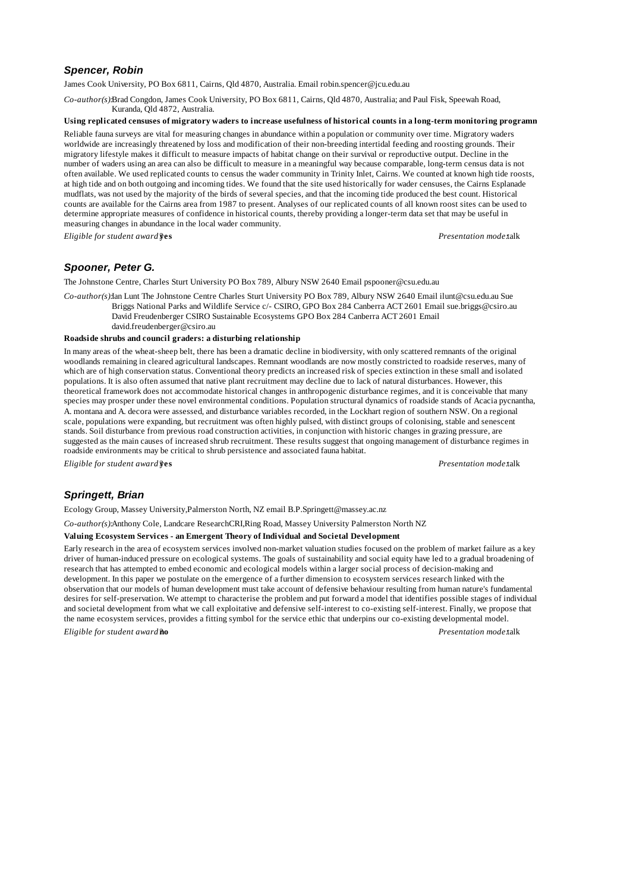## *Spencer, Robin*

James Cook University, PO Box 6811, Cairns, Qld 4870, Australia. Email robin.spencer@jcu.edu.au

*Co-author(s):*Brad Congdon, James Cook University, PO Box 6811, Cairns, Qld 4870, Australia; and Paul Fisk, Speewah Road, Kuranda, Qld 4872, Australia.

### **Using replicated censuses of migratory waders to increase usefulness of historical counts in a long-term monitoring programme.**

Reliable fauna surveys are vital for measuring changes in abundance within a population or community over time. Migratory waders worldwide are increasingly threatened by loss and modification of their non-breeding intertidal feeding and roosting grounds. Their migratory lifestyle makes it difficult to measure impacts of habitat change on their survival or reproductive output. Decline in the number of waders using an area can also be difficult to measure in a meaningful way because comparable, long-term census data is not often available. We used replicated counts to census the wader community in Trinity Inlet, Cairns. We counted at known high tide roosts, at high tide and on both outgoing and incoming tides. We found that the site used historically for wader censuses, the Cairns Esplanade mudflats, was not used by the majority of the birds of several species, and that the incoming tide produced the best count. Historical counts are available for the Cairns area from 1987 to present. Analyses of our replicated counts of all known roost sites can be used to determine appropriate measures of confidence in historical counts, thereby providing a longer-term data set that may be useful in measuring changes in abundance in the local wader community.

*Eligible for student award?***yes** *Presentation mode:*talk

# *Spooner, Peter G.*

The Johnstone Centre, Charles Sturt University PO Box 789, Albury NSW 2640 Email pspooner@csu.edu.au

*Co-author(s):*Ian Lunt The Johnstone Centre Charles Sturt University PO Box 789, Albury NSW 2640 Email ilunt@csu.edu.au Sue Briggs National Parks and Wildlife Service c/- CSIRO, GPO Box 284 Canberra ACT 2601 Email sue.briggs@csiro.au

David Freudenberger CSIRO Sustainable Ecosystems GPO Box 284 Canberra ACT 2601 Email david.freudenberger@csiro.au

#### **Roadside shrubs and council graders: a disturbing relationship**

In many areas of the wheat-sheep belt, there has been a dramatic decline in biodiversity, with only scattered remnants of the original woodlands remaining in cleared agricultural landscapes. Remnant woodlands are now mostly constricted to roadside reserves, many of which are of high conservation status. Conventional theory predicts an increased risk of species extinction in these small and isolated populations. It is also often assumed that native plant recruitment may decline due to lack of natural disturbances. However, this theoretical framework does not accommodate historical changes in anthropogenic disturbance regimes, and it is conceivable that many species may prosper under these novel environmental conditions. Population structural dynamics of roadside stands of Acacia pycnantha, A. montana and A. decora were assessed, and disturbance variables recorded, in the Lockhart region of southern NSW. On a regional scale, populations were expanding, but recruitment was often highly pulsed, with distinct groups of colonising, stable and senescent stands. Soil disturbance from previous road construction activities, in conjunction with historic changes in grazing pressure, are suggested as the main causes of increased shrub recruitment. These results suggest that ongoing management of disturbance regimes in roadside environments may be critical to shrub persistence and associated fauna habitat.

*Eligible for student award?***yes** *Presentation mode:*talk

## *Springett, Brian*

Ecology Group, Massey University,Palmerston North, NZ email B.P.Springett@massey.ac.nz

*Co-author(s):*Anthony Cole, Landcare ResearchCRI,Ring Road, Massey University Palmerston North NZ

#### **Valuing Ecosystem Services - an Emergent Theory of Individual and Societal Development**

Early research in the area of ecosystem services involved non-market valuation studies focused on the problem of market failure as a key driver of human-induced pressure on ecological systems. The goals of sustainability and social equity have led to a gradual broadening of research that has attempted to embed economic and ecological models within a larger social process of decision-making and development. In this paper we postulate on the emergence of a further dimension to ecosystem services research linked with the observation that our models of human development must take account of defensive behaviour resulting from human nature's fundamental desires for self-preservation. We attempt to characterise the problem and put forward a model that identifies possible stages of individual and societal development from what we call exploitative and defensive self-interest to co-existing self-interest. Finally, we propose that the name ecosystem services, provides a fitting symbol for the service ethic that underpins our co-existing developmental model. *Eligible for student award?***no** *Presentation mode:*talk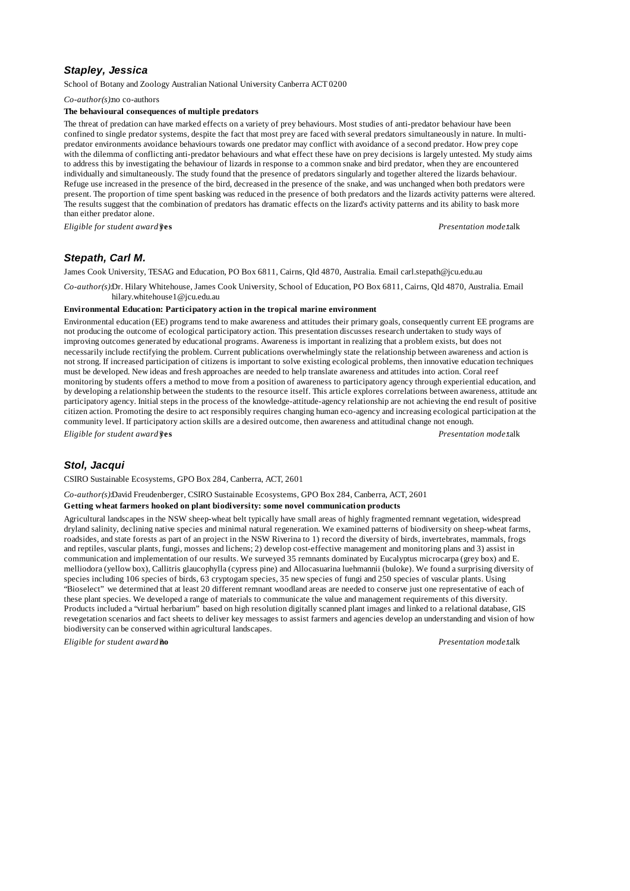## *Stapley, Jessica*

School of Botany and Zoology Australian National University Canberra ACT 0200

*Co-author(s):*no co-authors

### **The behavioural consequences of multiple predators**

The threat of predation can have marked effects on a variety of prey behaviours. Most studies of anti-predator behaviour have been confined to single predator systems, despite the fact that most prey are faced with several predators simultaneously in nature. In multipredator environments avoidance behaviours towards one predator may conflict with avoidance of a second predator. How prey cope with the dilemma of conflicting anti-predator behaviours and what effect these have on prey decisions is largely untested. My study aims to address this by investigating the behaviour of lizards in response to a common snake and bird predator, when they are encountered individually and simultaneously. The study found that the presence of predators singularly and together altered the lizards behaviour. Refuge use increased in the presence of the bird, decreased in the presence of the snake, and was unchanged when both predators were present. The proportion of time spent basking was reduced in the presence of both predators and the lizards activity patterns were altered. The results suggest that the combination of predators has dramatic effects on the lizard's activity patterns and its ability to bask more than either predator alone.

*Eligible for student award?***yes** *Presentation mode:*talk

## *Stepath, Carl M.*

James Cook University, TESAG and Education, PO Box 6811, Cairns, Qld 4870, Australia. Email carl.stepath@jcu.edu.au

*Co-author(s):*Dr. Hilary Whitehouse, James Cook University, School of Education, PO Box 6811, Cairns, Qld 4870, Australia. Email hilary.whitehouse1@jcu.edu.au

#### **Environmental Education: Participatory action in the tropical marine environment**

Environmental education (EE) programs tend to make awareness and attitudes their primary goals, consequently current EE programs are not producing the outcome of ecological participatory action. This presentation discusses research undertaken to study ways of improving outcomes generated by educational programs. Awareness is important in realizing that a problem exists, but does not necessarily include rectifying the problem. Current publications overwhelmingly state the relationship between awareness and action is not strong. If increased participation of citizens is important to solve existing ecological problems, then innovative education techniques must be developed. New ideas and fresh approaches are needed to help translate awareness and attitudes into action. Coral reef monitoring by students offers a method to move from a position of awareness to participatory agency through experiential education, and by developing a relationship between the students to the resource itself. This article explores correlations between awareness, attitude and participatory agency. Initial steps in the process of the knowledge-attitude-agency relationship are not achieving the end result of positive citizen action. Promoting the desire to act responsibly requires changing human eco-agency and increasing ecological participation at the community level. If participatory action skills are a desired outcome, then awareness and attitudinal change not enough.

*Eligible for student award?***yes** *Presentation mode:*talk

### *Stol, Jacqui*

CSIRO Sustainable Ecosystems, GPO Box 284, Canberra, ACT, 2601

*Co-author(s):*David Freudenberger, CSIRO Sustainable Ecosystems, GPO Box 284, Canberra, ACT, 2601

#### **Getting wheat farmers hooked on plant biodiversity: some novel communication products**

Agricultural landscapes in the NSW sheep-wheat belt typically have small areas of highly fragmented remnant vegetation, widespread dryland salinity, declining native species and minimal natural regeneration. We examined patterns of biodiversity on sheep-wheat farms, roadsides, and state forests as part of an project in the NSW Riverina to 1) record the diversity of birds, invertebrates, mammals, frogs and reptiles, vascular plants, fungi, mosses and lichens; 2) develop cost-effective management and monitoring plans and 3) assist in communication and implementation of our results. We surveyed 35 remnants dominated by Eucalyptus microcarpa (grey box) and E. melliodora (yellow box), Callitris glaucophylla (cypress pine) and Allocasuarina luehmannii (buloke). We found a surprising diversity of species including 106 species of birds, 63 cryptogam species, 35 new species of fungi and 250 species of vascular plants. Using "Bioselect" we determined that at least 20 different remnant woodland areas are needed to conserve just one representative of each of these plant species. We developed a range of materials to communicate the value and management requirements of this diversity. Products included a "virtual herbarium" based on high resolution digitally scanned plant images and linked to a relational database, GIS revegetation scenarios and fact sheets to deliver key messages to assist farmers and agencies develop an understanding and vision of how biodiversity can be conserved within agricultural landscapes.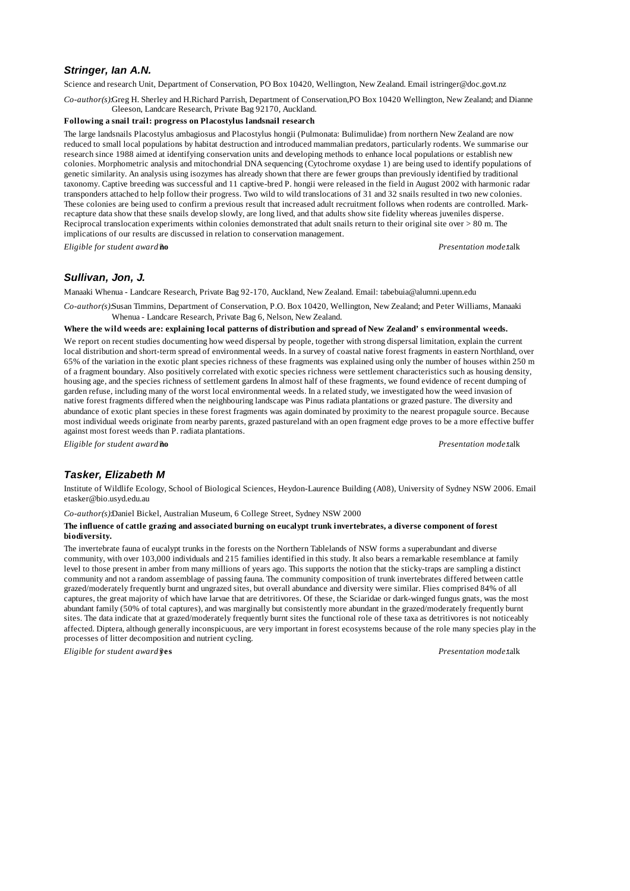# *Stringer, Ian A.N.*

Science and research Unit, Department of Conservation, PO Box 10420, Wellington, New Zealand. Email istringer@doc.govt.nz

*Co-author(s):*Greg H. Sherley and H.Richard Parrish, Department of Conservation,PO Box 10420 Wellington, New Zealand; and Dianne Gleeson, Landcare Research, Private Bag 92170, Auckland.

### **Following a snail trail: progress on Placostylus landsnail research**

The large landsnails Placostylus ambagiosus and Placostylus hongii (Pulmonata: Bulimulidae) from northern New Zealand are now reduced to small local populations by habitat destruction and introduced mammalian predators, particularly rodents. We summarise our research since 1988 aimed at identifying conservation units and developing methods to enhance local populations or establish new colonies. Morphometric analysis and mitochondrial DNA sequencing (Cytochrome oxydase 1) are being used to identify populations of genetic similarity. An analysis using isozymes has already shown that there are fewer groups than previously identified by traditional taxonomy. Captive breeding was successful and 11 captive-bred P. hongii were released in the field in August 2002 with harmonic radar transponders attached to help follow their progress. Two wild to wild translocations of 31 and 32 snails resulted in two new colonies. These colonies are being used to confirm a previous result that increased adult recruitment follows when rodents are controlled. Markrecapture data show that these snails develop slowly, are long lived, and that adults show site fidelity whereas juveniles disperse. Reciprocal translocation experiments within colonies demonstrated that adult snails return to their original site over > 80 m. The implications of our results are discussed in relation to conservation management.

*Eligible for student award?***no** *Presentation mode:*talk

## *Sullivan, Jon, J.*

Manaaki Whenua - Landcare Research, Private Bag 92-170, Auckland, New Zealand. Email: tabebuia@alumni.upenn.edu

*Co-author(s):*Susan Timmins, Department of Conservation, P.O. Box 10420, Wellington, New Zealand; and Peter Williams, Manaaki Whenua - Landcare Research, Private Bag 6, Nelson, New Zealand.

#### **Where the wild weeds are: explaining local patterns of distribution and spread of New Zealand's environmental weeds.**

We report on recent studies documenting how weed dispersal by people, together with strong dispersal limitation, explain the current local distribution and short-term spread of environmental weeds. In a survey of coastal native forest fragments in eastern Northland, over 65% of the variation in the exotic plant species richness of these fragments was explained using only the number of houses within 250 m of a fragment boundary. Also positively correlated with exotic species richness were settlement characteristics such as housing density, housing age, and the species richness of settlement gardens In almost half of these fragments, we found evidence of recent dumping of garden refuse, including many of the worst local environmental weeds. In a related study, we investigated how the weed invasion of native forest fragments differed when the neighbouring landscape was Pinus radiata plantations or grazed pasture. The diversity and abundance of exotic plant species in these forest fragments was again dominated by proximity to the nearest propagule source. Because most individual weeds originate from nearby parents, grazed pastureland with an open fragment edge proves to be a more effective buffer against most forest weeds than P. radiata plantations.

*Eligible for student award?***no** *Presentation mode:*talk

## *Tasker, Elizabeth M*

Institute of Wildlife Ecology, School of Biological Sciences, Heydon-Laurence Building (A08), University of Sydney NSW 2006. Email: etasker@bio.usyd.edu.au

*Co-author(s):*Daniel Bickel, Australian Museum, 6 College Street, Sydney NSW 2000

#### **The influence of cattle grazing and associated burning on eucalypt trunk invertebrates, a diverse component of forest biodiversity.**

The invertebrate fauna of eucalypt trunks in the forests on the Northern Tablelands of NSW forms a superabundant and diverse community, with over 103,000 individuals and 215 families identified in this study. It also bears a remarkable resemblance at family level to those present in amber from many millions of years ago. This supports the notion that the sticky-traps are sampling a distinct community and not a random assemblage of passing fauna. The community composition of trunk invertebrates differed between cattle grazed/moderately frequently burnt and ungrazed sites, but overall abundance and diversity were similar. Flies comprised 84% of all captures, the great majority of which have larvae that are detritivores. Of these, the Sciaridae or dark-winged fungus gnats, was the most abundant family (50% of total captures), and was marginally but consistently more abundant in the grazed/moderately frequently burnt sites. The data indicate that at grazed/moderately frequently burnt sites the functional role of these taxa as detritivores is not noticeably affected. Diptera, although generally inconspicuous, are very important in forest ecosystems because of the role many species play in the processes of litter decomposition and nutrient cycling.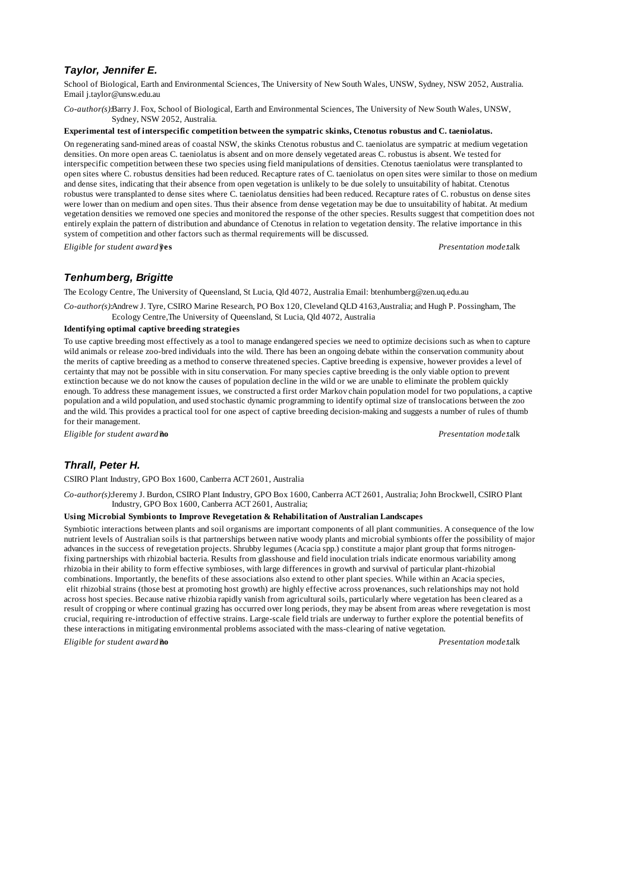# *Taylor, Jennifer E.*

School of Biological, Earth and Environmental Sciences, The University of New South Wales, UNSW, Sydney, NSW 2052, Australia. Email j.taylor@unsw.edu.au

*Co-author(s):*Barry J. Fox, School of Biological, Earth and Environmental Sciences, The University of New South Wales, UNSW, Sydney, NSW 2052, Australia.

#### **Experimental test of interspecific competition between the sympatric skinks, Ctenotus robustus and C. taeniolatus.**

On regenerating sand-mined areas of coastal NSW, the skinks Ctenotus robustus and C. taeniolatus are sympatric at medium vegetation densities. On more open areas C. taeniolatus is absent and on more densely vegetated areas C. robustus is absent. We tested for interspecific competition between these two species using field manipulations of densities. Ctenotus taeniolatus were transplanted to open sites where C. robustus densities had been reduced. Recapture rates of C. taeniolatus on open sites were similar to those on medium and dense sites, indicating that their absence from open vegetation is unlikely to be due solely to unsuitability of habitat. Ctenotus robustus were transplanted to dense sites where C. taeniolatus densities had been reduced. Recapture rates of C. robustus on dense sites were lower than on medium and open sites. Thus their absence from dense vegetation may be due to unsuitability of habitat. At medium vegetation densities we removed one species and monitored the response of the other species. Results suggest that competition does not entirely explain the pattern of distribution and abundance of Ctenotus in relation to vegetation density. The relative importance in this system of competition and other factors such as thermal requirements will be discussed.

*Eligible for student award?***yes** *Presentation mode:*talk

## *Tenhumberg, Brigitte*

The Ecology Centre, The University of Queensland, St Lucia, Qld 4072, Australia Email: btenhumberg@zen.uq.edu.au

*Co-author(s):*Andrew J. Tyre, CSIRO Marine Research, PO Box 120, Cleveland QLD 4163,Australia; and Hugh P. Possingham, The Ecology Centre,The University of Queensland, St Lucia, Qld 4072, Australia

### **Identifying optimal captive breeding strategies**

To use captive breeding most effectively as a tool to manage endangered species we need to optimize decisions such as when to capture wild animals or release zoo-bred individuals into the wild. There has been an ongoing debate within the conservation community about the merits of captive breeding as a method to conserve threatened species. Captive breeding is expensive, however provides a level of certainty that may not be possible with in situ conservation. For many species captive breeding is the only viable option to prevent extinction because we do not know the causes of population decline in the wild or we are unable to eliminate the problem quickly enough. To address these management issues, we constructed a first order Markov chain population model for two populations, a captive population and a wild population, and used stochastic dynamic programming to identify optimal size of translocations between the zoo and the wild. This provides a practical tool for one aspect of captive breeding decision-making and suggests a number of rules of thumb for their management.

*Eligible for student award?***no** *Presentation mode:*talk

## *Thrall, Peter H.*

CSIRO Plant Industry, GPO Box 1600, Canberra ACT 2601, Australia

*Co-author(s):*Jeremy J. Burdon, CSIRO Plant Industry, GPO Box 1600, Canberra ACT 2601, Australia; John Brockwell, CSIRO Plant Industry, GPO Box 1600, Canberra ACT 2601, Australia;

#### **Using Microbial Symbionts to Improve Revegetation & Rehabilitation of Australian Landscapes**

Symbiotic interactions between plants and soil organisms are important components of all plant communities. A consequence of the low nutrient levels of Australian soils is that partnerships between native woody plants and microbial symbionts offer the possibility of major advances in the success of revegetation projects. Shrubby legumes (Acacia spp.) constitute a major plant group that forms nitrogenfixing partnerships with rhizobial bacteria. Results from glasshouse and field inoculation trials indicate enormous variability among rhizobia in their ability to form effective symbioses, with large differences in growth and survival of particular plant-rhizobial combinations. Importantly, the benefits of these associations also extend to other plant species. While within an Acacia species, elit rhizobial strains (those best at promoting host growth) are highly effective across provenances, such relationships may not hold across host species. Because native rhizobia rapidly vanish from agricultural soils, particularly where vegetation has been cleared as a result of cropping or where continual grazing has occurred over long periods, they may be absent from areas where revegetation is most crucial, requiring re-introduction of effective strains. Large-scale field trials are underway to further explore the potential benefits of these interactions in mitigating environmental problems associated with the mass-clearing of native vegetation.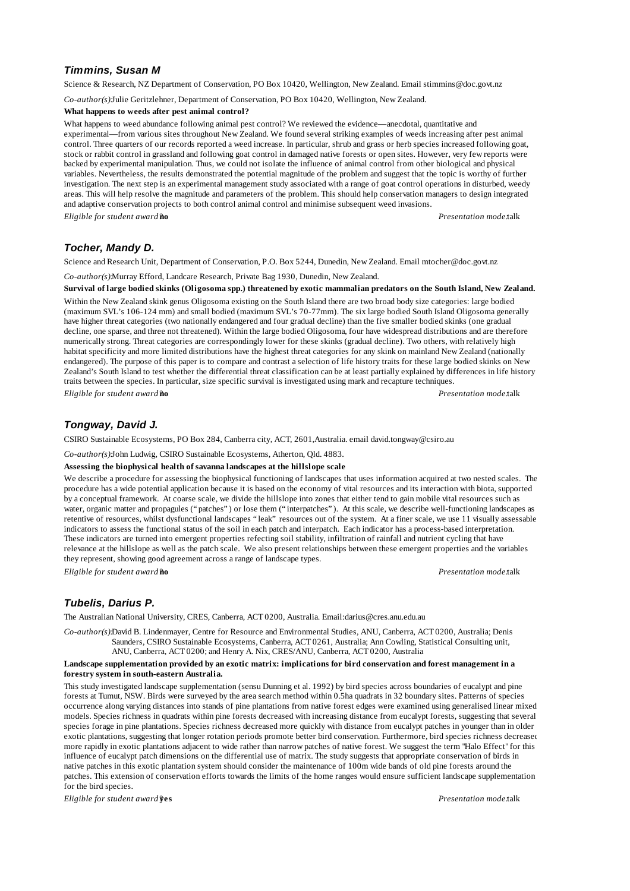# *Timmins, Susan M*

Science & Research, NZ Department of Conservation, PO Box 10420, Wellington, New Zealand. Email stimmins@doc.govt.nz

*Co-author(s):*Julie Geritzlehner, Department of Conservation, PO Box 10420, Wellington, New Zealand.

#### **What happens to weeds after pest animal control?**

What happens to weed abundance following animal pest control? We reviewed the evidence—anecdotal, quantitative and experimental— from various sites throughout New Zealand. We found several striking examples of weeds increasing after pest animal control. Three quarters of our records reported a weed increase. In particular, shrub and grass or herb species increased following goat, stock or rabbit control in grassland and following goat control in damaged native forests or open sites. However, very few reports were backed by experimental manipulation. Thus, we could not isolate the influence of animal control from other biological and physical variables. Nevertheless, the results demonstrated the potential magnitude of the problem and suggest that the topic is worthy of further investigation. The next step is an experimental management study associated with a range of goat control operations in disturbed, weedy areas. This will help resolve the magnitude and parameters of the problem. This should help conservation managers to design integrated and adaptive conservation projects to both control animal control and minimise subsequent weed invasions.

*Eligible for student award?***no** *Presentation mode:*talk

# *Tocher, Mandy D.*

Science and Research Unit, Department of Conservation, P.O. Box 5244, Dunedin, New Zealand. Email mtocher@doc.govt.nz

*Co-author(s):*Murray Efford, Landcare Research, Private Bag 1930, Dunedin, New Zealand.

**Survival of large bodied skinks (Oligosoma spp.) threatened by exotic mammalian predators on the South Island, New Zealand.**

Within the New Zealand skink genus Oligosoma existing on the South Island there are two broad body size categories: large bodied (maximum SVL's 106-124 mm) and small bodied (maximum SVL's 70-77mm). The six large bodied South Island Oligosoma generally have higher threat categories (two nationally endangered and four gradual decline) than the five smaller bodied skinks (one gradual decline, one sparse, and three not threatened). Within the large bodied Oligosoma, four have widespread distributions and are therefore numerically strong. Threat categories are correspondingly lower for these skinks (gradual decline). Two others, with relatively high habitat specificity and more limited distributions have the highest threat categories for any skink on mainland New Zealand (nationally endangered). The purpose of this paper is to compare and contrast a selection of life history traits for these large bodied skinks on New Zealand's South Island to test whether the differential threat classification can be at least partially explained by differences in life history traits between the species. In particular, size specific survival is investigated using mark and recapture techniques.

*Eligible for student award?***no** *Presentation mode:*talk

## *Tongway, David J.*

CSIRO Sustainable Ecosystems, PO Box 284, Canberra city, ACT, 2601,Australia. email david.tongway@csiro.au

*Co-author(s):*John Ludwig, CSIRO Sustainable Ecosystems, Atherton, Qld. 4883.

### **Assessing the biophysical health of savanna landscapes at the hillslope scale**

We describe a procedure for assessing the biophysical functioning of landscapes that uses information acquired at two nested scales. The procedure has a wide potential application because it is based on the economy of vital resources and its interaction with biota, supported by a conceptual framework. At coarse scale, we divide the hillslope into zones that either tend to gain mobile vital resources such as water, organic matter and propagules ("patches") or lose them ("interpatches"). At this scale, we describe well-functioning landscapes as retentive of resources, whilst dysfunctional landscapes "leak" resources out of the system. At a finer scale, we use 11 visually assessable indicators to assess the functional status of the soil in each patch and interpatch. Each indicator has a process-based interpretation. These indicators are turned into emergent properties refecting soil stability, infiltration of rainfall and nutrient cycling that have relevance at the hillslope as well as the patch scale. We also present relationships between these emergent properties and the variables they represent, showing good agreement across a range of landscape types.

*Eligible for student award?***no** *Presentation mode:*talk

# *Tubelis, Darius P.*

The Australian National University, CRES, Canberra, ACT 0200, Australia. Email:darius@cres.anu.edu.au

*Co-author(s):*David B. Lindenmayer, Centre for Resource and Environmental Studies, ANU, Canberra, ACT 0200, Australia; Denis Saunders, CSIRO Sustainable Ecosystems, Canberra, ACT 0261, Australia; Ann Cowling, Statistical Consulting unit, ANU, Canberra, ACT 0200; and Henry A. Nix, CRES/ANU, Canberra, ACT 0200, Australia

#### **Landscape supplementation provided by an exotic matrix: implications for bird conservation and forest management in a forestry system in south-eastern Australia.**

This study investigated landscape supplementation (sensu Dunning et al. 1992) by bird species across boundaries of eucalypt and pine forests at Tumut, NSW. Birds were surveyed by the area search method within 0.5ha quadrats in 32 boundary sites. Patterns of species occurrence along varying distances into stands of pine plantations from native forest edges were examined using generalised linear mixed models. Species richness in quadrats within pine forests decreased with increasing distance from eucalypt forests, suggesting that several species forage in pine plantations. Species richness decreased more quickly with distance from eucalypt patches in younger than in older exotic plantations, suggesting that longer rotation periods promote better bird conservation. Furthermore, bird species richness decreased more rapidly in exotic plantations adjacent to wide rather than narrow patches of native forest. We suggest the term "Halo Effect" for this influence of eucalypt patch dimensions on the differential use of matrix. The study suggests that appropriate conservation of birds in native patches in this exotic plantation system should consider the maintenance of 100m wide bands of old pine forests around the patches. This extension of conservation efforts towards the limits of the home ranges would ensure sufficient landscape supplementation for the bird species.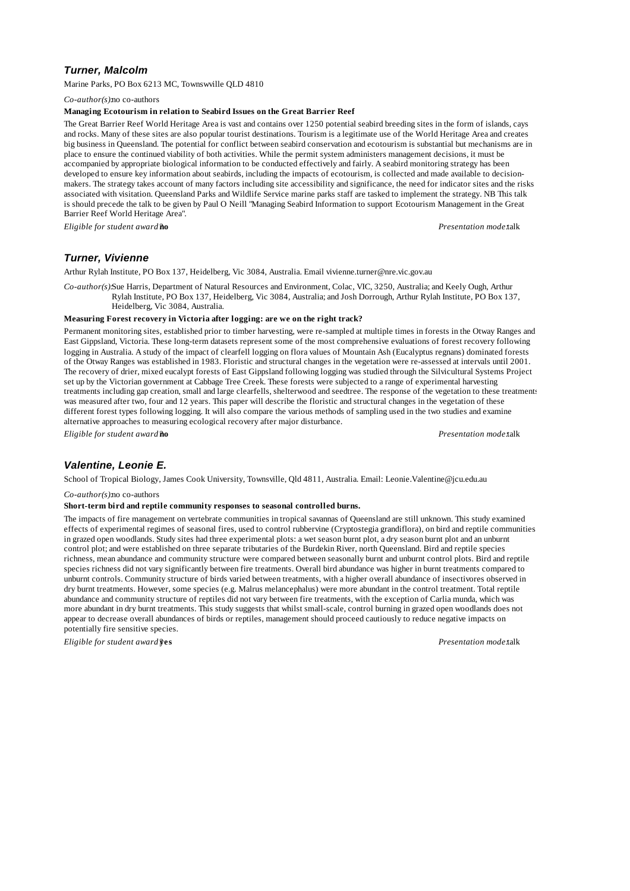# *Turner, Malcolm*

Marine Parks, PO Box 6213 MC, Townswville QLD 4810

*Co-author(s):*no co-authors

#### **Managing Ecotourism in relation to Seabird Issues on the Great Barrier Reef**

The Great Barrier Reef World Heritage Area is vast and contains over 1250 potential seabird breeding sites in the form of islands, cays and rocks. Many of these sites are also popular tourist destinations. Tourism is a legitimate use of the World Heritage Area and creates big business in Queensland. The potential for conflict between seabird conservation and ecotourism is substantial but mechanisms are in place to ensure the continued viability of both activities. While the permit system administers management decisions, it must be accompanied by appropriate biological information to be conducted effectively and fairly. A seabird monitoring strategy has been developed to ensure key information about seabirds, including the impacts of ecotourism, is collected and made available to decisionmakers. The strategy takes account of many factors including site accessibility and significance, the need for indicator sites and the risks associated with visitation. Queensland Parks and Wildlife Service marine parks staff are tasked to implement the strategy. NB This talk is should precede the talk to be given by Paul O Neill "Managing Seabird Information to support Ecotourism Management in the Great Barrier Reef World Heritage Area".

*Eligible for student award?***no** *Presentation mode:*talk

# *Turner, Vivienne*

Arthur Rylah Institute, PO Box 137, Heidelberg, Vic 3084, Australia. Email vivienne.turner@nre.vic.gov.au

*Co-author(s):*Sue Harris, Department of Natural Resources and Environment, Colac, VIC, 3250, Australia; and Keely Ough, Arthur Rylah Institute, PO Box 137, Heidelberg, Vic 3084, Australia; and Josh Dorrough, Arthur Rylah Institute, PO Box 137, Heidelberg, Vic 3084, Australia.

### **Measuring Forest recovery in Victoria after logging: are we on the right track?**

Permanent monitoring sites, established prior to timber harvesting, were re-sampled at multiple times in forests in the Otway Ranges and East Gippsland, Victoria. These long-term datasets represent some of the most comprehensive evaluations of forest recovery following logging in Australia. A study of the impact of clearfell logging on flora values of Mountain Ash (Eucalyptus regnans) dominated forests of the Otway Ranges was established in 1983. Floristic and structural changes in the vegetation were re-assessed at intervals until 2001. The recovery of drier, mixed eucalypt forests of East Gippsland following logging was studied through the Silvicultural Systems Project set up by the Victorian government at Cabbage Tree Creek. These forests were subjected to a range of experimental harvesting treatments including gap creation, small and large clearfells, shelterwood and seedtree. The response of the vegetation to these treatments was measured after two, four and 12 years. This paper will describe the floristic and structural changes in the vegetation of these different forest types following logging. It will also compare the various methods of sampling used in the two studies and examine alternative approaches to measuring ecological recovery after major disturbance.

*Eligible for student award?***no** *Presentation mode:*talk

## *Valentine, Leonie E.*

School of Tropical Biology, James Cook University, Townsville, Qld 4811, Australia. Email: Leonie.Valentine@jcu.edu.au

#### *Co-author(s):*no co-authors

#### **Short-term bird and reptile community responses to seasonal controlled burns.**

The impacts of fire management on vertebrate communities in tropical savannas of Queensland are still unknown. This study examined effects of experimental regimes of seasonal fires, used to control rubbervine (Cryptostegia grandiflora), on bird and reptile communities in grazed open woodlands. Study sites had three experimental plots: a wet season burnt plot, a dry season burnt plot and an unburnt control plot; and were established on three separate tributaries of the Burdekin River, north Queensland. Bird and reptile species richness, mean abundance and community structure were compared between seasonally burnt and unburnt control plots. Bird and reptile species richness did not vary significantly between fire treatments. Overall bird abundance was higher in burnt treatments compared to unburnt controls. Community structure of birds varied between treatments, with a higher overall abundance of insectivores observed in dry burnt treatments. However, some species (e.g. Malrus melancephalus) were more abundant in the control treatment. Total reptile abundance and community structure of reptiles did not vary between fire treatments, with the exception of Carlia munda, which was more abundant in dry burnt treatments. This study suggests that whilst small-scale, control burning in grazed open woodlands does not appear to decrease overall abundances of birds or reptiles, management should proceed cautiously to reduce negative impacts on potentially fire sensitive species.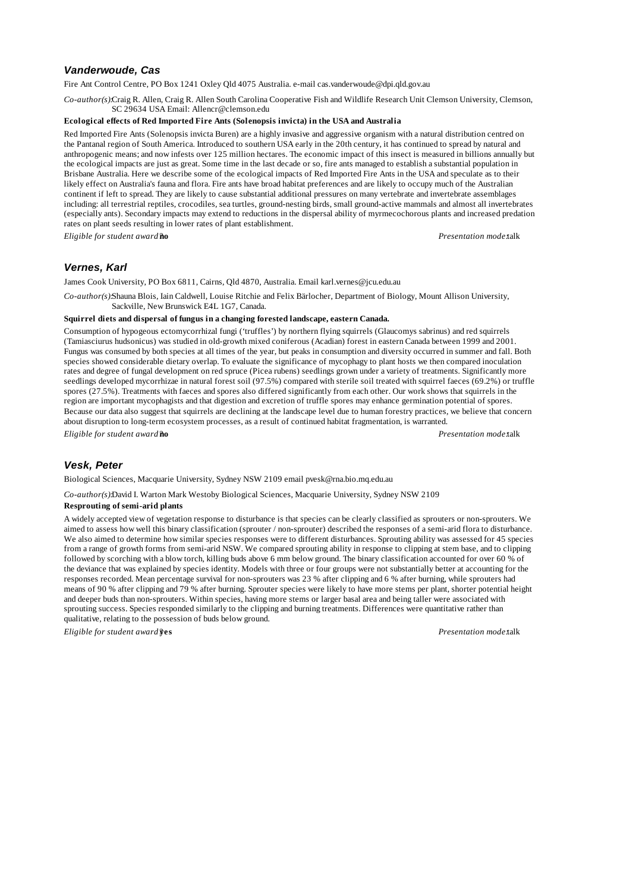# *Vanderwoude, Cas*

Fire Ant Control Centre, PO Box 1241 Oxley Qld 4075 Australia. e-mail cas.vanderwoude@dpi.qld.gov.au

*Co-author(s):*Craig R. Allen, Craig R. Allen South Carolina Cooperative Fish and Wildlife Research Unit Clemson University, Clemson, SC 29634 USA Email: Allencr@clemson.edu

### **Ecological effects of Red Imported Fire Ants (Solenopsis invicta) in the USA and Australia**

Red Imported Fire Ants (Solenopsis invicta Buren) are a highly invasive and aggressive organism with a natural distribution centred on the Pantanal region of South America. Introduced to southern USA early in the 20th century, it has continued to spread by natural and anthropogenic means; and now infests over 125 million hectares. The economic impact of this insect is measured in billions annually but the ecological impacts are just as great. Some time in the last decade or so, fire ants managed to establish a substantial population in Brisbane Australia. Here we describe some of the ecological impacts of Red Imported Fire Ants in the USA and speculate as to their likely effect on Australia's fauna and flora. Fire ants have broad habitat preferences and are likely to occupy much of the Australian continent if left to spread. They are likely to cause substantial additional pressures on many vertebrate and invertebrate assemblages including: all terrestrial reptiles, crocodiles, sea turtles, ground-nesting birds, small ground-active mammals and almost all invertebrates (especially ants). Secondary impacts may extend to reductions in the dispersal ability of myrmecochorous plants and increased predation rates on plant seeds resulting in lower rates of plant establishment.

*Eligible for student award?***no** *Presentation mode:*talk

## *Vernes, Karl*

James Cook University, PO Box 6811, Cairns, Qld 4870, Australia. Email karl.vernes@jcu.edu.au

*Co-author(s):*Shauna Blois, Iain Caldwell, Louise Ritchie and Felix Bärlocher, Department of Biology, Mount Allison University, Sackville, New Brunswick E4L 1G7, Canada.

## **Squirrel diets and dispersal of fungus in a changing forested landscape, eastern Canada.**

Consumption of hypogeous ectomycorrhizal fungi ('truffles') by northern flying squirrels (Glaucomys sabrinus) and red squirrels (Tamiasciurus hudsonicus) was studied in old-growth mixed coniferous (Acadian) forest in eastern Canada between 1999 and 2001. Fungus was consumed by both species at all times of the year, but peaks in consumption and diversity occurred in summer and fall. Both species showed considerable dietary overlap. To evaluate the significance of mycophagy to plant hosts we then compared inoculation rates and degree of fungal development on red spruce (Picea rubens) seedlings grown under a variety of treatments. Significantly more seedlings developed mycorrhizae in natural forest soil (97.5%) compared with sterile soil treated with squirrel faeces (69.2%) or truffle spores (27.5%). Treatments with faeces and spores also differed significantly from each other. Our work shows that squirrels in the region are important mycophagists and that digestion and excretion of truffle spores may enhance germination potential of spores. Because our data also suggest that squirrels are declining at the landscape level due to human forestry practices, we believe that concern about disruption to long-term ecosystem processes, as a result of continued habitat fragmentation, is warranted.

*Eligible for student award?***no** *Presentation mode:*talk

### *Vesk, Peter*

Biological Sciences, Macquarie University, Sydney NSW 2109 email pvesk@rna.bio.mq.edu.au

*Co-author(s):*David I. Warton Mark Westoby Biological Sciences, Macquarie University, Sydney NSW 2109

### **Resprouting of semi-arid plants**

A widely accepted view of vegetation response to disturbance is that species can be clearly classified as sprouters or non-sprouters. We aimed to assess how well this binary classification (sprouter / non-sprouter) described the responses of a semi-arid flora to disturbance. We also aimed to determine how similar species responses were to different disturbances. Sprouting ability was assessed for 45 species from a range of growth forms from semi-arid NSW. We compared sprouting ability in response to clipping at stem base, and to clipping followed by scorching with a blow torch, killing buds above 6 mm below ground. The binary classification accounted for over 60 % of the deviance that was explained by species identity. Models with three or four groups were not substantially better at accounting for the responses recorded. Mean percentage survival for non-sprouters was 23 % after clipping and 6 % after burning, while sprouters had means of 90 % after clipping and 79 % after burning. Sprouter species were likely to have more stems per plant, shorter potential height and deeper buds than non-sprouters. Within species, having more stems or larger basal area and being taller were associated with sprouting success. Species responded similarly to the clipping and burning treatments. Differences were quantitative rather than qualitative, relating to the possession of buds below ground.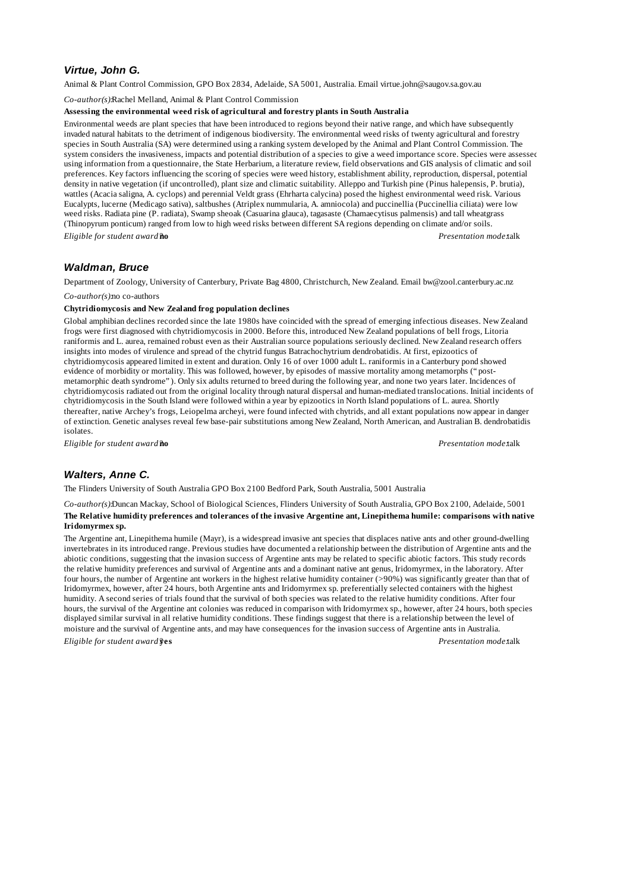# *Virtue, John G.*

Animal & Plant Control Commission, GPO Box 2834, Adelaide, SA 5001, Australia. Email virtue.john@saugov.sa.gov.au

*Co-author(s):*Rachel Melland, Animal & Plant Control Commission

#### **Assessing the environmental weed risk of agricultural and forestry plants in South Australia**

Environmental weeds are plant species that have been introduced to regions beyond their native range, and which have subsequently invaded natural habitats to the detriment of indigenous biodiversity. The environmental weed risks of twenty agricultural and forestry species in South Australia (SA) were determined using a ranking system developed by the Animal and Plant Control Commission. The system considers the invasiveness, impacts and potential distribution of a species to give a weed importance score. Species were assessed using information from a questionnaire, the State Herbarium, a literature review, field observations and GIS analysis of climatic and soil preferences. Key factors influencing the scoring of species were weed history, establishment ability, reproduction, dispersal, potential density in native vegetation (if uncontrolled), plant size and climatic suitability. Alleppo and Turkish pine (Pinus halepensis, P. brutia), wattles (Acacia saligna, A. cyclops) and perennial Veldt grass (Ehrharta calycina) posed the highest environmental weed risk. Various Eucalypts, lucerne (Medicago sativa), saltbushes (Atriplex nummularia, A. amniocola) and puccinellia (Puccinellia ciliata) were low weed risks. Radiata pine (P. radiata), Swamp sheoak (Casuarina glauca), tagasaste (Chamaecytisus palmensis) and tall wheatgrass (Thinopyrum ponticum) ranged from low to high weed risks between different SA regions depending on climate and/or soils. *Eligible for student award?***no** *Presentation mode:*talk

## *Waldman, Bruce*

Department of Zoology, University of Canterbury, Private Bag 4800, Christchurch, New Zealand. Email bw@zool.canterbury.ac.nz

*Co-author(s):*no co-authors

### **Chytridiomycosis and New Zealand frog population declines**

Global amphibian declines recorded since the late 1980s have coincided with the spread of emerging infectious diseases. New Zealand frogs were first diagnosed with chytridiomycosis in 2000. Before this, introduced New Zealand populations of bell frogs, Litoria raniformis and L. aurea, remained robust even as their Australian source populations seriously declined. New Zealand research offers insights into modes of virulence and spread of the chytrid fungus Batrachochytrium dendrobatidis. At first, epizootics of chytridiomycosis appeared limited in extent and duration. Only 16 of over 1000 adult L. raniformis in a Canterbury pond showed evidence of morbidity or mortality. This was followed, however, by episodes of massive mortality among metamorphs ("postmetamorphic death syndrome"). Only six adults returned to breed during the following year, and none two years later. Incidences of chytridiomycosis radiated out from the original locality through natural dispersal and human-mediated translocations. Initial incidents of chytridiomycosis in the South Island were followed within a year by epizootics in North Island populations of L. aurea. Shortly thereafter, native Archey's frogs, Leiopelma archeyi, were found infected with chytrids, and all extant populations now appear in danger of extinction. Genetic analyses reveal few base-pair substitutions among New Zealand, North American, and Australian B. dendrobatidis isolates.

*Eligible for student award?***no** *Presentation mode:*talk

# *Walters, Anne C.*

The Flinders University of South Australia GPO Box 2100 Bedford Park, South Australia, 5001 Australia

*Co-author(s):*Duncan Mackay, School of Biological Sciences, Flinders University of South Australia, GPO Box 2100, Adelaide, 5001 **The Relative humidity preferences and tolerances of the invasive Argentine ant, Linepithema humile: comparisons with native Iridomyrmex sp.**

The Argentine ant, Linepithema humile (Mayr), is a widespread invasive ant species that displaces native ants and other ground-dwelling invertebrates in its introduced range. Previous studies have documented a relationship between the distribution of Argentine ants and the abiotic conditions, suggesting that the invasion success of Argentine ants may be related to specific abiotic factors. This study records the relative humidity preferences and survival of Argentine ants and a dominant native ant genus, Iridomyrmex, in the laboratory. After four hours, the number of Argentine ant workers in the highest relative humidity container (>90%) was significantly greater than that of Iridomyrmex, however, after 24 hours, both Argentine ants and Iridomyrmex sp. preferentially selected containers with the highest humidity. A second series of trials found that the survival of both species was related to the relative humidity conditions. After four hours, the survival of the Argentine ant colonies was reduced in comparison with Iridomyrmex sp., however, after 24 hours, both species displayed similar survival in all relative humidity conditions. These findings suggest that there is a relationship between the level of moisture and the survival of Argentine ants, and may have consequences for the invasion success of Argentine ants in Australia. *Eligible for student award?***yes** *Presentation mode:*talk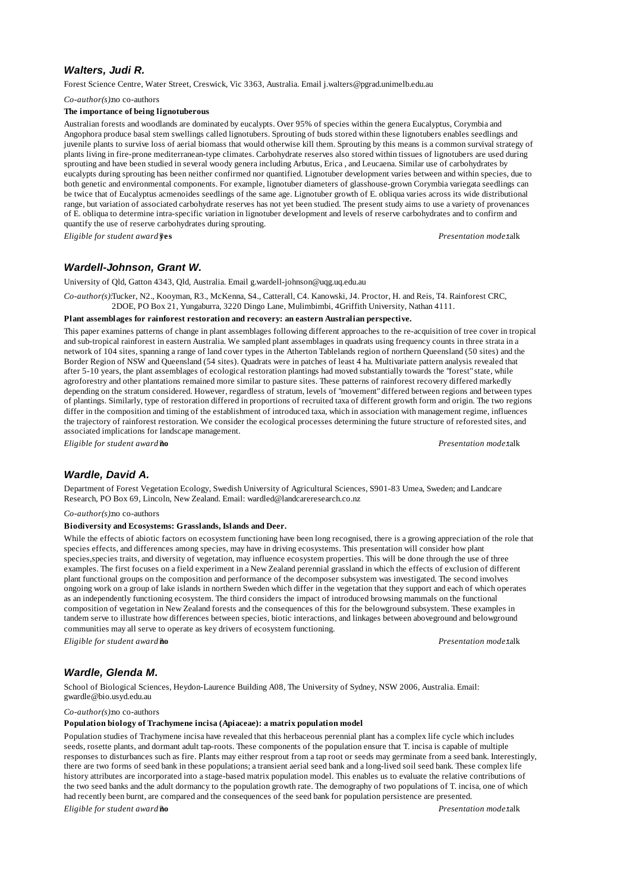## *Walters, Judi R.*

Forest Science Centre, Water Street, Creswick, Vic 3363, Australia. Email j.walters@pgrad.unimelb.edu.au

*Co-author(s):*no co-authors

#### **The importance of being lignotuberous**

Australian forests and woodlands are dominated by eucalypts. Over 95% of species within the genera Eucalyptus, Corymbia and Angophora produce basal stem swellings called lignotubers. Sprouting of buds stored within these lignotubers enables seedlings and juvenile plants to survive loss of aerial biomass that would otherwise kill them. Sprouting by this means is a common survival strategy of plants living in fire-prone mediterranean-type climates. Carbohydrate reserves also stored within tissues of lignotubers are used during sprouting and have been studied in several woody genera including Arbutus, Erica , and Leucaena. Similar use of carbohydrates by eucalypts during sprouting has been neither confirmed nor quantified. Lignotuber development varies between and within species, due to both genetic and environmental components. For example, lignotuber diameters of glasshouse-grown Corymbia variegata seedlings can be twice that of Eucalyptus acmenoides seedlings of the same age. Lignotuber growth of E. obliqua varies across its wide distributional range, but variation of associated carbohydrate reserves has not yet been studied. The present study aims to use a variety of provenances of E. obliqua to determine intra-specific variation in lignotuber development and levels of reserve carbohydrates and to confirm and quantify the use of reserve carbohydrates during sprouting.

*Eligible for student award?***yes** *Presentation mode:*talk

## *Wardell-Johnson, Grant W.*

University of Qld, Gatton 4343, Qld, Australia. Email g.wardell-johnson@uqg.uq.edu.au

*Co-author(s):*Tucker, N2., Kooyman, R3., McKenna, S4., Catterall, C4. Kanowski, J4. Proctor, H. and Reis, T4. Rainforest CRC, 2DOE, PO Box 21, Yungaburra, 3220 Dingo Lane, Mulimbimbi, 4Griffith University, Nathan 4111.

**Plant assemblages for rainforest restoration and recovery: an eastern Australian perspective.**

This paper examines patterns of change in plant assemblages following different approaches to the re-acquisition of tree cover in tropical and sub-tropical rainforest in eastern Australia. We sampled plant assemblages in quadrats using frequency counts in three strata in a network of 104 sites, spanning a range of land cover types in the Atherton Tablelands region of northern Queensland (50 sites) and the Border Region of NSW and Queensland (54 sites). Quadrats were in patches of least 4 ha. Multivariate pattern analysis revealed that after 5-10 years, the plant assemblages of ecological restoration plantings had moved substantially towards the "forest" state, while agroforestry and other plantations remained more similar to pasture sites. These patterns of rainforest recovery differed markedly depending on the stratum considered. However, regardless of stratum, levels of "movement" differed between regions and between types of plantings. Similarly, type of restoration differed in proportions of recruited taxa of different growth form and origin. The two regions differ in the composition and timing of the establishment of introduced taxa, which in association with management regime, influences the trajectory of rainforest restoration. We consider the ecological processes determining the future structure of reforested sites, and associated implications for landscape management.

*Eligible for student award?***no** *Presentation mode:*talk

## *Wardle, David A.*

Department of Forest Vegetation Ecology, Swedish University of Agricultural Sciences, S901-83 Umea, Sweden; and Landcare Research, PO Box 69, Lincoln, New Zealand. Email: wardled@landcareresearch.co.nz

*Co-author(s):*no co-authors

### **Biodiversity and Ecosystems: Grasslands, Islands and Deer.**

While the effects of abiotic factors on ecosystem functioning have been long recognised, there is a growing appreciation of the role that species effects, and differences among species, may have in driving ecosystems. This presentation will consider how plant species,species traits, and diversity of vegetation, may influence ecosystem properties. This will be done through the use of three examples. The first focuses on a field experiment in a New Zealand perennial grassland in which the effects of exclusion of different plant functional groups on the composition and performance of the decomposer subsystem was investigated. The second involves ongoing work on a group of lake islands in northern Sweden which differ in the vegetation that they support and each of which operates as an independently functioning ecosystem. The third considers the impact of introduced browsing mammals on the functional composition of vegetation in New Zealand forests and the consequences of this for the belowground subsystem. These examples in tandem serve to illustrate how differences between species, biotic interactions, and linkages between aboveground and belowground communities may all serve to operate as key drivers of ecosystem functioning.

*Eligible for student award?***no** *Presentation mode:*talk

### *Wardle, Glenda M.*

School of Biological Sciences, Heydon-Laurence Building A08, The University of Sydney, NSW 2006, Australia. Email: gwardle@bio.usyd.edu.au

*Co-author(s):*no co-authors

#### **Population biology of Trachymene incisa (Apiaceae): a matrix population model**

Population studies of Trachymene incisa have revealed that this herbaceous perennial plant has a complex life cycle which includes seeds, rosette plants, and dormant adult tap-roots. These components of the population ensure that T. incisa is capable of multiple responses to disturbances such as fire. Plants may either resprout from a tap root or seeds may germinate from a seed bank. Interestingly, there are two forms of seed bank in these populations; a transient aerial seed bank and a long-lived soil seed bank. These complex life history attributes are incorporated into a stage-based matrix population model. This enables us to evaluate the relative contributions of the two seed banks and the adult dormancy to the population growth rate. The demography of two populations of T. incisa, one of which had recently been burnt, are compared and the consequences of the seed bank for population persistence are presented.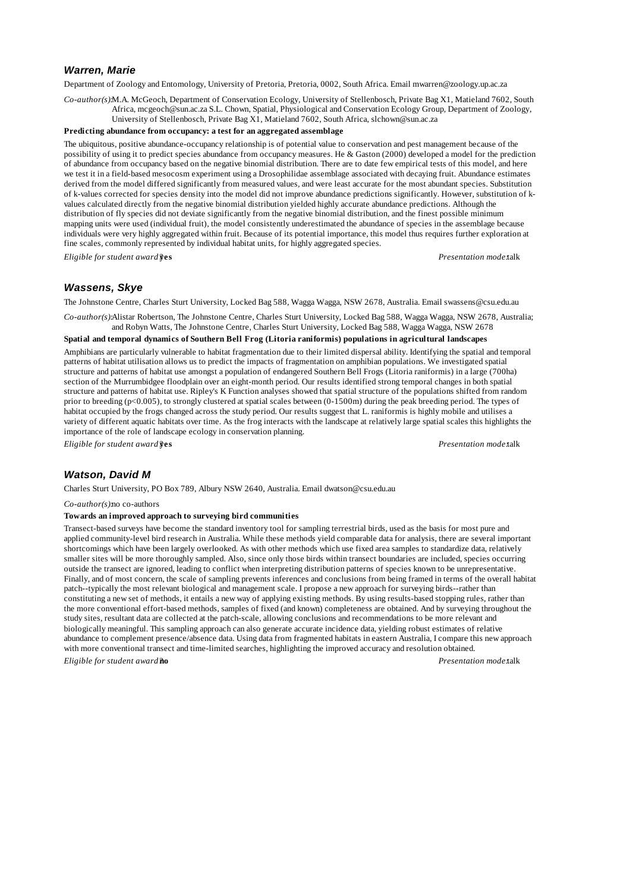## *Warren, Marie*

Department of Zoology and Entomology, University of Pretoria, Pretoria, 0002, South Africa. Email mwarren@zoology.up.ac.za

*Co-author(s):*M.A. McGeoch, Department of Conservation Ecology, University of Stellenbosch, Private Bag X1, Matieland 7602, South Africa, mcgeoch@sun.ac.za S.L. Chown, Spatial, Physiological and Conservation Ecology Group, Department of Zoology, University of Stellenbosch, Private Bag X1, Matieland 7602, South Africa, slchown@sun.ac.za

#### **Predicting abundance from occupancy: a test for an aggregated assemblage**

The ubiquitous, positive abundance-occupancy relationship is of potential value to conservation and pest management because of the possibility of using it to predict species abundance from occupancy measures. He & Gaston (2000) developed a model for the prediction of abundance from occupancy based on the negative binomial distribution. There are to date few empirical tests of this model, and here we test it in a field-based mesocosm experiment using a Drosophilidae assemblage associated with decaying fruit. Abundance estimates derived from the model differed significantly from measured values, and were least accurate for the most abundant species. Substitution of k-values corrected for species density into the model did not improve abundance predictions significantly. However, substitution of kvalues calculated directly from the negative binomial distribution yielded highly accurate abundance predictions. Although the distribution of fly species did not deviate significantly from the negative binomial distribution, and the finest possible minimum mapping units were used (individual fruit), the model consistently underestimated the abundance of species in the assemblage because individuals were very highly aggregated within fruit. Because of its potential importance, this model thus requires further exploration at fine scales, commonly represented by individual habitat units, for highly aggregated species.

*Eligible for student award?***yes** *Presentation mode:*talk

# *Wassens, Skye*

The Johnstone Centre, Charles Sturt University, Locked Bag 588, Wagga Wagga, NSW 2678, Australia. Email swassens@csu.edu.au

*Co-author(s):*Alistar Robertson, The Johnstone Centre, Charles Sturt University, Locked Bag 588, Wagga Wagga, NSW 2678, Australia; and Robyn Watts, The Johnstone Centre, Charles Sturt University, Locked Bag 588, Wagga Wagga, NSW 2678

#### **Spatial and temporal dynamics of Southern Bell Frog (Litoria raniformis) populations in agricultural landscapes**

Amphibians are particularly vulnerable to habitat fragmentation due to their limited dispersal ability. Identifying the spatial and temporal patterns of habitat utilisation allows us to predict the impacts of fragmentation on amphibian populations. We investigated spatial structure and patterns of habitat use amongst a population of endangered Southern Bell Frogs (Litoria raniformis) in a large (700ha) section of the Murrumbidgee floodplain over an eight-month period. Our results identified strong temporal changes in both spatial structure and patterns of habitat use. Ripley's K Function analyses showed that spatial structure of the populations shifted from random prior to breeding (p<0.005), to strongly clustered at spatial scales between (0-1500m) during the peak breeding period. The types of habitat occupied by the frogs changed across the study period. Our results suggest that L. raniformis is highly mobile and utilises a variety of different aquatic habitats over time. As the frog interacts with the landscape at relatively large spatial scales this highlights the importance of the role of landscape ecology in conservation planning.

*Eligible for student award?***yes** *Presentation mode:*talk

### *Watson, David M*

Charles Sturt University, PO Box 789, Albury NSW 2640, Australia. Email dwatson@csu.edu.au

*Co-author(s):*no co-authors

#### **Towards an improved approach to surveying bird communities**

Transect-based surveys have become the standard inventory tool for sampling terrestrial birds, used as the basis for most pure and applied community-level bird research in Australia. While these methods yield comparable data for analysis, there are several important shortcomings which have been largely overlooked. As with other methods which use fixed area samples to standardize data, relatively smaller sites will be more thoroughly sampled. Also, since only those birds within transect boundaries are included, species occurring outside the transect are ignored, leading to conflict when interpreting distribution patterns of species known to be unrepresentative. Finally, and of most concern, the scale of sampling prevents inferences and conclusions from being framed in terms of the overall habitat patch--typically the most relevant biological and management scale. I propose a new approach for surveying birds--rather than constituting a new set of methods, it entails a new way of applying existing methods. By using results-based stopping rules, rather than the more conventional effort-based methods, samples of fixed (and known) completeness are obtained. And by surveying throughout the study sites, resultant data are collected at the patch-scale, allowing conclusions and recommendations to be more relevant and biologically meaningful. This sampling approach can also generate accurate incidence data, yielding robust estimates of relative abundance to complement presence/absence data. Using data from fragmented habitats in eastern Australia, I compare this new approach with more conventional transect and time-limited searches, highlighting the improved accuracy and resolution obtained.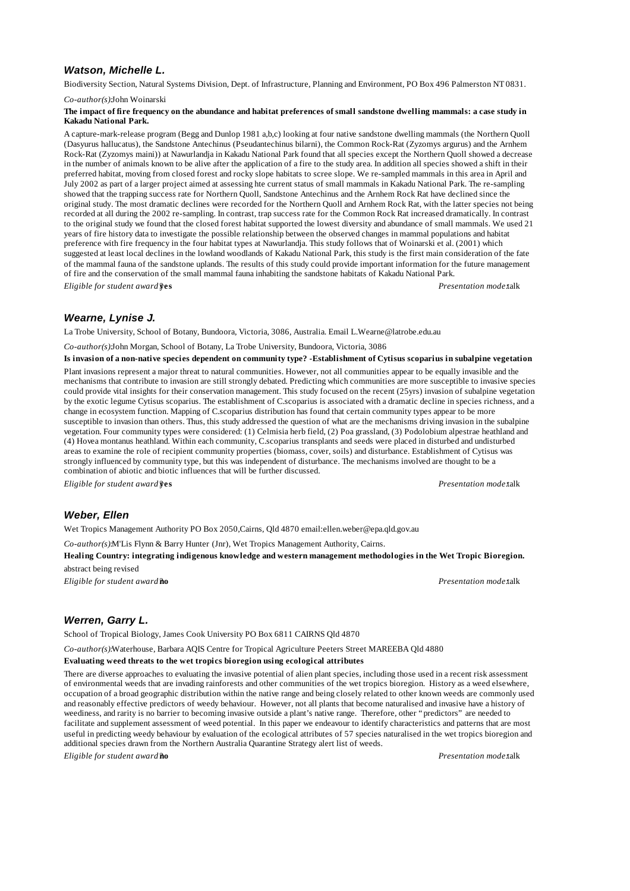## *Watson, Michelle L.*

Biodiversity Section, Natural Systems Division, Dept. of Infrastructure, Planning and Environment, PO Box 496 Palmerston NT 0831.

*Co-author(s):*John Woinarski

#### **The impact of fire frequency on the abundance and habitat preferences of small sandstone dwelling mammals: a case study in Kakadu National Park.**

A capture-mark-release program (Begg and Dunlop 1981 a,b,c) looking at four native sandstone dwelling mammals (the Northern Quoll (Dasyurus hallucatus), the Sandstone Antechinus (Pseudantechinus bilarni), the Common Rock-Rat (Zyzomys argurus) and the Arnhem Rock-Rat (Zyzomys maini)) at Nawurlandja in Kakadu National Park found that all species except the Northern Quoll showed a decrease in the number of animals known to be alive after the application of a fire to the study area. In addition all species showed a shift in their preferred habitat, moving from closed forest and rocky slope habitats to scree slope. We re-sampled mammals in this area in April and July 2002 as part of a larger project aimed at assessing hte current status of small mammals in Kakadu National Park. The re-sampling showed that the trapping success rate for Northern Quoll, Sandstone Antechinus and the Arnhem Rock Rat have declined since the original study. The most dramatic declines were recorded for the Northern Quoll and Arnhem Rock Rat, with the latter species not being recorded at all during the 2002 re-sampling. In contrast, trap success rate for the Common Rock Rat increased dramatically. In contrast to the original study we found that the closed forest habitat supported the lowest diversity and abundance of small mammals. We used 21 years of fire history data to investigate the possible relationship between the observed changes in mammal populations and habitat preference with fire frequency in the four habitat types at Nawurlandja. This study follows that of Woinarski et al. (2001) which suggested at least local declines in the lowland woodlands of Kakadu National Park, this study is the first main consideration of the fate of the mammal fauna of the sandstone uplands. The results of this study could provide important information for the future management of fire and the conservation of the small mammal fauna inhabiting the sandstone habitats of Kakadu National Park.

*Eligible for student award?***yes** *Presentation mode:*talk

## *Wearne, Lynise J.*

La Trobe University, School of Botany, Bundoora, Victoria, 3086, Australia. Email L.Wearne@latrobe.edu.au

*Co-author(s):*John Morgan, School of Botany, La Trobe University, Bundoora, Victoria, 3086

**Is invasion of a non-native species dependent on community type? -Establishment of Cytisus scoparius in subalpine vegetation** Plant invasions represent a major threat to natural communities. However, not all communities appear to be equally invasible and the mechanisms that contribute to invasion are still strongly debated. Predicting which communities are more susceptible to invasive species could provide vital insights for their conservation management. This study focused on the recent (25yrs) invasion of subalpine vegetation by the exotic legume Cytisus scoparius. The establishment of C.scoparius is associated with a dramatic decline in species richness, and a change in ecosystem function. Mapping of C.scoparius distribution has found that certain community types appear to be more susceptible to invasion than others. Thus, this study addressed the question of what are the mechanisms driving invasion in the subalpine vegetation. Four community types were considered: (1) Celmisia herb field, (2) Poa grassland, (3) Podolobium alpestrae heathland and (4) Hovea montanus heathland. Within each community, C.scoparius transplants and seeds were placed in disturbed and undisturbed areas to examine the role of recipient community properties (biomass, cover, soils) and disturbance. Establishment of Cytisus was strongly influenced by community type, but this was independent of disturbance. The mechanisms involved are thought to be a combination of abiotic and biotic influences that will be further discussed.

*Eligible for student award?***yes** *Presentation mode:*talk

## *Weber, Ellen*

Wet Tropics Management Authority PO Box 2050,Cairns, Qld 4870 email:ellen.weber@epa.qld.gov.au

*Co-author(s):*M'Lis Flynn & Barry Hunter (Jnr), Wet Tropics Management Authority, Cairns.

**Healing Country: integrating indigenous knowledge and western management methodologies in the Wet Tropic Bioregion.** abstract being revised

*Eligible for student award?***no** *Presentation mode:*talk

## *Werren, Garry L.*

School of Tropical Biology, James Cook University PO Box 6811 CAIRNS Qld 4870

*Co-author(s):*Waterhouse, Barbara AQIS Centre for Tropical Agriculture Peeters Street MAREEBA Qld 4880

#### **Evaluating weed threats to the wet tropics bioregion using ecological attributes**

There are diverse approaches to evaluating the invasive potential of alien plant species, including those used in a recent risk assessment of environmental weeds that are invading rainforests and other communities of the wet tropics bioregion. History as a weed elsewhere, occupation of a broad geographic distribution within the native range and being closely related to other known weeds are commonly used and reasonably effective predictors of weedy behaviour. However, not all plants that become naturalised and invasive have a history of weediness, and rarity is no barrier to becoming invasive outside a plant's native range. Therefore, other "predictors" are needed to facilitate and supplement assessment of weed potential. In this paper we endeavour to identify characteristics and patterns that are most useful in predicting weedy behaviour by evaluation of the ecological attributes of 57 species naturalised in the wet tropics bioregion and additional species drawn from the Northern Australia Quarantine Strategy alert list of weeds.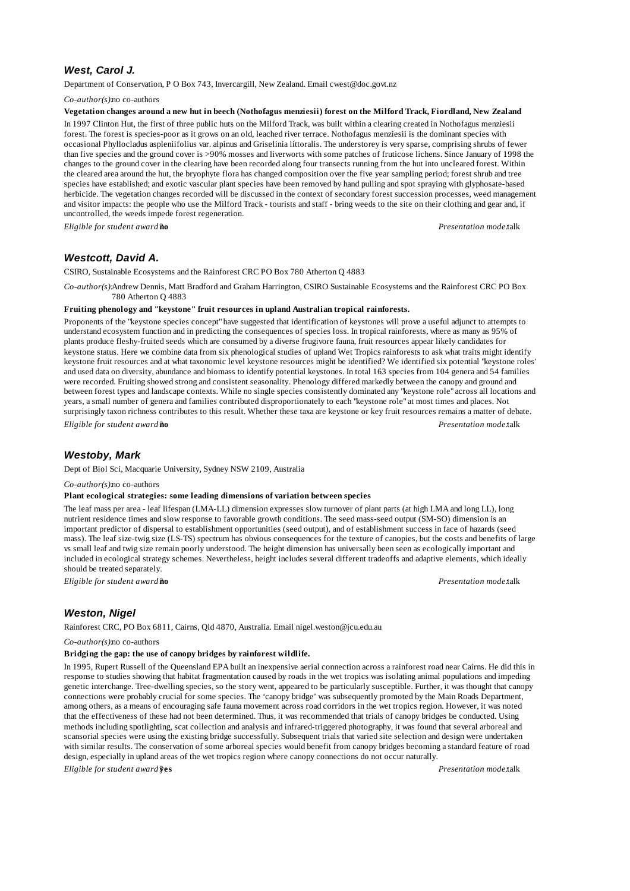# *West, Carol J.*

Department of Conservation, P O Box 743, Invercargill, New Zealand. Email cwest@doc.govt.nz

*Co-author(s):*no co-authors

#### **Vegetation changes around a new hut in beech (Nothofagus menziesii) forest on the Milford Track, Fiordland, New Zealand**

In 1997 Clinton Hut, the first of three public huts on the Milford Track, was built within a clearing created in Nothofagus menziesii forest. The forest is species-poor as it grows on an old, leached river terrace. Nothofagus menziesii is the dominant species with occasional Phyllocladus aspleniifolius var. alpinus and Griselinia littoralis. The understorey is very sparse, comprising shrubs of fewer than five species and the ground cover is >90% mosses and liverworts with some patches of fruticose lichens. Since January of 1998 the changes to the ground cover in the clearing have been recorded along four transects running from the hut into uncleared forest. Within the cleared area around the hut, the bryophyte flora has changed composition over the five year sampling period; forest shrub and tree species have established; and exotic vascular plant species have been removed by hand pulling and spot spraying with glyphosate-based herbicide. The vegetation changes recorded will be discussed in the context of secondary forest succession processes, weed management and visitor impacts: the people who use the Milford Track - tourists and staff - bring weeds to the site on their clothing and gear and, if uncontrolled, the weeds impede forest regeneration.

*Eligible for student award?***no** *Presentation mode:*talk

## *Westcott, David A.*

CSIRO, Sustainable Ecosystems and the Rainforest CRC PO Box 780 Atherton Q 4883

*Co-author(s):*Andrew Dennis, Matt Bradford and Graham Harrington, CSIRO Sustainable Ecosystems and the Rainforest CRC PO Box 780 Atherton Q 4883

#### **Fruiting phenology and "keystone" fruit resources in upland Australian tropical rainforests.**

Proponents of the "keystone species concept" have suggested that identification of keystones will prove a useful adjunct to attempts to understand ecosystem function and in predicting the consequences of species loss. In tropical rainforests, where as many as 95% of plants produce fleshy-fruited seeds which are consumed by a diverse frugivore fauna, fruit resources appear likely candidates for keystone status. Here we combine data from six phenological studies of upland Wet Tropics rainforests to ask what traits might identify keystone fruit resources and at what taxonomic level keystone resources might be identified? We identified six potential "keystone roles" and used data on diversity, abundance and biomass to identify potential keystones. In total 163 species from 104 genera and 54 families were recorded. Fruiting showed strong and consistent seasonality. Phenology differed markedly between the canopy and ground and between forest types and landscape contexts. While no single species consistently dominated any "keystone role" across all locations and years, a small number of genera and families contributed disproportionately to each "keystone role" at most times and places. Not surprisingly taxon richness contributes to this result. Whether these taxa are keystone or key fruit resources remains a matter of debate. *Eligible for student award?***no** *Presentation mode:*talk

## *Westoby, Mark*

Dept of Biol Sci, Macquarie University, Sydney NSW 2109, Australia

*Co-author(s):*no co-authors

#### **Plant ecological strategies: some leading dimensions of variation between species**

The leaf mass per area - leaf lifespan (LMA-LL) dimension expresses slow turnover of plant parts (at high LMA and long LL), long nutrient residence times and slow response to favorable growth conditions. The seed mass-seed output (SM-SO) dimension is an important predictor of dispersal to establishment opportunities (seed output), and of establishment success in face of hazards (seed mass). The leaf size-twig size (LS-TS) spectrum has obvious consequences for the texture of canopies, but the costs and benefits of large vs small leaf and twig size remain poorly understood. The height dimension has universally been seen as ecologically important and included in ecological strategy schemes. Nevertheless, height includes several different tradeoffs and adaptive elements, which ideally should be treated separately.

*Eligible for student award?***no** *Presentation mode:*talk

## *Weston, Nigel*

Rainforest CRC, PO Box 6811, Cairns, Qld 4870, Australia. Email nigel.weston@jcu.edu.au

#### *Co-author(s):*no co-authors

#### **Bridging the gap: the use of canopy bridges by rainforest wildlife.**

In 1995, Rupert Russell of the Queensland EPA built an inexpensive aerial connection across a rainforest road near Cairns. He did this in response to studies showing that habitat fragmentation caused by roads in the wet tropics was isolating animal populations and impeding genetic interchange. Tree-dwelling species, so the story went, appeared to be particularly susceptible. Further, it was thought that canopy connections were probably crucial for some species. The 'canopy bridge' was subsequently promoted by the Main Roads Department, among others, as a means of encouraging safe fauna movement across road corridors in the wet tropics region. However, it was noted that the effectiveness of these had not been determined. Thus, it was recommended that trials of canopy bridges be conducted. Using methods including spotlighting, scat collection and analysis and infrared-triggered photography, it was found that several arboreal and scansorial species were using the existing bridge successfully. Subsequent trials that varied site selection and design were undertaken with similar results. The conservation of some arboreal species would benefit from canopy bridges becoming a standard feature of road design, especially in upland areas of the wet tropics region where canopy connections do not occur naturally.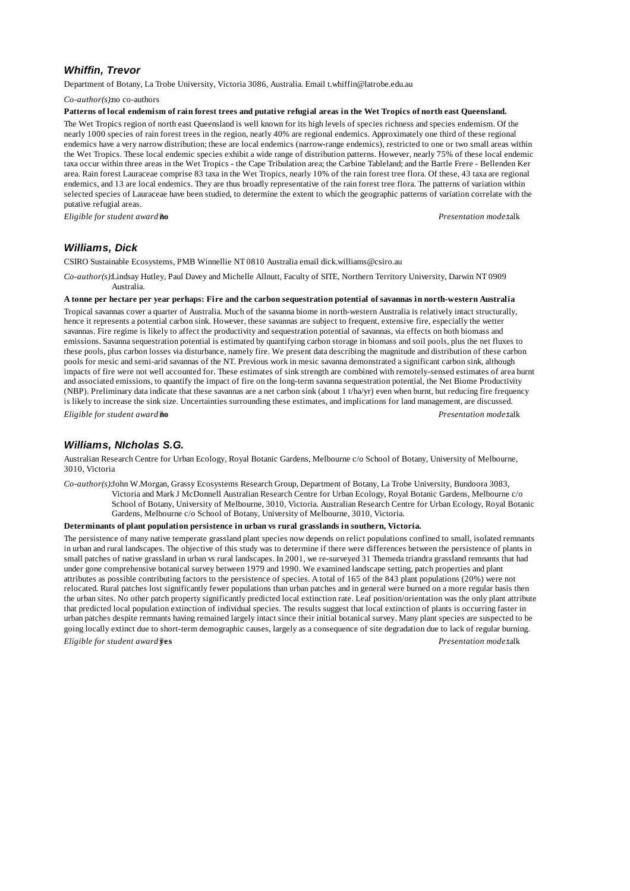# *Whiffin, Trevor*

Department of Botany, La Trobe University, Victoria 3086, Australia. Email t.whiffin@latrobe.edu.au

*Co-author(s):*no co-authors

#### **Patterns of local endemism of rain forest trees and putative refugial areas in the Wet Tropics of north east Queensland.**

The Wet Tropics region of north east Queensland is well known for its high levels of species richness and species endemism. Of the nearly 1000 species of rain forest trees in the region, nearly 40% are regional endemics. Approximately one third of these regional endemics have a very narrow distribution; these are local endemics (narrow-range endemics), restricted to one or two small areas within the Wet Tropics. These local endemic species exhibit a wide range of distribution patterns. However, nearly 75% of these local endemic taxa occur within three areas in the Wet Tropics - the Cape Tribulation area; the Carbine Tableland; and the Bartle Frere - Bellenden Ker area. Rain forest Lauraceae comprise 83 taxa in the Wet Tropics, nearly 10% of the rain forest tree flora. Of these, 43 taxa are regional endemics, and 13 are local endemics. They are thus broadly representative of the rain forest tree flora. The patterns of variation within selected species of Lauraceae have been studied, to determine the extent to which the geographic patterns of variation correlate with the putative refugial areas.

*Eligible for student award?***no** *Presentation mode:*talk

# *Williams, Dick*

CSIRO Sustainable Ecosystems, PMB Winnellie NT 0810 Australia email dick.williams@csiro.au

*Co-author(s):*Lindsay Hutley, Paul Davey and Michelle Allnutt, Faculty of SITE, Northern Territory University, Darwin NT 0909 Australia.

### **A tonne per hectare per year perhaps: Fire and the carbon sequestration potential of savannas in north-western Australia**

Tropical savannas cover a quarter of Australia. Much of the savanna biome in north-western Australia is relatively intact structurally, hence it represents a potential carbon sink. However, these savannas are subject to frequent, extensive fire, especially the wetter savannas. Fire regime is likely to affect the productivity and sequestration potential of savannas, via effects on both biomass and emissions. Savanna sequestration potential is estimated by quantifying carbon storage in biomass and soil pools, plus the net fluxes to these pools, plus carbon losses via disturbance, namely fire. We present data describing the magnitude and distribution of these carbon pools for mesic and semi-arid savannas of the NT. Previous work in mesic savanna demonstrated a significant carbon sink, although impacts of fire were not well accounted for. These estimates of sink strength are combined with remotely-sensed estimates of area burnt and associated emissions, to quantify the impact of fire on the long-term savanna sequestration potential, the Net Biome Productivity (NBP). Preliminary data indicate that these savannas are a net carbon sink (about 1 t/ha/yr) even when burnt, but reducing fire frequency is likely to increase the sink size. Uncertainties surrounding these estimates, and implications for land management, are discussed. *Eligible for student award?***no** *Presentation mode:*talk

## *Williams, NIcholas S.G.*

Australian Research Centre for Urban Ecology, Royal Botanic Gardens, Melbourne c/o School of Botany, University of Melbourne, 3010, Victoria

*Co-author(s):*John W.Morgan, Grassy Ecosystems Research Group, Department of Botany, La Trobe University, Bundoora 3083,

Victoria and Mark J McDonnell Australian Research Centre for Urban Ecology, Royal Botanic Gardens, Melbourne c/o School of Botany, University of Melbourne, 3010, Victoria. Australian Research Centre for Urban Ecology, Royal Botanic Gardens, Melbourne c/o School of Botany, University of Melbourne, 3010, Victoria.

#### **Determinants of plant population persistence in urban vs rural grasslands in southern, Victoria.**

The persistence of many native temperate grassland plant species now depends on relict populations confined to small, isolated remnants in urban and rural landscapes. The objective of this study was to determine if there were differences between the persistence of plants in small patches of native grassland in urban vs rural landscapes. In 2001, we re-surveyed 31 Themeda triandra grassland remnants that had under gone comprehensive botanical survey between 1979 and 1990. We examined landscape setting, patch properties and plant attributes as possible contributing factors to the persistence of species. A total of 165 of the 843 plant populations (20%) were not relocated. Rural patches lost significantly fewer populations than urban patches and in general were burned on a more regular basis then the urban sites. No other patch property significantly predicted local extinction rate. Leaf position/orientation was the only plant attribute that predicted local population extinction of individual species. The results suggest that local extinction of plants is occurring faster in urban patches despite remnants having remained largely intact since their initial botanical survey. Many plant species are suspected to be going locally extinct due to short-term demographic causes, largely as a consequence of site degradation due to lack of regular burning. *Eligible for student award?***yes** *Presentation mode:*talk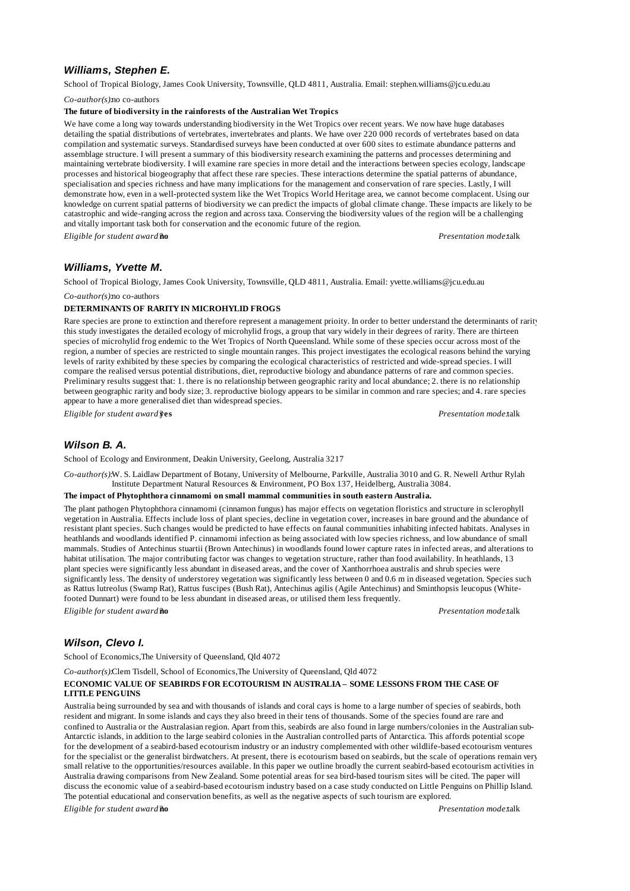# *Williams, Stephen E.*

School of Tropical Biology, James Cook University, Townsville, QLD 4811, Australia. Email: stephen.williams@jcu.edu.au

*Co-author(s):*no co-authors

### **The future of biodiversity in the rainforests of the Australian Wet Tropics**

We have come a long way towards understanding biodiversity in the Wet Tropics over recent years. We now have huge databases detailing the spatial distributions of vertebrates, invertebrates and plants. We have over 220 000 records of vertebrates based on data compilation and systematic surveys. Standardised surveys have been conducted at over 600 sites to estimate abundance patterns and assemblage structure. I will present a summary of this biodiversity research examining the patterns and processes determining and maintaining vertebrate biodiversity. I will examine rare species in more detail and the interactions between species ecology, landscape processes and historical biogeography that affect these rare species. These interactions determine the spatial patterns of abundance, specialisation and species richness and have many implications for the management and conservation of rare species. Lastly, I will demonstrate how, even in a well-protected system like the Wet Tropics World Heritage area, we cannot become complacent. Using our knowledge on current spatial patterns of biodiversity we can predict the impacts of global climate change. These impacts are likely to be catastrophic and wide-ranging across the region and across taxa. Conserving the biodiversity values of the region will be a challenging and vitally important task both for conservation and the economic future of the region.

*Eligible for student award?***no** *Presentation mode:*talk

### *Williams, Yvette M.*

School of Tropical Biology, James Cook University, Townsville, QLD 4811, Australia. Email: yvette.williams@jcu.edu.au

*Co-author(s):*no co-authors

### **DETERMINANTS OF RARITY IN MICROHYLID FROGS**

Rare species are prone to extinction and therefore represent a management prioity. In order to better understand the determinants of rarity this study investigates the detailed ecology of microhylid frogs, a group that vary widely in their degrees of rarity. There are thirteen species of microhylid frog endemic to the Wet Tropics of North Queensland. While some of these species occur across most of the region, a number of species are restricted to single mountain ranges. This project investigates the ecological reasons behind the varying levels of rarity exhibited by these species by comparing the ecological characteristics of restricted and wide-spread species. I will compare the realised versus potential distributions, diet, reproductive biology and abundance patterns of rare and common species. Preliminary results suggest that: 1. there is no relationship between geographic rarity and local abundance; 2. there is no relationship between geographic rarity and body size; 3. reproductive biology appears to be similar in common and rare species; and 4. rare species appear to have a more generalised diet than widespread species.

*Eligible for student award?***yes** *Presentation mode:*talk

# *Wilson B. A.*

School of Ecology and Environment, Deakin University, Geelong, Australia 3217

*Co-author(s):*W. S. Laidlaw Department of Botany, University of Melbourne, Parkville, Australia 3010 and G. R. Newell Arthur Rylah Institute Department Natural Resources & Environment, PO Box 137, Heidelberg, Australia 3084.

### **The impact of Phytophthora cinnamomi on small mammal communities in south eastern Australia.**

The plant pathogen Phytophthora cinnamomi (cinnamon fungus) has major effects on vegetation floristics and structure in sclerophyll vegetation in Australia. Effects include loss of plant species, decline in vegetation cover, increases in bare ground and the abundance of resistant plant species. Such changes would be predicted to have effects on faunal communities inhabiting infected habitats. Analyses in heathlands and woodlands identified P. cinnamomi infection as being associated with low species richness, and low abundance of small mammals. Studies of Antechinus stuartii (Brown Antechinus) in woodlands found lower capture rates in infected areas, and alterations to habitat utilisation. The major contributing factor was changes to vegetation structure, rather than food availability. In heathlands, 13 plant species were significantly less abundant in diseased areas, and the cover of Xanthorrhoea australis and shrub species were significantly less. The density of understorey vegetation was significantly less between 0 and 0.6 m in diseased vegetation. Species such as Rattus lutreolus (Swamp Rat), Rattus fuscipes (Bush Rat), Antechinus agilis (Agile Antechinus) and Sminthopsis leucopus (Whitefooted Dunnart) were found to be less abundant in diseased areas, or utilised them less frequently.

*Eligible for student award?***no** *Presentation mode:*talk

# *Wilson, Clevo I.*

School of Economics,The University of Queensland, Qld 4072

*Co-author(s):*Clem Tisdell, School of Economics,The University of Queensland, Qld 4072

### **ECONOMIC VALUE OF SEABIRDS FOR ECOTOURISM IN AUSTRALIA – SOME LESSONS FROM THE CASE OF LITTLE PENGUINS**

Australia being surrounded by sea and with thousands of islands and coral cays is home to a large number of species of seabirds, both resident and migrant. In some islands and cays they also breed in their tens of thousands. Some of the species found are rare and confined to Australia or the Australasian region. Apart from this, seabirds are also found in large numbers/colonies in the Australian sub-Antarctic islands, in addition to the large seabird colonies in the Australian controlled parts of Antarctica. This affords potential scope for the development of a seabird-based ecotourism industry or an industry complemented with other wildlife-based ecotourism ventures for the specialist or the generalist birdwatchers. At present, there is ecotourism based on seabirds, but the scale of operations remain very small relative to the opportunities/resources available. In this paper we outline broadly the current seabird-based ecotourism activities in Australia drawing comparisons from New Zealand. Some potential areas for sea bird-based tourism sites will be cited. The paper will discuss the economic value of a seabird-based ecotourism industry based on a case study conducted on Little Penguins on Phillip Island. The potential educational and conservation benefits, as well as the negative aspects of such tourism are explored.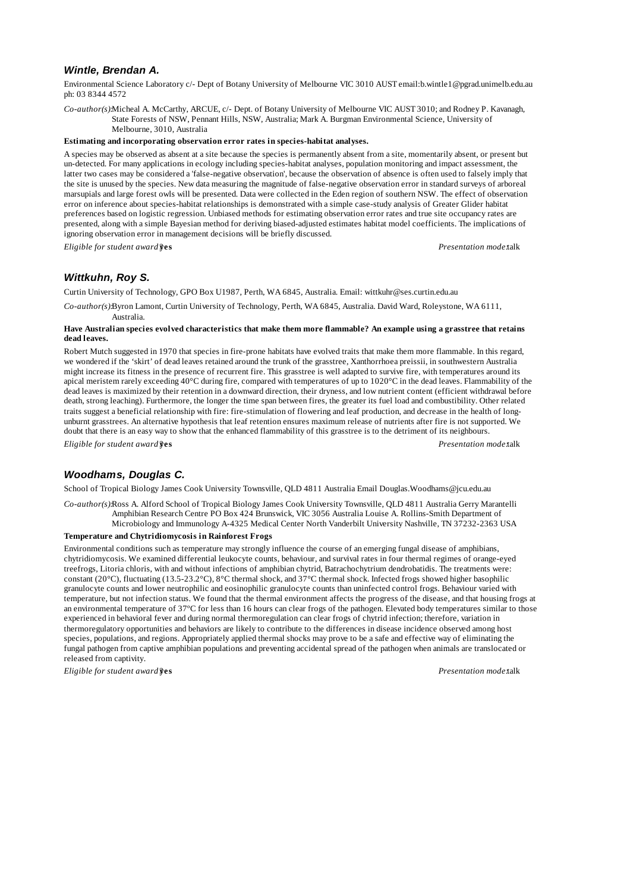## *Wintle, Brendan A.*

Environmental Science Laboratory c/- Dept of Botany University of Melbourne VIC 3010 AUST email:b.wintle1@pgrad.unimelb.edu.au ph: 03 8344 4572

*Co-author(s):*Micheal A. McCarthy, ARCUE, c/- Dept. of Botany University of Melbourne VIC AUST 3010; and Rodney P. Kavanagh, State Forests of NSW, Pennant Hills, NSW, Australia; Mark A. Burgman Environmental Science, University of

Melbourne, 3010, Australia

#### **Estimating and incorporating observation error rates in species-habitat analyses.**

A species may be observed as absent at a site because the species is permanently absent from a site, momentarily absent, or present but un-detected. For many applications in ecology including species-habitat analyses, population monitoring and impact assessment, the latter two cases may be considered a 'false-negative observation', because the observation of absence is often used to falsely imply that the site is unused by the species. New data measuring the magnitude of false-negative observation error in standard surveys of arboreal marsupials and large forest owls will be presented. Data were collected in the Eden region of southern NSW. The effect of observation error on inference about species-habitat relationships is demonstrated with a simple case-study analysis of Greater Glider habitat preferences based on logistic regression. Unbiased methods for estimating observation error rates and true site occupancy rates are presented, along with a simple Bayesian method for deriving biased-adjusted estimates habitat model coefficients. The implications of ignoring observation error in management decisions will be briefly discussed.

*Eligible for student award?***yes** *Presentation mode:*talk

## *Wittkuhn, Roy S.*

Curtin University of Technology, GPO Box U1987, Perth, WA 6845, Australia. Email: wittkuhr@ses.curtin.edu.au

*Co-author(s):*Byron Lamont, Curtin University of Technology, Perth, WA 6845, Australia. David Ward, Roleystone, WA 6111, Australia.

#### **Have Australian species evolved characteristics that make them more flammable? An example using a grasstree that retains dead leaves.**

Robert Mutch suggested in 1970 that species in fire-prone habitats have evolved traits that make them more flammable. In this regard, we wondered if the 'skirt' of dead leaves retained around the trunk of the grasstree, Xanthorrhoea preissii, in southwestern Australia might increase its fitness in the presence of recurrent fire. This grasstree is well adapted to survive fire, with temperatures around its apical meristem rarely exceeding 40°C during fire, compared with temperatures of up to 1020°C in the dead leaves. Flammability of the dead leaves is maximized by their retention in a downward direction, their dryness, and low nutrient content (efficient withdrawal before death, strong leaching). Furthermore, the longer the time span between fires, the greater its fuel load and combustibility. Other related traits suggest a beneficial relationship with fire: fire-stimulation of flowering and leaf production, and decrease in the health of longunburnt grasstrees. An alternative hypothesis that leaf retention ensures maximum release of nutrients after fire is not supported. We doubt that there is an easy way to show that the enhanced flammability of this grasstree is to the detriment of its neighbours. *Eligible for student award?***yes** *Presentation mode:*talk

## *Woodhams, Douglas C.*

School of Tropical Biology James Cook University Townsville, QLD 4811 Australia Email Douglas.Woodhams@jcu.edu.au

*Co-author(s):*Ross A. Alford School of Tropical Biology James Cook University Townsville, QLD 4811 Australia Gerry Marantelli Amphibian Research Centre PO Box 424 Brunswick, VIC 3056 Australia Louise A. Rollins-Smith Department of Microbiology and Immunology A-4325 Medical Center North Vanderbilt University Nashville, TN 37232-2363 USA

#### **Temperature and Chytridiomycosis in Rainforest Frogs**

Environmental conditions such as temperature may strongly influence the course of an emerging fungal disease of amphibians, chytridiomycosis. We examined differential leukocyte counts, behaviour, and survival rates in four thermal regimes of orange-eyed treefrogs, Litoria chloris, with and without infections of amphibian chytrid, Batrachochytrium dendrobatidis. The treatments were: constant (20°C), fluctuating (13.5-23.2°C), 8°C thermal shock, and 37°C thermal shock. Infected frogs showed higher basophilic granulocyte counts and lower neutrophilic and eosinophilic granulocyte counts than uninfected control frogs. Behaviour varied with temperature, but not infection status. We found that the thermal environment affects the progress of the disease, and that housing frogs at an environmental temperature of 37ºC for less than 16 hours can clear frogs of the pathogen. Elevated body temperatures similar to those experienced in behavioral fever and during normal thermoregulation can clear frogs of chytrid infection; therefore, variation in thermoregulatory opportunities and behaviors are likely to contribute to the differences in disease incidence observed among host species, populations, and regions. Appropriately applied thermal shocks may prove to be a safe and effective way of eliminating the fungal pathogen from captive amphibian populations and preventing accidental spread of the pathogen when animals are translocated or released from captivity.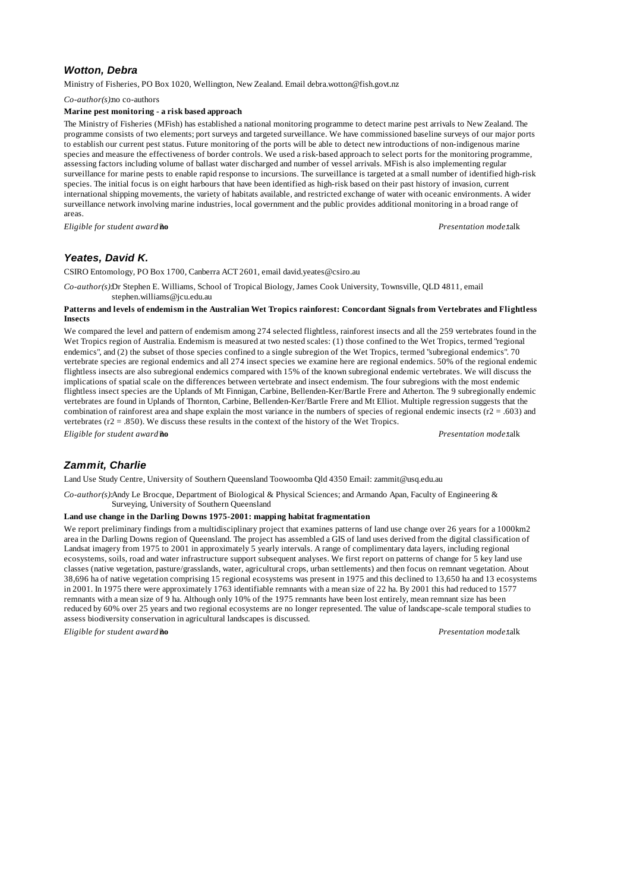# *Wotton, Debra*

Ministry of Fisheries, PO Box 1020, Wellington, New Zealand. Email debra.wotton@fish.govt.nz

*Co-author(s):*no co-authors

### **Marine pest monitoring - a risk based approach**

The Ministry of Fisheries (MFish) has established a national monitoring programme to detect marine pest arrivals to New Zealand. The programme consists of two elements; port surveys and targeted surveillance. We have commissioned baseline surveys of our major ports to establish our current pest status. Future monitoring of the ports will be able to detect new introductions of non-indigenous marine species and measure the effectiveness of border controls. We used a risk-based approach to select ports for the monitoring programme, assessing factors including volume of ballast water discharged and number of vessel arrivals. MFish is also implementing regular surveillance for marine pests to enable rapid response to incursions. The surveillance is targeted at a small number of identified high-risk species. The initial focus is on eight harbours that have been identified as high-risk based on their past history of invasion, current international shipping movements, the variety of habitats available, and restricted exchange of water with oceanic environments. A wider surveillance network involving marine industries, local government and the public provides additional monitoring in a broad range of areas.

*Eligible for student award?***no** *Presentation mode:*talk

## *Yeates, David K.*

CSIRO Entomology, PO Box 1700, Canberra ACT 2601, email david.yeates@csiro.au

*Co-author(s):*Dr Stephen E. Williams, School of Tropical Biology, James Cook University, Townsville, QLD 4811, email stephen.williams@jcu.edu.au

### **Patterns and levels of endemism in the Australian Wet Tropics rainforest: Concordant Signals from Vertebrates and Flightless Insects**

We compared the level and pattern of endemism among 274 selected flightless, rainforest insects and all the 259 vertebrates found in the Wet Tropics region of Australia. Endemism is measured at two nested scales: (1) those confined to the Wet Tropics, termed "regional endemics", and (2) the subset of those species confined to a single subregion of the Wet Tropics, termed "subregional endemics". 70 vertebrate species are regional endemics and all 274 insect species we examine here are regional endemics. 50% of the regional endemic flightless insects are also subregional endemics compared with 15% of the known subregional endemic vertebrates. We will discuss the implications of spatial scale on the differences between vertebrate and insect endemism. The four subregions with the most endemic flightless insect species are the Uplands of Mt Finnigan, Carbine, Bellenden-Ker/Bartle Frere and Atherton. The 9 subregionally endemic vertebrates are found in Uplands of Thornton, Carbine, Bellenden-Ker/Bartle Frere and Mt Elliot. Multiple regression suggests that the combination of rainforest area and shape explain the most variance in the numbers of species of regional endemic insects ( $r2 = .603$ ) and vertebrates ( $r2 = .850$ ). We discuss these results in the context of the history of the Wet Tropics.

*Eligible for student award?***no** *Presentation mode:*talk

## *Zammit, Charlie*

Land Use Study Centre, University of Southern Queensland Toowoomba Qld 4350 Email: zammit@usq.edu.au

*Co-author(s):*Andy Le Brocque, Department of Biological & Physical Sciences; and Armando Apan, Faculty of Engineering & Surveying, University of Southern Queensland

#### **Land use change in the Darling Downs 1975-2001: mapping habitat fragmentation**

We report preliminary findings from a multidisciplinary project that examines patterns of land use change over 26 years for a 1000km2 area in the Darling Downs region of Queensland. The project has assembled a GIS of land uses derived from the digital classification of Landsat imagery from 1975 to 2001 in approximately 5 yearly intervals. A range of complimentary data layers, including regional ecosystems, soils, road and water infrastructure support subsequent analyses. We first report on patterns of change for 5 key land use classes (native vegetation, pasture/grasslands, water, agricultural crops, urban settlements) and then focus on remnant vegetation. About 38,696 ha of native vegetation comprising 15 regional ecosystems was present in 1975 and this declined to 13,650 ha and 13 ecosystems in 2001. In 1975 there were approximately 1763 identifiable remnants with a mean size of 22 ha. By 2001 this had reduced to 1577 remnants with a mean size of 9 ha. Although only 10% of the 1975 remnants have been lost entirely, mean remnant size has been reduced by 60% over 25 years and two regional ecosystems are no longer represented. The value of landscape-scale temporal studies to assess biodiversity conservation in agricultural landscapes is discussed.